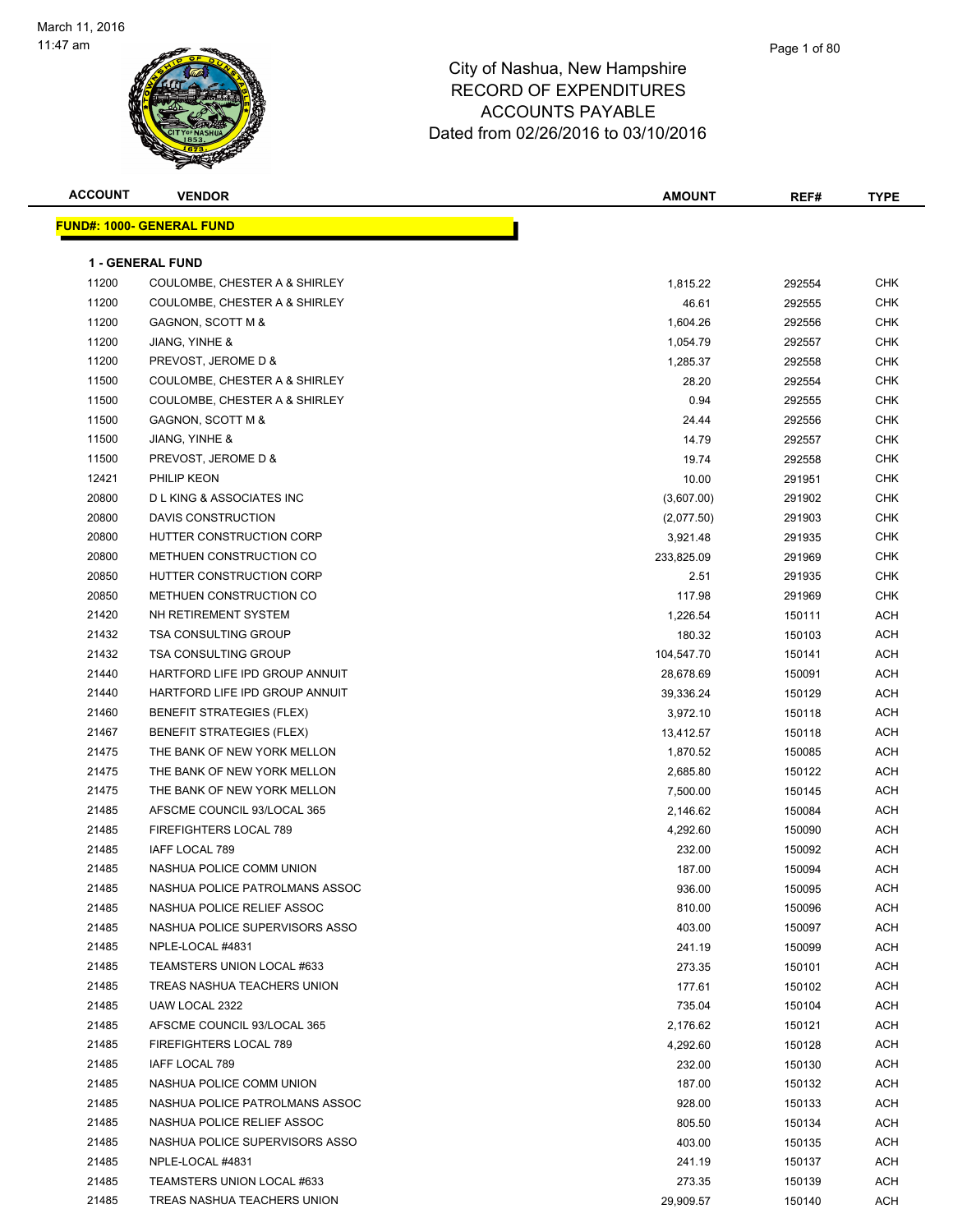

| <b>ACCOUNT</b> | <b>VENDOR</b>                      | <b>AMOUNT</b> | REF#   | <b>TYPE</b> |
|----------------|------------------------------------|---------------|--------|-------------|
|                | <b>FUND#: 1000- GENERAL FUND</b>   |               |        |             |
|                | <b>1 - GENERAL FUND</b>            |               |        |             |
| 11200          | COULOMBE, CHESTER A & SHIRLEY      | 1,815.22      | 292554 | <b>CHK</b>  |
| 11200          | COULOMBE, CHESTER A & SHIRLEY      | 46.61         | 292555 | <b>CHK</b>  |
| 11200          | GAGNON, SCOTT M &                  | 1,604.26      | 292556 | <b>CHK</b>  |
| 11200          | JIANG, YINHE &                     | 1,054.79      | 292557 | <b>CHK</b>  |
| 11200          | PREVOST, JEROME D &                | 1,285.37      | 292558 | CHK         |
| 11500          | COULOMBE, CHESTER A & SHIRLEY      | 28.20         | 292554 | <b>CHK</b>  |
| 11500          | COULOMBE, CHESTER A & SHIRLEY      | 0.94          | 292555 | CHK         |
| 11500          | GAGNON, SCOTT M &                  | 24.44         | 292556 | CHK         |
| 11500          | JIANG, YINHE &                     | 14.79         | 292557 | <b>CHK</b>  |
| 11500          | PREVOST, JEROME D &                | 19.74         | 292558 | CHK         |
| 12421          | PHILIP KEON                        | 10.00         | 291951 | CHK         |
| 20800          | <b>DLKING &amp; ASSOCIATES INC</b> | (3,607.00)    | 291902 | <b>CHK</b>  |
| 20800          | DAVIS CONSTRUCTION                 | (2,077.50)    | 291903 | CHK         |
| 20800          | HUTTER CONSTRUCTION CORP           | 3,921.48      | 291935 | CHK         |
| 20800          | METHUEN CONSTRUCTION CO            | 233,825.09    | 291969 | CHK         |
| 20850          | HUTTER CONSTRUCTION CORP           | 2.51          | 291935 | <b>CHK</b>  |
| 20850          | METHUEN CONSTRUCTION CO            | 117.98        | 291969 | <b>CHK</b>  |
| 21420          | NH RETIREMENT SYSTEM               | 1,226.54      | 150111 | ACH         |
| 21432          | <b>TSA CONSULTING GROUP</b>        | 180.32        | 150103 | ACH         |
| 21432          | <b>TSA CONSULTING GROUP</b>        | 104,547.70    | 150141 | <b>ACH</b>  |
| 21440          | HARTFORD LIFE IPD GROUP ANNUIT     | 28,678.69     | 150091 | ACH         |
| 21440          | HARTFORD LIFE IPD GROUP ANNUIT     | 39,336.24     | 150129 | ACH         |
| 21460          | <b>BENEFIT STRATEGIES (FLEX)</b>   | 3,972.10      | 150118 | ACH         |
| 21467          | <b>BENEFIT STRATEGIES (FLEX)</b>   | 13,412.57     | 150118 | ACH         |
| 21475          | THE BANK OF NEW YORK MELLON        | 1,870.52      | 150085 | <b>ACH</b>  |
| 21475          | THE BANK OF NEW YORK MELLON        | 2,685.80      | 150122 | ACH         |
| 21475          | THE BANK OF NEW YORK MELLON        | 7,500.00      | 150145 | ACH         |
| 21485          | AFSCME COUNCIL 93/LOCAL 365        | 2,146.62      | 150084 | ACH         |
| 21485          | FIREFIGHTERS LOCAL 789             | 4,292.60      | 150090 | ACH         |
| 21485          | IAFF LOCAL 789                     | 232.00        | 150092 | ACH         |
| 21485          | NASHUA POLICE COMM UNION           | 187.00        | 150094 | <b>ACH</b>  |
| 21485          | NASHUA POLICE PATROLMANS ASSOC     | 936.00        | 150095 | ACH         |
| 21485          | NASHUA POLICE RELIEF ASSOC         | 810.00        | 150096 | ACH         |
| 21485          | NASHUA POLICE SUPERVISORS ASSO     | 403.00        | 150097 | ACH         |
| 21485          | NPLE-LOCAL #4831                   | 241.19        | 150099 | ACH         |
| 21485          | TEAMSTERS UNION LOCAL #633         | 273.35        | 150101 | ACH         |
| 21485          | TREAS NASHUA TEACHERS UNION        | 177.61        | 150102 | ACH         |
| 21485          | UAW LOCAL 2322                     | 735.04        | 150104 | ACH         |
| 21485          | AFSCME COUNCIL 93/LOCAL 365        | 2,176.62      | 150121 | ACH         |
| 21485          | FIREFIGHTERS LOCAL 789             | 4,292.60      | 150128 | ACH         |
| 21485          | IAFF LOCAL 789                     | 232.00        | 150130 | ACH         |
| 21485          | NASHUA POLICE COMM UNION           | 187.00        | 150132 | ACH         |
| 21485          | NASHUA POLICE PATROLMANS ASSOC     | 928.00        | 150133 | ACH         |
| 21485          | NASHUA POLICE RELIEF ASSOC         | 805.50        | 150134 | ACH         |
| 21485          | NASHUA POLICE SUPERVISORS ASSO     | 403.00        | 150135 | ACH         |
| 21485          | NPLE-LOCAL #4831                   | 241.19        | 150137 | ACH         |
| 21485          | TEAMSTERS UNION LOCAL #633         | 273.35        | 150139 | ACH         |
| 21485          | TREAS NASHUA TEACHERS UNION        | 29,909.57     | 150140 | ACH         |
|                |                                    |               |        |             |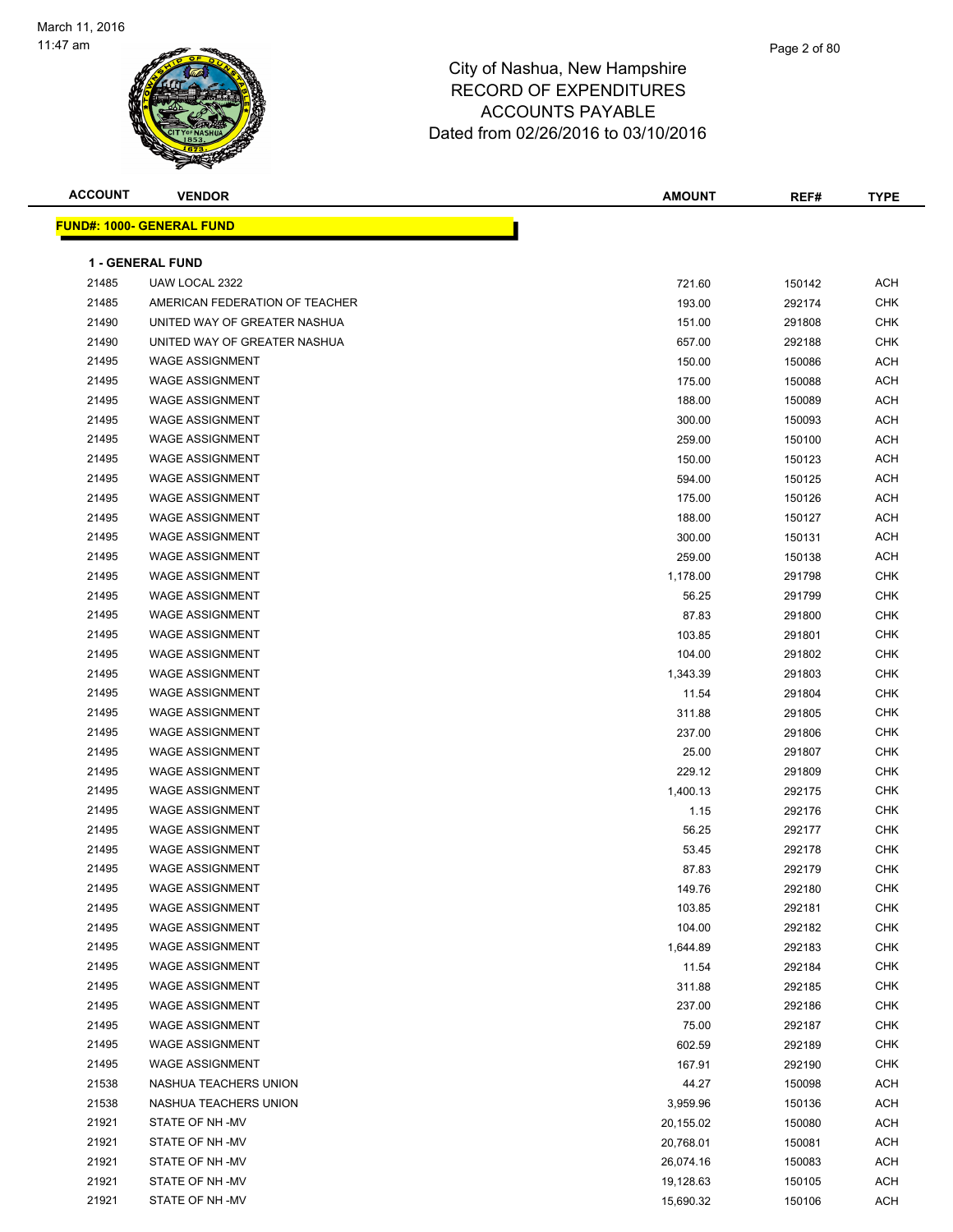

| <b>ACCOUNT</b> | <b>VENDOR</b>                    | <b>AMOUNT</b> | REF#   | <b>TYPE</b> |
|----------------|----------------------------------|---------------|--------|-------------|
|                | <b>FUND#: 1000- GENERAL FUND</b> |               |        |             |
|                |                                  |               |        |             |
|                | <b>1 - GENERAL FUND</b>          |               |        |             |
| 21485          | UAW LOCAL 2322                   | 721.60        | 150142 | <b>ACH</b>  |
| 21485          | AMERICAN FEDERATION OF TEACHER   | 193.00        | 292174 | <b>CHK</b>  |
| 21490          | UNITED WAY OF GREATER NASHUA     | 151.00        | 291808 | <b>CHK</b>  |
| 21490          | UNITED WAY OF GREATER NASHUA     | 657.00        | 292188 | <b>CHK</b>  |
| 21495          | <b>WAGE ASSIGNMENT</b>           | 150.00        | 150086 | <b>ACH</b>  |
| 21495          | <b>WAGE ASSIGNMENT</b>           | 175.00        | 150088 | <b>ACH</b>  |
| 21495          | <b>WAGE ASSIGNMENT</b>           | 188.00        | 150089 | ACH         |
| 21495          | <b>WAGE ASSIGNMENT</b>           | 300.00        | 150093 | <b>ACH</b>  |
| 21495          | <b>WAGE ASSIGNMENT</b>           | 259.00        | 150100 | <b>ACH</b>  |
| 21495          | <b>WAGE ASSIGNMENT</b>           | 150.00        | 150123 | <b>ACH</b>  |
| 21495          | <b>WAGE ASSIGNMENT</b>           | 594.00        | 150125 | ACH         |
| 21495          | <b>WAGE ASSIGNMENT</b>           | 175.00        | 150126 | <b>ACH</b>  |
| 21495          | <b>WAGE ASSIGNMENT</b>           | 188.00        | 150127 | ACH         |
| 21495          | <b>WAGE ASSIGNMENT</b>           | 300.00        | 150131 | <b>ACH</b>  |
| 21495          | <b>WAGE ASSIGNMENT</b>           | 259.00        | 150138 | <b>ACH</b>  |
| 21495          | <b>WAGE ASSIGNMENT</b>           | 1,178.00      | 291798 | <b>CHK</b>  |
| 21495          | <b>WAGE ASSIGNMENT</b>           | 56.25         | 291799 | <b>CHK</b>  |
| 21495          | <b>WAGE ASSIGNMENT</b>           | 87.83         | 291800 | <b>CHK</b>  |
| 21495          | <b>WAGE ASSIGNMENT</b>           | 103.85        | 291801 | <b>CHK</b>  |
| 21495          | <b>WAGE ASSIGNMENT</b>           | 104.00        | 291802 | <b>CHK</b>  |
| 21495          | <b>WAGE ASSIGNMENT</b>           | 1,343.39      | 291803 | <b>CHK</b>  |
| 21495          | <b>WAGE ASSIGNMENT</b>           | 11.54         | 291804 | <b>CHK</b>  |
| 21495          | <b>WAGE ASSIGNMENT</b>           | 311.88        | 291805 | <b>CHK</b>  |
| 21495          | <b>WAGE ASSIGNMENT</b>           | 237.00        | 291806 | <b>CHK</b>  |
| 21495          | <b>WAGE ASSIGNMENT</b>           | 25.00         | 291807 | <b>CHK</b>  |
| 21495          | <b>WAGE ASSIGNMENT</b>           | 229.12        | 291809 | <b>CHK</b>  |
| 21495          | <b>WAGE ASSIGNMENT</b>           | 1,400.13      | 292175 | <b>CHK</b>  |
| 21495          | <b>WAGE ASSIGNMENT</b>           | 1.15          | 292176 | <b>CHK</b>  |
| 21495          | <b>WAGE ASSIGNMENT</b>           | 56.25         | 292177 | <b>CHK</b>  |
| 21495          | <b>WAGE ASSIGNMENT</b>           | 53.45         | 292178 | <b>CHK</b>  |
| 21495          | <b>WAGE ASSIGNMENT</b>           | 87.83         | 292179 | <b>CHK</b>  |
| 21495          | <b>WAGE ASSIGNMENT</b>           | 149.76        | 292180 | ${\sf CHK}$ |
| 21495          | <b>WAGE ASSIGNMENT</b>           | 103.85        | 292181 | <b>CHK</b>  |
| 21495          | <b>WAGE ASSIGNMENT</b>           | 104.00        | 292182 | <b>CHK</b>  |
| 21495          | <b>WAGE ASSIGNMENT</b>           | 1,644.89      | 292183 | <b>CHK</b>  |
| 21495          | <b>WAGE ASSIGNMENT</b>           | 11.54         | 292184 | <b>CHK</b>  |
| 21495          | <b>WAGE ASSIGNMENT</b>           | 311.88        | 292185 | CHK         |
| 21495          | <b>WAGE ASSIGNMENT</b>           | 237.00        | 292186 | <b>CHK</b>  |
| 21495          | <b>WAGE ASSIGNMENT</b>           | 75.00         | 292187 | <b>CHK</b>  |
| 21495          | <b>WAGE ASSIGNMENT</b>           | 602.59        | 292189 | <b>CHK</b>  |
| 21495          | <b>WAGE ASSIGNMENT</b>           | 167.91        | 292190 | <b>CHK</b>  |
| 21538          | NASHUA TEACHERS UNION            | 44.27         | 150098 | <b>ACH</b>  |
| 21538          | NASHUA TEACHERS UNION            | 3,959.96      | 150136 | <b>ACH</b>  |
| 21921          | STATE OF NH-MV                   | 20,155.02     | 150080 | <b>ACH</b>  |
| 21921          | STATE OF NH -MV                  | 20,768.01     | 150081 | ACH         |
| 21921          | STATE OF NH-MV                   | 26,074.16     | 150083 | ACH         |
| 21921          | STATE OF NH-MV                   | 19,128.63     | 150105 | ACH         |
| 21921          | STATE OF NH-MV                   | 15,690.32     | 150106 | <b>ACH</b>  |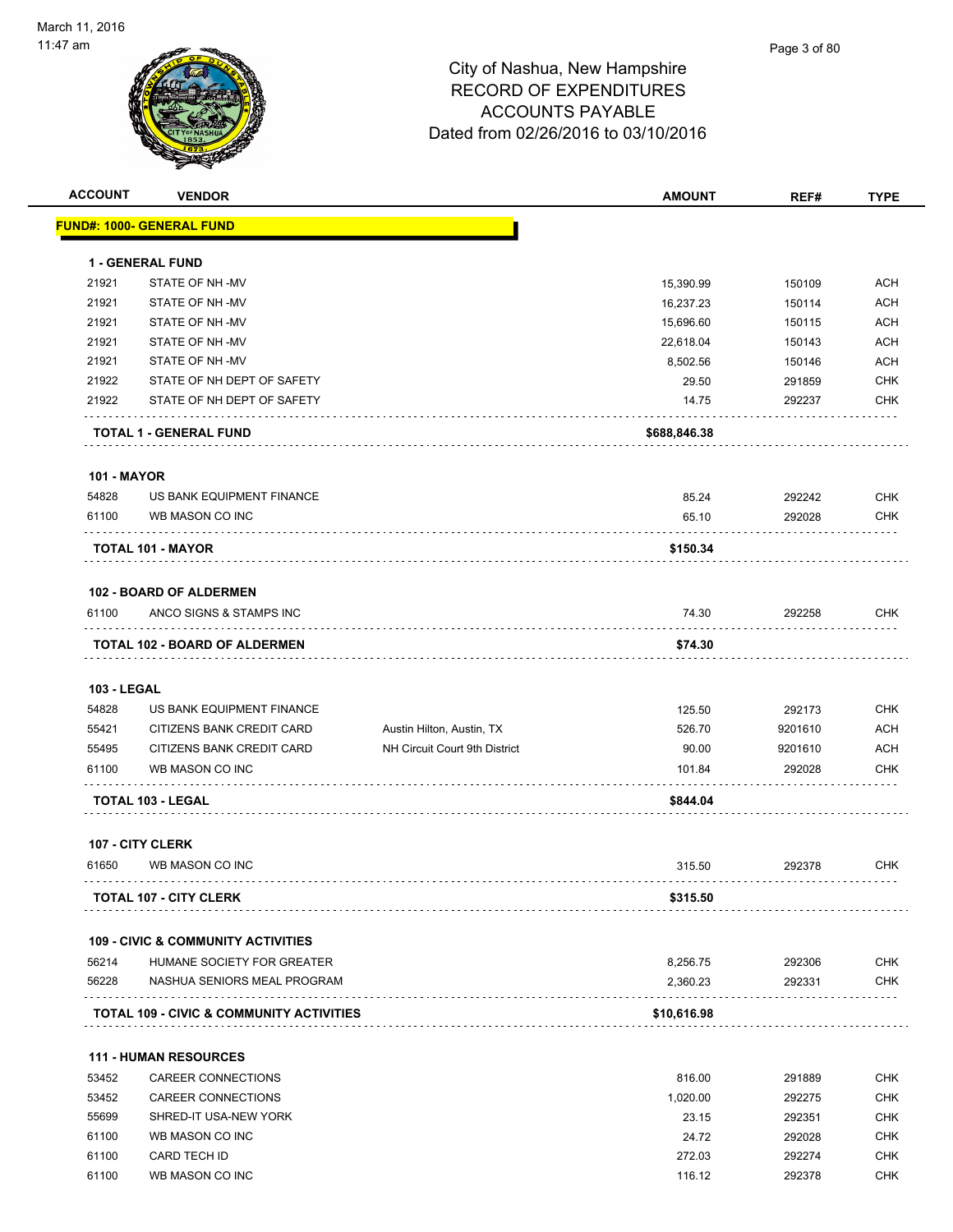# Page 3 of 80

| <b>ACCOUNT</b>     | <b>VENDOR</b>                                       |                               | <b>AMOUNT</b> | REF#    | <b>TYPE</b> |
|--------------------|-----------------------------------------------------|-------------------------------|---------------|---------|-------------|
|                    | FUND#: 1000- GENERAL FUND                           |                               |               |         |             |
|                    | 1 - GENERAL FUND                                    |                               |               |         |             |
| 21921              | STATE OF NH -MV                                     |                               | 15,390.99     | 150109  | <b>ACH</b>  |
| 21921              | STATE OF NH-MV                                      |                               | 16,237.23     | 150114  | <b>ACH</b>  |
| 21921              | STATE OF NH -MV                                     |                               | 15,696.60     | 150115  | <b>ACH</b>  |
| 21921              | STATE OF NH -MV                                     |                               | 22,618.04     | 150143  | <b>ACH</b>  |
| 21921              | STATE OF NH-MV                                      |                               | 8,502.56      | 150146  | ACH         |
| 21922              | STATE OF NH DEPT OF SAFETY                          |                               | 29.50         | 291859  | <b>CHK</b>  |
| 21922              | STATE OF NH DEPT OF SAFETY                          |                               | 14.75         | 292237  | <b>CHK</b>  |
|                    | TOTAL 1 - GENERAL FUND                              |                               | \$688,846.38  |         |             |
| <b>101 - MAYOR</b> |                                                     |                               |               |         |             |
| 54828              | US BANK EQUIPMENT FINANCE                           |                               | 85.24         | 292242  | <b>CHK</b>  |
| 61100              | WB MASON CO INC                                     |                               | 65.10         | 292028  | <b>CHK</b>  |
|                    | .<br>TOTAL 101 - MAYOR                              |                               | \$150.34      |         |             |
|                    | <b>102 - BOARD OF ALDERMEN</b>                      |                               |               |         |             |
| 61100              | ANCO SIGNS & STAMPS INC                             |                               | 74.30         | 292258  | <b>CHK</b>  |
|                    | TOTAL 102 - BOARD OF ALDERMEN                       |                               | \$74.30       |         |             |
| <b>103 - LEGAL</b> |                                                     |                               |               |         |             |
| 54828              | US BANK EQUIPMENT FINANCE                           |                               | 125.50        | 292173  | <b>CHK</b>  |
| 55421              | CITIZENS BANK CREDIT CARD                           | Austin Hilton, Austin, TX     | 526.70        | 9201610 | <b>ACH</b>  |
| 55495              | CITIZENS BANK CREDIT CARD                           | NH Circuit Court 9th District | 90.00         | 9201610 | <b>ACH</b>  |
| 61100              | WB MASON CO INC                                     |                               | 101.84        | 292028  | CHK         |
|                    | TOTAL 103 - LEGAL                                   |                               | \$844.04      |         |             |
|                    | <b>107 - CITY CLERK</b>                             |                               |               |         |             |
| 61650              | WB MASON CO INC                                     |                               | 315.50        | 292378  | <b>CHK</b>  |
|                    | <b>TOTAL 107 - CITY CLERK</b>                       |                               | \$315.50      |         |             |
|                    | <b>109 - CIVIC &amp; COMMUNITY ACTIVITIES</b>       |                               |               |         |             |
| 56214              | HUMANE SOCIETY FOR GREATER                          |                               | 8,256.75      | 292306  | <b>CHK</b>  |
| 56228              | NASHUA SENIORS MEAL PROGRAM                         |                               | 2,360.23      | 292331  | <b>CHK</b>  |
|                    | <b>TOTAL 109 - CIVIC &amp; COMMUNITY ACTIVITIES</b> |                               | \$10,616.98   |         |             |
|                    | <b>111 - HUMAN RESOURCES</b>                        |                               |               |         |             |
| 53452              | CAREER CONNECTIONS                                  |                               | 816.00        | 291889  | <b>CHK</b>  |
| 53452              | CAREER CONNECTIONS                                  |                               | 1,020.00      | 292275  | <b>CHK</b>  |
| 55699              | SHRED-IT USA-NEW YORK                               |                               | 23.15         | 292351  | <b>CHK</b>  |
| 61100              | WB MASON CO INC                                     |                               | 24.72         | 292028  | <b>CHK</b>  |
| 61100              | CARD TECH ID                                        |                               | 272.03        | 292274  | <b>CHK</b>  |
| 61100              | WB MASON CO INC                                     |                               | 116.12        | 292378  | <b>CHK</b>  |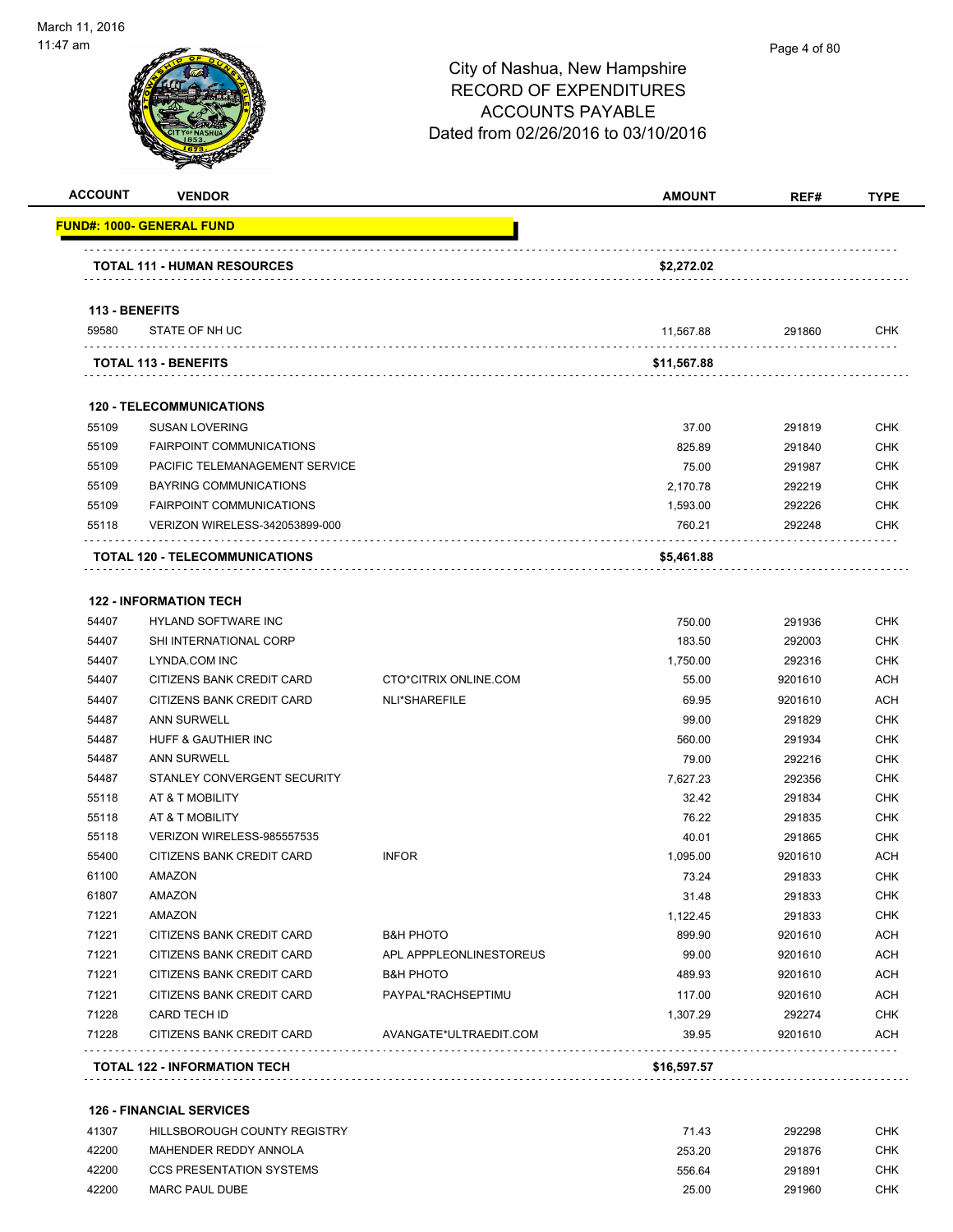| <b>ACCOUNT</b> | <b>VENDOR</b>                                                   |                         | <b>AMOUNT</b>      | REF#             | <b>TYPE</b>              |
|----------------|-----------------------------------------------------------------|-------------------------|--------------------|------------------|--------------------------|
|                | <u> FUND#: 1000- GENERAL FUND</u>                               |                         |                    |                  |                          |
|                | <b>TOTAL 111 - HUMAN RESOURCES</b>                              |                         | \$2,272.02         |                  |                          |
| 113 - BENEFITS |                                                                 |                         |                    |                  |                          |
| 59580          | STATE OF NH UC                                                  |                         | 11,567.88          | 291860           | CHK                      |
|                | <b>TOTAL 113 - BENEFITS</b>                                     |                         | \$11,567.88        |                  |                          |
|                | <b>120 - TELECOMMUNICATIONS</b>                                 |                         |                    |                  |                          |
| 55109          | <b>SUSAN LOVERING</b>                                           |                         | 37.00              | 291819           | <b>CHK</b>               |
| 55109          | <b>FAIRPOINT COMMUNICATIONS</b>                                 |                         | 825.89             | 291840           | CHK                      |
| 55109          | PACIFIC TELEMANAGEMENT SERVICE                                  |                         | 75.00              | 291987           | <b>CHK</b>               |
| 55109          | BAYRING COMMUNICATIONS                                          |                         | 2,170.78           | 292219           | CHK                      |
| 55109          | <b>FAIRPOINT COMMUNICATIONS</b>                                 |                         | 1,593.00           | 292226           | <b>CHK</b>               |
| 55118          | VERIZON WIRELESS-342053899-000                                  |                         | 760.21             | 292248           | <b>CHK</b>               |
|                | <b>TOTAL 120 - TELECOMMUNICATIONS</b>                           |                         | \$5,461.88         |                  |                          |
|                |                                                                 |                         |                    |                  |                          |
|                | <b>122 - INFORMATION TECH</b>                                   |                         |                    |                  |                          |
| 54407          | <b>HYLAND SOFTWARE INC</b>                                      |                         | 750.00             | 291936           | <b>CHK</b>               |
| 54407          | SHI INTERNATIONAL CORP                                          |                         | 183.50             | 292003           | <b>CHK</b>               |
| 54407          | LYNDA.COM INC                                                   |                         | 1,750.00           | 292316           | <b>CHK</b>               |
| 54407          | CITIZENS BANK CREDIT CARD                                       | CTO*CITRIX ONLINE.COM   | 55.00<br>69.95     | 9201610          | <b>ACH</b><br><b>ACH</b> |
| 54407          | CITIZENS BANK CREDIT CARD                                       | NLI*SHAREFILE           |                    | 9201610          | <b>CHK</b>               |
| 54487<br>54487 | <b>ANN SURWELL</b><br>HUFF & GAUTHIER INC                       |                         | 99.00              | 291829           |                          |
| 54487          | <b>ANN SURWELL</b>                                              |                         | 560.00             | 291934           | <b>CHK</b><br><b>CHK</b> |
| 54487          | STANLEY CONVERGENT SECURITY                                     |                         | 79.00              | 292216           |                          |
|                |                                                                 |                         | 7,627.23           | 292356           | <b>CHK</b>               |
| 55118          | AT & T MOBILITY<br>AT & T MOBILITY                              |                         | 32.42              | 291834           | <b>CHK</b>               |
| 55118          |                                                                 |                         | 76.22              | 291835           | <b>CHK</b>               |
| 55118<br>55400 | VERIZON WIRELESS-985557535<br>CITIZENS BANK CREDIT CARD         | <b>INFOR</b>            | 40.01<br>1.095.00  | 291865           | <b>CHK</b><br><b>ACH</b> |
|                |                                                                 |                         |                    | 9201610          |                          |
| 61100          | AMAZON                                                          |                         | 73.24              | 291833           | <b>CHK</b><br><b>CHK</b> |
| 61807<br>71221 | AMAZON<br>AMAZON                                                |                         | 31.48              | 291833<br>291833 |                          |
| 71221          | CITIZENS BANK CREDIT CARD                                       | <b>B&amp;H PHOTO</b>    | 1,122.45<br>899.90 | 9201610          | <b>CHK</b><br><b>ACH</b> |
| 71221          | CITIZENS BANK CREDIT CARD                                       | APL APPPLEONLINESTOREUS | 99.00              | 9201610          | <b>ACH</b>               |
| 71221          | CITIZENS BANK CREDIT CARD                                       | <b>B&amp;H PHOTO</b>    | 489.93             | 9201610          | <b>ACH</b>               |
| 71221          | CITIZENS BANK CREDIT CARD                                       | PAYPAL*RACHSEPTIMU      | 117.00             | 9201610          | <b>ACH</b>               |
| 71228          | CARD TECH ID                                                    |                         | 1,307.29           | 292274           | <b>CHK</b>               |
| 71228          | CITIZENS BANK CREDIT CARD                                       | AVANGATE*ULTRAEDIT.COM  | 39.95              | 9201610          | ACH                      |
|                | .<br>TOTAL 122 - INFORMATION TECH                               |                         | \$16,597.57        |                  |                          |
|                |                                                                 |                         |                    |                  |                          |
| 41307          | <b>126 - FINANCIAL SERVICES</b><br>HILLSBOROUGH COUNTY REGISTRY |                         | 71.43              | 292298           | <b>CHK</b>               |
| 42200          | MAHENDER REDDY ANNOLA                                           |                         | 253.20             | 291876           | <b>CHK</b>               |

 42200 CCS PRESENTATION SYSTEMS 556.64 291891 CHK 42200 MARC PAUL DUBE 25.00 291960 CHK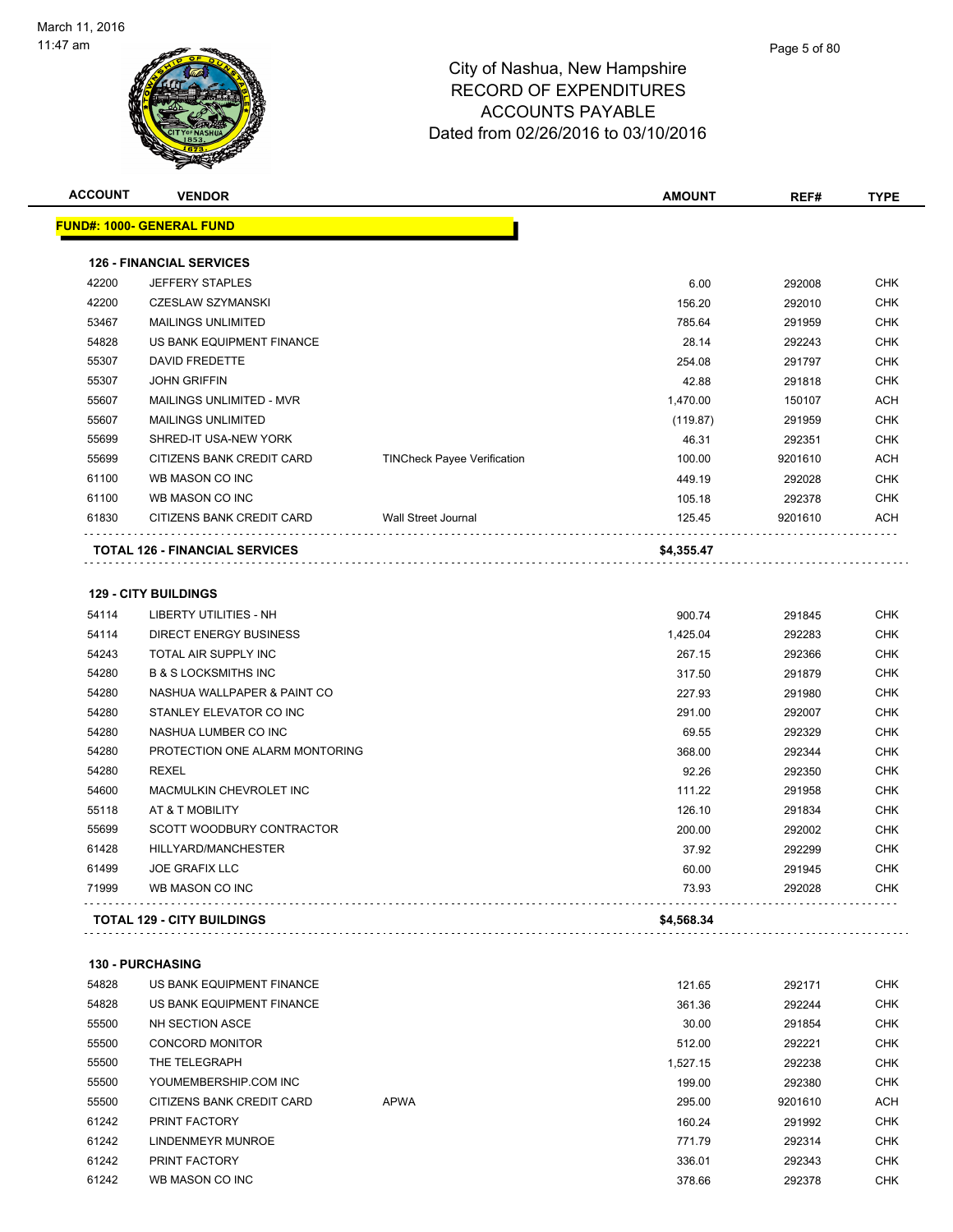

| <u> FUND#: 1000- GENERAL FUND</u> |                                                                     |                                |                          |            |
|-----------------------------------|---------------------------------------------------------------------|--------------------------------|--------------------------|------------|
|                                   |                                                                     |                                |                          |            |
| <b>126 - FINANCIAL SERVICES</b>   |                                                                     |                                |                          |            |
| <b>JEFFERY STAPLES</b>            |                                                                     | 6.00                           | 292008                   | <b>CHK</b> |
| <b>CZESLAW SZYMANSKI</b>          |                                                                     | 156.20                         | 292010                   | <b>CHK</b> |
| <b>MAILINGS UNLIMITED</b>         |                                                                     | 785.64                         | 291959                   | <b>CHK</b> |
| US BANK EQUIPMENT FINANCE         |                                                                     | 28.14                          | 292243                   | <b>CHK</b> |
| <b>DAVID FREDETTE</b>             |                                                                     | 254.08                         | 291797                   | <b>CHK</b> |
| <b>JOHN GRIFFIN</b>               |                                                                     | 42.88                          | 291818                   | <b>CHK</b> |
| MAILINGS UNLIMITED - MVR          |                                                                     | 1,470.00                       | 150107                   | <b>ACH</b> |
| <b>MAILINGS UNLIMITED</b>         |                                                                     | (119.87)                       | 291959                   | <b>CHK</b> |
| SHRED-IT USA-NEW YORK             |                                                                     | 46.31                          | 292351                   | <b>CHK</b> |
| CITIZENS BANK CREDIT CARD         | <b>TINCheck Payee Verification</b>                                  | 100.00                         | 9201610                  | <b>ACH</b> |
| WB MASON CO INC                   |                                                                     | 449.19                         | 292028                   | <b>CHK</b> |
| WB MASON CO INC                   |                                                                     | 105.18                         | 292378                   | <b>CHK</b> |
| CITIZENS BANK CREDIT CARD         | <b>Wall Street Journal</b>                                          | 125.45                         | 9201610                  | <b>ACH</b> |
|                                   |                                                                     |                                |                          |            |
|                                   |                                                                     |                                |                          |            |
| <b>129 - CITY BUILDINGS</b>       |                                                                     |                                |                          |            |
| <b>LIBERTY UTILITIES - NH</b>     |                                                                     | 900.74                         | 291845                   | <b>CHK</b> |
| <b>DIRECT ENERGY BUSINESS</b>     |                                                                     | 1,425.04                       | 292283                   | <b>CHK</b> |
| TOTAL AIR SUPPLY INC              |                                                                     | 267.15                         | 292366                   | <b>CHK</b> |
| <b>B &amp; S LOCKSMITHS INC</b>   |                                                                     | 317.50                         | 291879                   | <b>CHK</b> |
| NASHUA WALLPAPER & PAINT CO       |                                                                     | 227.93                         | 291980                   | <b>CHK</b> |
| STANLEY ELEVATOR CO INC           |                                                                     | 291.00                         | 292007                   | <b>CHK</b> |
| NASHUA LUMBER CO INC              |                                                                     | 69.55                          | 292329                   | <b>CHK</b> |
|                                   |                                                                     | 368.00                         | 292344                   | <b>CHK</b> |
| <b>REXEL</b>                      |                                                                     | 92.26                          | 292350                   | <b>CHK</b> |
| MACMULKIN CHEVROLET INC           |                                                                     | 111.22                         | 291958                   | <b>CHK</b> |
| AT & T MOBILITY                   |                                                                     | 126.10                         | 291834                   | <b>CHK</b> |
| SCOTT WOODBURY CONTRACTOR         |                                                                     | 200.00                         |                          | <b>CHK</b> |
| HILLYARD/MANCHESTER               |                                                                     | 37.92                          | 292299                   | <b>CHK</b> |
| <b>JOE GRAFIX LLC</b>             |                                                                     | 60.00                          | 291945                   | <b>CHK</b> |
| WB MASON CO INC                   |                                                                     | 73.93                          | 292028                   | <b>CHK</b> |
|                                   |                                                                     |                                |                          |            |
|                                   | TOTAL 126 - FINANCIAL SERVICES<br><b>TOTAL 129 - CITY BUILDINGS</b> | PROTECTION ONE ALARM MONTORING | \$4,355.47<br>\$4,568.34 | 292002     |

**130 - PURCHASING**

| 54828 | US BANK EQUIPMENT FINANCE |             | 121.65   | 292171  | <b>CHK</b> |
|-------|---------------------------|-------------|----------|---------|------------|
| 54828 | US BANK EQUIPMENT FINANCE |             | 361.36   | 292244  | <b>CHK</b> |
| 55500 | NH SECTION ASCE           |             | 30.00    | 291854  | <b>CHK</b> |
| 55500 | <b>CONCORD MONITOR</b>    |             | 512.00   | 292221  | <b>CHK</b> |
| 55500 | THE TELEGRAPH             |             | 1.527.15 | 292238  | <b>CHK</b> |
| 55500 | YOUMEMBERSHIP.COM INC     |             | 199.00   | 292380  | <b>CHK</b> |
| 55500 | CITIZENS BANK CREDIT CARD | <b>APWA</b> | 295.00   | 9201610 | <b>ACH</b> |
| 61242 | PRINT FACTORY             |             | 160.24   | 291992  | <b>CHK</b> |
| 61242 | LINDENMEYR MUNROE         |             | 771.79   | 292314  | <b>CHK</b> |
| 61242 | PRINT FACTORY             |             | 336.01   | 292343  | <b>CHK</b> |
| 61242 | WB MASON CO INC           |             | 378.66   | 292378  | <b>CHK</b> |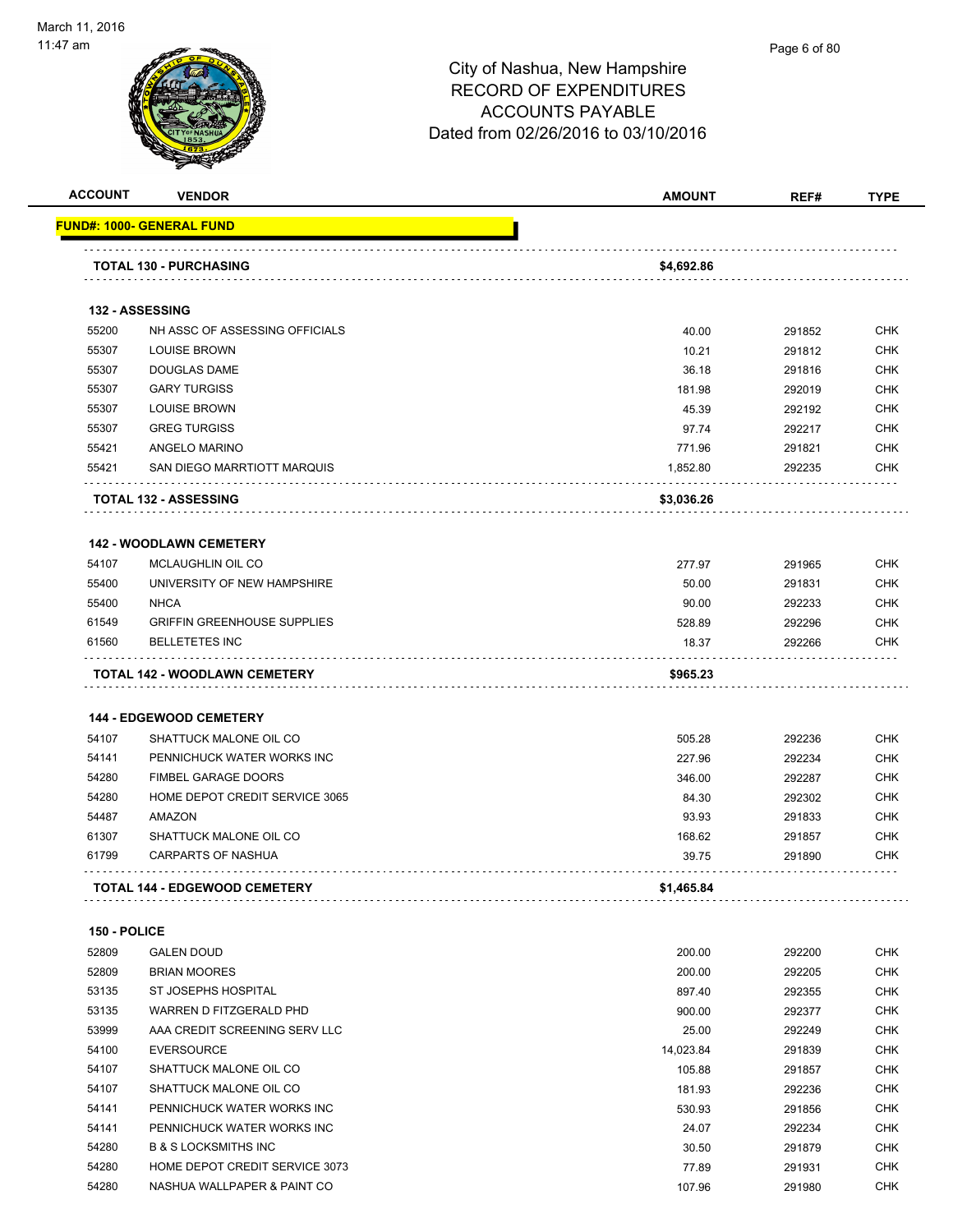

| <b>ACCOUNT</b> | <b>VENDOR</b>                                            | <b>AMOUNT</b>   | REF#             | <b>TYPE</b>              |
|----------------|----------------------------------------------------------|-----------------|------------------|--------------------------|
|                | FUND#: 1000- GENERAL FUND                                |                 |                  |                          |
|                | <b>TOTAL 130 - PURCHASING</b>                            | \$4,692.86      |                  |                          |
|                | 132 - ASSESSING                                          |                 |                  |                          |
| 55200          | NH ASSC OF ASSESSING OFFICIALS                           | 40.00           | 291852           | <b>CHK</b>               |
| 55307          | <b>LOUISE BROWN</b>                                      | 10.21           | 291812           | <b>CHK</b>               |
| 55307          | DOUGLAS DAME                                             | 36.18           | 291816           | <b>CHK</b>               |
| 55307          | <b>GARY TURGISS</b>                                      | 181.98          | 292019           | <b>CHK</b>               |
| 55307          | <b>LOUISE BROWN</b>                                      | 45.39           | 292192           | <b>CHK</b>               |
| 55307          | <b>GREG TURGISS</b>                                      | 97.74           | 292217           | <b>CHK</b>               |
| 55421          | ANGELO MARINO                                            | 771.96          | 291821           | <b>CHK</b>               |
| 55421          | SAN DIEGO MARRTIOTT MARQUIS                              | 1,852.80        | 292235           | CHK                      |
|                | <b>TOTAL 132 - ASSESSING</b>                             | \$3,036.26      |                  |                          |
|                | <b>142 - WOODLAWN CEMETERY</b>                           |                 |                  |                          |
| 54107          | MCLAUGHLIN OIL CO                                        | 277.97          | 291965           | <b>CHK</b>               |
| 55400          | UNIVERSITY OF NEW HAMPSHIRE                              | 50.00           | 291831           | <b>CHK</b>               |
| 55400          | <b>NHCA</b>                                              | 90.00           | 292233           | <b>CHK</b>               |
| 61549          | <b>GRIFFIN GREENHOUSE SUPPLIES</b>                       | 528.89          | 292296           | <b>CHK</b>               |
| 61560          | <b>BELLETETES INC</b>                                    | 18.37           | 292266           | <b>CHK</b>               |
|                | TOTAL 142 - WOODLAWN CEMETERY                            | \$965.23        |                  |                          |
|                |                                                          |                 |                  |                          |
| 54107          | <b>144 - EDGEWOOD CEMETERY</b><br>SHATTUCK MALONE OIL CO | 505.28          | 292236           | <b>CHK</b>               |
| 54141          | PENNICHUCK WATER WORKS INC                               | 227.96          | 292234           | <b>CHK</b>               |
| 54280          | <b>FIMBEL GARAGE DOORS</b>                               |                 |                  |                          |
| 54280          | HOME DEPOT CREDIT SERVICE 3065                           | 346.00          | 292287           | <b>CHK</b><br><b>CHK</b> |
|                |                                                          | 84.30           | 292302           |                          |
| 54487          | AMAZON                                                   | 93.93           | 291833           | <b>CHK</b>               |
| 61307<br>61799 | SHATTUCK MALONE OIL CO<br><b>CARPARTS OF NASHUA</b>      | 168.62<br>39.75 | 291857<br>291890 | CHK<br>CHK               |
|                | <b>TOTAL 144 - EDGEWOOD CEMETERY</b>                     | \$1,465.84      |                  |                          |
|                |                                                          |                 |                  |                          |
| 150 - POLICE   |                                                          |                 |                  |                          |
| 52809          | <b>GALEN DOUD</b>                                        | 200.00          | 292200           | <b>CHK</b>               |
| 52809          | <b>BRIAN MOORES</b>                                      | 200.00          | 292205           | <b>CHK</b>               |
| 53135          | ST JOSEPHS HOSPITAL                                      | 897.40          | 292355           | <b>CHK</b>               |
| 53135          | WARREN D FITZGERALD PHD                                  | 900.00          | 292377           | <b>CHK</b>               |
| 53999          | AAA CREDIT SCREENING SERV LLC                            | 25.00           | 292249           | <b>CHK</b>               |
| 54100          | <b>EVERSOURCE</b>                                        | 14,023.84       | 291839           | <b>CHK</b>               |
| 54107          | SHATTUCK MALONE OIL CO                                   | 105.88          | 291857           | <b>CHK</b>               |
| 54107          | SHATTUCK MALONE OIL CO                                   | 181.93          | 292236           | <b>CHK</b>               |
| 54141          | PENNICHUCK WATER WORKS INC                               | 530.93          | 291856           | <b>CHK</b>               |
| 54141          | PENNICHUCK WATER WORKS INC                               | 24.07           | 292234           | <b>CHK</b>               |
| 54280          | <b>B &amp; S LOCKSMITHS INC</b>                          | 30.50           | 291879           | <b>CHK</b>               |
| 54280          | HOME DEPOT CREDIT SERVICE 3073                           | 77.89           | 291931           | <b>CHK</b>               |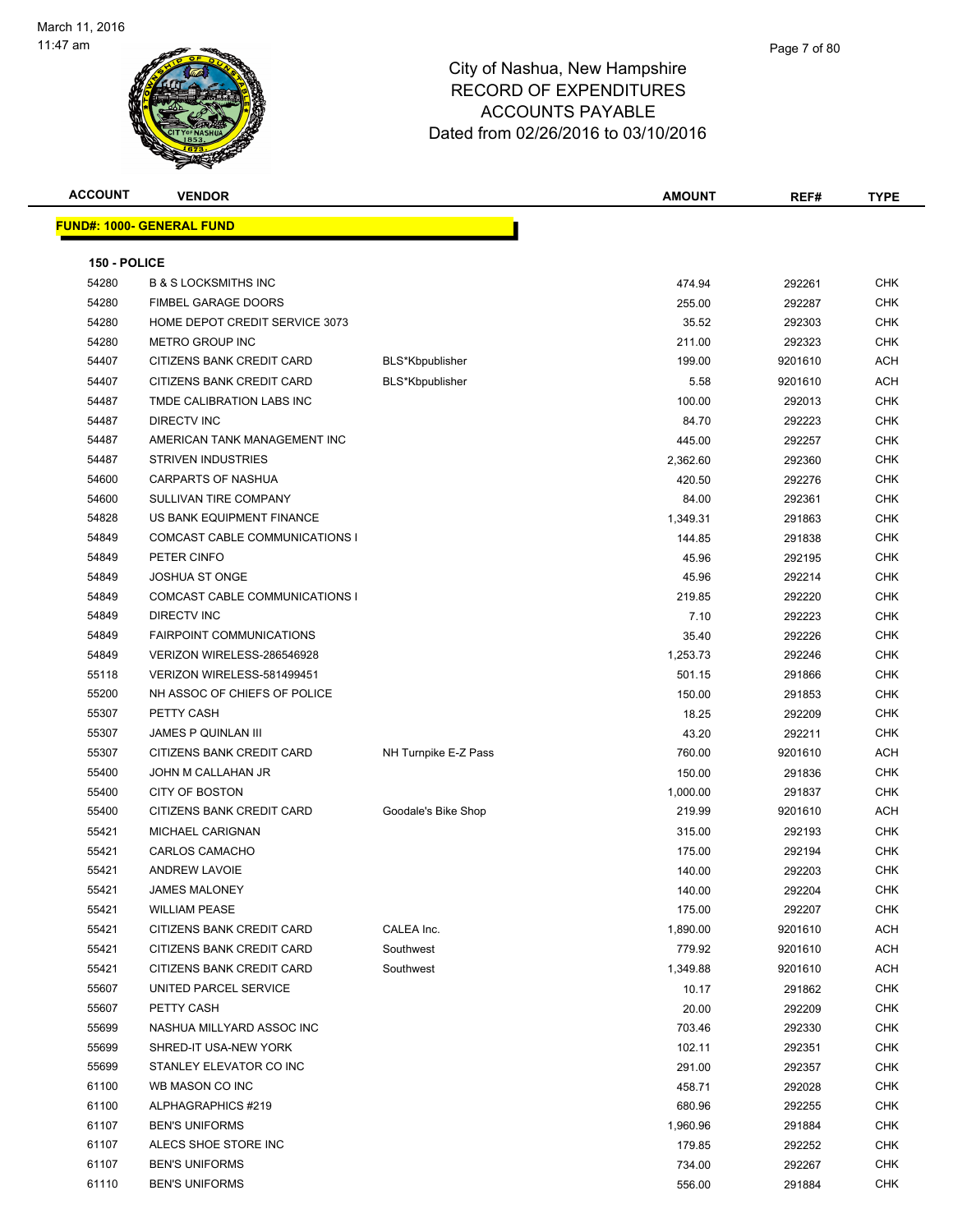

| <b>ACCOUNT</b> | <b>VENDOR</b>                     |                      | <b>AMOUNT</b> | REF#    | <b>TYPE</b> |
|----------------|-----------------------------------|----------------------|---------------|---------|-------------|
|                | <u> FUND#: 1000- GENERAL FUND</u> |                      |               |         |             |
|                |                                   |                      |               |         |             |
| 150 - POLICE   |                                   |                      |               |         |             |
| 54280          | <b>B &amp; S LOCKSMITHS INC</b>   |                      | 474.94        | 292261  | <b>CHK</b>  |
| 54280          | <b>FIMBEL GARAGE DOORS</b>        |                      | 255.00        | 292287  | <b>CHK</b>  |
| 54280          | HOME DEPOT CREDIT SERVICE 3073    |                      | 35.52         | 292303  | <b>CHK</b>  |
| 54280          | <b>METRO GROUP INC</b>            |                      | 211.00        | 292323  | <b>CHK</b>  |
| 54407          | CITIZENS BANK CREDIT CARD         | BLS*Kbpublisher      | 199.00        | 9201610 | ACH         |
| 54407          | CITIZENS BANK CREDIT CARD         | BLS*Kbpublisher      | 5.58          | 9201610 | <b>ACH</b>  |
| 54487          | TMDE CALIBRATION LABS INC         |                      | 100.00        | 292013  | <b>CHK</b>  |
| 54487          | <b>DIRECTV INC</b>                |                      | 84.70         | 292223  | <b>CHK</b>  |
| 54487          | AMERICAN TANK MANAGEMENT INC      |                      | 445.00        | 292257  | <b>CHK</b>  |
| 54487          | <b>STRIVEN INDUSTRIES</b>         |                      | 2,362.60      | 292360  | <b>CHK</b>  |
| 54600          | CARPARTS OF NASHUA                |                      | 420.50        | 292276  | <b>CHK</b>  |
| 54600          | SULLIVAN TIRE COMPANY             |                      | 84.00         | 292361  | <b>CHK</b>  |
| 54828          | US BANK EQUIPMENT FINANCE         |                      | 1,349.31      | 291863  | <b>CHK</b>  |
| 54849          | COMCAST CABLE COMMUNICATIONS I    |                      | 144.85        | 291838  | <b>CHK</b>  |
| 54849          | PETER CINFO                       |                      | 45.96         | 292195  | <b>CHK</b>  |
| 54849          | <b>JOSHUA ST ONGE</b>             |                      | 45.96         | 292214  | <b>CHK</b>  |
| 54849          | COMCAST CABLE COMMUNICATIONS I    |                      | 219.85        | 292220  | <b>CHK</b>  |
| 54849          | DIRECTV INC                       |                      | 7.10          | 292223  | <b>CHK</b>  |
| 54849          | <b>FAIRPOINT COMMUNICATIONS</b>   |                      | 35.40         | 292226  | <b>CHK</b>  |
| 54849          | VERIZON WIRELESS-286546928        |                      | 1,253.73      | 292246  | <b>CHK</b>  |
| 55118          | VERIZON WIRELESS-581499451        |                      | 501.15        | 291866  | <b>CHK</b>  |
| 55200          | NH ASSOC OF CHIEFS OF POLICE      |                      | 150.00        | 291853  | <b>CHK</b>  |
| 55307          | PETTY CASH                        |                      | 18.25         | 292209  | <b>CHK</b>  |
| 55307          | <b>JAMES P QUINLAN III</b>        |                      | 43.20         | 292211  | <b>CHK</b>  |
| 55307          | CITIZENS BANK CREDIT CARD         | NH Turnpike E-Z Pass | 760.00        | 9201610 | ACH         |
| 55400          | JOHN M CALLAHAN JR                |                      | 150.00        | 291836  | <b>CHK</b>  |
| 55400          | <b>CITY OF BOSTON</b>             |                      | 1,000.00      | 291837  | <b>CHK</b>  |
| 55400          | CITIZENS BANK CREDIT CARD         | Goodale's Bike Shop  | 219.99        | 9201610 | <b>ACH</b>  |
| 55421          | MICHAEL CARIGNAN                  |                      | 315.00        | 292193  | <b>CHK</b>  |
| 55421          | CARLOS CAMACHO                    |                      | 175.00        | 292194  | <b>CHK</b>  |
| 55421          | <b>ANDREW LAVOIE</b>              |                      | 140.00        | 292203  | <b>CHK</b>  |
| 55421          | JAMES MALONEY                     |                      | 140.00        | 292204  | <b>CHK</b>  |
| 55421          | <b>WILLIAM PEASE</b>              |                      | 175.00        | 292207  | <b>CHK</b>  |
| 55421          | CITIZENS BANK CREDIT CARD         | CALEA Inc.           | 1,890.00      | 9201610 | <b>ACH</b>  |
| 55421          | CITIZENS BANK CREDIT CARD         | Southwest            | 779.92        | 9201610 | ACH         |
| 55421          | CITIZENS BANK CREDIT CARD         | Southwest            | 1,349.88      | 9201610 | ACH         |
| 55607          | UNITED PARCEL SERVICE             |                      | 10.17         | 291862  | <b>CHK</b>  |
| 55607          | PETTY CASH                        |                      | 20.00         | 292209  | <b>CHK</b>  |
| 55699          | NASHUA MILLYARD ASSOC INC         |                      | 703.46        | 292330  | <b>CHK</b>  |
| 55699          | SHRED-IT USA-NEW YORK             |                      | 102.11        | 292351  | <b>CHK</b>  |
| 55699          | STANLEY ELEVATOR CO INC           |                      | 291.00        | 292357  | <b>CHK</b>  |
| 61100          | WB MASON CO INC                   |                      | 458.71        | 292028  | <b>CHK</b>  |
| 61100          | ALPHAGRAPHICS #219                |                      | 680.96        | 292255  | <b>CHK</b>  |
| 61107          | <b>BEN'S UNIFORMS</b>             |                      | 1,960.96      | 291884  | <b>CHK</b>  |
| 61107          | ALECS SHOE STORE INC              |                      | 179.85        | 292252  | CHK         |
| 61107          | <b>BEN'S UNIFORMS</b>             |                      | 734.00        | 292267  | CHK         |
| 61110          | <b>BEN'S UNIFORMS</b>             |                      | 556.00        | 291884  | <b>CHK</b>  |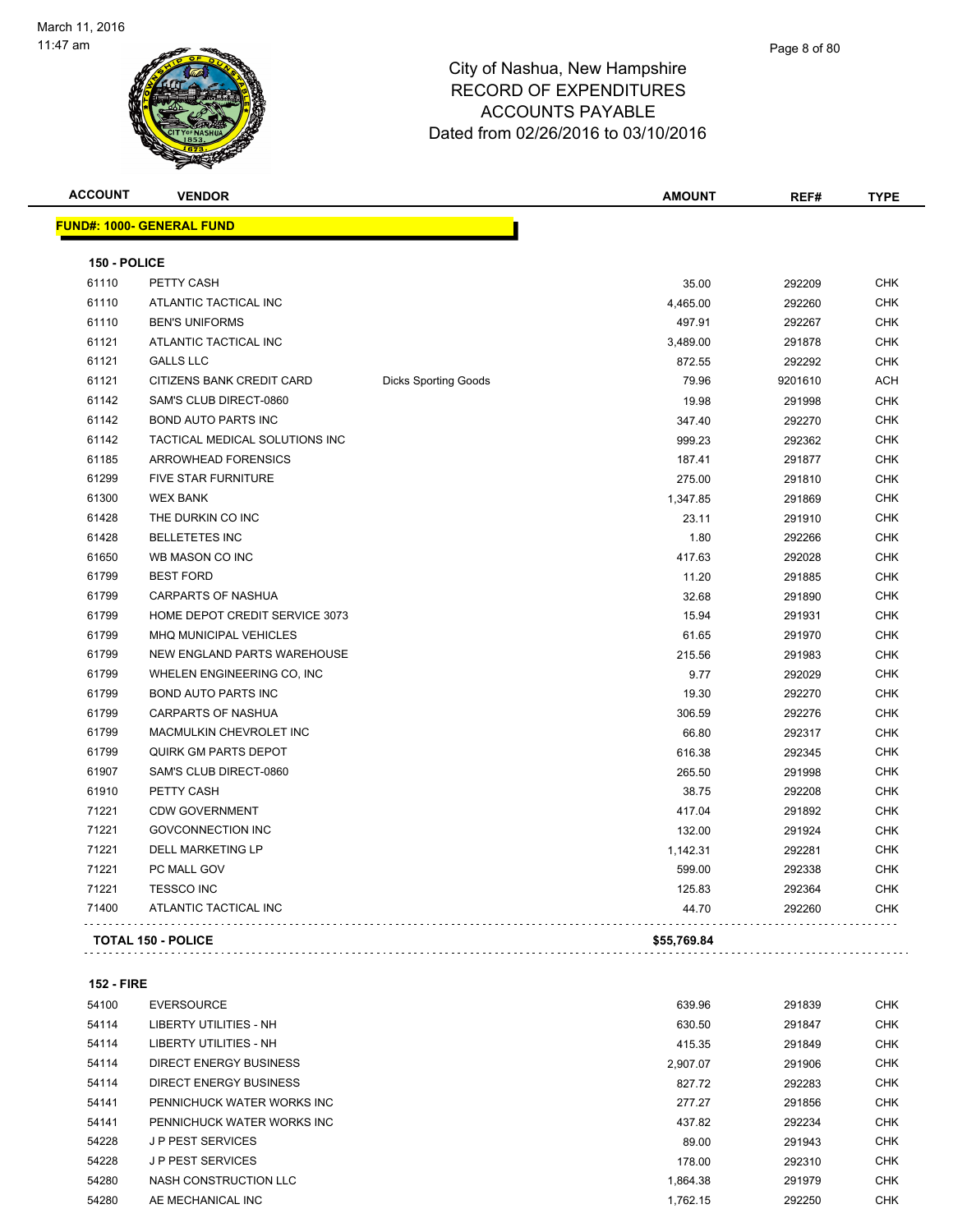

| <b>ACCOUNT</b> | <b>VENDOR</b>                    |                             | <b>AMOUNT</b> | REF#    | <b>TYPE</b> |
|----------------|----------------------------------|-----------------------------|---------------|---------|-------------|
|                | <b>FUND#: 1000- GENERAL FUND</b> |                             |               |         |             |
| 150 - POLICE   |                                  |                             |               |         |             |
| 61110          | PETTY CASH                       |                             | 35.00         | 292209  | <b>CHK</b>  |
| 61110          | ATLANTIC TACTICAL INC            |                             | 4,465.00      | 292260  | <b>CHK</b>  |
| 61110          | <b>BEN'S UNIFORMS</b>            |                             | 497.91        | 292267  | <b>CHK</b>  |
| 61121          | ATLANTIC TACTICAL INC            |                             | 3,489.00      | 291878  | <b>CHK</b>  |
| 61121          | <b>GALLS LLC</b>                 |                             | 872.55        | 292292  | <b>CHK</b>  |
| 61121          | CITIZENS BANK CREDIT CARD        | <b>Dicks Sporting Goods</b> | 79.96         | 9201610 | <b>ACH</b>  |
| 61142          | SAM'S CLUB DIRECT-0860           |                             | 19.98         | 291998  | <b>CHK</b>  |
| 61142          | <b>BOND AUTO PARTS INC</b>       |                             | 347.40        | 292270  | <b>CHK</b>  |
| 61142          | TACTICAL MEDICAL SOLUTIONS INC   |                             | 999.23        | 292362  | <b>CHK</b>  |
| 61185          | ARROWHEAD FORENSICS              |                             | 187.41        | 291877  | <b>CHK</b>  |
| 61299          | <b>FIVE STAR FURNITURE</b>       |                             | 275.00        | 291810  | <b>CHK</b>  |
| 61300          | <b>WEX BANK</b>                  |                             | 1,347.85      | 291869  | <b>CHK</b>  |
| 61428          | THE DURKIN CO INC                |                             | 23.11         | 291910  | <b>CHK</b>  |
| 61428          | <b>BELLETETES INC</b>            |                             | 1.80          | 292266  | <b>CHK</b>  |
| 61650          | WB MASON CO INC                  |                             | 417.63        | 292028  | <b>CHK</b>  |
| 61799          | <b>BEST FORD</b>                 |                             | 11.20         | 291885  | <b>CHK</b>  |
| 61799          | <b>CARPARTS OF NASHUA</b>        |                             | 32.68         | 291890  | <b>CHK</b>  |
| 61799          | HOME DEPOT CREDIT SERVICE 3073   |                             | 15.94         | 291931  | <b>CHK</b>  |
| 61799          | MHQ MUNICIPAL VEHICLES           |                             | 61.65         | 291970  | <b>CHK</b>  |
| 61799          | NEW ENGLAND PARTS WAREHOUSE      |                             | 215.56        | 291983  | <b>CHK</b>  |
| 61799          | WHELEN ENGINEERING CO, INC       |                             | 9.77          | 292029  | <b>CHK</b>  |
| 61799          | <b>BOND AUTO PARTS INC</b>       |                             | 19.30         | 292270  | <b>CHK</b>  |
| 61799          | <b>CARPARTS OF NASHUA</b>        |                             | 306.59        | 292276  | <b>CHK</b>  |
| 61799          | MACMULKIN CHEVROLET INC          |                             | 66.80         | 292317  | <b>CHK</b>  |
| 61799          | <b>QUIRK GM PARTS DEPOT</b>      |                             | 616.38        | 292345  | <b>CHK</b>  |
| 61907          | SAM'S CLUB DIRECT-0860           |                             | 265.50        | 291998  | <b>CHK</b>  |
| 61910          | PETTY CASH                       |                             | 38.75         | 292208  | <b>CHK</b>  |
| 71221          | <b>CDW GOVERNMENT</b>            |                             | 417.04        | 291892  | <b>CHK</b>  |
| 71221          | <b>GOVCONNECTION INC</b>         |                             | 132.00        | 291924  | <b>CHK</b>  |
| 71221          | <b>DELL MARKETING LP</b>         |                             | 1,142.31      | 292281  | <b>CHK</b>  |
| 71221          | PC MALL GOV                      |                             | 599.00        | 292338  | <b>CHK</b>  |
| 71221          | <b>TESSCO INC</b>                |                             | 125.83        | 292364  | <b>CHK</b>  |
| 71400          | ATLANTIC TACTICAL INC            |                             | 44.70         | 292260  | <b>CHK</b>  |

**152 - FIRE**

| 54100 | <b>EVERSOURCE</b>             | 639.96   | 291839 | <b>CHK</b> |
|-------|-------------------------------|----------|--------|------------|
| 54114 | LIBERTY UTILITIES - NH        | 630.50   | 291847 | <b>CHK</b> |
| 54114 | LIBERTY UTILITIES - NH        | 415.35   | 291849 | <b>CHK</b> |
| 54114 | DIRECT ENERGY BUSINESS        | 2.907.07 | 291906 | <b>CHK</b> |
| 54114 | <b>DIRECT ENERGY BUSINESS</b> | 827.72   | 292283 | <b>CHK</b> |
| 54141 | PENNICHUCK WATER WORKS INC    | 277.27   | 291856 | <b>CHK</b> |
| 54141 | PENNICHUCK WATER WORKS INC    | 437.82   | 292234 | <b>CHK</b> |
| 54228 | <b>JP PEST SERVICES</b>       | 89.00    | 291943 | <b>CHK</b> |
| 54228 | <b>JP PEST SERVICES</b>       | 178.00   | 292310 | <b>CHK</b> |
| 54280 | NASH CONSTRUCTION LLC         | 1.864.38 | 291979 | <b>CHK</b> |
| 54280 | AE MECHANICAL INC             | 1.762.15 | 292250 | <b>CHK</b> |
|       |                               |          |        |            |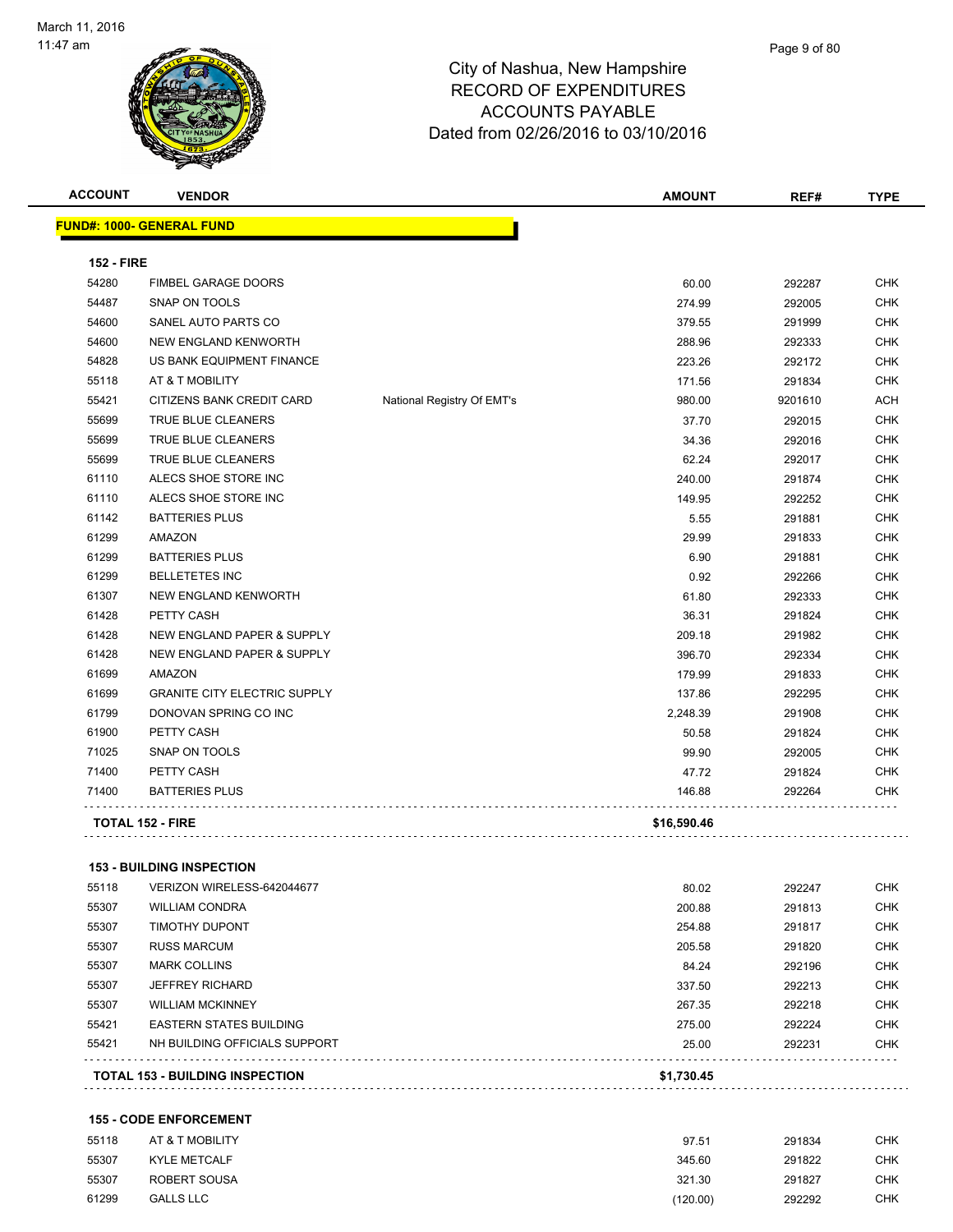

| <b>ACCOUNT</b>    | <b>VENDOR</b>                       |                            | AMOUNT      | REF#    | <b>TYPE</b> |
|-------------------|-------------------------------------|----------------------------|-------------|---------|-------------|
|                   | <b>FUND#: 1000- GENERAL FUND</b>    |                            |             |         |             |
|                   |                                     |                            |             |         |             |
| <b>152 - FIRE</b> |                                     |                            |             |         |             |
| 54280             | <b>FIMBEL GARAGE DOORS</b>          |                            | 60.00       | 292287  | <b>CHK</b>  |
| 54487             | SNAP ON TOOLS                       |                            | 274.99      | 292005  | <b>CHK</b>  |
| 54600             | SANEL AUTO PARTS CO                 |                            | 379.55      | 291999  | <b>CHK</b>  |
| 54600             | NEW ENGLAND KENWORTH                |                            | 288.96      | 292333  | CHK         |
| 54828             | US BANK EQUIPMENT FINANCE           |                            | 223.26      | 292172  | CHK         |
| 55118             | AT & T MOBILITY                     |                            | 171.56      | 291834  | <b>CHK</b>  |
| 55421             | CITIZENS BANK CREDIT CARD           | National Registry Of EMT's | 980.00      | 9201610 | <b>ACH</b>  |
| 55699             | TRUE BLUE CLEANERS                  |                            | 37.70       | 292015  | <b>CHK</b>  |
| 55699             | TRUE BLUE CLEANERS                  |                            | 34.36       | 292016  | <b>CHK</b>  |
| 55699             | TRUE BLUE CLEANERS                  |                            | 62.24       | 292017  | <b>CHK</b>  |
| 61110             | ALECS SHOE STORE INC                |                            | 240.00      | 291874  | <b>CHK</b>  |
| 61110             | ALECS SHOE STORE INC                |                            | 149.95      | 292252  | CHK         |
| 61142             | <b>BATTERIES PLUS</b>               |                            | 5.55        | 291881  | <b>CHK</b>  |
| 61299             | AMAZON                              |                            | 29.99       | 291833  | CHK         |
| 61299             | <b>BATTERIES PLUS</b>               |                            | 6.90        | 291881  | CHK         |
| 61299             | <b>BELLETETES INC</b>               |                            | 0.92        | 292266  | CHK         |
| 61307             | NEW ENGLAND KENWORTH                |                            | 61.80       | 292333  | <b>CHK</b>  |
| 61428             | PETTY CASH                          |                            | 36.31       | 291824  | <b>CHK</b>  |
| 61428             | NEW ENGLAND PAPER & SUPPLY          |                            | 209.18      | 291982  | <b>CHK</b>  |
| 61428             | NEW ENGLAND PAPER & SUPPLY          |                            | 396.70      | 292334  | <b>CHK</b>  |
| 61699             | <b>AMAZON</b>                       |                            | 179.99      | 291833  | <b>CHK</b>  |
| 61699             | <b>GRANITE CITY ELECTRIC SUPPLY</b> |                            | 137.86      | 292295  | <b>CHK</b>  |
| 61799             | DONOVAN SPRING CO INC               |                            | 2,248.39    | 291908  | <b>CHK</b>  |
| 61900             | PETTY CASH                          |                            | 50.58       | 291824  | <b>CHK</b>  |
| 71025             | SNAP ON TOOLS                       |                            | 99.90       | 292005  | CHK         |
| 71400             | PETTY CASH                          |                            | 47.72       | 291824  | CHK         |
| 71400             | <b>BATTERIES PLUS</b>               |                            | 146.88      | 292264  | CHK         |
|                   | <b>TOTAL 152 - FIRE</b>             |                            | \$16,590.46 |         |             |
|                   |                                     |                            |             |         |             |
|                   | <b>153 - BUILDING INSPECTION</b>    |                            |             |         |             |
| 55118             | VERIZON WIRELESS-642044677          |                            | 80.02       | 292247  | <b>CHK</b>  |
| 55307             | <b>WILLIAM CONDRA</b>               |                            | 200.88      | 291813  | <b>CHK</b>  |
| 55307             | <b>TIMOTHY DUPONT</b>               |                            | 254.88      | 291817  | <b>CHK</b>  |
| 55307             | <b>RUSS MARCUM</b>                  |                            | 205.58      | 291820  | <b>CHK</b>  |
| 55307             | <b>MARK COLLINS</b>                 |                            | 84.24       | 292196  | <b>CHK</b>  |
| 55307             | <b>JEFFREY RICHARD</b>              |                            | 337.50      | 292213  | <b>CHK</b>  |
| 55307             | <b>WILLIAM MCKINNEY</b>             |                            | 267.35      | 292218  | CHK         |
| 55421             | <b>EASTERN STATES BUILDING</b>      |                            | 275.00      | 292224  | <b>CHK</b>  |

**TOTAL 153 - BUILDING INSPECTION \$1,730.45**

#### **155 - CODE ENFORCEMENT**

. . . . . . . . . . . . . . . . . .

. . . . . .

| 55118 | AT & T MOBILITY     | 97.51    | 291834 | CHK        |
|-------|---------------------|----------|--------|------------|
| 55307 | <b>KYLE METCALF</b> | 345.60   | 291822 | СНК        |
| 55307 | ROBERT SOUSA        | 321.30   | 291827 | <b>CHK</b> |
| 61299 | <b>GALLS LLC</b>    | (120.00) | 292292 | <b>CHK</b> |

NH BUILDING OFFICIALS SUPPORT 25.00 292231 CHK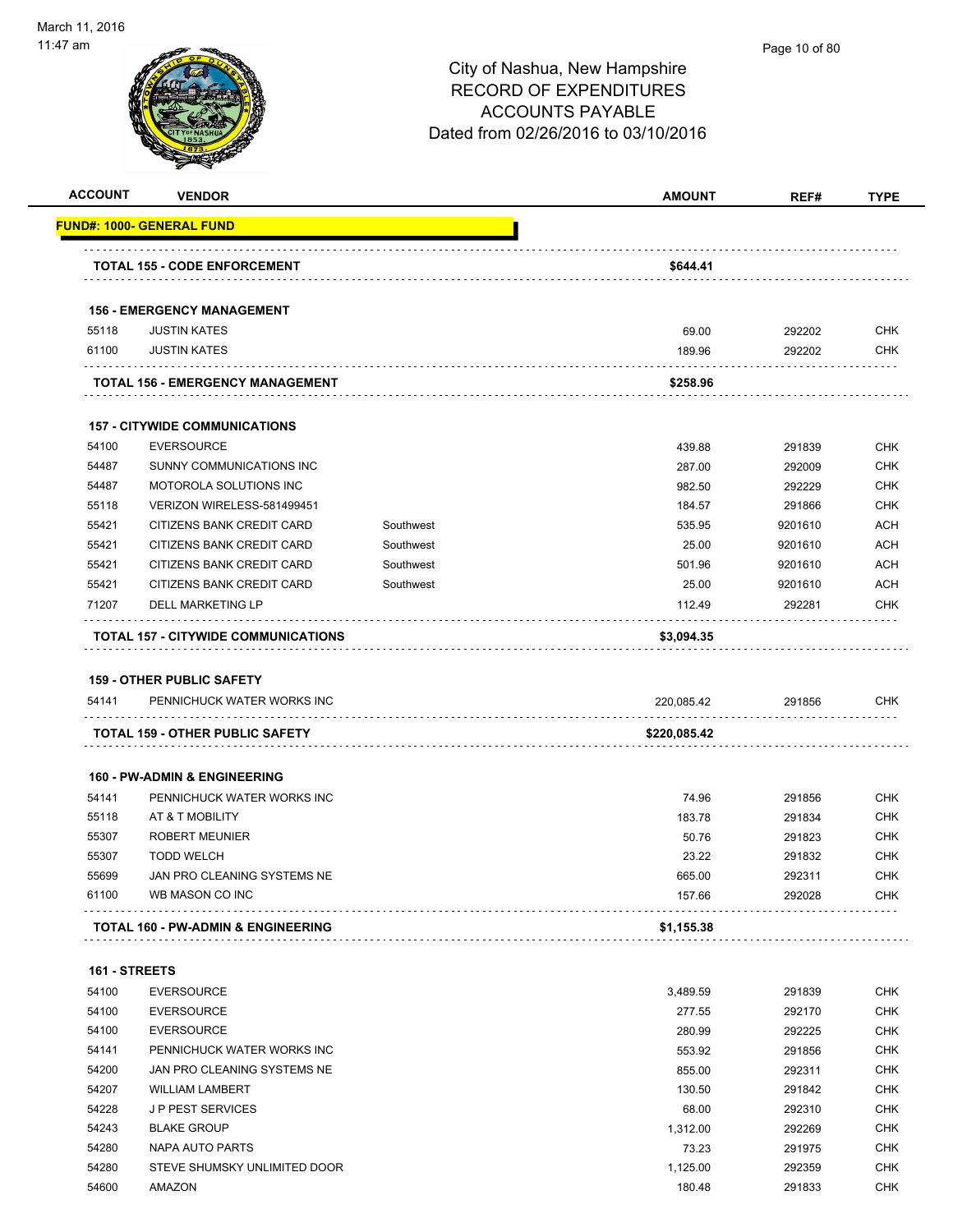|                | <b>VENDOR</b>                                                  |           | <b>AMOUNT</b>     | REF#             | <b>TYPE</b>                                                                                                                                                                                                                         |
|----------------|----------------------------------------------------------------|-----------|-------------------|------------------|-------------------------------------------------------------------------------------------------------------------------------------------------------------------------------------------------------------------------------------|
|                | <u> FUND#: 1000- GENERAL FUND</u>                              |           |                   |                  |                                                                                                                                                                                                                                     |
|                | <b>TOTAL 155 - CODE ENFORCEMENT</b>                            |           | \$644.41          |                  |                                                                                                                                                                                                                                     |
|                | <b>156 - EMERGENCY MANAGEMENT</b>                              |           |                   |                  |                                                                                                                                                                                                                                     |
| 55118          | <b>JUSTIN KATES</b>                                            |           | 69.00             | 292202           | <b>CHK</b>                                                                                                                                                                                                                          |
| 61100          | <b>JUSTIN KATES</b>                                            |           | 189.96            | 292202           | <b>CHK</b>                                                                                                                                                                                                                          |
|                | TOTAL 156 - EMERGENCY MANAGEMENT                               |           | \$258.96          |                  |                                                                                                                                                                                                                                     |
|                | <b>157 - CITYWIDE COMMUNICATIONS</b>                           |           |                   |                  |                                                                                                                                                                                                                                     |
| 54100          | <b>EVERSOURCE</b>                                              |           | 439.88            | 291839           | <b>CHK</b>                                                                                                                                                                                                                          |
| 54487          | SUNNY COMMUNICATIONS INC                                       |           | 287.00            | 292009           | <b>CHK</b>                                                                                                                                                                                                                          |
| 54487          | MOTOROLA SOLUTIONS INC                                         |           | 982.50            | 292229           | <b>CHK</b>                                                                                                                                                                                                                          |
| 55118          | VERIZON WIRELESS-581499451                                     |           | 184.57            | 291866           | <b>CHK</b>                                                                                                                                                                                                                          |
| 55421          | CITIZENS BANK CREDIT CARD                                      | Southwest | 535.95            | 9201610          | <b>ACH</b>                                                                                                                                                                                                                          |
| 55421          | CITIZENS BANK CREDIT CARD                                      | Southwest | 25.00             | 9201610          | <b>ACH</b>                                                                                                                                                                                                                          |
|                | CITIZENS BANK CREDIT CARD                                      | Southwest |                   | 9201610          |                                                                                                                                                                                                                                     |
| 55421          |                                                                |           | 501.96            |                  | <b>ACH</b>                                                                                                                                                                                                                          |
| 55421          | CITIZENS BANK CREDIT CARD                                      | Southwest | 25.00             | 9201610          | <b>ACH</b>                                                                                                                                                                                                                          |
| 71207          | <b>DELL MARKETING LP</b>                                       |           | 112.49            | 292281           | <b>CHK</b>                                                                                                                                                                                                                          |
|                | <b>TOTAL 157 - CITYWIDE COMMUNICATIONS</b>                     |           | \$3,094.35        |                  |                                                                                                                                                                                                                                     |
|                |                                                                |           |                   |                  |                                                                                                                                                                                                                                     |
| 54141          | <b>159 - OTHER PUBLIC SAFETY</b><br>PENNICHUCK WATER WORKS INC |           | 220,085.42        | 291856           |                                                                                                                                                                                                                                     |
|                | <b>TOTAL 159 - OTHER PUBLIC SAFETY</b>                         |           | \$220,085.42      |                  |                                                                                                                                                                                                                                     |
|                |                                                                |           |                   |                  |                                                                                                                                                                                                                                     |
|                | <b>160 - PW-ADMIN &amp; ENGINEERING</b>                        |           |                   |                  |                                                                                                                                                                                                                                     |
| 54141          | PENNICHUCK WATER WORKS INC                                     |           | 74.96             | 291856           |                                                                                                                                                                                                                                     |
| 55118          | AT & T MOBILITY                                                |           | 183.78            | 291834           |                                                                                                                                                                                                                                     |
| 55307          | <b>ROBERT MEUNIER</b>                                          |           | 50.76             | 291823           |                                                                                                                                                                                                                                     |
| 55307          | <b>TODD WELCH</b>                                              |           | 23.22             | 291832           |                                                                                                                                                                                                                                     |
| 55699          | JAN PRO CLEANING SYSTEMS NE                                    |           | 665.00            | 292311           |                                                                                                                                                                                                                                     |
| 61100          | WB MASON CO INC                                                |           | 157.66            | 292028           |                                                                                                                                                                                                                                     |
|                | TOTAL 160 - PW-ADMIN & ENGINEERING                             |           | \$1,155.38        |                  |                                                                                                                                                                                                                                     |
| 161 - STREETS  |                                                                |           |                   |                  |                                                                                                                                                                                                                                     |
| 54100          | <b>EVERSOURCE</b>                                              |           | 3,489.59          | 291839           |                                                                                                                                                                                                                                     |
| 54100          | <b>EVERSOURCE</b>                                              |           | 277.55            | 292170           |                                                                                                                                                                                                                                     |
| 54100          | <b>EVERSOURCE</b>                                              |           | 280.99            | 292225           |                                                                                                                                                                                                                                     |
| 54141          | PENNICHUCK WATER WORKS INC                                     |           | 553.92            | 291856           |                                                                                                                                                                                                                                     |
| 54200          | JAN PRO CLEANING SYSTEMS NE                                    |           | 855.00            | 292311           |                                                                                                                                                                                                                                     |
| 54207          | <b>WILLIAM LAMBERT</b>                                         |           | 130.50            |                  |                                                                                                                                                                                                                                     |
|                |                                                                |           |                   | 291842           |                                                                                                                                                                                                                                     |
| 54228          | <b>JP PEST SERVICES</b>                                        |           | 68.00             | 292310           |                                                                                                                                                                                                                                     |
| 54243          | <b>BLAKE GROUP</b>                                             |           | 1,312.00          | 292269           |                                                                                                                                                                                                                                     |
| 54280<br>54280 | <b>NAPA AUTO PARTS</b><br>STEVE SHUMSKY UNLIMITED DOOR         |           | 73.23<br>1,125.00 | 291975<br>292359 | <b>CHK</b><br><b>CHK</b><br><b>CHK</b><br><b>CHK</b><br><b>CHK</b><br>CHK<br><b>CHK</b><br><b>CHK</b><br><b>CHK</b><br><b>CHK</b><br><b>CHK</b><br><b>CHK</b><br><b>CHK</b><br><b>CHK</b><br><b>CHK</b><br><b>CHK</b><br><b>CHK</b> |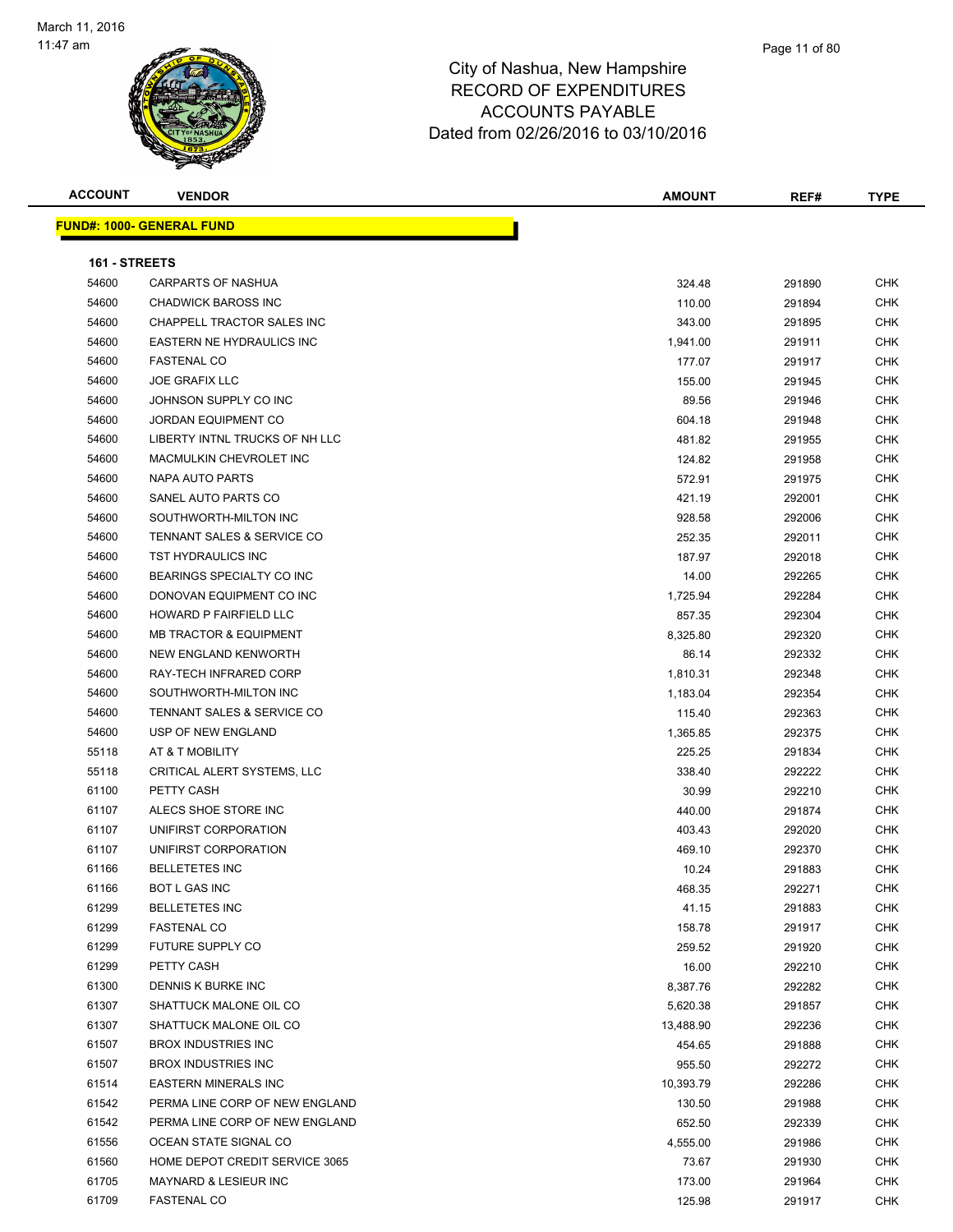

| <b>ACCOUNT</b> | <b>VENDOR</b>                                 | <b>AMOUNT</b> | REF#             | <b>TYPE</b>              |
|----------------|-----------------------------------------------|---------------|------------------|--------------------------|
|                | <u> FUND#: 1000- GENERAL FUND</u>             |               |                  |                          |
|                |                                               |               |                  |                          |
| 161 - STREETS  |                                               |               |                  |                          |
| 54600          | <b>CARPARTS OF NASHUA</b>                     | 324.48        | 291890           | <b>CHK</b>               |
| 54600          | <b>CHADWICK BAROSS INC</b>                    | 110.00        | 291894           | <b>CHK</b>               |
| 54600          | CHAPPELL TRACTOR SALES INC                    | 343.00        | 291895           | CHK                      |
| 54600          | EASTERN NE HYDRAULICS INC                     | 1,941.00      | 291911           | <b>CHK</b>               |
| 54600          | <b>FASTENAL CO</b>                            | 177.07        | 291917           | CHK                      |
| 54600          | <b>JOE GRAFIX LLC</b>                         | 155.00        | 291945           | CHK                      |
| 54600          | JOHNSON SUPPLY CO INC                         | 89.56         | 291946           | <b>CHK</b>               |
| 54600          | <b>JORDAN EQUIPMENT CO</b>                    | 604.18        | 291948           | <b>CHK</b>               |
| 54600          | LIBERTY INTNL TRUCKS OF NH LLC                | 481.82        | 291955           | CHK                      |
| 54600          | MACMULKIN CHEVROLET INC                       | 124.82        | 291958           | <b>CHK</b>               |
| 54600          | NAPA AUTO PARTS                               | 572.91        | 291975           | CHK                      |
| 54600          | SANEL AUTO PARTS CO                           | 421.19        | 292001           | <b>CHK</b>               |
| 54600          | SOUTHWORTH-MILTON INC                         | 928.58        | 292006           | <b>CHK</b>               |
| 54600          | TENNANT SALES & SERVICE CO                    | 252.35        | 292011           | CHK                      |
| 54600          | TST HYDRAULICS INC                            | 187.97        | 292018           | CHK                      |
| 54600          | BEARINGS SPECIALTY CO INC                     | 14.00         | 292265           | CHK                      |
| 54600          | DONOVAN EQUIPMENT CO INC                      | 1,725.94      | 292284           | CHK                      |
| 54600          | HOWARD P FAIRFIELD LLC                        | 857.35        | 292304           | <b>CHK</b>               |
| 54600          | <b>MB TRACTOR &amp; EQUIPMENT</b>             | 8,325.80      | 292320           | CHK                      |
| 54600          | NEW ENGLAND KENWORTH                          | 86.14         | 292332           | CHK                      |
| 54600          | RAY-TECH INFRARED CORP                        | 1,810.31      | 292348           | <b>CHK</b>               |
| 54600          | SOUTHWORTH-MILTON INC                         | 1,183.04      | 292354           | CHK                      |
| 54600          | TENNANT SALES & SERVICE CO                    |               |                  | <b>CHK</b>               |
| 54600          | USP OF NEW ENGLAND                            | 115.40        | 292363           | <b>CHK</b>               |
| 55118          | AT & T MOBILITY                               | 1,365.85      | 292375           | <b>CHK</b>               |
| 55118          | CRITICAL ALERT SYSTEMS, LLC                   | 225.25        | 291834           | <b>CHK</b>               |
|                | PETTY CASH                                    | 338.40        | 292222           |                          |
| 61100<br>61107 | ALECS SHOE STORE INC                          | 30.99         | 292210           | CHK<br>CHK               |
|                | UNIFIRST CORPORATION                          | 440.00        | 291874           | <b>CHK</b>               |
| 61107<br>61107 | UNIFIRST CORPORATION                          | 403.43        | 292020           | CHK                      |
|                | <b>BELLETETES INC</b>                         | 469.10        | 292370<br>291883 |                          |
| 61166          | <b>BOT L GAS INC</b>                          | 10.24         |                  | <b>CHK</b>               |
| 61166          | <b>BELLETETES INC</b>                         | 468.35        | 292271           | CHK                      |
| 61299<br>61299 |                                               | 41.15         | 291883           | <b>CHK</b><br><b>CHK</b> |
| 61299          | <b>FASTENAL CO</b><br><b>FUTURE SUPPLY CO</b> | 158.78        | 291917           |                          |
|                |                                               | 259.52        | 291920           | <b>CHK</b>               |
| 61299<br>61300 | PETTY CASH<br>DENNIS K BURKE INC              | 16.00         | 292210           | <b>CHK</b>               |
| 61307          | SHATTUCK MALONE OIL CO                        | 8,387.76      | 292282           | <b>CHK</b><br><b>CHK</b> |
|                | SHATTUCK MALONE OIL CO                        | 5,620.38      | 291857           |                          |
| 61307          | <b>BROX INDUSTRIES INC</b>                    | 13,488.90     | 292236           | <b>CHK</b>               |
| 61507          |                                               | 454.65        | 291888           | <b>CHK</b>               |
| 61507          | <b>BROX INDUSTRIES INC</b>                    | 955.50        | 292272           | <b>CHK</b>               |
| 61514          | <b>EASTERN MINERALS INC</b>                   | 10,393.79     | 292286           | <b>CHK</b>               |
| 61542          | PERMA LINE CORP OF NEW ENGLAND                | 130.50        | 291988           | <b>CHK</b>               |
| 61542          | PERMA LINE CORP OF NEW ENGLAND                | 652.50        | 292339           | <b>CHK</b>               |
| 61556          | OCEAN STATE SIGNAL CO                         | 4,555.00      | 291986           | <b>CHK</b>               |
| 61560          | HOME DEPOT CREDIT SERVICE 3065                | 73.67         | 291930           | <b>CHK</b>               |
| 61705          | MAYNARD & LESIEUR INC                         | 173.00        | 291964           | <b>CHK</b>               |
| 61709          | <b>FASTENAL CO</b>                            | 125.98        | 291917           | <b>CHK</b>               |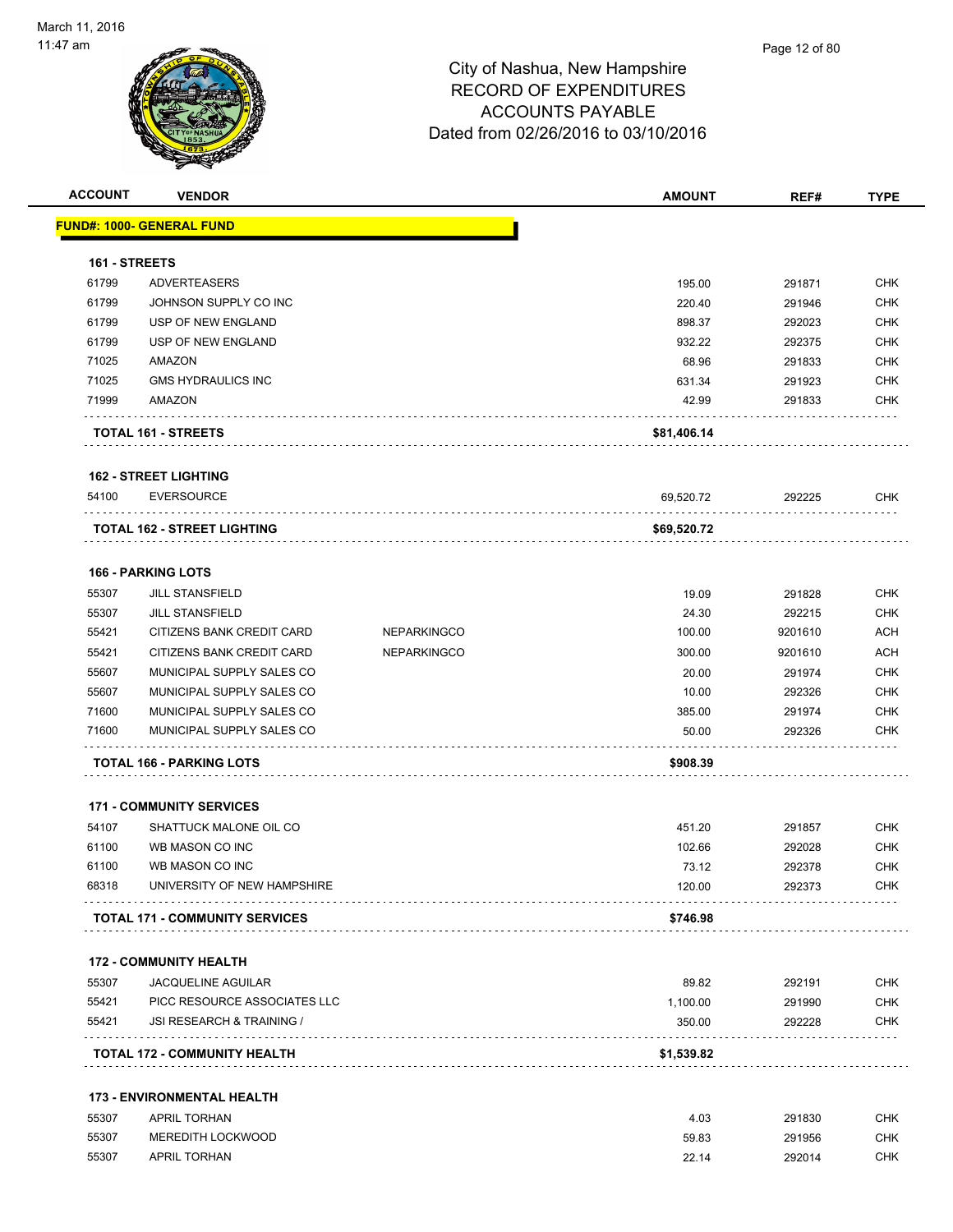

| <b>ACCOUNT</b> | <b>VENDOR</b>                         |                    | <b>AMOUNT</b> | REF#    | <b>TYPE</b>              |
|----------------|---------------------------------------|--------------------|---------------|---------|--------------------------|
|                | <u> FUND#: 1000- GENERAL FUND</u>     |                    |               |         |                          |
| 161 - STREETS  |                                       |                    |               |         |                          |
| 61799          | <b>ADVERTEASERS</b>                   |                    | 195.00        | 291871  | <b>CHK</b>               |
| 61799          | JOHNSON SUPPLY CO INC                 |                    | 220.40        | 291946  | <b>CHK</b>               |
| 61799          | USP OF NEW ENGLAND                    |                    | 898.37        | 292023  | <b>CHK</b>               |
| 61799          | USP OF NEW ENGLAND                    |                    | 932.22        | 292375  | <b>CHK</b>               |
| 71025          | AMAZON                                |                    | 68.96         | 291833  | <b>CHK</b>               |
| 71025          | <b>GMS HYDRAULICS INC</b>             |                    | 631.34        | 291923  | <b>CHK</b>               |
| 71999          | AMAZON                                |                    | 42.99         | 291833  | <b>CHK</b>               |
|                | <b>TOTAL 161 - STREETS</b>            |                    | \$81,406.14   |         |                          |
|                | <b>162 - STREET LIGHTING</b>          |                    |               |         |                          |
| 54100          | <b>EVERSOURCE</b>                     |                    | 69,520.72     | 292225  | CHK                      |
|                | <b>TOTAL 162 - STREET LIGHTING</b>    |                    | \$69,520.72   |         |                          |
|                | <b>166 - PARKING LOTS</b>             |                    |               |         |                          |
| 55307          | <b>JILL STANSFIELD</b>                |                    | 19.09         | 291828  | <b>CHK</b>               |
| 55307          | <b>JILL STANSFIELD</b>                |                    | 24.30         | 292215  | <b>CHK</b>               |
| 55421          | CITIZENS BANK CREDIT CARD             | <b>NEPARKINGCO</b> | 100.00        | 9201610 | <b>ACH</b>               |
| 55421          | CITIZENS BANK CREDIT CARD             | <b>NEPARKINGCO</b> | 300.00        | 9201610 | <b>ACH</b>               |
| 55607          | MUNICIPAL SUPPLY SALES CO             |                    | 20.00         | 291974  | <b>CHK</b>               |
| 55607          | MUNICIPAL SUPPLY SALES CO             |                    | 10.00         | 292326  | <b>CHK</b>               |
| 71600          | MUNICIPAL SUPPLY SALES CO             |                    | 385.00        | 291974  | <b>CHK</b>               |
| 71600          | MUNICIPAL SUPPLY SALES CO             |                    | 50.00         | 292326  | <b>CHK</b>               |
|                | <b>TOTAL 166 - PARKING LOTS</b>       |                    | \$908.39      |         |                          |
|                | <b>171 - COMMUNITY SERVICES</b>       |                    |               |         |                          |
| 54107          | SHATTUCK MALONE OIL CO                |                    | 451.20        | 291857  | <b>CHK</b>               |
| 61100          | WB MASON CO INC                       |                    | 102.66        | 292028  | <b>CHK</b>               |
| 61100          | WB MASON CO INC                       |                    | 73.12         | 292378  | <b>CHK</b>               |
| 68318          | UNIVERSITY OF NEW HAMPSHIRE           |                    | 120.00        | 292373  | <b>CHK</b>               |
|                | <b>TOTAL 171 - COMMUNITY SERVICES</b> |                    | \$746.98      |         |                          |
|                | <b>172 - COMMUNITY HEALTH</b>         |                    |               |         |                          |
| 55307          | <b>JACQUELINE AGUILAR</b>             |                    | 89.82         | 292191  | <b>CHK</b>               |
| 55421          | PICC RESOURCE ASSOCIATES LLC          |                    | 1,100.00      | 291990  | <b>CHK</b>               |
| 55421          | JSI RESEARCH & TRAINING /             |                    | 350.00        | 292228  | <b>CHK</b>               |
|                | <b>TOTAL 172 - COMMUNITY HEALTH</b>   |                    | \$1,539.82    |         |                          |
|                |                                       |                    |               |         |                          |
|                | <b>173 - ENVIRONMENTAL HEALTH</b>     |                    |               |         |                          |
| 55307          | <b>APRIL TORHAN</b>                   |                    | 4.03          | 291830  |                          |
| 55307          | MEREDITH LOCKWOOD                     |                    | 59.83         | 291956  | <b>CHK</b><br><b>CHK</b> |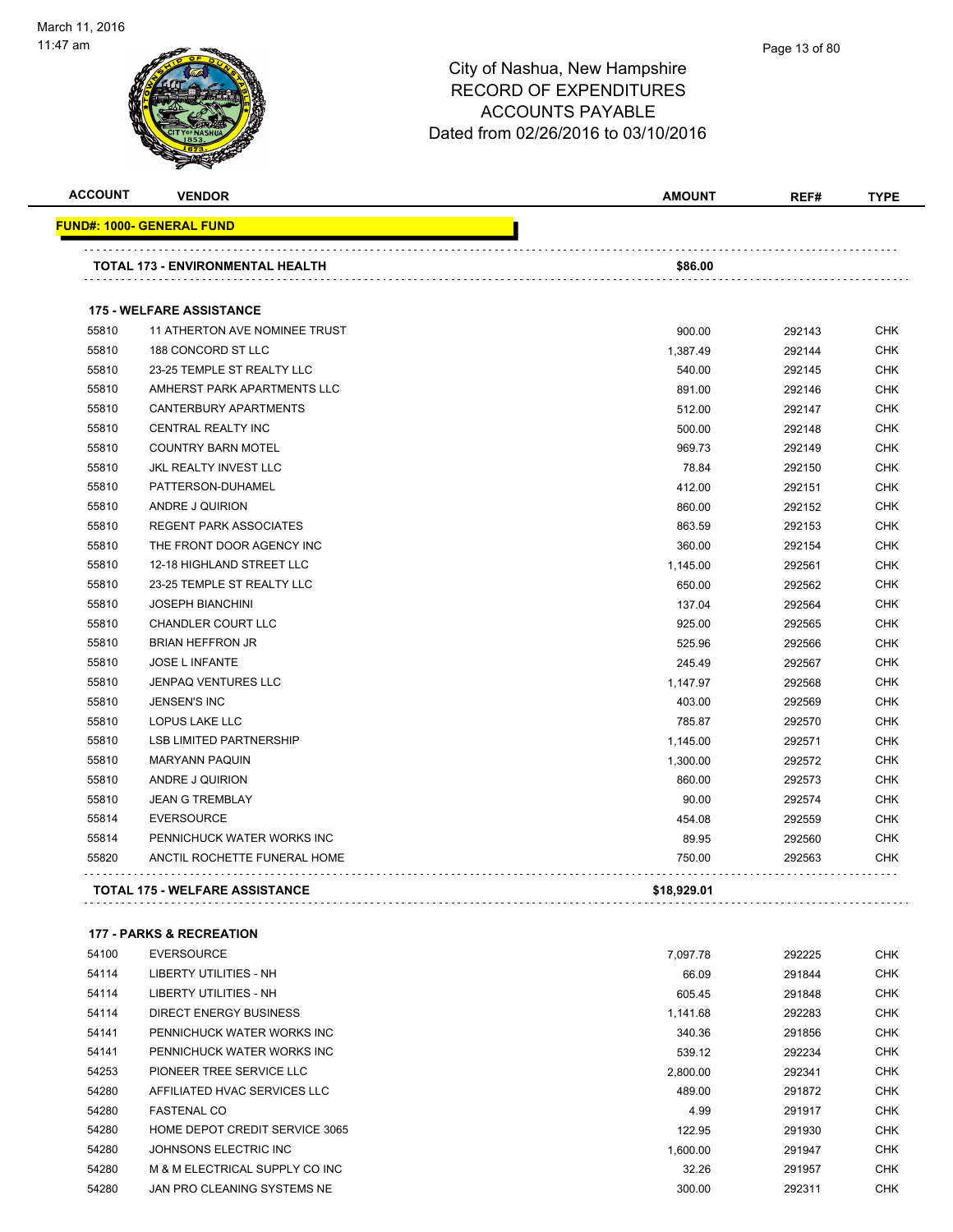

#### Page 13 of 80

| <b>ACCOUNT</b> | <b>VENDOR</b>                         | <b>AMOUNT</b> | REF#   | <b>TYPE</b> |  |
|----------------|---------------------------------------|---------------|--------|-------------|--|
|                | FUND#: 1000- GENERAL FUND             |               |        |             |  |
|                | TOTAL 173 - ENVIRONMENTAL HEALTH      | \$86.00       |        |             |  |
|                |                                       |               |        |             |  |
|                | <b>175 - WELFARE ASSISTANCE</b>       |               |        |             |  |
| 55810          | 11 ATHERTON AVE NOMINEE TRUST         | 900.00        | 292143 | CHK         |  |
| 55810          | 188 CONCORD ST LLC                    | 1,387.49      | 292144 | <b>CHK</b>  |  |
| 55810          | 23-25 TEMPLE ST REALTY LLC            | 540.00        | 292145 | <b>CHK</b>  |  |
| 55810          | AMHERST PARK APARTMENTS LLC           | 891.00        | 292146 | <b>CHK</b>  |  |
| 55810          | CANTERBURY APARTMENTS                 | 512.00        | 292147 | <b>CHK</b>  |  |
| 55810          | CENTRAL REALTY INC                    | 500.00        | 292148 | <b>CHK</b>  |  |
| 55810          | <b>COUNTRY BARN MOTEL</b>             | 969.73        | 292149 | <b>CHK</b>  |  |
| 55810          | JKL REALTY INVEST LLC                 | 78.84         | 292150 | <b>CHK</b>  |  |
| 55810          | PATTERSON-DUHAMEL                     | 412.00        | 292151 | <b>CHK</b>  |  |
| 55810          | ANDRE J QUIRION                       | 860.00        | 292152 | <b>CHK</b>  |  |
| 55810          | <b>REGENT PARK ASSOCIATES</b>         | 863.59        | 292153 | <b>CHK</b>  |  |
| 55810          | THE FRONT DOOR AGENCY INC             | 360.00        | 292154 | <b>CHK</b>  |  |
| 55810          | 12-18 HIGHLAND STREET LLC             | 1,145.00      | 292561 | <b>CHK</b>  |  |
| 55810          | 23-25 TEMPLE ST REALTY LLC            | 650.00        | 292562 | <b>CHK</b>  |  |
| 55810          | <b>JOSEPH BIANCHINI</b>               | 137.04        | 292564 | <b>CHK</b>  |  |
| 55810          | <b>CHANDLER COURT LLC</b>             | 925.00        | 292565 | <b>CHK</b>  |  |
| 55810          | <b>BRIAN HEFFRON JR</b>               | 525.96        | 292566 | <b>CHK</b>  |  |
| 55810          | <b>JOSE L INFANTE</b>                 | 245.49        | 292567 | <b>CHK</b>  |  |
| 55810          | JENPAQ VENTURES LLC                   | 1,147.97      | 292568 | <b>CHK</b>  |  |
| 55810          | <b>JENSEN'S INC</b>                   | 403.00        | 292569 | <b>CHK</b>  |  |
| 55810          | LOPUS LAKE LLC                        | 785.87        | 292570 | <b>CHK</b>  |  |
| 55810          | <b>LSB LIMITED PARTNERSHIP</b>        | 1,145.00      | 292571 | <b>CHK</b>  |  |
| 55810          | <b>MARYANN PAQUIN</b>                 | 1,300.00      | 292572 | <b>CHK</b>  |  |
| 55810          | ANDRE J QUIRION                       | 860.00        | 292573 | <b>CHK</b>  |  |
| 55810          | <b>JEAN G TREMBLAY</b>                | 90.00         | 292574 | <b>CHK</b>  |  |
| 55814          | <b>EVERSOURCE</b>                     | 454.08        | 292559 | <b>CHK</b>  |  |
| 55814          | PENNICHUCK WATER WORKS INC            | 89.95         | 292560 | <b>CHK</b>  |  |
| 55820          | ANCTIL ROCHETTE FUNERAL HOME          | 750.00        | 292563 | <b>CHK</b>  |  |
|                | <b>TOTAL 175 - WELFARE ASSISTANCE</b> | \$18,929.01   |        |             |  |
|                | <b>177 - PARKS &amp; RECREATION</b>   |               |        |             |  |
| 54100          | <b>EVERSOURCE</b>                     | 7,097.78      | 292225 | <b>CHK</b>  |  |

| ----  | -----------                    | .        | - - - - - - - | ິ          |
|-------|--------------------------------|----------|---------------|------------|
| 54114 | LIBERTY UTILITIES - NH         | 66.09    | 291844        | <b>CHK</b> |
| 54114 | LIBERTY UTILITIES - NH         | 605.45   | 291848        | <b>CHK</b> |
| 54114 | DIRECT ENERGY BUSINESS         | 1.141.68 | 292283        | <b>CHK</b> |
| 54141 | PENNICHUCK WATER WORKS INC     | 340.36   | 291856        | <b>CHK</b> |
| 54141 | PENNICHUCK WATER WORKS INC     | 539.12   | 292234        | <b>CHK</b> |
| 54253 | PIONEER TREE SERVICE LLC       | 2.800.00 | 292341        | <b>CHK</b> |
| 54280 | AFFILIATED HVAC SERVICES LLC   | 489.00   | 291872        | <b>CHK</b> |
| 54280 | <b>FASTENAL CO</b>             | 4.99     | 291917        | <b>CHK</b> |
| 54280 | HOME DEPOT CREDIT SERVICE 3065 | 122.95   | 291930        | <b>CHK</b> |
| 54280 | JOHNSONS ELECTRIC INC.         | 1.600.00 | 291947        | <b>CHK</b> |
| 54280 | M & M ELECTRICAL SUPPLY CO INC | 32.26    | 291957        | <b>CHK</b> |
| 54280 | JAN PRO CLEANING SYSTEMS NE    | 300.00   | 292311        | <b>CHK</b> |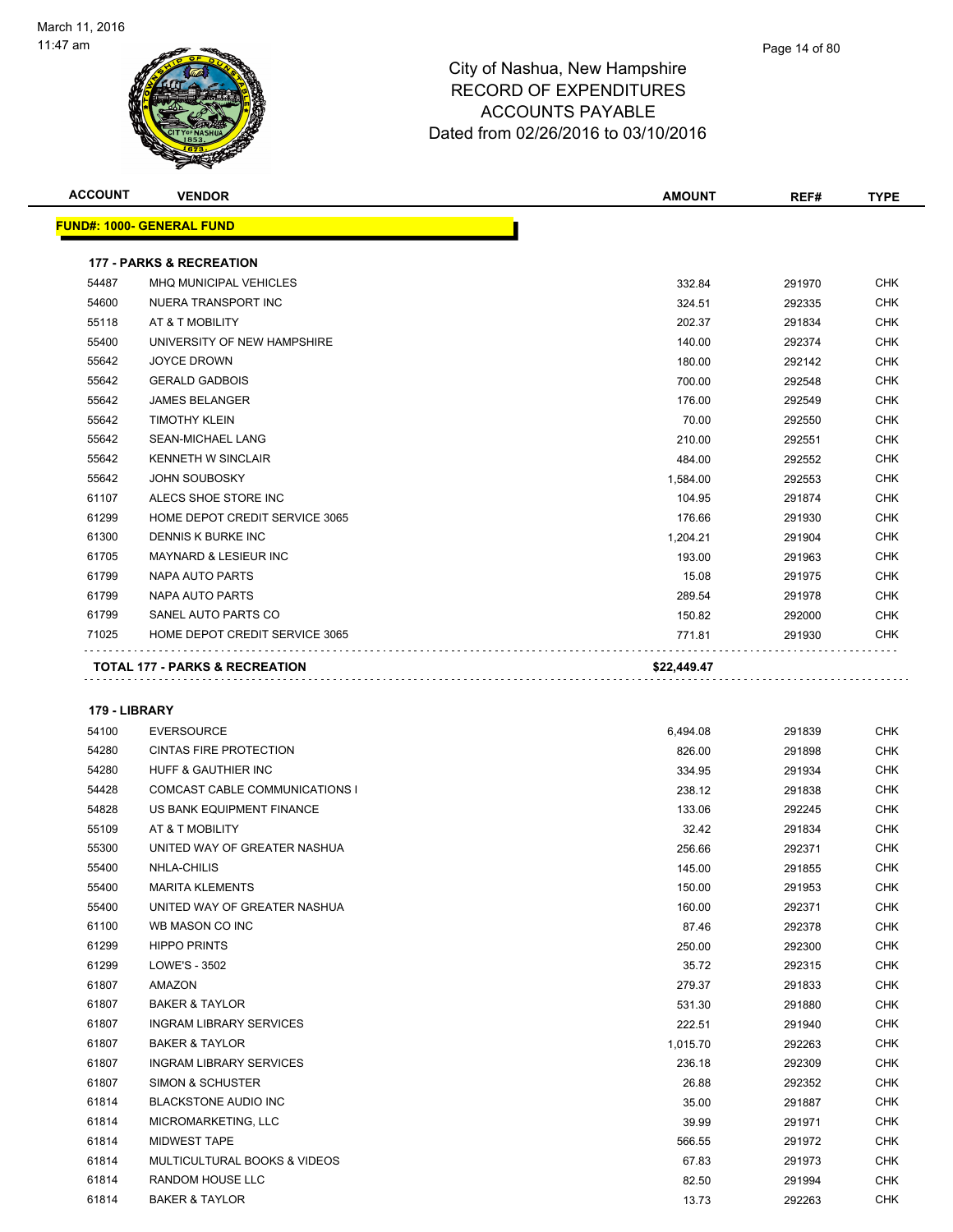

| <b>ACCOUNT</b> | <b>VENDOR</b>                             | <b>AMOUNT</b> | REF#   | <b>TYPE</b> |
|----------------|-------------------------------------------|---------------|--------|-------------|
|                | <b>FUND#: 1000- GENERAL FUND</b>          |               |        |             |
|                | <b>177 - PARKS &amp; RECREATION</b>       |               |        |             |
| 54487          | <b>MHQ MUNICIPAL VEHICLES</b>             | 332.84        | 291970 | <b>CHK</b>  |
| 54600          | NUERA TRANSPORT INC                       | 324.51        | 292335 | <b>CHK</b>  |
| 55118          | AT & T MOBILITY                           | 202.37        | 291834 | <b>CHK</b>  |
| 55400          | UNIVERSITY OF NEW HAMPSHIRE               | 140.00        | 292374 | <b>CHK</b>  |
| 55642          | <b>JOYCE DROWN</b>                        | 180.00        | 292142 | <b>CHK</b>  |
| 55642          | <b>GERALD GADBOIS</b>                     | 700.00        | 292548 | <b>CHK</b>  |
| 55642          | <b>JAMES BELANGER</b>                     | 176.00        | 292549 | <b>CHK</b>  |
| 55642          | <b>TIMOTHY KLEIN</b>                      | 70.00         | 292550 | <b>CHK</b>  |
| 55642          | <b>SEAN-MICHAEL LANG</b>                  | 210.00        | 292551 | <b>CHK</b>  |
| 55642          | <b>KENNETH W SINCLAIR</b>                 | 484.00        | 292552 | <b>CHK</b>  |
| 55642          | <b>JOHN SOUBOSKY</b>                      | 1,584.00      | 292553 | <b>CHK</b>  |
| 61107          | ALECS SHOE STORE INC                      | 104.95        | 291874 | <b>CHK</b>  |
| 61299          | HOME DEPOT CREDIT SERVICE 3065            | 176.66        | 291930 | <b>CHK</b>  |
| 61300          | DENNIS K BURKE INC                        | 1,204.21      | 291904 | <b>CHK</b>  |
| 61705          | <b>MAYNARD &amp; LESIEUR INC</b>          | 193.00        | 291963 | <b>CHK</b>  |
| 61799          | NAPA AUTO PARTS                           | 15.08         | 291975 | <b>CHK</b>  |
| 61799          | NAPA AUTO PARTS                           | 289.54        | 291978 | <b>CHK</b>  |
| 61799          | SANEL AUTO PARTS CO                       | 150.82        | 292000 | <b>CHK</b>  |
| 71025          | HOME DEPOT CREDIT SERVICE 3065            | 771.81        | 291930 | <b>CHK</b>  |
|                | <b>TOTAL 177 - PARKS &amp; RECREATION</b> | \$22,449.47   |        |             |

| 54100 | <b>EVERSOURCE</b>                       | 6,494.08 | 291839 | <b>CHK</b> |
|-------|-----------------------------------------|----------|--------|------------|
| 54280 | <b>CINTAS FIRE PROTECTION</b>           | 826.00   | 291898 | <b>CHK</b> |
| 54280 | <b>HUFF &amp; GAUTHIER INC</b>          | 334.95   | 291934 | <b>CHK</b> |
| 54428 | <b>COMCAST CABLE COMMUNICATIONS I</b>   | 238.12   | 291838 | <b>CHK</b> |
| 54828 | US BANK EQUIPMENT FINANCE               | 133.06   | 292245 | <b>CHK</b> |
| 55109 | AT & T MOBILITY                         | 32.42    | 291834 | <b>CHK</b> |
| 55300 | UNITED WAY OF GREATER NASHUA            | 256.66   | 292371 | <b>CHK</b> |
| 55400 | NHLA-CHILIS                             | 145.00   | 291855 | <b>CHK</b> |
| 55400 | <b>MARITA KLEMENTS</b>                  | 150.00   | 291953 | <b>CHK</b> |
| 55400 | UNITED WAY OF GREATER NASHUA            | 160.00   | 292371 | <b>CHK</b> |
| 61100 | WB MASON CO INC                         | 87.46    | 292378 | <b>CHK</b> |
| 61299 | <b>HIPPO PRINTS</b>                     | 250.00   | 292300 | <b>CHK</b> |
| 61299 | LOWE'S - 3502                           | 35.72    | 292315 | <b>CHK</b> |
| 61807 | AMAZON                                  | 279.37   | 291833 | <b>CHK</b> |
| 61807 | <b>BAKER &amp; TAYLOR</b>               | 531.30   | 291880 | <b>CHK</b> |
| 61807 | <b>INGRAM LIBRARY SERVICES</b>          | 222.51   | 291940 | <b>CHK</b> |
| 61807 | <b>BAKER &amp; TAYLOR</b>               | 1,015.70 | 292263 | <b>CHK</b> |
| 61807 | <b>INGRAM LIBRARY SERVICES</b>          | 236.18   | 292309 | <b>CHK</b> |
| 61807 | <b>SIMON &amp; SCHUSTER</b>             | 26.88    | 292352 | <b>CHK</b> |
| 61814 | BLACKSTONE AUDIO INC                    | 35.00    | 291887 | <b>CHK</b> |
| 61814 | MICROMARKETING, LLC                     | 39.99    | 291971 | <b>CHK</b> |
| 61814 | <b>MIDWEST TAPE</b>                     | 566.55   | 291972 | <b>CHK</b> |
| 61814 | <b>MULTICULTURAL BOOKS &amp; VIDEOS</b> | 67.83    | 291973 | <b>CHK</b> |
| 61814 | RANDOM HOUSE LLC                        | 82.50    | 291994 | <b>CHK</b> |
| 61814 | <b>BAKER &amp; TAYLOR</b>               | 13.73    | 292263 | <b>CHK</b> |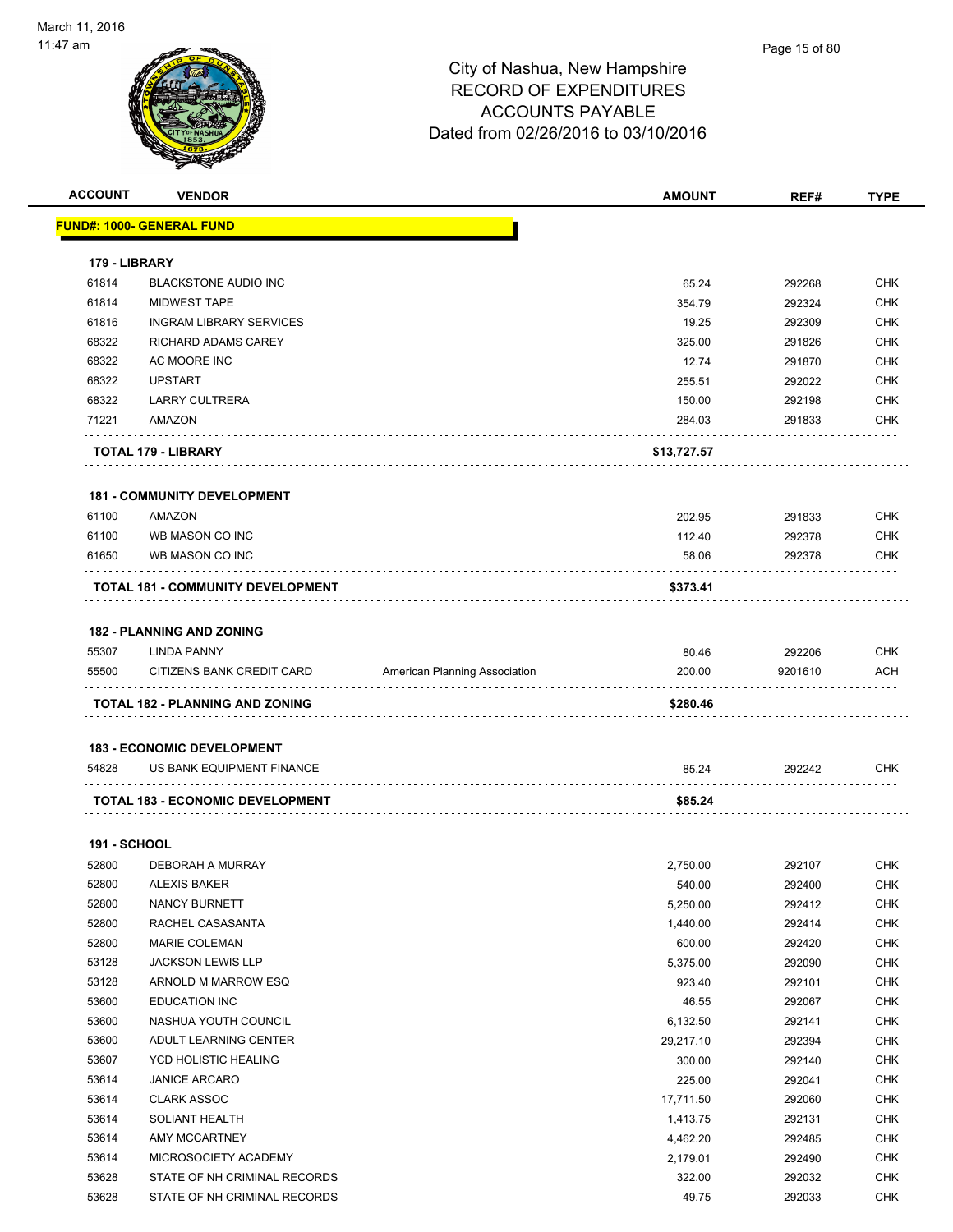

|                     | <b>VENDOR</b>                            |                               | <b>AMOUNT</b> | REF#    | <b>TYPE</b> |
|---------------------|------------------------------------------|-------------------------------|---------------|---------|-------------|
|                     | <u> FUND#: 1000- GENERAL FUND</u>        |                               |               |         |             |
| 179 - LIBRARY       |                                          |                               |               |         |             |
| 61814               | <b>BLACKSTONE AUDIO INC</b>              |                               | 65.24         | 292268  | CHK         |
| 61814               | <b>MIDWEST TAPE</b>                      |                               | 354.79        | 292324  | CHK         |
| 61816               | <b>INGRAM LIBRARY SERVICES</b>           |                               | 19.25         | 292309  | CHK         |
| 68322               | RICHARD ADAMS CAREY                      |                               | 325.00        | 291826  | CHK         |
| 68322               | AC MOORE INC                             |                               | 12.74         | 291870  | CHK         |
| 68322               | <b>UPSTART</b>                           |                               | 255.51        | 292022  | CHK         |
| 68322               | <b>LARRY CULTRERA</b>                    |                               | 150.00        | 292198  | <b>CHK</b>  |
| 71221               | AMAZON                                   |                               | 284.03        | 291833  | <b>CHK</b>  |
|                     | TOTAL 179 - LIBRARY                      |                               | \$13,727.57   |         |             |
|                     | <b>181 - COMMUNITY DEVELOPMENT</b>       |                               |               |         |             |
| 61100               | AMAZON                                   |                               | 202.95        | 291833  | CHK         |
| 61100               | WB MASON CO INC                          |                               | 112.40        | 292378  | CHK         |
| 61650               | WB MASON CO INC                          |                               | 58.06         | 292378  | CHK         |
|                     | <b>TOTAL 181 - COMMUNITY DEVELOPMENT</b> |                               | \$373.41      |         |             |
|                     | <b>182 - PLANNING AND ZONING</b>         |                               |               |         |             |
|                     |                                          |                               | 80.46         | 292206  | <b>CHK</b>  |
| 55307               | <b>LINDA PANNY</b>                       |                               |               |         |             |
| 55500               | CITIZENS BANK CREDIT CARD                | American Planning Association | 200.00        | 9201610 | <b>ACH</b>  |
|                     |                                          |                               |               |         |             |
|                     | TOTAL 182 - PLANNING AND ZONING          |                               | \$280.46      |         |             |
|                     | <b>183 - ECONOMIC DEVELOPMENT</b>        |                               |               |         |             |
| 54828               | US BANK EQUIPMENT FINANCE                |                               | 85.24         | 292242  | CHK         |
|                     | <b>TOTAL 183 - ECONOMIC DEVELOPMENT</b>  |                               | \$85.24       |         |             |
| <b>191 - SCHOOL</b> |                                          |                               |               |         |             |
| 52800               | DEBORAH A MURRAY                         |                               | 2,750.00      | 292107  | <b>CHK</b>  |
| 52800               | <b>ALEXIS BAKER</b>                      |                               | 540.00        | 292400  | CHK         |
| 52800               | NANCY BURNETT                            |                               | 5,250.00      | 292412  | <b>CHK</b>  |
| 52800               | RACHEL CASASANTA                         |                               | 1,440.00      | 292414  | <b>CHK</b>  |
| 52800               | <b>MARIE COLEMAN</b>                     |                               | 600.00        | 292420  | CHK         |
| 53128               | <b>JACKSON LEWIS LLP</b>                 |                               | 5,375.00      | 292090  | CHK         |
| 53128               | ARNOLD M MARROW ESQ                      |                               | 923.40        | 292101  | CHK         |
| 53600               | EDUCATION INC                            |                               | 46.55         | 292067  | CHK         |
| 53600               | NASHUA YOUTH COUNCIL                     |                               | 6,132.50      | 292141  | CHK         |
| 53600               | ADULT LEARNING CENTER                    |                               | 29,217.10     | 292394  | CHK         |
| 53607               | YCD HOLISTIC HEALING                     |                               | 300.00        | 292140  | <b>CHK</b>  |
| 53614               | <b>JANICE ARCARO</b>                     |                               | 225.00        | 292041  | <b>CHK</b>  |
| 53614               | <b>CLARK ASSOC</b>                       |                               | 17,711.50     | 292060  | CHK         |
| 53614               | SOLIANT HEALTH                           |                               | 1,413.75      | 292131  | <b>CHK</b>  |
| 53614               | AMY MCCARTNEY                            |                               | 4,462.20      | 292485  | <b>CHK</b>  |
| 53614               | MICROSOCIETY ACADEMY                     |                               | 2,179.01      | 292490  | CHK         |
| 53628               | STATE OF NH CRIMINAL RECORDS             |                               | 322.00        | 292032  | CHK         |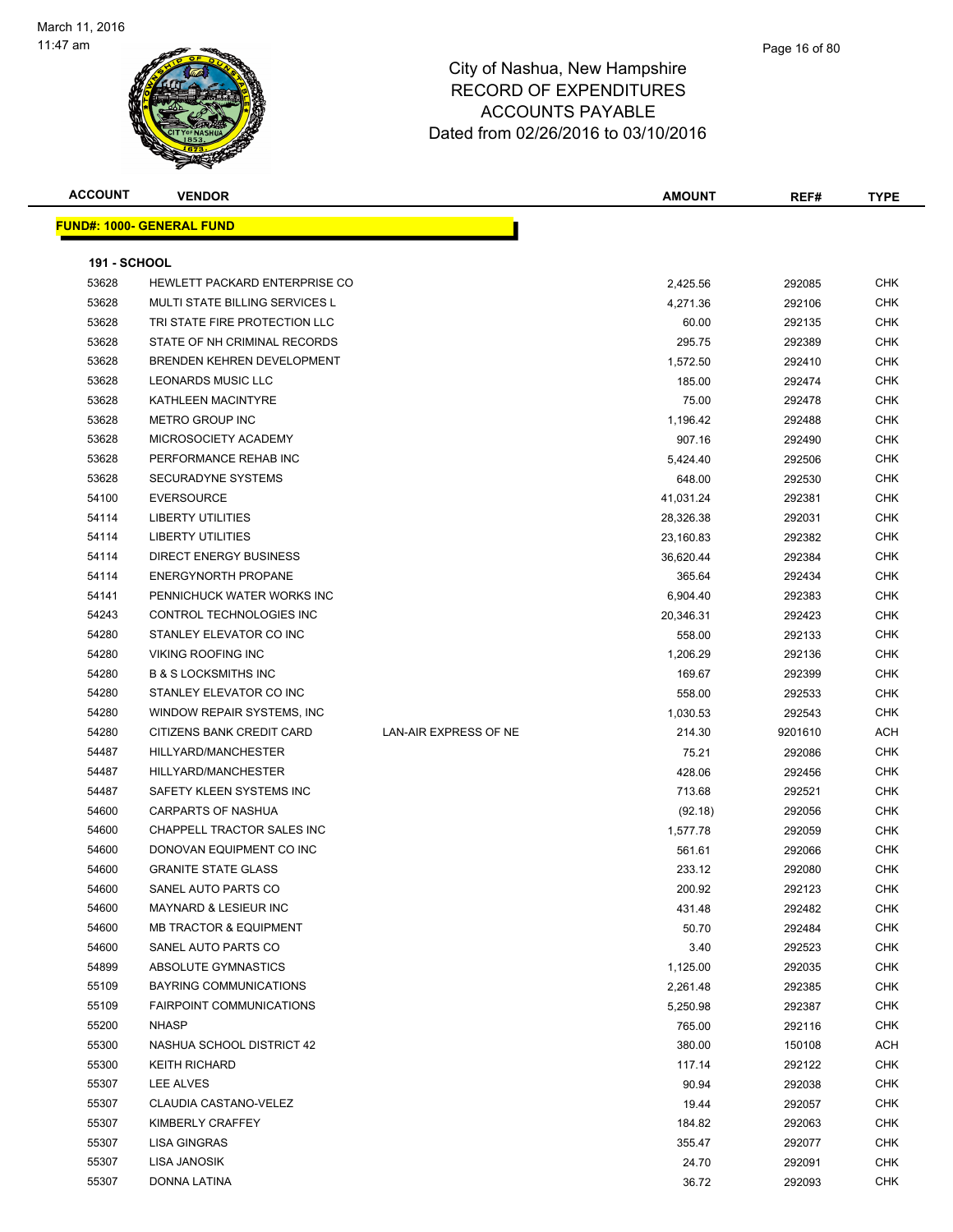

| <b>ACCOUNT</b>      | <b>VENDOR</b>                         |                       | <b>AMOUNT</b> | REF#    | <b>TYPE</b> |
|---------------------|---------------------------------------|-----------------------|---------------|---------|-------------|
|                     | <b>FUND#: 1000- GENERAL FUND</b>      |                       |               |         |             |
|                     |                                       |                       |               |         |             |
| <b>191 - SCHOOL</b> |                                       |                       |               |         |             |
| 53628               | HEWLETT PACKARD ENTERPRISE CO         |                       | 2,425.56      | 292085  | <b>CHK</b>  |
| 53628               | <b>MULTI STATE BILLING SERVICES L</b> |                       | 4,271.36      | 292106  | <b>CHK</b>  |
| 53628               | TRI STATE FIRE PROTECTION LLC         |                       | 60.00         | 292135  | CHK         |
| 53628               | STATE OF NH CRIMINAL RECORDS          |                       | 295.75        | 292389  | CHK         |
| 53628               | <b>BRENDEN KEHREN DEVELOPMENT</b>     |                       | 1,572.50      | 292410  | <b>CHK</b>  |
| 53628               | LEONARDS MUSIC LLC                    |                       | 185.00        | 292474  | <b>CHK</b>  |
| 53628               | KATHLEEN MACINTYRE                    |                       | 75.00         | 292478  | CHK         |
| 53628               | METRO GROUP INC                       |                       | 1,196.42      | 292488  | <b>CHK</b>  |
| 53628               | MICROSOCIETY ACADEMY                  |                       | 907.16        | 292490  | <b>CHK</b>  |
| 53628               | PERFORMANCE REHAB INC                 |                       | 5,424.40      | 292506  | <b>CHK</b>  |
| 53628               | <b>SECURADYNE SYSTEMS</b>             |                       | 648.00        | 292530  | <b>CHK</b>  |
| 54100               | <b>EVERSOURCE</b>                     |                       | 41,031.24     | 292381  | <b>CHK</b>  |
| 54114               | LIBERTY UTILITIES                     |                       | 28,326.38     | 292031  | <b>CHK</b>  |
| 54114               | LIBERTY UTILITIES                     |                       | 23,160.83     | 292382  | <b>CHK</b>  |
| 54114               | DIRECT ENERGY BUSINESS                |                       | 36,620.44     | 292384  | CHK         |
| 54114               | <b>ENERGYNORTH PROPANE</b>            |                       | 365.64        | 292434  | <b>CHK</b>  |
| 54141               | PENNICHUCK WATER WORKS INC            |                       | 6,904.40      | 292383  | <b>CHK</b>  |
| 54243               | <b>CONTROL TECHNOLOGIES INC</b>       |                       | 20,346.31     | 292423  | CHK         |
| 54280               | STANLEY ELEVATOR CO INC               |                       | 558.00        | 292133  | <b>CHK</b>  |
| 54280               | <b>VIKING ROOFING INC</b>             |                       | 1,206.29      | 292136  | <b>CHK</b>  |
| 54280               | <b>B &amp; S LOCKSMITHS INC</b>       |                       | 169.67        | 292399  | <b>CHK</b>  |
| 54280               | STANLEY ELEVATOR CO INC               |                       | 558.00        | 292533  | <b>CHK</b>  |
| 54280               | WINDOW REPAIR SYSTEMS, INC            |                       | 1,030.53      | 292543  | CHK         |
| 54280               | CITIZENS BANK CREDIT CARD             | LAN-AIR EXPRESS OF NE | 214.30        | 9201610 | ACH         |
| 54487               | HILLYARD/MANCHESTER                   |                       | 75.21         | 292086  | CHK         |
| 54487               | HILLYARD/MANCHESTER                   |                       | 428.06        | 292456  | CHK         |
| 54487               | SAFETY KLEEN SYSTEMS INC              |                       | 713.68        | 292521  | <b>CHK</b>  |
| 54600               | <b>CARPARTS OF NASHUA</b>             |                       | (92.18)       | 292056  | <b>CHK</b>  |
| 54600               | CHAPPELL TRACTOR SALES INC            |                       | 1,577.78      | 292059  | <b>CHK</b>  |
| 54600               | DONOVAN EQUIPMENT CO INC              |                       | 561.61        | 292066  | <b>CHK</b>  |
| 54600               | <b>GRANITE STATE GLASS</b>            |                       | 233.12        | 292080  | <b>CHK</b>  |
| 54600               | SANEL AUTO PARTS CO                   |                       | 200.92        | 292123  | <b>CHK</b>  |
| 54600               | MAYNARD & LESIEUR INC                 |                       | 431.48        | 292482  | CHK         |
| 54600               | <b>MB TRACTOR &amp; EQUIPMENT</b>     |                       | 50.70         | 292484  | <b>CHK</b>  |
| 54600               | SANEL AUTO PARTS CO                   |                       | 3.40          | 292523  | CHK         |
| 54899               | ABSOLUTE GYMNASTICS                   |                       | 1,125.00      | 292035  | <b>CHK</b>  |
| 55109               | <b>BAYRING COMMUNICATIONS</b>         |                       | 2,261.48      | 292385  | <b>CHK</b>  |
| 55109               | FAIRPOINT COMMUNICATIONS              |                       | 5,250.98      | 292387  | <b>CHK</b>  |
| 55200               | <b>NHASP</b>                          |                       | 765.00        | 292116  | <b>CHK</b>  |
| 55300               | NASHUA SCHOOL DISTRICT 42             |                       | 380.00        | 150108  | ACH         |
| 55300               | <b>KEITH RICHARD</b>                  |                       | 117.14        | 292122  | <b>CHK</b>  |
| 55307               | LEE ALVES                             |                       | 90.94         | 292038  | CHK         |
| 55307               | CLAUDIA CASTANO-VELEZ                 |                       | 19.44         | 292057  | CHK         |
| 55307               | KIMBERLY CRAFFEY                      |                       | 184.82        | 292063  | <b>CHK</b>  |
| 55307               | LISA GINGRAS                          |                       | 355.47        | 292077  | <b>CHK</b>  |
| 55307               | LISA JANOSIK                          |                       | 24.70         | 292091  | CHK         |
| 55307               | DONNA LATINA                          |                       | 36.72         | 292093  | <b>CHK</b>  |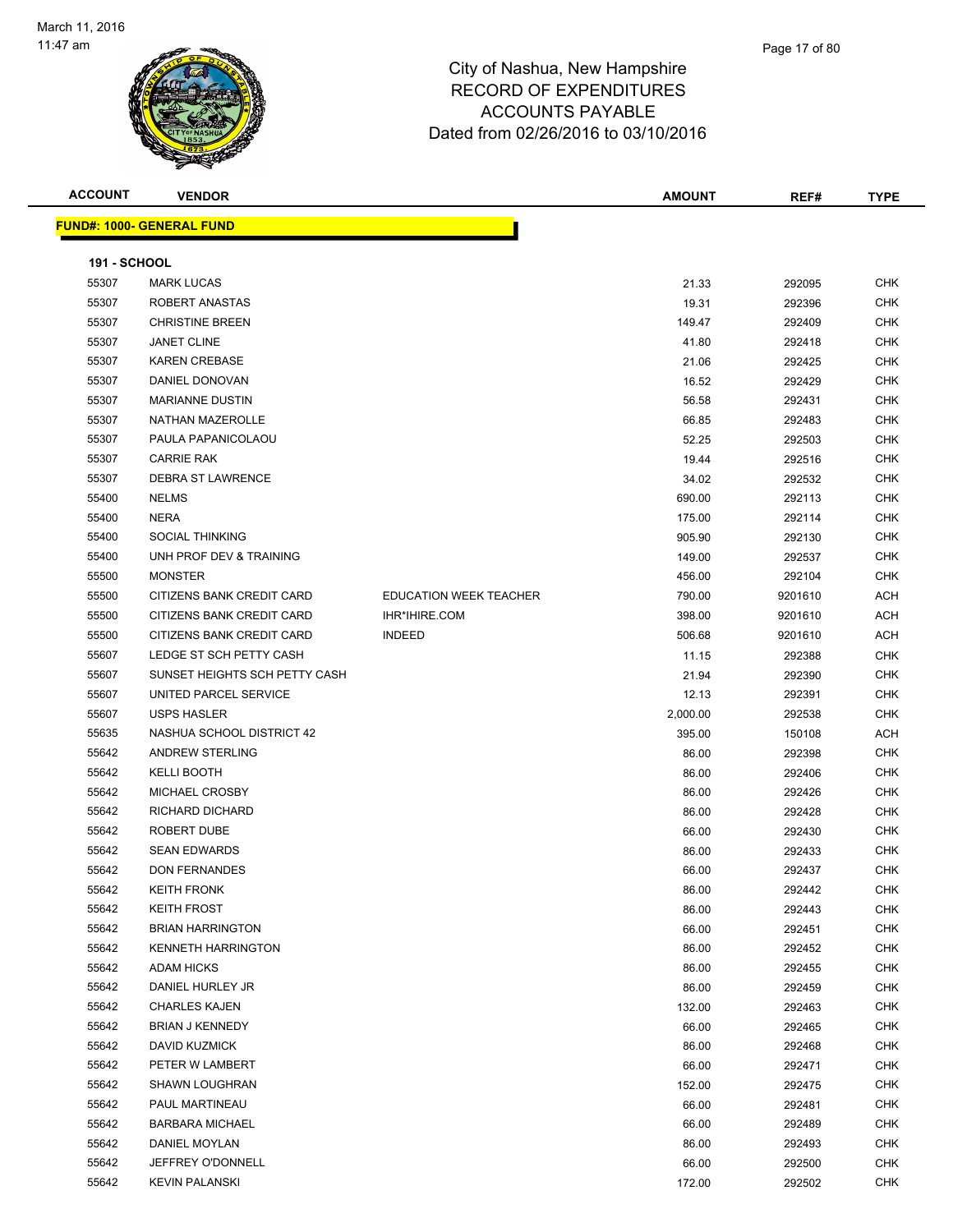

| <b>ACCOUNT</b>      | <b>VENDOR</b>                     |                               | <b>AMOUNT</b> | REF#    | <b>TYPE</b> |
|---------------------|-----------------------------------|-------------------------------|---------------|---------|-------------|
|                     | <u> FUND#: 1000- GENERAL FUND</u> |                               |               |         |             |
|                     |                                   |                               |               |         |             |
| <b>191 - SCHOOL</b> |                                   |                               |               |         |             |
| 55307               | <b>MARK LUCAS</b>                 |                               | 21.33         | 292095  | CHK         |
| 55307               | ROBERT ANASTAS                    |                               | 19.31         | 292396  | CHK         |
| 55307               | <b>CHRISTINE BREEN</b>            |                               | 149.47        | 292409  | <b>CHK</b>  |
| 55307               | <b>JANET CLINE</b>                |                               | 41.80         | 292418  | CHK         |
| 55307               | <b>KAREN CREBASE</b>              |                               | 21.06         | 292425  | <b>CHK</b>  |
| 55307               | DANIEL DONOVAN                    |                               | 16.52         | 292429  | <b>CHK</b>  |
| 55307               | <b>MARIANNE DUSTIN</b>            |                               | 56.58         | 292431  | CHK         |
| 55307               | NATHAN MAZEROLLE                  |                               | 66.85         | 292483  | <b>CHK</b>  |
| 55307               | PAULA PAPANICOLAOU                |                               | 52.25         | 292503  | <b>CHK</b>  |
| 55307               | <b>CARRIE RAK</b>                 |                               | 19.44         | 292516  | <b>CHK</b>  |
| 55307               | <b>DEBRA ST LAWRENCE</b>          |                               | 34.02         | 292532  | <b>CHK</b>  |
| 55400               | <b>NELMS</b>                      |                               | 690.00        | 292113  | CHK         |
| 55400               | <b>NERA</b>                       |                               | 175.00        | 292114  | CHK         |
| 55400               | <b>SOCIAL THINKING</b>            |                               | 905.90        | 292130  | <b>CHK</b>  |
| 55400               | UNH PROF DEV & TRAINING           |                               | 149.00        | 292537  | CHK         |
| 55500               | <b>MONSTER</b>                    |                               | 456.00        | 292104  | CHK         |
| 55500               | CITIZENS BANK CREDIT CARD         | <b>EDUCATION WEEK TEACHER</b> | 790.00        | 9201610 | ACH         |
| 55500               | CITIZENS BANK CREDIT CARD         | <b>IHR*IHIRE.COM</b>          | 398.00        | 9201610 | <b>ACH</b>  |
| 55500               | CITIZENS BANK CREDIT CARD         | <b>INDEED</b>                 | 506.68        | 9201610 | ACH         |
| 55607               | LEDGE ST SCH PETTY CASH           |                               | 11.15         | 292388  | <b>CHK</b>  |
| 55607               | SUNSET HEIGHTS SCH PETTY CASH     |                               | 21.94         | 292390  | <b>CHK</b>  |
| 55607               | UNITED PARCEL SERVICE             |                               | 12.13         | 292391  | <b>CHK</b>  |
| 55607               | <b>USPS HASLER</b>                |                               | 2,000.00      | 292538  | <b>CHK</b>  |
| 55635               | NASHUA SCHOOL DISTRICT 42         |                               | 395.00        | 150108  | ACH         |
| 55642               | ANDREW STERLING                   |                               | 86.00         | 292398  | <b>CHK</b>  |
| 55642               | <b>KELLI BOOTH</b>                |                               | 86.00         | 292406  | CHK         |
| 55642               | MICHAEL CROSBY                    |                               | 86.00         | 292426  | CHK         |
| 55642               | RICHARD DICHARD                   |                               | 86.00         | 292428  | <b>CHK</b>  |
| 55642               | ROBERT DUBE                       |                               | 66.00         | 292430  | <b>CHK</b>  |
| 55642               | <b>SEAN EDWARDS</b>               |                               | 86.00         | 292433  | <b>CHK</b>  |
| 55642               | <b>DON FERNANDES</b>              |                               | 66.00         | 292437  | <b>CHK</b>  |
| 55642               | <b>KEITH FRONK</b>                |                               | 86.00         | 292442  | <b>CHK</b>  |
| 55642               | <b>KEITH FROST</b>                |                               | 86.00         | 292443  | <b>CHK</b>  |
| 55642               | <b>BRIAN HARRINGTON</b>           |                               | 66.00         | 292451  | <b>CHK</b>  |
| 55642               | <b>KENNETH HARRINGTON</b>         |                               | 86.00         | 292452  | <b>CHK</b>  |
| 55642               | <b>ADAM HICKS</b>                 |                               | 86.00         | 292455  | CHK         |
| 55642               | DANIEL HURLEY JR                  |                               | 86.00         | 292459  | <b>CHK</b>  |
| 55642               | <b>CHARLES KAJEN</b>              |                               | 132.00        | 292463  | CHK         |
| 55642               | <b>BRIAN J KENNEDY</b>            |                               | 66.00         | 292465  | CHK         |
| 55642               | DAVID KUZMICK                     |                               | 86.00         | 292468  | <b>CHK</b>  |
| 55642               | PETER W LAMBERT                   |                               | 66.00         | 292471  | CHK         |
| 55642               | <b>SHAWN LOUGHRAN</b>             |                               | 152.00        | 292475  | <b>CHK</b>  |
| 55642               | PAUL MARTINEAU                    |                               | 66.00         | 292481  | <b>CHK</b>  |
| 55642               | <b>BARBARA MICHAEL</b>            |                               | 66.00         | 292489  | CHK         |
| 55642               | DANIEL MOYLAN                     |                               | 86.00         | 292493  | <b>CHK</b>  |
| 55642               | JEFFREY O'DONNELL                 |                               | 66.00         | 292500  | <b>CHK</b>  |
| 55642               | <b>KEVIN PALANSKI</b>             |                               | 172.00        | 292502  | <b>CHK</b>  |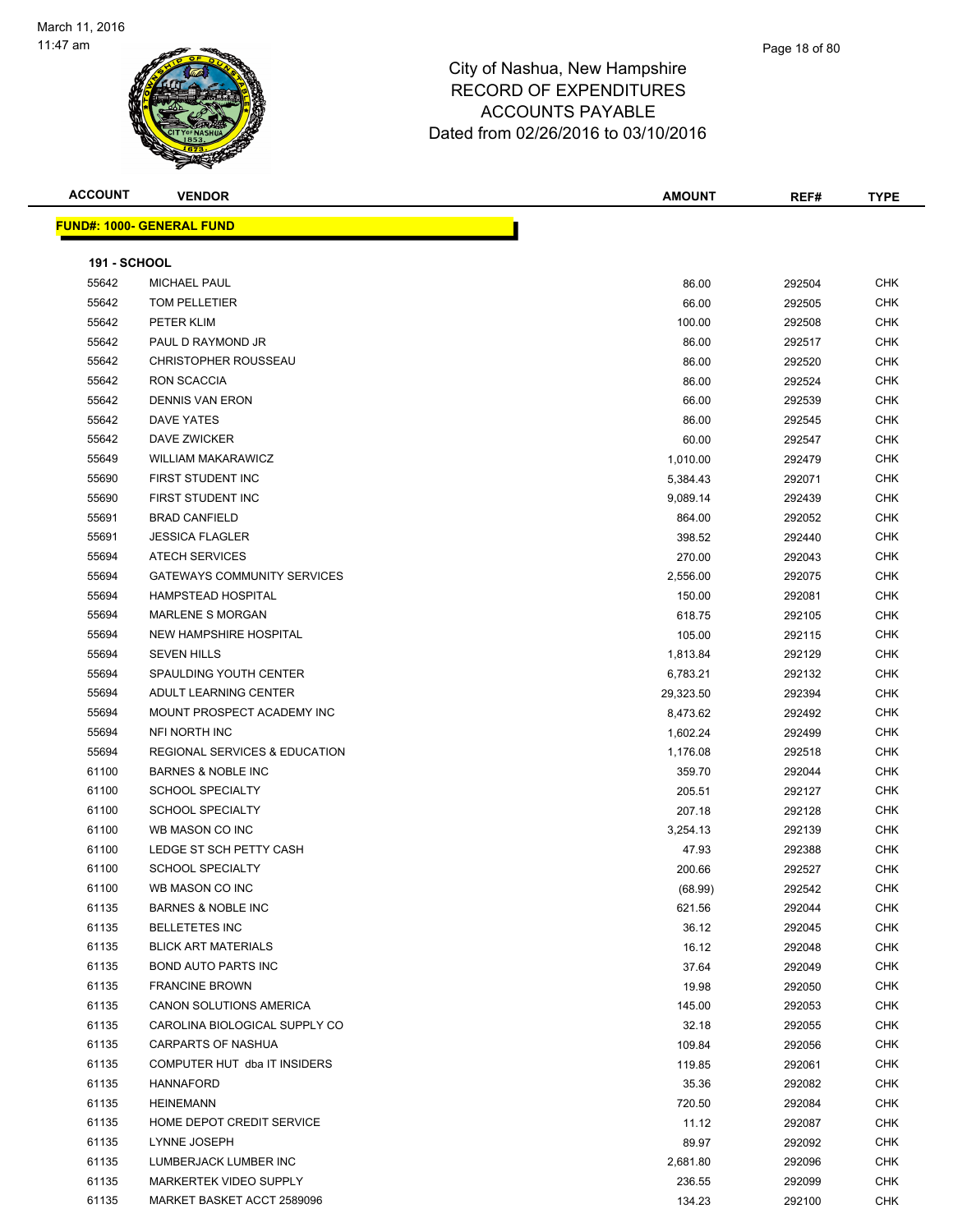

| <b>ACCOUNT</b>      | <b>VENDOR</b>                            | <b>AMOUNT</b> | REF#   | <b>TYPE</b> |
|---------------------|------------------------------------------|---------------|--------|-------------|
|                     | <u> FUND#: 1000- GENERAL FUND</u>        |               |        |             |
|                     |                                          |               |        |             |
| <b>191 - SCHOOL</b> |                                          |               |        |             |
| 55642               | <b>MICHAEL PAUL</b>                      | 86.00         | 292504 | <b>CHK</b>  |
| 55642               | TOM PELLETIER                            | 66.00         | 292505 | <b>CHK</b>  |
| 55642               | PETER KLIM                               | 100.00        | 292508 | <b>CHK</b>  |
| 55642               | PAUL D RAYMOND JR                        | 86.00         | 292517 | <b>CHK</b>  |
| 55642               | <b>CHRISTOPHER ROUSSEAU</b>              | 86.00         | 292520 | <b>CHK</b>  |
| 55642               | <b>RON SCACCIA</b>                       | 86.00         | 292524 | CHK         |
| 55642               | <b>DENNIS VAN ERON</b>                   | 66.00         | 292539 | <b>CHK</b>  |
| 55642               | DAVE YATES                               | 86.00         | 292545 | <b>CHK</b>  |
| 55642               | DAVE ZWICKER                             | 60.00         | 292547 | <b>CHK</b>  |
| 55649               | <b>WILLIAM MAKARAWICZ</b>                | 1,010.00      | 292479 | <b>CHK</b>  |
| 55690               | FIRST STUDENT INC                        | 5,384.43      | 292071 | <b>CHK</b>  |
| 55690               | FIRST STUDENT INC                        | 9,089.14      | 292439 | <b>CHK</b>  |
| 55691               | <b>BRAD CANFIELD</b>                     | 864.00        | 292052 | <b>CHK</b>  |
| 55691               | <b>JESSICA FLAGLER</b>                   | 398.52        | 292440 | <b>CHK</b>  |
| 55694               | <b>ATECH SERVICES</b>                    | 270.00        | 292043 | <b>CHK</b>  |
| 55694               | <b>GATEWAYS COMMUNITY SERVICES</b>       | 2,556.00      | 292075 | <b>CHK</b>  |
| 55694               | HAMPSTEAD HOSPITAL                       | 150.00        | 292081 | CHK         |
| 55694               | <b>MARLENE S MORGAN</b>                  | 618.75        | 292105 | <b>CHK</b>  |
| 55694               | NEW HAMPSHIRE HOSPITAL                   | 105.00        | 292115 | <b>CHK</b>  |
| 55694               | <b>SEVEN HILLS</b>                       | 1,813.84      | 292129 | <b>CHK</b>  |
| 55694               | SPAULDING YOUTH CENTER                   | 6,783.21      | 292132 | <b>CHK</b>  |
| 55694               | ADULT LEARNING CENTER                    | 29,323.50     | 292394 | CHK         |
| 55694               | MOUNT PROSPECT ACADEMY INC               | 8,473.62      | 292492 | CHK         |
| 55694               | NFI NORTH INC                            | 1,602.24      | 292499 | <b>CHK</b>  |
| 55694               | <b>REGIONAL SERVICES &amp; EDUCATION</b> | 1,176.08      | 292518 | <b>CHK</b>  |
| 61100               | <b>BARNES &amp; NOBLE INC</b>            | 359.70        | 292044 | <b>CHK</b>  |
| 61100               | <b>SCHOOL SPECIALTY</b>                  | 205.51        | 292127 | <b>CHK</b>  |
| 61100               | <b>SCHOOL SPECIALTY</b>                  | 207.18        | 292128 | CHK         |
| 61100               | WB MASON CO INC                          | 3,254.13      | 292139 | <b>CHK</b>  |
| 61100               | LEDGE ST SCH PETTY CASH                  | 47.93         | 292388 | <b>CHK</b>  |
| 61100               | <b>SCHOOL SPECIALTY</b>                  | 200.66        | 292527 | <b>CHK</b>  |
| 61100               | WB MASON CO INC                          | (68.99)       | 292542 | <b>CHK</b>  |
| 61135               | <b>BARNES &amp; NOBLE INC</b>            | 621.56        | 292044 | <b>CHK</b>  |
| 61135               | <b>BELLETETES INC</b>                    | 36.12         | 292045 | CHK         |
| 61135               | <b>BLICK ART MATERIALS</b>               | 16.12         | 292048 | <b>CHK</b>  |
| 61135               | <b>BOND AUTO PARTS INC</b>               | 37.64         | 292049 | <b>CHK</b>  |
| 61135               | <b>FRANCINE BROWN</b>                    | 19.98         | 292050 | <b>CHK</b>  |
| 61135               | CANON SOLUTIONS AMERICA                  | 145.00        | 292053 | <b>CHK</b>  |
| 61135               | CAROLINA BIOLOGICAL SUPPLY CO            | 32.18         | 292055 | <b>CHK</b>  |
| 61135               | CARPARTS OF NASHUA                       | 109.84        | 292056 | <b>CHK</b>  |
| 61135               | COMPUTER HUT dba IT INSIDERS             | 119.85        | 292061 | <b>CHK</b>  |
| 61135               | <b>HANNAFORD</b>                         | 35.36         | 292082 | <b>CHK</b>  |
| 61135               | <b>HEINEMANN</b>                         | 720.50        | 292084 | <b>CHK</b>  |
| 61135               | HOME DEPOT CREDIT SERVICE                | 11.12         | 292087 | <b>CHK</b>  |
| 61135               | LYNNE JOSEPH                             | 89.97         | 292092 | CHK         |
| 61135               | LUMBERJACK LUMBER INC                    | 2,681.80      | 292096 | <b>CHK</b>  |
| 61135               | MARKERTEK VIDEO SUPPLY                   | 236.55        | 292099 | CHK         |
| 61135               | MARKET BASKET ACCT 2589096               | 134.23        | 292100 | CHK         |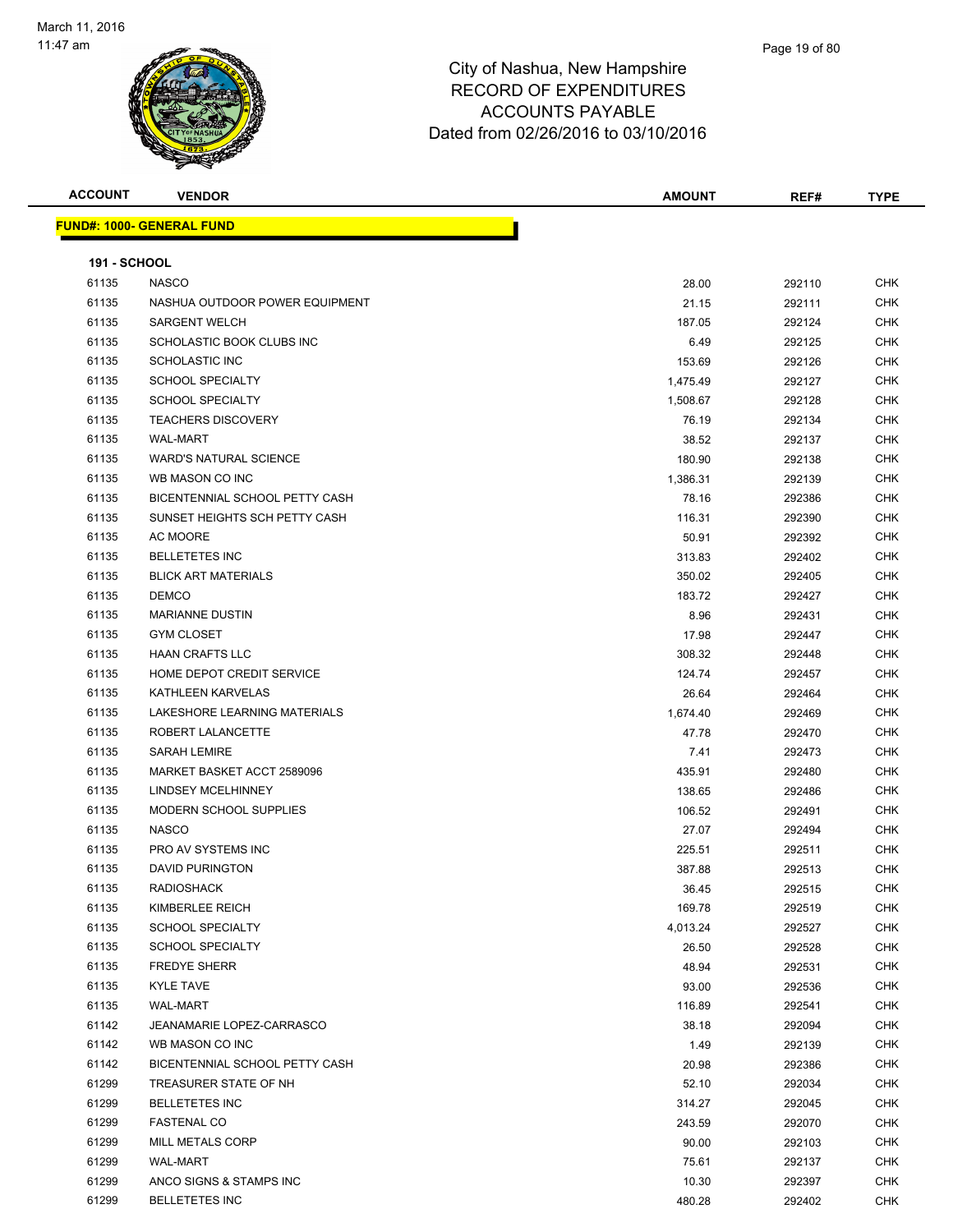

|      | Page 19 of 80 |  |
|------|---------------|--|
| hire |               |  |
| ---  |               |  |

| <b>ACCOUNT</b>      | <b>VENDOR</b>                    | <b>AMOUNT</b> | REF#   | <b>TYPE</b> |
|---------------------|----------------------------------|---------------|--------|-------------|
|                     | <b>FUND#: 1000- GENERAL FUND</b> |               |        |             |
|                     |                                  |               |        |             |
| <b>191 - SCHOOL</b> |                                  |               |        |             |
| 61135               | <b>NASCO</b>                     | 28.00         | 292110 | <b>CHK</b>  |
| 61135               | NASHUA OUTDOOR POWER EQUIPMENT   | 21.15         | 292111 | <b>CHK</b>  |
| 61135               | <b>SARGENT WELCH</b>             | 187.05        | 292124 | <b>CHK</b>  |
| 61135               | SCHOLASTIC BOOK CLUBS INC        | 6.49          | 292125 | <b>CHK</b>  |
| 61135               | <b>SCHOLASTIC INC</b>            | 153.69        | 292126 | <b>CHK</b>  |
| 61135               | <b>SCHOOL SPECIALTY</b>          | 1,475.49      | 292127 | <b>CHK</b>  |
| 61135               | <b>SCHOOL SPECIALTY</b>          | 1,508.67      | 292128 | CHK         |
| 61135               | <b>TEACHERS DISCOVERY</b>        | 76.19         | 292134 | CHK         |
| 61135               | <b>WAL-MART</b>                  | 38.52         | 292137 | <b>CHK</b>  |
| 61135               | <b>WARD'S NATURAL SCIENCE</b>    | 180.90        | 292138 | <b>CHK</b>  |
| 61135               | WB MASON CO INC                  | 1,386.31      | 292139 | <b>CHK</b>  |
| 61135               | BICENTENNIAL SCHOOL PETTY CASH   | 78.16         | 292386 | CHK         |
| 61135               | SUNSET HEIGHTS SCH PETTY CASH    | 116.31        | 292390 | CHK         |
| 61135               | AC MOORE                         | 50.91         | 292392 | <b>CHK</b>  |
| 61135               | <b>BELLETETES INC</b>            | 313.83        | 292402 | CHK         |
| 61135               | <b>BLICK ART MATERIALS</b>       | 350.02        | 292405 | <b>CHK</b>  |
| 61135               | <b>DEMCO</b>                     | 183.72        | 292427 | CHK         |
| 61135               | <b>MARIANNE DUSTIN</b>           | 8.96          | 292431 | <b>CHK</b>  |
| 61135               | <b>GYM CLOSET</b>                | 17.98         | 292447 | CHK         |
| 61135               | <b>HAAN CRAFTS LLC</b>           | 308.32        | 292448 | <b>CHK</b>  |
| 61135               | HOME DEPOT CREDIT SERVICE        | 124.74        | 292457 | <b>CHK</b>  |
| 61135               | KATHLEEN KARVELAS                | 26.64         | 292464 | <b>CHK</b>  |
| 61135               | LAKESHORE LEARNING MATERIALS     | 1,674.40      | 292469 | CHK         |
| 61135               | ROBERT LALANCETTE                | 47.78         | 292470 | <b>CHK</b>  |
| 61135               | <b>SARAH LEMIRE</b>              | 7.41          | 292473 | <b>CHK</b>  |
| 61135               | MARKET BASKET ACCT 2589096       | 435.91        | 292480 | <b>CHK</b>  |
| 61135               | LINDSEY MCELHINNEY               | 138.65        | 292486 | <b>CHK</b>  |
| 61135               | MODERN SCHOOL SUPPLIES           | 106.52        | 292491 | CHK         |
| 61135               | <b>NASCO</b>                     | 27.07         | 292494 | <b>CHK</b>  |
| 61135               | PRO AV SYSTEMS INC               | 225.51        | 292511 | CHK         |
| 61135               | <b>DAVID PURINGTON</b>           | 387.88        | 292513 | <b>CHK</b>  |
| 61135               | RADIOSHACK                       | 36.45         | 292515 | CHK         |
| 61135               | KIMBERLEE REICH                  | 169.78        | 292519 | <b>CHK</b>  |
| 61135               | <b>SCHOOL SPECIALTY</b>          | 4,013.24      | 292527 | CHK         |
| 61135               | <b>SCHOOL SPECIALTY</b>          | 26.50         | 292528 | <b>CHK</b>  |
| 61135               | <b>FREDYE SHERR</b>              | 48.94         | 292531 | <b>CHK</b>  |
| 61135               | <b>KYLE TAVE</b>                 | 93.00         | 292536 | <b>CHK</b>  |
| 61135               | <b>WAL-MART</b>                  | 116.89        | 292541 | <b>CHK</b>  |
| 61142               | JEANAMARIE LOPEZ-CARRASCO        | 38.18         | 292094 | <b>CHK</b>  |
| 61142               | WB MASON CO INC                  | 1.49          | 292139 | <b>CHK</b>  |
| 61142               | BICENTENNIAL SCHOOL PETTY CASH   | 20.98         | 292386 | CHK         |
| 61299               | TREASURER STATE OF NH            | 52.10         | 292034 | CHK         |
| 61299               | <b>BELLETETES INC</b>            | 314.27        | 292045 | CHK         |
| 61299               | <b>FASTENAL CO</b>               | 243.59        | 292070 | <b>CHK</b>  |
| 61299               | MILL METALS CORP                 | 90.00         | 292103 | CHK         |
| 61299               | WAL-MART                         | 75.61         | 292137 | CHK         |
| 61299               | ANCO SIGNS & STAMPS INC          | 10.30         | 292397 | CHK         |
| 61299               | <b>BELLETETES INC</b>            | 480.28        | 292402 | <b>CHK</b>  |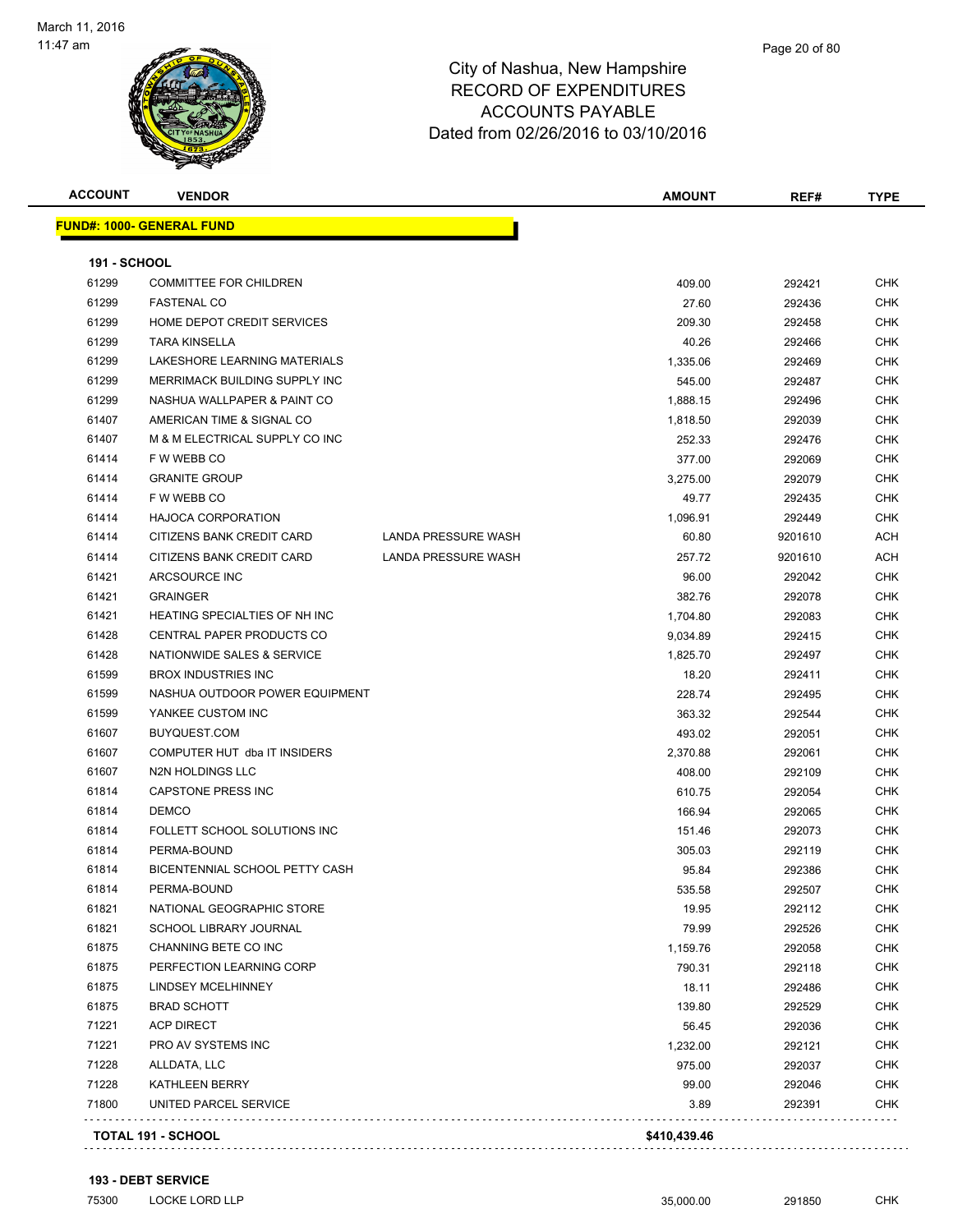

| <b>ACCOUNT</b> | <b>VENDOR</b>                        |                     | <b>AMOUNT</b> | REF#    | <b>TYPE</b> |
|----------------|--------------------------------------|---------------------|---------------|---------|-------------|
|                | <u> FUND#: 1000- GENERAL FUND</u>    |                     |               |         |             |
| 191 - SCHOOL   |                                      |                     |               |         |             |
| 61299          | <b>COMMITTEE FOR CHILDREN</b>        |                     | 409.00        | 292421  | CHK         |
| 61299          | <b>FASTENAL CO</b>                   |                     | 27.60         | 292436  | <b>CHK</b>  |
| 61299          | HOME DEPOT CREDIT SERVICES           |                     | 209.30        | 292458  | CHK         |
| 61299          | <b>TARA KINSELLA</b>                 |                     | 40.26         | 292466  | <b>CHK</b>  |
| 61299          | LAKESHORE LEARNING MATERIALS         |                     | 1,335.06      | 292469  | <b>CHK</b>  |
| 61299          | MERRIMACK BUILDING SUPPLY INC        |                     | 545.00        | 292487  | <b>CHK</b>  |
| 61299          | NASHUA WALLPAPER & PAINT CO          |                     | 1,888.15      | 292496  | <b>CHK</b>  |
| 61407          | AMERICAN TIME & SIGNAL CO            |                     | 1,818.50      | 292039  | <b>CHK</b>  |
| 61407          | M & M ELECTRICAL SUPPLY CO INC       |                     | 252.33        | 292476  | <b>CHK</b>  |
| 61414          | F W WEBB CO                          |                     | 377.00        | 292069  | <b>CHK</b>  |
| 61414          | <b>GRANITE GROUP</b>                 |                     | 3,275.00      | 292079  | CHK         |
| 61414          | F W WEBB CO                          |                     | 49.77         | 292435  | CHK         |
| 61414          | <b>HAJOCA CORPORATION</b>            |                     | 1,096.91      | 292449  | CHK         |
| 61414          | CITIZENS BANK CREDIT CARD            | LANDA PRESSURE WASH | 60.80         | 9201610 | ACH         |
| 61414          | CITIZENS BANK CREDIT CARD            | LANDA PRESSURE WASH | 257.72        | 9201610 | ACH         |
| 61421          | ARCSOURCE INC                        |                     | 96.00         | 292042  | CHK         |
| 61421          | <b>GRAINGER</b>                      |                     | 382.76        | 292078  | <b>CHK</b>  |
| 61421          | <b>HEATING SPECIALTIES OF NH INC</b> |                     | 1,704.80      | 292083  | CHK         |
| 61428          | CENTRAL PAPER PRODUCTS CO            |                     | 9,034.89      | 292415  | <b>CHK</b>  |
| 61428          | NATIONWIDE SALES & SERVICE           |                     | 1,825.70      | 292497  | CHK         |
| 61599          | <b>BROX INDUSTRIES INC</b>           |                     | 18.20         | 292411  | CHK         |
| 61599          | NASHUA OUTDOOR POWER EQUIPMENT       |                     | 228.74        | 292495  | CHK         |
| 61599          | YANKEE CUSTOM INC                    |                     | 363.32        | 292544  | CHK         |
| 61607          | BUYQUEST.COM                         |                     | 493.02        | 292051  | CHK         |
| 61607          | COMPUTER HUT dba IT INSIDERS         |                     | 2,370.88      | 292061  | CHK         |
| 61607          | N2N HOLDINGS LLC                     |                     | 408.00        | 292109  | <b>CHK</b>  |
| 61814          | CAPSTONE PRESS INC                   |                     | 610.75        | 292054  | CHK         |
| 61814          | <b>DEMCO</b>                         |                     | 166.94        | 292065  | <b>CHK</b>  |
| 61814          | FOLLETT SCHOOL SOLUTIONS INC         |                     | 151.46        | 292073  | CHK         |
| 61814          | PERMA-BOUND                          |                     | 305.03        | 292119  | CHK         |
| 61814          | BICENTENNIAL SCHOOL PETTY CASH       |                     | 95.84         | 292386  | CHK         |
| 61814          | PERMA-BOUND                          |                     | 535.58        | 292507  | <b>CHK</b>  |
| 61821          | NATIONAL GEOGRAPHIC STORE            |                     | 19.95         | 292112  | CHK         |
| 61821          | SCHOOL LIBRARY JOURNAL               |                     | 79.99         | 292526  | <b>CHK</b>  |
| 61875          | CHANNING BETE CO INC                 |                     | 1,159.76      | 292058  | CHK         |
| 61875          | PERFECTION LEARNING CORP             |                     | 790.31        | 292118  | <b>CHK</b>  |
| 61875          | <b>LINDSEY MCELHINNEY</b>            |                     | 18.11         | 292486  | <b>CHK</b>  |
| 61875          | <b>BRAD SCHOTT</b>                   |                     | 139.80        | 292529  | CHK         |
| 71221          | <b>ACP DIRECT</b>                    |                     | 56.45         | 292036  | <b>CHK</b>  |
| 71221          | PRO AV SYSTEMS INC                   |                     | 1,232.00      | 292121  | <b>CHK</b>  |
| 71228          | ALLDATA, LLC                         |                     | 975.00        | 292037  | <b>CHK</b>  |
| 71228          | KATHLEEN BERRY                       |                     | 99.00         | 292046  | CHK         |
| 71800          | UNITED PARCEL SERVICE                |                     | 3.89          | 292391  | <b>CHK</b>  |
|                | <b>TOTAL 191 - SCHOOL</b>            |                     | \$410,439.46  |         |             |

**193 - DEBT SERVICE**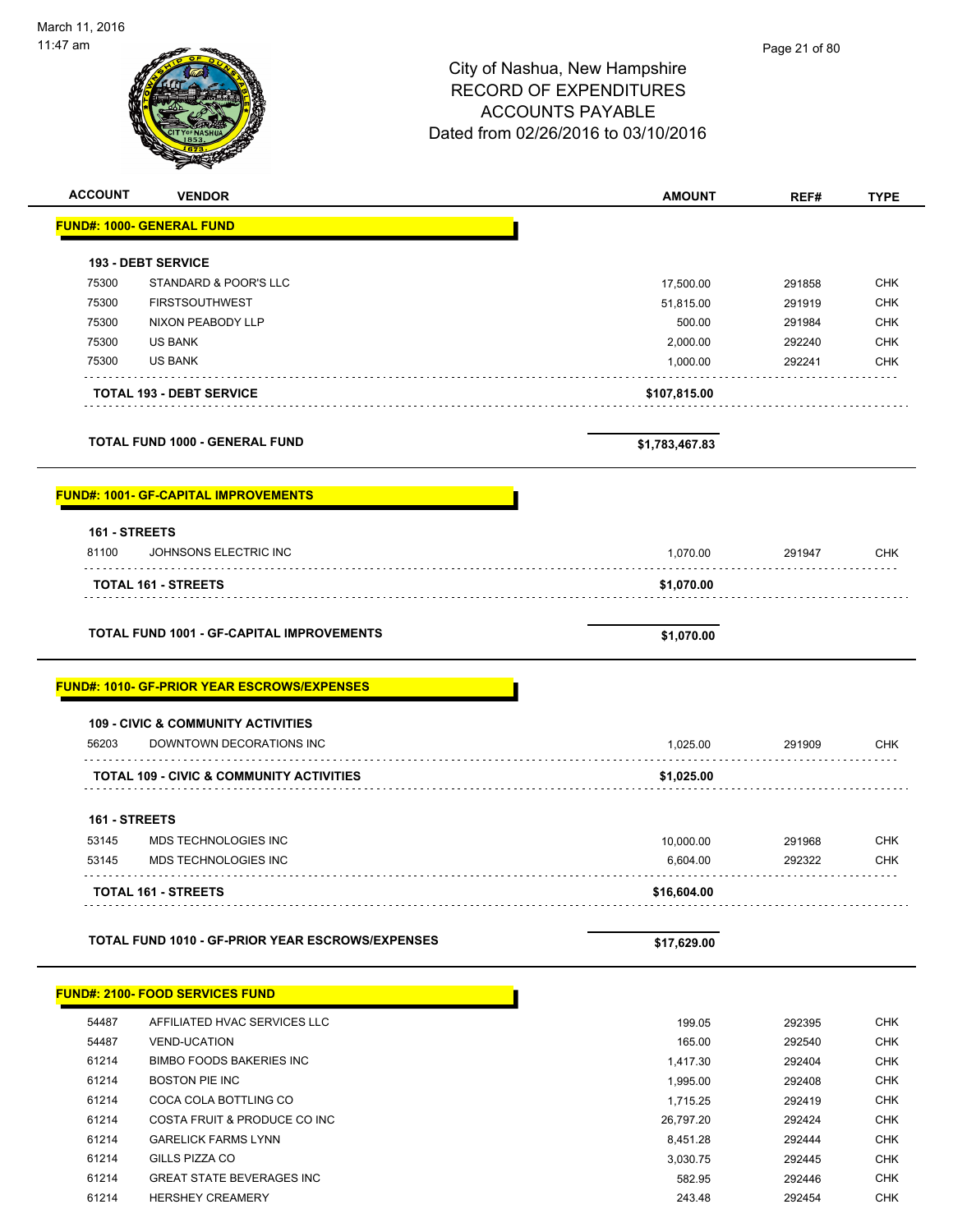| 11:47 am       |                                                    |                                     | Page 21 of 80 |             |
|----------------|----------------------------------------------------|-------------------------------------|---------------|-------------|
|                |                                                    | City of Nashua, New Hampshire       |               |             |
|                |                                                    | <b>RECORD OF EXPENDITURES</b>       |               |             |
|                |                                                    | <b>ACCOUNTS PAYABLE</b>             |               |             |
|                |                                                    |                                     |               |             |
|                |                                                    | Dated from 02/26/2016 to 03/10/2016 |               |             |
|                |                                                    |                                     |               |             |
| <b>ACCOUNT</b> | <b>VENDOR</b>                                      | <b>AMOUNT</b>                       | REF#          | <b>TYPE</b> |
|                | <b>FUND#: 1000- GENERAL FUND</b>                   |                                     |               |             |
|                | <b>193 - DEBT SERVICE</b>                          |                                     |               |             |
| 75300          | STANDARD & POOR'S LLC                              | 17,500.00                           | 291858        | <b>CHK</b>  |
| 75300          | <b>FIRSTSOUTHWEST</b>                              | 51,815.00                           | 291919        | <b>CHK</b>  |
| 75300          | NIXON PEABODY LLP                                  | 500.00                              | 291984        | <b>CHK</b>  |
| 75300          | <b>US BANK</b>                                     | 2,000.00                            | 292240        | <b>CHK</b>  |
| 75300          | <b>US BANK</b>                                     | 1,000.00                            | 292241        | <b>CHK</b>  |
|                | <b>TOTAL 193 - DEBT SERVICE</b>                    | \$107,815.00                        |               |             |
|                | <b>TOTAL FUND 1000 - GENERAL FUND</b>              | \$1,783,467.83                      |               |             |
|                |                                                    |                                     |               |             |
|                | <b>FUND#: 1001- GF-CAPITAL IMPROVEMENTS</b>        |                                     |               |             |
| 161 - STREETS  |                                                    |                                     |               |             |
| 81100          | JOHNSONS ELECTRIC INC                              | 1,070.00                            | 291947        | <b>CHK</b>  |
|                | <b>TOTAL 161 - STREETS</b>                         | \$1,070.00                          |               |             |
|                |                                                    |                                     |               |             |
|                | <b>TOTAL FUND 1001 - GF-CAPITAL IMPROVEMENTS</b>   | \$1,070.00                          |               |             |
|                | <b>FUND#: 1010- GF-PRIOR YEAR ESCROWS/EXPENSES</b> |                                     |               |             |
|                | <b>109 - CIVIC &amp; COMMUNITY ACTIVITIES</b>      |                                     |               |             |
| 56203          | DOWNTOWN DECORATIONS INC                           | 1,025.00                            | 291909        | <b>CHK</b>  |
|                | TOTAL 109 - CIVIC & COMMUNITY ACTIVITIES           | \$1,025.00                          |               |             |
| 161 - STREETS  |                                                    |                                     |               |             |
| 53145          | MDS TECHNOLOGIES INC                               | 10,000.00                           | 291968        | <b>CHK</b>  |
| 53145          | MDS TECHNOLOGIES INC                               | 6,604.00                            | 292322        | <b>CHK</b>  |
|                | <b>TOTAL 161 - STREETS</b>                         | \$16,604.00                         |               |             |
|                | TOTAL FUND 1010 - GF-PRIOR YEAR ESCROWS/EXPENSES   | \$17,629.00                         |               |             |
|                |                                                    |                                     |               |             |
|                | <b>FUND#: 2100- FOOD SERVICES FUND</b>             |                                     |               |             |
| 54487          | AFFILIATED HVAC SERVICES LLC                       | 199.05                              | 292395        | <b>CHK</b>  |
| 54487          | <b>VEND-UCATION</b>                                | 165.00                              | 292540        | <b>CHK</b>  |
| 61214          | <b>BIMBO FOODS BAKERIES INC</b>                    | 1,417.30                            | 292404        | <b>CHK</b>  |
|                |                                                    |                                     |               |             |

 BOSTON PIE INC 1,995.00 292408 CHK 61214 COCA COLA BOTTLING CO **1,715.25** 292419 CHK COSTA FRUIT & PRODUCE CO INC 26,797.20 292424 CHK 61214 GARELICK FARMS LYNN 64 CHK GILLS PIZZA CO 3,030.75 292445 CHK GREAT STATE BEVERAGES INC 582.95 292446 CHK HERSHEY CREAMERY 243.48 292454 CHK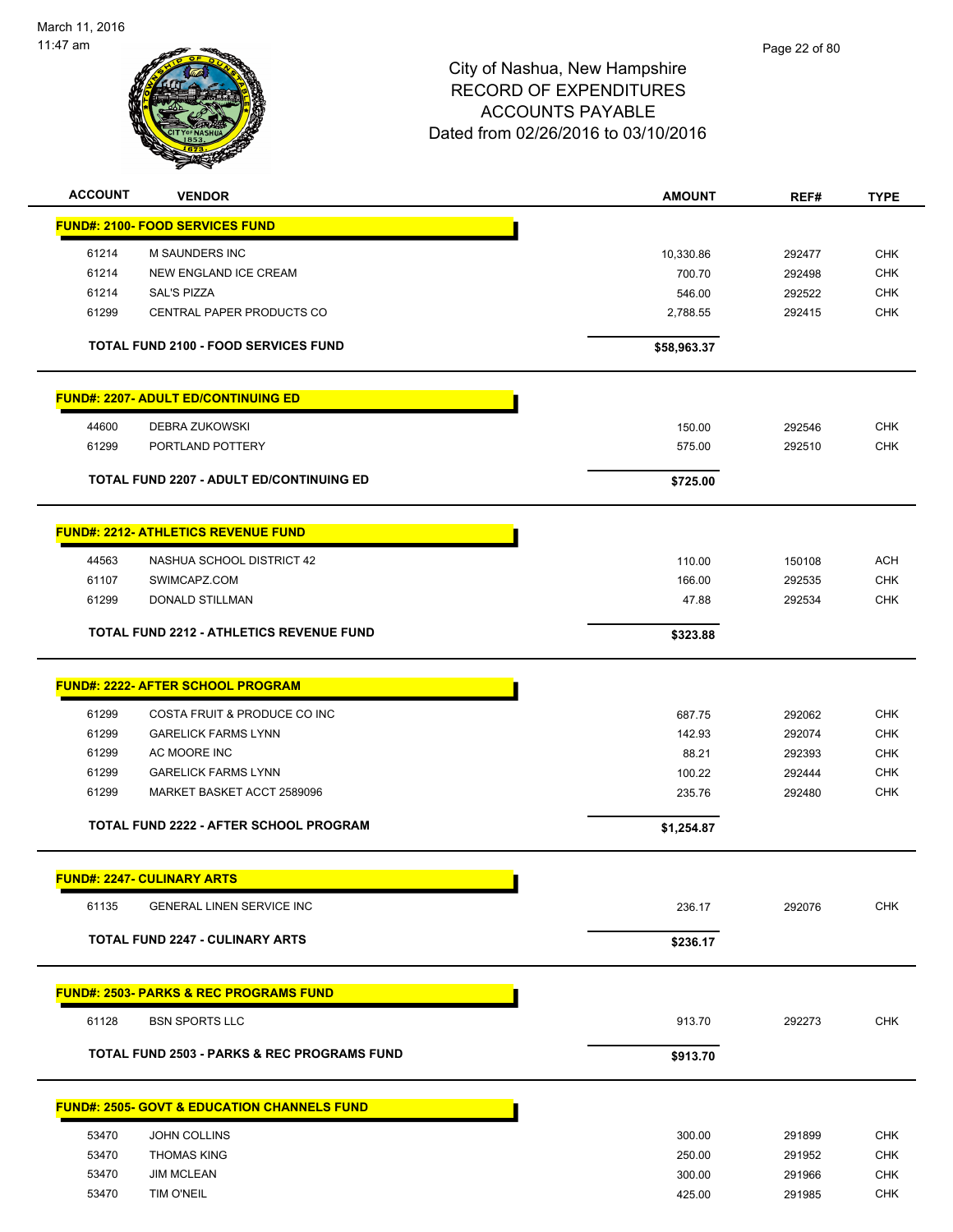

| <b>ACCOUNT</b> | <b>VENDOR</b>                                          | <b>AMOUNT</b> | REF#   | <b>TYPE</b> |
|----------------|--------------------------------------------------------|---------------|--------|-------------|
|                | <b>FUND#: 2100- FOOD SERVICES FUND</b>                 |               |        |             |
| 61214          | M SAUNDERS INC                                         | 10,330.86     | 292477 | <b>CHK</b>  |
| 61214          | NEW ENGLAND ICE CREAM                                  | 700.70        | 292498 | <b>CHK</b>  |
| 61214          | <b>SAL'S PIZZA</b>                                     | 546.00        | 292522 | <b>CHK</b>  |
| 61299          | CENTRAL PAPER PRODUCTS CO                              | 2,788.55      | 292415 | <b>CHK</b>  |
|                | <b>TOTAL FUND 2100 - FOOD SERVICES FUND</b>            | \$58,963.37   |        |             |
|                | <b>FUND#: 2207- ADULT ED/CONTINUING ED</b>             |               |        |             |
| 44600          | DEBRA ZUKOWSKI                                         | 150.00        | 292546 | <b>CHK</b>  |
| 61299          | PORTLAND POTTERY                                       | 575.00        | 292510 | <b>CHK</b>  |
|                | <b>TOTAL FUND 2207 - ADULT ED/CONTINUING ED</b>        | \$725.00      |        |             |
|                | <b>FUND#: 2212- ATHLETICS REVENUE FUND</b>             |               |        |             |
| 44563          | NASHUA SCHOOL DISTRICT 42                              | 110.00        | 150108 | <b>ACH</b>  |
| 61107          | SWIMCAPZ.COM                                           | 166.00        | 292535 | <b>CHK</b>  |
| 61299          | DONALD STILLMAN                                        | 47.88         | 292534 | <b>CHK</b>  |
|                | <b>TOTAL FUND 2212 - ATHLETICS REVENUE FUND</b>        | \$323.88      |        |             |
|                | <b>FUND#: 2222- AFTER SCHOOL PROGRAM</b>               |               |        |             |
| 61299          | COSTA FRUIT & PRODUCE CO INC                           | 687.75        | 292062 | <b>CHK</b>  |
| 61299          | <b>GARELICK FARMS LYNN</b>                             | 142.93        | 292074 | <b>CHK</b>  |
| 61299          | AC MOORE INC                                           | 88.21         | 292393 | <b>CHK</b>  |
| 61299          | <b>GARELICK FARMS LYNN</b>                             | 100.22        | 292444 | <b>CHK</b>  |
| 61299          | MARKET BASKET ACCT 2589096                             | 235.76        | 292480 | <b>CHK</b>  |
|                | TOTAL FUND 2222 - AFTER SCHOOL PROGRAM                 | \$1,254.87    |        |             |
|                | <b>FUND#: 2247- CULINARY ARTS</b>                      |               |        |             |
| 61135          | <b>GENERAL LINEN SERVICE INC</b>                       | 236.17        | 292076 | <b>CHK</b>  |
|                | <b>TOTAL FUND 2247 - CULINARY ARTS</b>                 | \$236.17      |        |             |
|                | <b>FUND#: 2503- PARKS &amp; REC PROGRAMS FUND</b>      |               |        |             |
| 61128          | <b>BSN SPORTS LLC</b>                                  | 913.70        | 292273 | <b>CHK</b>  |
|                | <b>TOTAL FUND 2503 - PARKS &amp; REC PROGRAMS FUND</b> | \$913.70      |        |             |
|                | <b>FUND#: 2505- GOVT &amp; EDUCATION CHANNELS FUND</b> |               |        |             |
| 53470          | JOHN COLLINS                                           | 300.00        | 291899 | <b>CHK</b>  |
| 53470          | <b>THOMAS KING</b>                                     | 250.00        | 291952 | <b>CHK</b>  |
| 53470          | <b>JIM MCLEAN</b>                                      | 300.00        | 291966 | <b>CHK</b>  |
| 53470          | TIM O'NEIL                                             | 425.00        | 291985 | <b>CHK</b>  |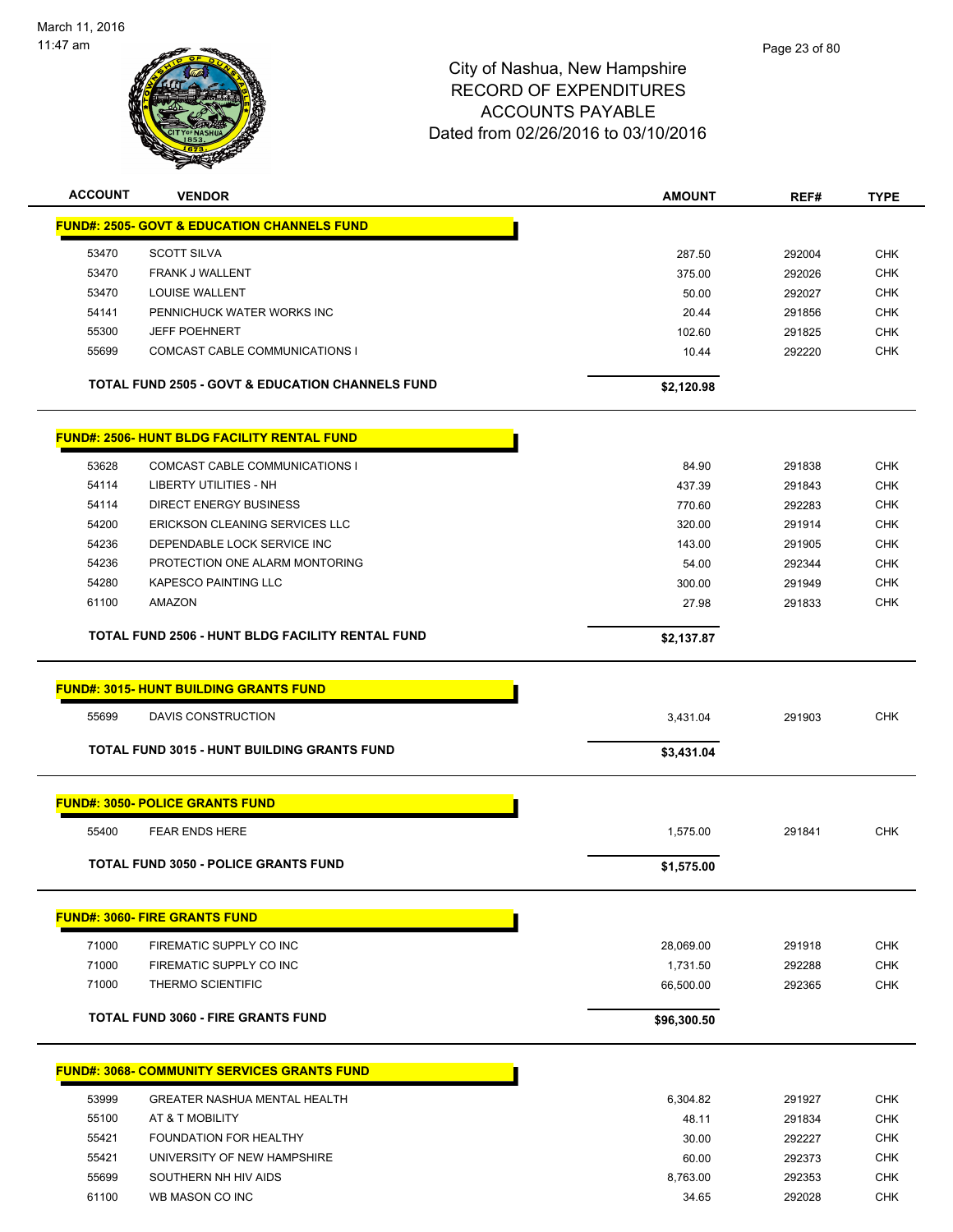

| <b>ACCOUNT</b> | <b>VENDOR</b>                                               | <b>AMOUNT</b> | REF#   | <b>TYPE</b> |
|----------------|-------------------------------------------------------------|---------------|--------|-------------|
|                | <b>FUND#: 2505- GOVT &amp; EDUCATION CHANNELS FUND</b>      |               |        |             |
| 53470          | <b>SCOTT SILVA</b>                                          | 287.50        | 292004 | <b>CHK</b>  |
| 53470          | <b>FRANK J WALLENT</b>                                      | 375.00        | 292026 | <b>CHK</b>  |
| 53470          | LOUISE WALLENT                                              | 50.00         | 292027 | <b>CHK</b>  |
| 54141          | PENNICHUCK WATER WORKS INC                                  | 20.44         | 291856 | <b>CHK</b>  |
| 55300          | <b>JEFF POEHNERT</b>                                        | 102.60        | 291825 | <b>CHK</b>  |
| 55699          | COMCAST CABLE COMMUNICATIONS I                              | 10.44         | 292220 | <b>CHK</b>  |
|                | <b>TOTAL FUND 2505 - GOVT &amp; EDUCATION CHANNELS FUND</b> | \$2,120.98    |        |             |
|                | <b>FUND#: 2506- HUNT BLDG FACILITY RENTAL FUND</b>          |               |        |             |
| 53628          | COMCAST CABLE COMMUNICATIONS I                              | 84.90         | 291838 | <b>CHK</b>  |
| 54114          | LIBERTY UTILITIES - NH                                      | 437.39        | 291843 | <b>CHK</b>  |
| 54114          | <b>DIRECT ENERGY BUSINESS</b>                               | 770.60        | 292283 | <b>CHK</b>  |
| 54200          | ERICKSON CLEANING SERVICES LLC                              | 320.00        | 291914 | <b>CHK</b>  |
| 54236          | DEPENDABLE LOCK SERVICE INC                                 | 143.00        | 291905 | <b>CHK</b>  |
| 54236          | PROTECTION ONE ALARM MONTORING                              | 54.00         | 292344 | <b>CHK</b>  |
| 54280          | <b>KAPESCO PAINTING LLC</b>                                 | 300.00        | 291949 | <b>CHK</b>  |
| 61100          | AMAZON                                                      | 27.98         | 291833 | <b>CHK</b>  |
|                | TOTAL FUND 2506 - HUNT BLDG FACILITY RENTAL FUND            | \$2,137.87    |        |             |
|                | <b>FUND#: 3015- HUNT BUILDING GRANTS FUND</b>               |               |        |             |
| 55699          | DAVIS CONSTRUCTION                                          | 3,431.04      | 291903 | <b>CHK</b>  |
|                | <b>TOTAL FUND 3015 - HUNT BUILDING GRANTS FUND</b>          | \$3,431.04    |        |             |
|                | <b>FUND#: 3050- POLICE GRANTS FUND</b>                      |               |        |             |
| 55400          | <b>FEAR ENDS HERE</b>                                       | 1,575.00      | 291841 | <b>CHK</b>  |
|                |                                                             |               |        |             |
|                | <b>TOTAL FUND 3050 - POLICE GRANTS FUND</b>                 | \$1,575.00    |        |             |
|                | <b>FUND#: 3060- FIRE GRANTS FUND</b>                        |               |        |             |
| 71000          | FIREMATIC SUPPLY CO INC                                     | 28,069.00     | 291918 | <b>CHK</b>  |
| 71000          | FIREMATIC SUPPLY CO INC                                     | 1,731.50      | 292288 | <b>CHK</b>  |
| 71000          | THERMO SCIENTIFIC                                           | 66,500.00     | 292365 | CHK         |
|                | <b>TOTAL FUND 3060 - FIRE GRANTS FUND</b>                   | \$96,300.50   |        |             |
|                | <b>FUND#: 3068- COMMUNITY SERVICES GRANTS FUND</b>          |               |        |             |
|                |                                                             |               |        |             |
| 53999          | <b>GREATER NASHUA MENTAL HEALTH</b>                         | 6,304.82      | 291927 | <b>CHK</b>  |
| 55100          | AT & T MOBILITY                                             | 48.11         | 291834 | <b>CHK</b>  |
| 55421          | <b>FOUNDATION FOR HEALTHY</b>                               | 30.00         | 292227 | <b>CHK</b>  |
| 55421          | UNIVERSITY OF NEW HAMPSHIRE                                 | 60.00         | 292373 | <b>CHK</b>  |
| 55699          | SOUTHERN NH HIV AIDS                                        | 8,763.00      | 292353 | <b>CHK</b>  |
| 61100          | WB MASON CO INC                                             | 34.65         | 292028 | <b>CHK</b>  |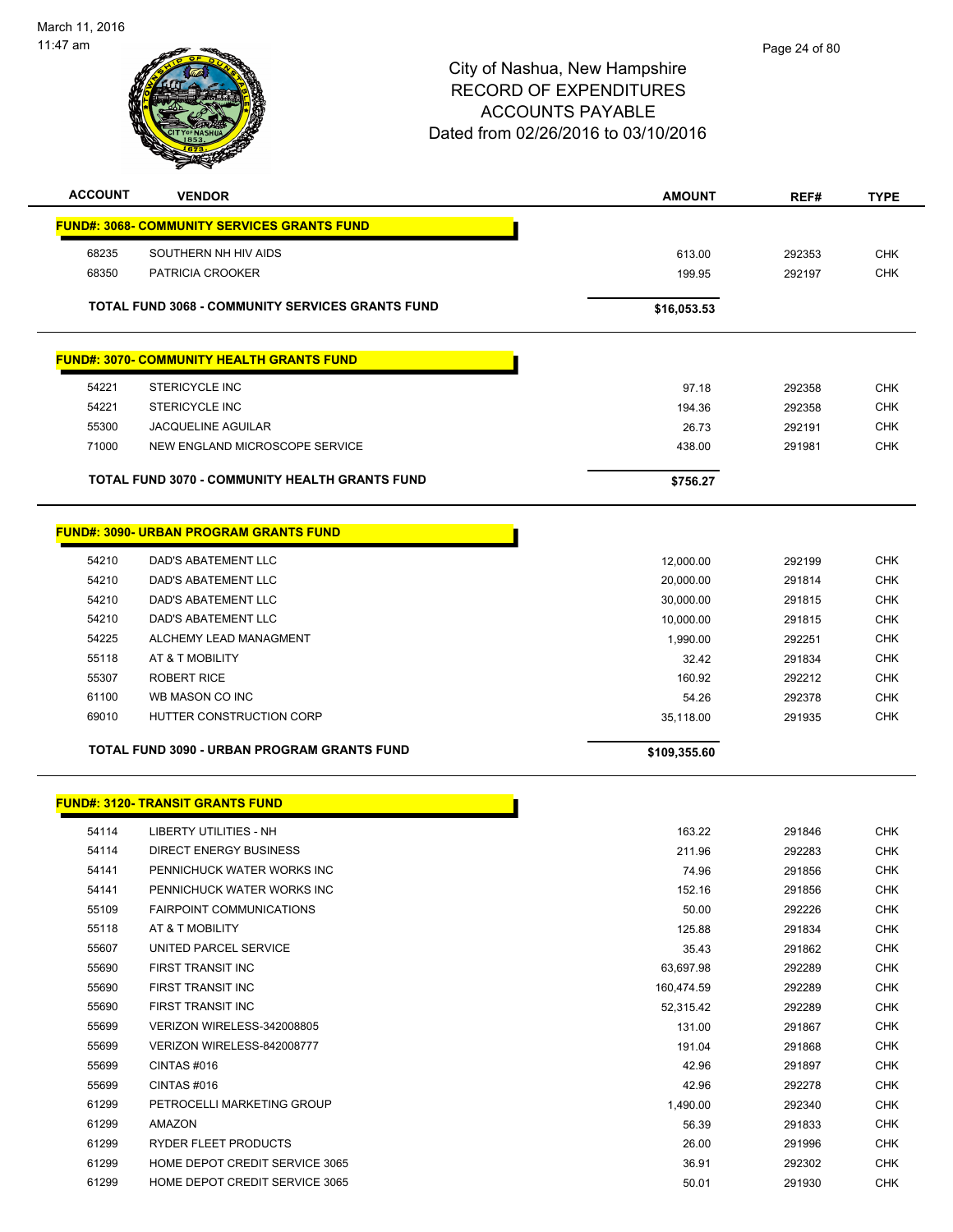

| <b>ACCOUNT</b> | <b>VENDOR</b>                                           | <b>AMOUNT</b> | REF#   | <b>TYPE</b> |
|----------------|---------------------------------------------------------|---------------|--------|-------------|
|                | <u> FUND#: 3068- COMMUNITY SERVICES GRANTS FUND</u>     |               |        |             |
| 68235          | SOUTHERN NH HIV AIDS                                    | 613.00        | 292353 | <b>CHK</b>  |
| 68350          | PATRICIA CROOKER                                        | 199.95        | 292197 | <b>CHK</b>  |
|                |                                                         |               |        |             |
|                | <b>TOTAL FUND 3068 - COMMUNITY SERVICES GRANTS FUND</b> | \$16,053.53   |        |             |
|                | <b>FUND#: 3070- COMMUNITY HEALTH GRANTS FUND</b>        |               |        |             |
|                |                                                         |               |        |             |
| 54221          | <b>STERICYCLE INC</b>                                   | 97.18         | 292358 | <b>CHK</b>  |
| 54221          | <b>STERICYCLE INC</b>                                   | 194.36        | 292358 | <b>CHK</b>  |
| 55300          | <b>JACQUELINE AGUILAR</b>                               | 26.73         | 292191 | <b>CHK</b>  |
| 71000          | NEW ENGLAND MICROSCOPE SERVICE                          | 438.00        | 291981 | <b>CHK</b>  |
|                | TOTAL FUND 3070 - COMMUNITY HEALTH GRANTS FUND          | \$756.27      |        |             |
|                |                                                         |               |        |             |
|                | <b>FUND#: 3090- URBAN PROGRAM GRANTS FUND</b>           |               |        |             |
| 54210          | DAD'S ABATEMENT LLC                                     | 12,000.00     | 292199 | <b>CHK</b>  |
| 54210          | DAD'S ABATEMENT LLC                                     | 20,000.00     | 291814 | <b>CHK</b>  |
| 54210          | <b>DAD'S ABATEMENT LLC</b>                              | 30,000.00     | 291815 | <b>CHK</b>  |
| 54210          | <b>DAD'S ABATEMENT LLC</b>                              | 10,000.00     | 291815 | <b>CHK</b>  |
| 54225          | ALCHEMY LEAD MANAGMENT                                  | 1,990.00      | 292251 | <b>CHK</b>  |
| 55118          | AT & T MOBILITY                                         | 32.42         | 291834 | <b>CHK</b>  |
| 55307          | <b>ROBERT RICE</b>                                      | 160.92        | 292212 | <b>CHK</b>  |
| 61100          | WB MASON CO INC                                         | 54.26         | 292378 | CHK         |
| 69010          | HUTTER CONSTRUCTION CORP                                | 35,118.00     | 291935 | <b>CHK</b>  |
|                | TOTAL FUND 3090 - URBAN PROGRAM GRANTS FUND             | \$109,355.60  |        |             |
|                | <b>FUND#: 3120- TRANSIT GRANTS FUND</b>                 |               |        |             |
|                |                                                         |               |        |             |
| 54114          | LIBERTY UTILITIES - NH                                  | 163.22        | 291846 | <b>CHK</b>  |
| 54114          | DIRECT ENERGY BUSINESS                                  | 211.96        | 292283 | <b>CHK</b>  |
| 54141          | PENNICHUCK WATER WORKS INC                              | 74.96         | 291856 | <b>CHK</b>  |
| 54141          | PENNICHUCK WATER WORKS INC                              | 152.16        | 291856 | CHK         |
| 55109          | <b>FAIRPOINT COMMUNICATIONS</b>                         | 50.00         | 292226 | <b>CHK</b>  |
| 55118          | AT & T MOBILITY                                         | 125.88        | 291834 | <b>CHK</b>  |
| 55607          | UNITED PARCEL SERVICE                                   | 35.43         | 291862 | <b>CHK</b>  |
| 55690          | <b>FIRST TRANSIT INC</b>                                | 63,697.98     | 292289 | <b>CHK</b>  |
| 55690          | FIRST TRANSIT INC                                       | 160,474.59    | 292289 | <b>CHK</b>  |
| 55690          | FIRST TRANSIT INC                                       | 52,315.42     | 292289 | <b>CHK</b>  |
| 55699          | VERIZON WIRELESS-342008805                              | 131.00        | 291867 | <b>CHK</b>  |
| 55699          | VERIZON WIRELESS-842008777                              | 191.04        | 291868 | <b>CHK</b>  |
| 55699          | CINTAS#016                                              | 42.96         | 291897 | <b>CHK</b>  |
| 55699          | CINTAS #016                                             | 42.96         | 292278 | <b>CHK</b>  |
| 61299          | PETROCELLI MARKETING GROUP                              | 1,490.00      | 292340 | <b>CHK</b>  |
| 61299          | AMAZON                                                  | 56.39         | 291833 | <b>CHK</b>  |
| 61299          | RYDER FLEET PRODUCTS                                    | 26.00         | 291996 | <b>CHK</b>  |
| 61299          | HOME DEPOT CREDIT SERVICE 3065                          | 36.91         | 292302 | <b>CHK</b>  |
| 61299          | HOME DEPOT CREDIT SERVICE 3065                          | 50.01         | 291930 | <b>CHK</b>  |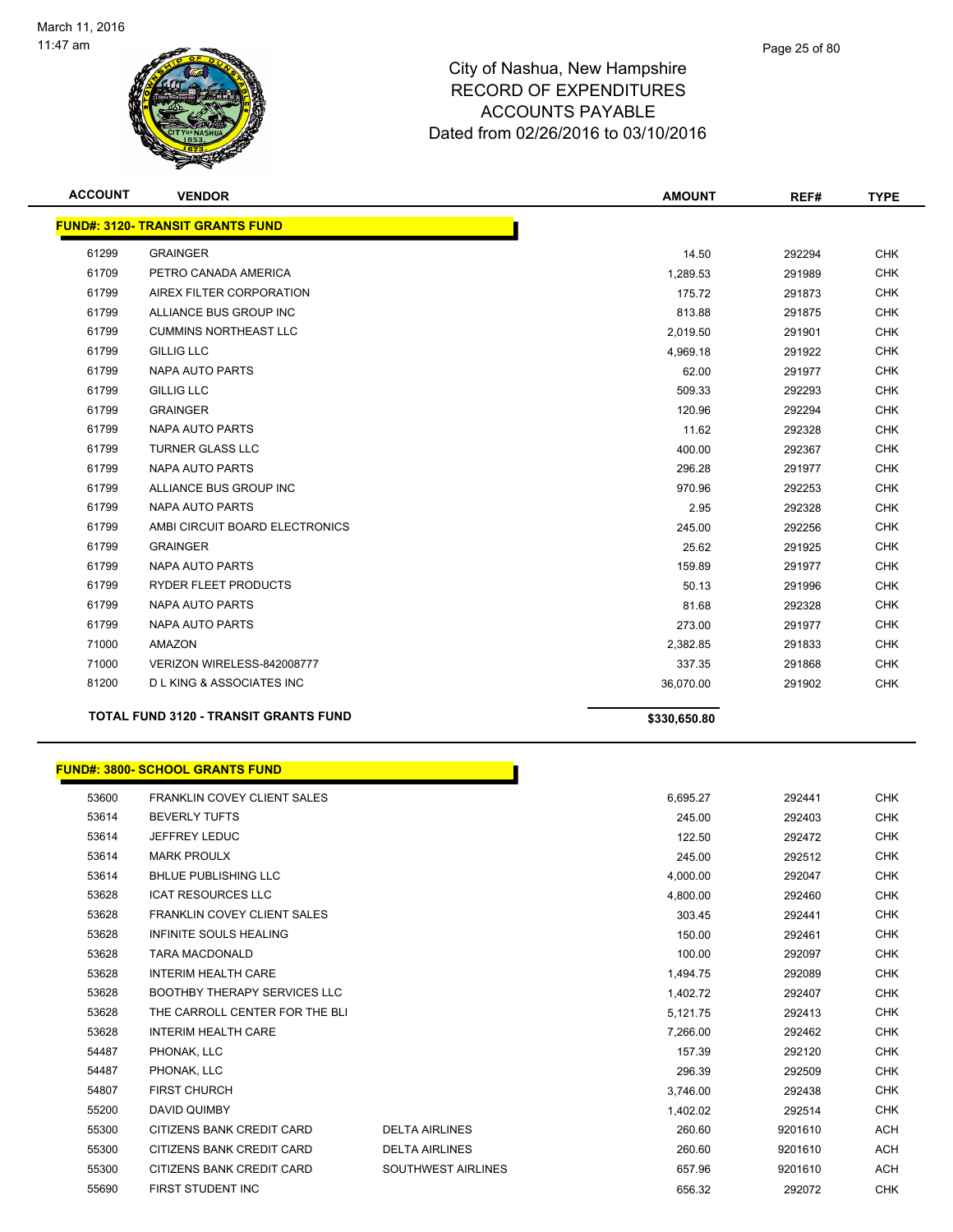

| <b>ACCOUNT</b> | <b>VENDOR</b>                                | <b>AMOUNT</b> | REF#   | <b>TYPE</b> |
|----------------|----------------------------------------------|---------------|--------|-------------|
|                | <b>FUND#: 3120- TRANSIT GRANTS FUND</b>      |               |        |             |
| 61299          | <b>GRAINGER</b>                              | 14.50         | 292294 | <b>CHK</b>  |
| 61709          | PETRO CANADA AMERICA                         | 1,289.53      | 291989 | <b>CHK</b>  |
| 61799          | AIREX FILTER CORPORATION                     | 175.72        | 291873 | <b>CHK</b>  |
| 61799          | ALLIANCE BUS GROUP INC                       | 813.88        | 291875 | <b>CHK</b>  |
| 61799          | <b>CUMMINS NORTHEAST LLC</b>                 | 2,019.50      | 291901 | <b>CHK</b>  |
| 61799          | <b>GILLIG LLC</b>                            | 4,969.18      | 291922 | <b>CHK</b>  |
| 61799          | <b>NAPA AUTO PARTS</b>                       | 62.00         | 291977 | <b>CHK</b>  |
| 61799          | <b>GILLIG LLC</b>                            | 509.33        | 292293 | <b>CHK</b>  |
| 61799          | <b>GRAINGER</b>                              | 120.96        | 292294 | <b>CHK</b>  |
| 61799          | <b>NAPA AUTO PARTS</b>                       | 11.62         | 292328 | <b>CHK</b>  |
| 61799          | <b>TURNER GLASS LLC</b>                      | 400.00        | 292367 | <b>CHK</b>  |
| 61799          | <b>NAPA AUTO PARTS</b>                       | 296.28        | 291977 | <b>CHK</b>  |
| 61799          | ALLIANCE BUS GROUP INC                       | 970.96        | 292253 | <b>CHK</b>  |
| 61799          | <b>NAPA AUTO PARTS</b>                       | 2.95          | 292328 | <b>CHK</b>  |
| 61799          | AMBI CIRCUIT BOARD ELECTRONICS               | 245.00        | 292256 | <b>CHK</b>  |
| 61799          | <b>GRAINGER</b>                              | 25.62         | 291925 | <b>CHK</b>  |
| 61799          | NAPA AUTO PARTS                              | 159.89        | 291977 | <b>CHK</b>  |
| 61799          | <b>RYDER FLEET PRODUCTS</b>                  | 50.13         | 291996 | <b>CHK</b>  |
| 61799          | <b>NAPA AUTO PARTS</b>                       | 81.68         | 292328 | <b>CHK</b>  |
| 61799          | <b>NAPA AUTO PARTS</b>                       | 273.00        | 291977 | <b>CHK</b>  |
| 71000          | AMAZON                                       | 2,382.85      | 291833 | <b>CHK</b>  |
| 71000          | VERIZON WIRELESS-842008777                   | 337.35        | 291868 | <b>CHK</b>  |
| 81200          | <b>DL KING &amp; ASSOCIATES INC</b>          | 36,070.00     | 291902 | <b>CHK</b>  |
|                | <b>TOTAL FUND 3120 - TRANSIT GRANTS FUND</b> | \$330,650.80  |        |             |

| <b>FUND#: 3800- SCHOOL GRANTS FUND</b> |  |
|----------------------------------------|--|

|       | UND#: 3800- SCHOOL GRANTS FUND      |                           |          |         |  |
|-------|-------------------------------------|---------------------------|----------|---------|--|
| 53600 | <b>FRANKLIN COVEY CLIENT SALES</b>  |                           | 6,695.27 | 292441  |  |
| 53614 | <b>BEVERLY TUFTS</b>                |                           | 245.00   | 292403  |  |
| 53614 | JEFFREY LEDUC                       |                           | 122.50   | 292472  |  |
| 53614 | <b>MARK PROULX</b>                  |                           | 245.00   | 292512  |  |
| 53614 | <b>BHLUE PUBLISHING LLC</b>         |                           | 4,000.00 | 292047  |  |
| 53628 | <b>ICAT RESOURCES LLC</b>           |                           | 4,800.00 | 292460  |  |
| 53628 | <b>FRANKLIN COVEY CLIENT SALES</b>  |                           | 303.45   | 292441  |  |
| 53628 | <b>INFINITE SOULS HEALING</b>       |                           | 150.00   | 292461  |  |
| 53628 | <b>TARA MACDONALD</b>               |                           | 100.00   | 292097  |  |
| 53628 | <b>INTERIM HEALTH CARE</b>          |                           | 1,494.75 | 292089  |  |
| 53628 | <b>BOOTHBY THERAPY SERVICES LLC</b> |                           | 1,402.72 | 292407  |  |
| 53628 | THE CARROLL CENTER FOR THE BLI      |                           | 5,121.75 | 292413  |  |
| 53628 | <b>INTERIM HEALTH CARE</b>          |                           | 7,266.00 | 292462  |  |
| 54487 | PHONAK, LLC                         |                           | 157.39   | 292120  |  |
| 54487 | PHONAK, LLC                         |                           | 296.39   | 292509  |  |
| 54807 | <b>FIRST CHURCH</b>                 |                           | 3,746.00 | 292438  |  |
| 55200 | <b>DAVID QUIMBY</b>                 |                           | 1,402.02 | 292514  |  |
| 55300 | <b>CITIZENS BANK CREDIT CARD</b>    | <b>DELTA AIRLINES</b>     | 260.60   | 9201610 |  |
| 55300 | <b>CITIZENS BANK CREDIT CARD</b>    | <b>DELTA AIRLINES</b>     | 260.60   | 9201610 |  |
| 55300 | CITIZENS BANK CREDIT CARD           | <b>SOUTHWEST AIRLINES</b> | 657.96   | 9201610 |  |
| 55690 | FIRST STUDENT INC                   |                           | 656.32   | 292072  |  |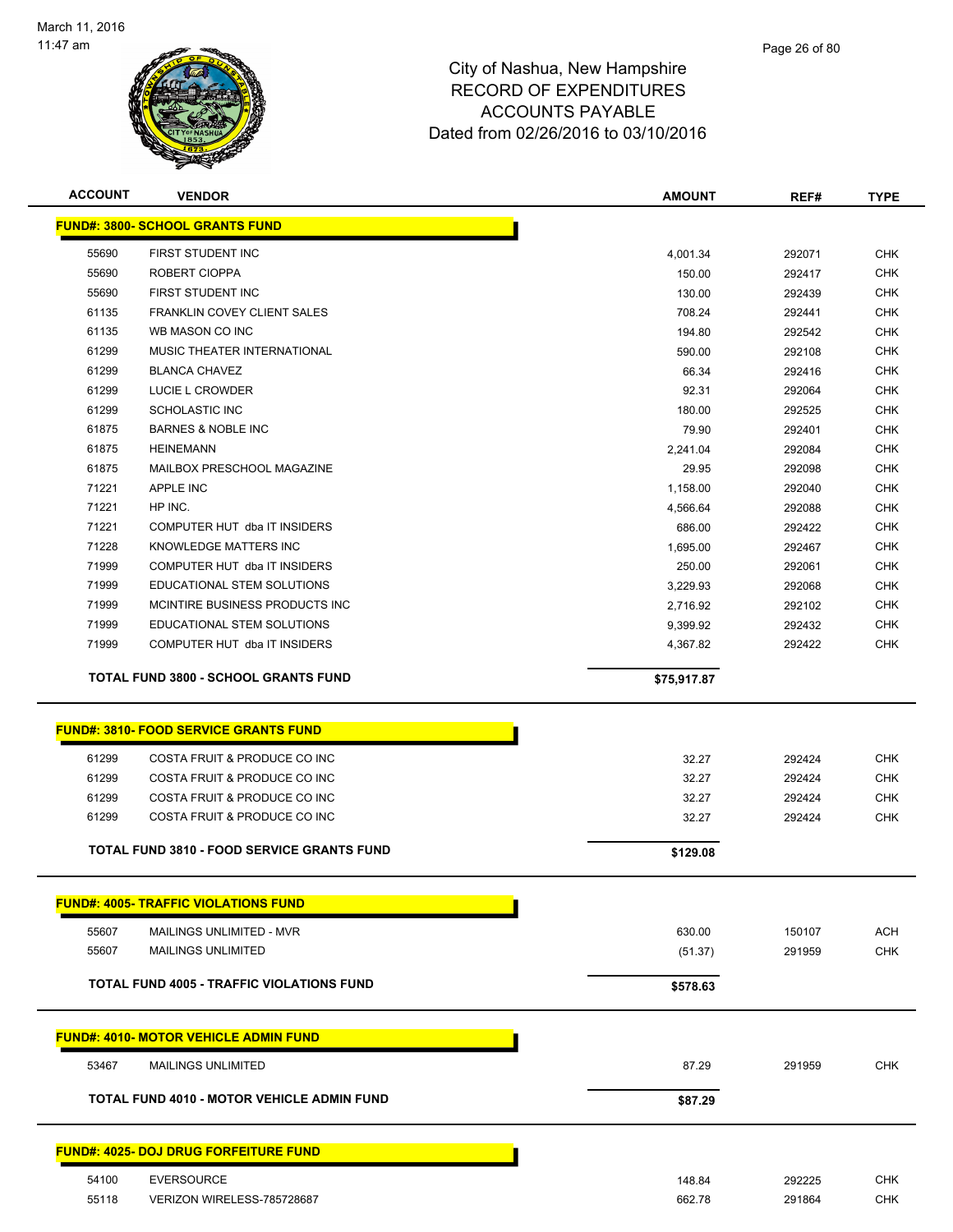

| <b>ACCOUNT</b> | <b>VENDOR</b>                                     | <b>AMOUNT</b> | REF#   | <b>TYPE</b> |
|----------------|---------------------------------------------------|---------------|--------|-------------|
|                | <b>FUND#: 3800- SCHOOL GRANTS FUND</b>            |               |        |             |
|                |                                                   |               |        |             |
| 55690          | FIRST STUDENT INC                                 | 4,001.34      | 292071 | <b>CHK</b>  |
| 55690          | ROBERT CIOPPA                                     | 150.00        | 292417 | <b>CHK</b>  |
| 55690          | FIRST STUDENT INC                                 | 130.00        | 292439 | <b>CHK</b>  |
| 61135          | FRANKLIN COVEY CLIENT SALES                       | 708.24        | 292441 | <b>CHK</b>  |
| 61135          | WB MASON CO INC                                   | 194.80        | 292542 | CHK         |
| 61299          | MUSIC THEATER INTERNATIONAL                       | 590.00        | 292108 | <b>CHK</b>  |
| 61299          | <b>BLANCA CHAVEZ</b>                              | 66.34         | 292416 | <b>CHK</b>  |
| 61299          | <b>LUCIE L CROWDER</b>                            | 92.31         | 292064 | <b>CHK</b>  |
| 61299          | <b>SCHOLASTIC INC</b>                             | 180.00        | 292525 | <b>CHK</b>  |
| 61875          | <b>BARNES &amp; NOBLE INC</b>                     | 79.90         | 292401 | <b>CHK</b>  |
| 61875          | <b>HEINEMANN</b>                                  | 2,241.04      | 292084 | CHK         |
| 61875          | MAILBOX PRESCHOOL MAGAZINE                        | 29.95         | 292098 | <b>CHK</b>  |
| 71221          | <b>APPLE INC</b>                                  | 1,158.00      | 292040 | <b>CHK</b>  |
| 71221          | HP INC.                                           | 4,566.64      | 292088 | <b>CHK</b>  |
| 71221          | COMPUTER HUT dba IT INSIDERS                      | 686.00        | 292422 | <b>CHK</b>  |
| 71228          | KNOWLEDGE MATTERS INC                             | 1,695.00      | 292467 | CHK         |
| 71999          | COMPUTER HUT dba IT INSIDERS                      | 250.00        | 292061 | <b>CHK</b>  |
| 71999          | <b>EDUCATIONAL STEM SOLUTIONS</b>                 | 3,229.93      | 292068 | <b>CHK</b>  |
| 71999          | MCINTIRE BUSINESS PRODUCTS INC.                   | 2,716.92      | 292102 | <b>CHK</b>  |
| 71999          | EDUCATIONAL STEM SOLUTIONS                        | 9,399.92      | 292432 | <b>CHK</b>  |
| 71999          | COMPUTER HUT dba IT INSIDERS                      | 4,367.82      | 292422 | <b>CHK</b>  |
|                | <b>TOTAL FUND 3800 - SCHOOL GRANTS FUND</b>       | \$75,917.87   |        |             |
|                |                                                   |               |        |             |
|                | <b>FUND#: 3810- FOOD SERVICE GRANTS FUND</b>      |               |        |             |
|                |                                                   |               |        |             |
| 61299          | COSTA FRUIT & PRODUCE CO INC                      | 32.27         | 292424 | <b>CHK</b>  |
| 61299          | COSTA FRUIT & PRODUCE CO INC                      | 32.27         | 292424 | <b>CHK</b>  |
| 61299          | COSTA FRUIT & PRODUCE CO INC                      | 32.27         | 292424 | <b>CHK</b>  |
| 61299          | COSTA FRUIT & PRODUCE CO INC                      | 32.27         | 292424 | <b>CHK</b>  |
|                | <b>TOTAL FUND 3810 - FOOD SERVICE GRANTS FUND</b> | \$129.08      |        |             |
|                |                                                   |               |        |             |
|                | <b>FUND#: 4005- TRAFFIC VIOLATIONS FUND</b>       |               |        |             |
| 55607          | MAILINGS UNLIMITED - MVR                          | 630.00        | 150107 | ACH         |
| 55607          | <b>MAILINGS UNLIMITED</b>                         | (51.37)       | 291959 | <b>CHK</b>  |
|                | TOTAL FUND 4005 - TRAFFIC VIOLATIONS FUND         |               |        |             |
|                |                                                   | \$578.63      |        |             |
|                | <u>FUND#: 4010- MOTOR VEHICLE ADMIN FUND</u>      |               |        |             |
|                |                                                   |               |        |             |
| 53467          | <b>MAILINGS UNLIMITED</b>                         | 87.29         | 291959 | <b>CHK</b>  |
|                | <b>TOTAL FUND 4010 - MOTOR VEHICLE ADMIN FUND</b> | \$87.29       |        |             |
|                |                                                   |               |        |             |
|                | <u> FUND#: 4025- DOJ DRUG FORFEITURE FUND</u>     |               |        |             |
| 54100          | <b>EVERSOURCE</b>                                 | 148.84        | 292225 | <b>CHK</b>  |
| 55118          | VERIZON WIRELESS-785728687                        | 662.78        | 291864 | <b>CHK</b>  |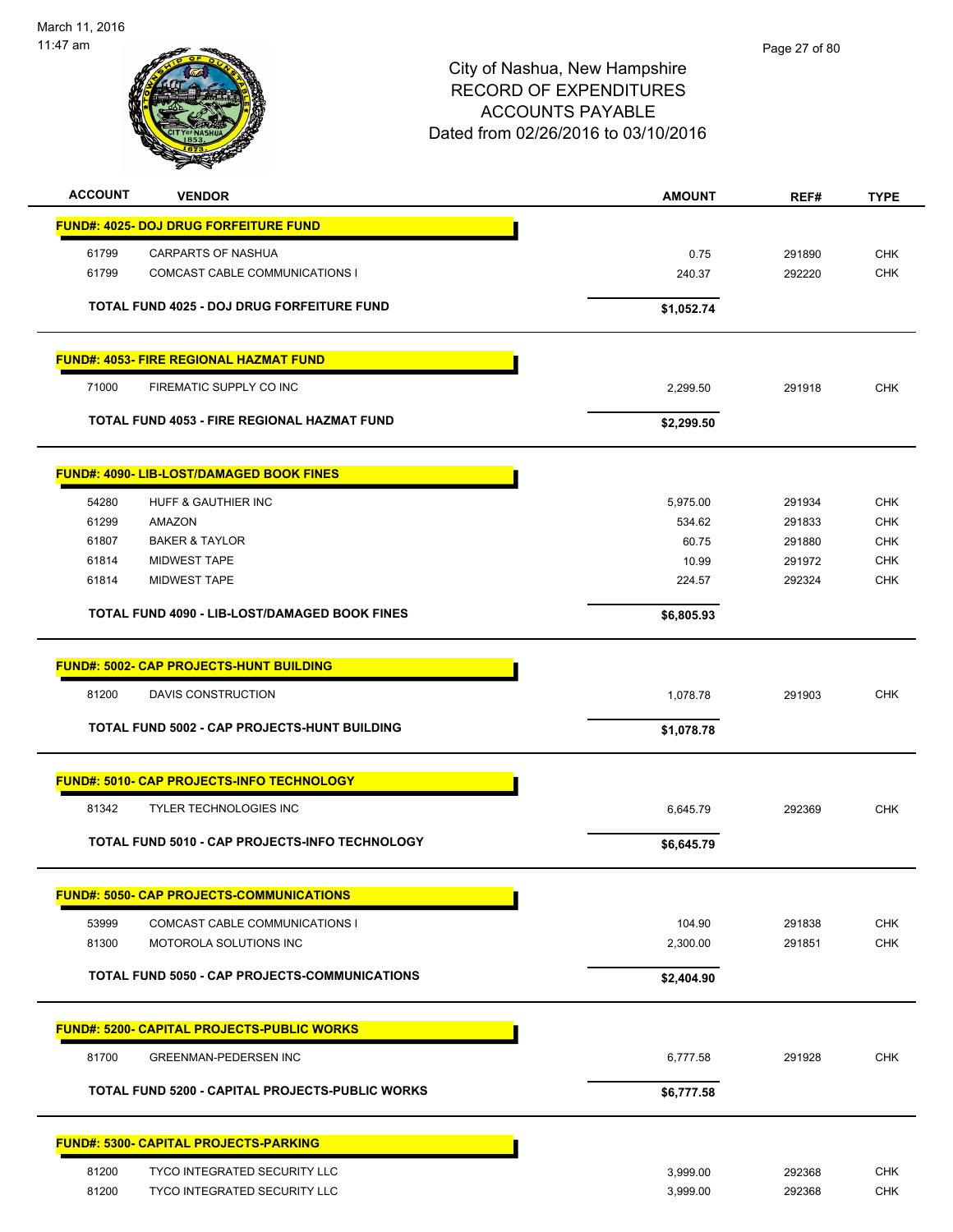

| <b>ACCOUNT</b> | <b>VENDOR</b>                                        | <b>AMOUNT</b>        | REF#   | <b>TYPE</b> |
|----------------|------------------------------------------------------|----------------------|--------|-------------|
|                | <b>FUND#: 4025- DOJ DRUG FORFEITURE FUND</b>         |                      |        |             |
| 61799          | <b>CARPARTS OF NASHUA</b>                            | 0.75                 | 291890 | <b>CHK</b>  |
| 61799          | <b>COMCAST CABLE COMMUNICATIONS I</b>                | 240.37               | 292220 | <b>CHK</b>  |
|                | TOTAL FUND 4025 - DOJ DRUG FORFEITURE FUND           | \$1,052.74           |        |             |
|                | <b>FUND#: 4053- FIRE REGIONAL HAZMAT FUND</b>        |                      |        |             |
| 71000          | FIREMATIC SUPPLY CO INC                              | 2,299.50             | 291918 | <b>CHK</b>  |
|                | TOTAL FUND 4053 - FIRE REGIONAL HAZMAT FUND          | \$2,299.50           |        |             |
|                | <b>FUND#: 4090- LIB-LOST/DAMAGED BOOK FINES</b>      |                      |        |             |
| 54280          | HUFF & GAUTHIER INC                                  | 5,975.00             | 291934 | <b>CHK</b>  |
| 61299          | AMAZON                                               | 534.62               | 291833 | <b>CHK</b>  |
| 61807          | <b>BAKER &amp; TAYLOR</b>                            | 60.75                | 291880 | <b>CHK</b>  |
| 61814          | <b>MIDWEST TAPE</b>                                  | 10.99                | 291972 | <b>CHK</b>  |
| 61814          | <b>MIDWEST TAPE</b>                                  | 224.57               | 292324 | <b>CHK</b>  |
|                | <b>TOTAL FUND 4090 - LIB-LOST/DAMAGED BOOK FINES</b> | \$6,805.93           |        |             |
|                | <b>FUND#: 5002- CAP PROJECTS-HUNT BUILDING</b>       |                      |        |             |
| 81200          | DAVIS CONSTRUCTION                                   | 1,078.78             | 291903 | <b>CHK</b>  |
|                | TOTAL FUND 5002 - CAP PROJECTS-HUNT BUILDING         | \$1,078.78           |        |             |
|                | <b>FUND#: 5010- CAP PROJECTS-INFO TECHNOLOGY</b>     |                      |        |             |
| 81342          | <b>TYLER TECHNOLOGIES INC</b>                        | 6,645.79             | 292369 | <b>CHK</b>  |
|                | TOTAL FUND 5010 - CAP PROJECTS-INFO TECHNOLOGY       | \$6,645.79           |        |             |
|                |                                                      |                      |        |             |
|                | <b>FUND#: 5050- CAP PROJECTS-COMMUNICATIONS</b>      |                      |        |             |
| 53999          | COMCAST CABLE COMMUNICATIONS I                       | 104.90               | 291838 | <b>CHK</b>  |
| 81300          | MOTOROLA SOLUTIONS INC                               | 2,300.00             | 291851 | CHK         |
|                | TOTAL FUND 5050 - CAP PROJECTS-COMMUNICATIONS        | \$2,404.90           |        |             |
|                | <b>FUND#: 5200- CAPITAL PROJECTS-PUBLIC WORKS</b>    |                      |        |             |
| 81700          | GREENMAN-PEDERSEN INC                                | 6,777.58             | 291928 | <b>CHK</b>  |
|                | TOTAL FUND 5200 - CAPITAL PROJECTS-PUBLIC WORKS      | \$6,777.58           |        |             |
|                | <b>FUND#: 5300- CAPITAL PROJECTS-PARKING</b>         |                      |        |             |
| 81200          | <b>TYCO INTEGRATED SECURITY LLC</b>                  |                      | 292368 | <b>CHK</b>  |
| 81200          | TYCO INTEGRATED SECURITY LLC                         | 3,999.00<br>3,999.00 | 292368 | <b>CHK</b>  |
|                |                                                      |                      |        |             |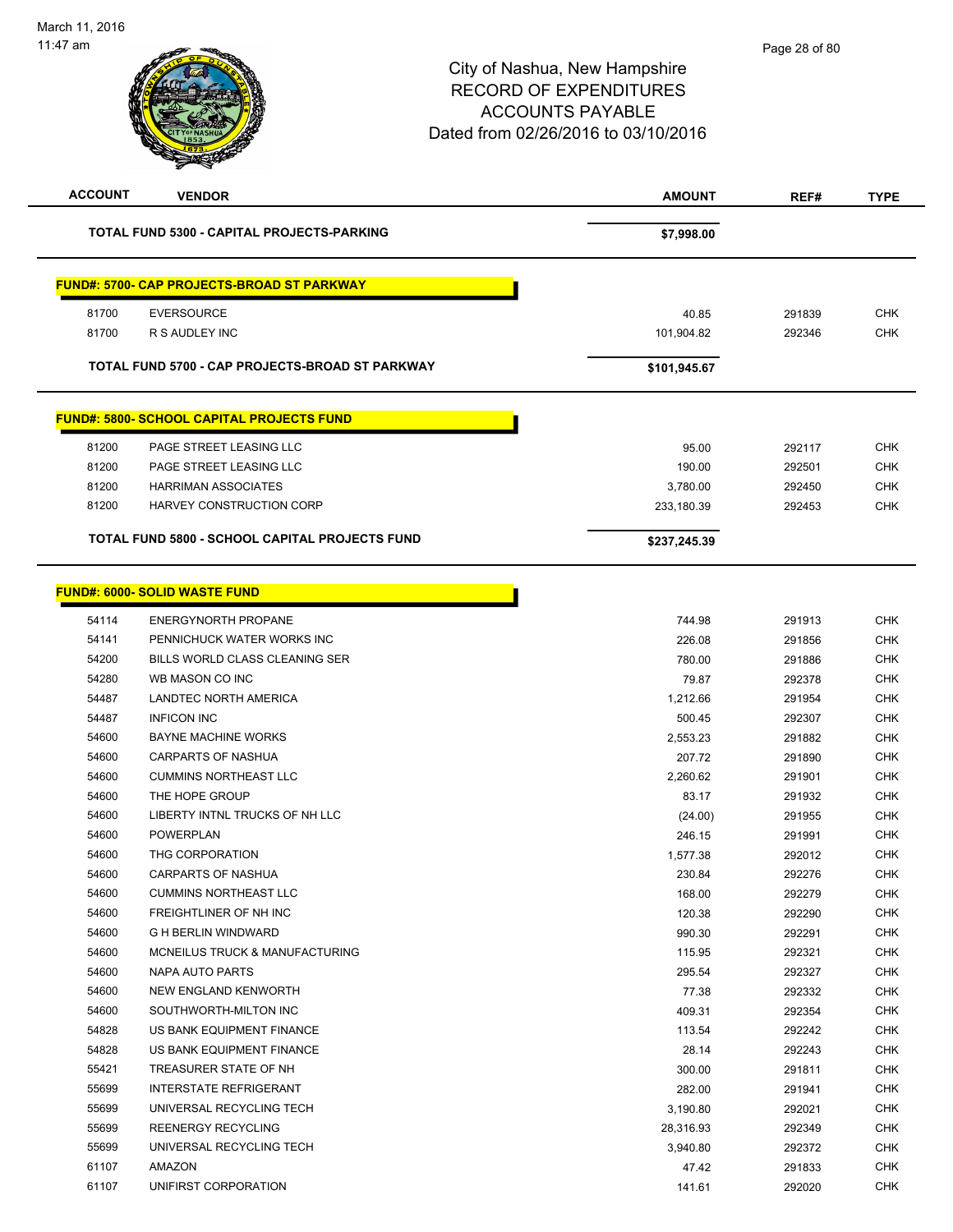| <b>ACCOUNT</b> | <b>VENDOR</b>                                         | <b>AMOUNT</b> | REF#   | <b>TYPE</b> |
|----------------|-------------------------------------------------------|---------------|--------|-------------|
|                | TOTAL FUND 5300 - CAPITAL PROJECTS-PARKING            | \$7,998.00    |        |             |
|                | <b>FUND#: 5700- CAP PROJECTS-BROAD ST PARKWAY</b>     |               |        |             |
| 81700          | <b>EVERSOURCE</b>                                     | 40.85         | 291839 | <b>CHK</b>  |
| 81700          | R S AUDLEY INC                                        | 101,904.82    | 292346 | CHK         |
|                |                                                       |               |        |             |
|                | TOTAL FUND 5700 - CAP PROJECTS-BROAD ST PARKWAY       | \$101,945.67  |        |             |
|                | <b>FUND#: 5800- SCHOOL CAPITAL PROJECTS FUND</b>      |               |        |             |
| 81200          | PAGE STREET LEASING LLC                               | 95.00         | 292117 | <b>CHK</b>  |
| 81200          | PAGE STREET LEASING LLC                               | 190.00        | 292501 | <b>CHK</b>  |
| 81200          | <b>HARRIMAN ASSOCIATES</b>                            | 3,780.00      | 292450 | <b>CHK</b>  |
| 81200          | HARVEY CONSTRUCTION CORP                              | 233,180.39    | 292453 | <b>CHK</b>  |
|                | <b>TOTAL FUND 5800 - SCHOOL CAPITAL PROJECTS FUND</b> | \$237,245.39  |        |             |
|                |                                                       |               |        |             |
|                | <b>FUND#: 6000- SOLID WASTE FUND</b>                  |               |        |             |
| 54114          | <b>ENERGYNORTH PROPANE</b>                            | 744.98        | 291913 | <b>CHK</b>  |
| 54141          | PENNICHUCK WATER WORKS INC                            | 226.08        | 291856 | <b>CHK</b>  |
| 54200          | BILLS WORLD CLASS CLEANING SER                        | 780.00        | 291886 | <b>CHK</b>  |
| 54280          | WB MASON CO INC                                       | 79.87         | 292378 | <b>CHK</b>  |
| 54487          | LANDTEC NORTH AMERICA                                 | 1,212.66      | 291954 | <b>CHK</b>  |
| 54487          | <b>INFICON INC</b>                                    | 500.45        | 292307 | <b>CHK</b>  |
| 54600          | <b>BAYNE MACHINE WORKS</b>                            | 2,553.23      | 291882 | <b>CHK</b>  |
| 54600          | <b>CARPARTS OF NASHUA</b>                             | 207.72        | 291890 | <b>CHK</b>  |
| 54600          | <b>CUMMINS NORTHEAST LLC</b>                          | 2,260.62      | 291901 | <b>CHK</b>  |
| 54600          | THE HOPE GROUP                                        | 83.17         | 291932 | <b>CHK</b>  |
| 54600          | LIBERTY INTNL TRUCKS OF NH LLC                        | (24.00)       | 291955 | <b>CHK</b>  |
| 54600          | POWERPLAN                                             | 246.15        | 291991 | <b>CHK</b>  |
| 54600          | THG CORPORATION                                       | 1,577.38      | 292012 | <b>CHK</b>  |
| 54600          | <b>CARPARTS OF NASHUA</b>                             | 230.84        | 292276 | <b>CHK</b>  |
| 54600          | <b>CUMMINS NORTHEAST LLC</b>                          | 168.00        | 292279 | <b>CHK</b>  |
| 54600          | FREIGHTLINER OF NH INC                                | 120.38        | 292290 | <b>CHK</b>  |
| 54600          | <b>G H BERLIN WINDWARD</b>                            | 990.30        | 292291 | <b>CHK</b>  |
| 54600          | MCNEILUS TRUCK & MANUFACTURING                        | 115.95        | 292321 | <b>CHK</b>  |
| 54600          | NAPA AUTO PARTS                                       | 295.54        | 292327 | <b>CHK</b>  |
| 54600          | NEW ENGLAND KENWORTH                                  | 77.38         | 292332 | <b>CHK</b>  |
| 54600          | SOUTHWORTH-MILTON INC                                 | 409.31        | 292354 | <b>CHK</b>  |
| 54828          | US BANK EQUIPMENT FINANCE                             | 113.54        | 292242 | <b>CHK</b>  |
| 54828          | US BANK EQUIPMENT FINANCE                             | 28.14         | 292243 | <b>CHK</b>  |
| 55421          | TREASURER STATE OF NH                                 | 300.00        | 291811 | <b>CHK</b>  |
| 55699          | <b>INTERSTATE REFRIGERANT</b>                         | 282.00        | 291941 | <b>CHK</b>  |
| 55699          | UNIVERSAL RECYCLING TECH                              | 3,190.80      | 292021 | <b>CHK</b>  |
| 55699          | REENERGY RECYCLING                                    | 28,316.93     | 292349 | <b>CHK</b>  |
| 55699          | UNIVERSAL RECYCLING TECH                              | 3,940.80      | 292372 | <b>CHK</b>  |
| 61107          | AMAZON                                                | 47.42         | 291833 | <b>CHK</b>  |
| 61107          | UNIFIRST CORPORATION                                  | 141.61        | 292020 | <b>CHK</b>  |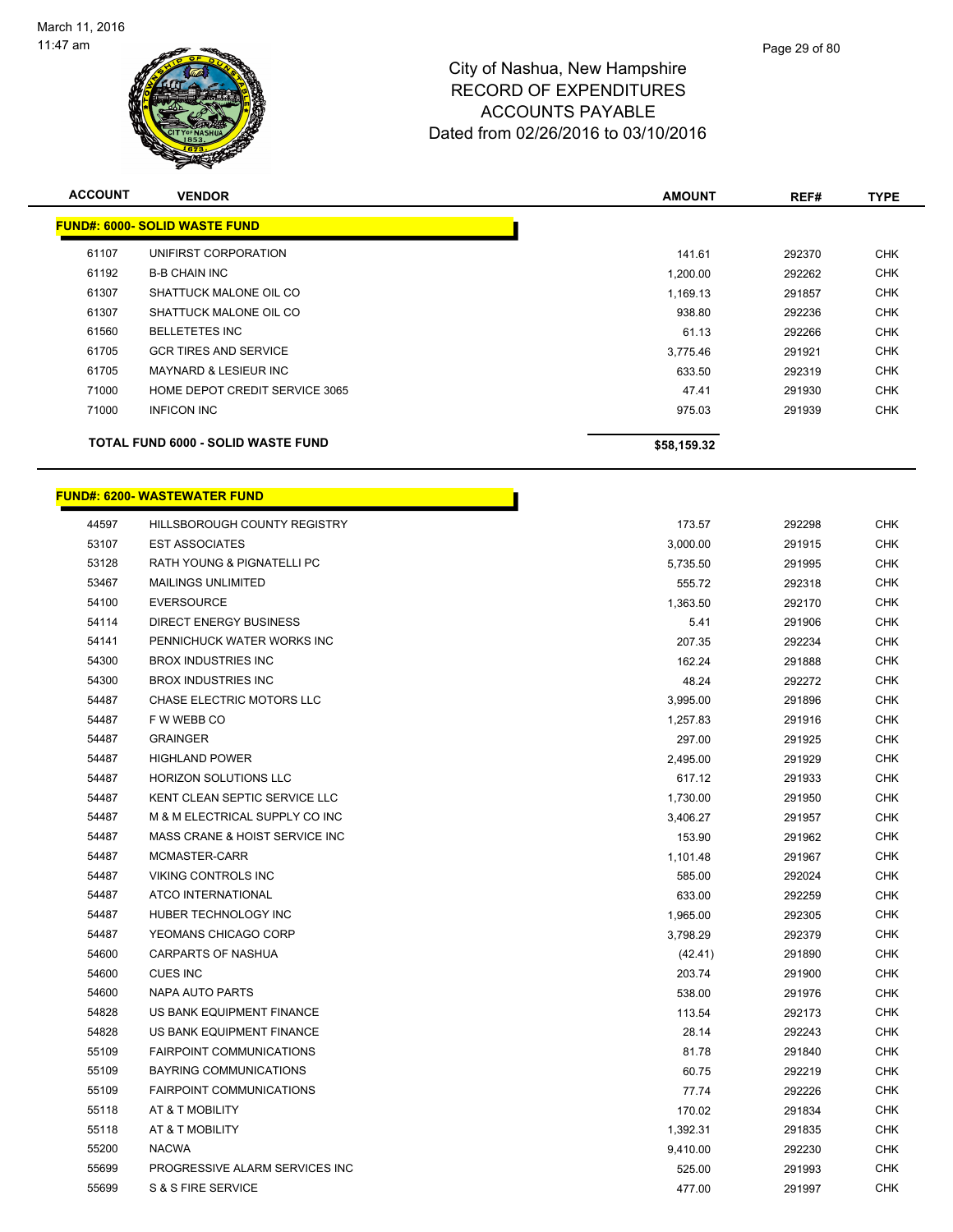

| <b>ACCOUNT</b> | <b>VENDOR</b>                             | <b>AMOUNT</b> | REF#   | <b>TYPE</b> |
|----------------|-------------------------------------------|---------------|--------|-------------|
|                | <b>FUND#: 6000- SOLID WASTE FUND</b>      |               |        |             |
| 61107          | UNIFIRST CORPORATION                      | 141.61        | 292370 | <b>CHK</b>  |
| 61192          | <b>B-B CHAIN INC</b>                      | 1,200.00      | 292262 | <b>CHK</b>  |
| 61307          | SHATTUCK MALONE OIL CO                    | 1,169.13      | 291857 | <b>CHK</b>  |
| 61307          | SHATTUCK MALONE OIL CO                    | 938.80        | 292236 | <b>CHK</b>  |
| 61560          | <b>BELLETETES INC</b>                     | 61.13         | 292266 | <b>CHK</b>  |
| 61705          | <b>GCR TIRES AND SERVICE</b>              | 3,775.46      | 291921 | <b>CHK</b>  |
| 61705          | <b>MAYNARD &amp; LESIEUR INC</b>          | 633.50        | 292319 | <b>CHK</b>  |
| 71000          | HOME DEPOT CREDIT SERVICE 3065            | 47.41         | 291930 | <b>CHK</b>  |
| 71000          | <b>INFICON INC</b>                        | 975.03        | 291939 | <b>CHK</b>  |
|                | <b>TOTAL FUND 6000 - SOLID WASTE FUND</b> | \$58,159.32   |        |             |

r

#### **FUND#: 6200- WASTEWATER FUND**

| 44597 | <b>HILLSBOROUGH COUNTY REGISTRY</b> | 173.57   | 292298 | <b>CHK</b> |
|-------|-------------------------------------|----------|--------|------------|
| 53107 | <b>EST ASSOCIATES</b>               | 3,000.00 | 291915 | <b>CHK</b> |
| 53128 | RATH YOUNG & PIGNATELLI PC          | 5,735.50 | 291995 | <b>CHK</b> |
| 53467 | <b>MAILINGS UNLIMITED</b>           | 555.72   | 292318 | <b>CHK</b> |
| 54100 | <b>EVERSOURCE</b>                   | 1,363.50 | 292170 | <b>CHK</b> |
| 54114 | DIRECT ENERGY BUSINESS              | 5.41     | 291906 | <b>CHK</b> |
| 54141 | PENNICHUCK WATER WORKS INC          | 207.35   | 292234 | CHK        |
| 54300 | <b>BROX INDUSTRIES INC</b>          | 162.24   | 291888 | <b>CHK</b> |
| 54300 | <b>BROX INDUSTRIES INC</b>          | 48.24    | 292272 | <b>CHK</b> |
| 54487 | <b>CHASE ELECTRIC MOTORS LLC</b>    | 3,995.00 | 291896 | <b>CHK</b> |
| 54487 | F W WEBB CO                         | 1,257.83 | 291916 | <b>CHK</b> |
| 54487 | <b>GRAINGER</b>                     | 297.00   | 291925 | <b>CHK</b> |
| 54487 | <b>HIGHLAND POWER</b>               | 2,495.00 | 291929 | <b>CHK</b> |
| 54487 | <b>HORIZON SOLUTIONS LLC</b>        | 617.12   | 291933 | CHK        |
| 54487 | KENT CLEAN SEPTIC SERVICE LLC       | 1,730.00 | 291950 | <b>CHK</b> |
| 54487 | M & M ELECTRICAL SUPPLY CO INC      | 3,406.27 | 291957 | <b>CHK</b> |
| 54487 | MASS CRANE & HOIST SERVICE INC      | 153.90   | 291962 | <b>CHK</b> |
| 54487 | MCMASTER-CARR                       | 1,101.48 | 291967 | <b>CHK</b> |
| 54487 | <b>VIKING CONTROLS INC</b>          | 585.00   | 292024 | <b>CHK</b> |
| 54487 | <b>ATCO INTERNATIONAL</b>           | 633.00   | 292259 | <b>CHK</b> |
| 54487 | HUBER TECHNOLOGY INC                | 1,965.00 | 292305 | CHK        |
| 54487 | YEOMANS CHICAGO CORP                | 3,798.29 | 292379 | <b>CHK</b> |
| 54600 | <b>CARPARTS OF NASHUA</b>           | (42.41)  | 291890 | <b>CHK</b> |
| 54600 | <b>CUES INC</b>                     | 203.74   | 291900 | <b>CHK</b> |
| 54600 | <b>NAPA AUTO PARTS</b>              | 538.00   | 291976 | <b>CHK</b> |
| 54828 | US BANK EQUIPMENT FINANCE           | 113.54   | 292173 | <b>CHK</b> |
| 54828 | US BANK EQUIPMENT FINANCE           | 28.14    | 292243 | <b>CHK</b> |
| 55109 | <b>FAIRPOINT COMMUNICATIONS</b>     | 81.78    | 291840 | <b>CHK</b> |
| 55109 | <b>BAYRING COMMUNICATIONS</b>       | 60.75    | 292219 | <b>CHK</b> |
| 55109 | <b>FAIRPOINT COMMUNICATIONS</b>     | 77.74    | 292226 | <b>CHK</b> |
| 55118 | AT & T MOBILITY                     | 170.02   | 291834 | <b>CHK</b> |
| 55118 | AT & T MOBILITY                     | 1,392.31 | 291835 | CHK        |
| 55200 | <b>NACWA</b>                        | 9,410.00 | 292230 | <b>CHK</b> |
| 55699 | PROGRESSIVE ALARM SERVICES INC      | 525.00   | 291993 | <b>CHK</b> |
| 55699 | S & S FIRE SERVICE                  | 477.00   | 291997 | <b>CHK</b> |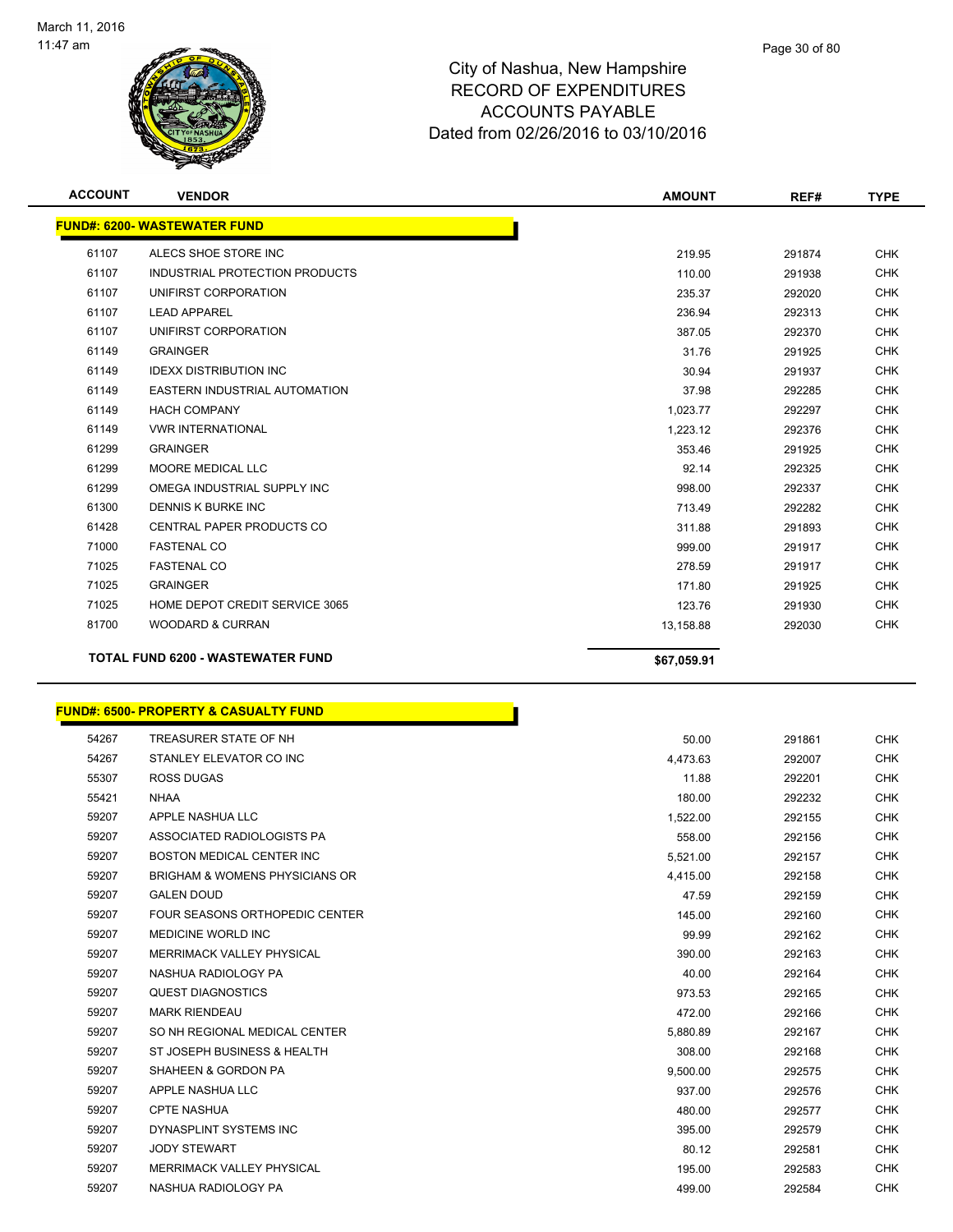

| <b>ACCOUNT</b>                           | <b>VENDOR</b>                        | <b>AMOUNT</b> | REF#   | <b>TYPE</b> |
|------------------------------------------|--------------------------------------|---------------|--------|-------------|
|                                          | <b>FUND#: 6200- WASTEWATER FUND</b>  |               |        |             |
| 61107                                    | ALECS SHOE STORE INC                 | 219.95        | 291874 | <b>CHK</b>  |
| 61107                                    | INDUSTRIAL PROTECTION PRODUCTS       | 110.00        | 291938 | <b>CHK</b>  |
| 61107                                    | UNIFIRST CORPORATION                 | 235.37        | 292020 | <b>CHK</b>  |
| 61107                                    | <b>LEAD APPAREL</b>                  | 236.94        | 292313 | <b>CHK</b>  |
| 61107                                    | UNIFIRST CORPORATION                 | 387.05        | 292370 | <b>CHK</b>  |
| 61149                                    | <b>GRAINGER</b>                      | 31.76         | 291925 | <b>CHK</b>  |
| 61149                                    | <b>IDEXX DISTRIBUTION INC</b>        | 30.94         | 291937 | <b>CHK</b>  |
| 61149                                    | <b>EASTERN INDUSTRIAL AUTOMATION</b> | 37.98         | 292285 | <b>CHK</b>  |
| 61149                                    | <b>HACH COMPANY</b>                  | 1,023.77      | 292297 | <b>CHK</b>  |
| 61149                                    | <b>VWR INTERNATIONAL</b>             | 1,223.12      | 292376 | <b>CHK</b>  |
| 61299                                    | <b>GRAINGER</b>                      | 353.46        | 291925 | <b>CHK</b>  |
| 61299                                    | <b>MOORE MEDICAL LLC</b>             | 92.14         | 292325 | <b>CHK</b>  |
| 61299                                    | OMEGA INDUSTRIAL SUPPLY INC          | 998.00        | 292337 | <b>CHK</b>  |
| 61300                                    | DENNIS K BURKE INC                   | 713.49        | 292282 | <b>CHK</b>  |
| 61428                                    | <b>CENTRAL PAPER PRODUCTS CO</b>     | 311.88        | 291893 | <b>CHK</b>  |
| 71000                                    | <b>FASTENAL CO</b>                   | 999.00        | 291917 | <b>CHK</b>  |
| 71025                                    | <b>FASTENAL CO</b>                   | 278.59        | 291917 | <b>CHK</b>  |
| 71025                                    | <b>GRAINGER</b>                      | 171.80        | 291925 | <b>CHK</b>  |
| 71025                                    | HOME DEPOT CREDIT SERVICE 3065       | 123.76        | 291930 | <b>CHK</b>  |
| 81700                                    | <b>WOODARD &amp; CURRAN</b>          | 13,158.88     | 292030 | <b>CHK</b>  |
| <b>TOTAL FUND 6200 - WASTEWATER FUND</b> |                                      | \$67,059.91   |        |             |

## **FUND#: 6500- PROPERTY & CASUALTY FUND**

| 54267 | TREASURER STATE OF NH                     | 50.00    | 291861 | <b>CHK</b> |
|-------|-------------------------------------------|----------|--------|------------|
| 54267 | STANLEY ELEVATOR CO INC                   | 4,473.63 | 292007 | <b>CHK</b> |
| 55307 | <b>ROSS DUGAS</b>                         | 11.88    | 292201 | <b>CHK</b> |
| 55421 | <b>NHAA</b>                               | 180.00   | 292232 | <b>CHK</b> |
| 59207 | APPLE NASHUA LLC                          | 1,522.00 | 292155 | <b>CHK</b> |
| 59207 | ASSOCIATED RADIOLOGISTS PA                | 558.00   | 292156 | <b>CHK</b> |
| 59207 | <b>BOSTON MEDICAL CENTER INC.</b>         | 5,521.00 | 292157 | <b>CHK</b> |
| 59207 | <b>BRIGHAM &amp; WOMENS PHYSICIANS OR</b> | 4,415.00 | 292158 | <b>CHK</b> |
| 59207 | <b>GALEN DOUD</b>                         | 47.59    | 292159 | <b>CHK</b> |
| 59207 | <b>FOUR SEASONS ORTHOPEDIC CENTER</b>     | 145.00   | 292160 | <b>CHK</b> |
| 59207 | <b>MEDICINE WORLD INC</b>                 | 99.99    | 292162 | <b>CHK</b> |
| 59207 | <b>MERRIMACK VALLEY PHYSICAL</b>          | 390.00   | 292163 | <b>CHK</b> |
| 59207 | NASHUA RADIOLOGY PA                       | 40.00    | 292164 | <b>CHK</b> |
| 59207 | <b>QUEST DIAGNOSTICS</b>                  | 973.53   | 292165 | <b>CHK</b> |
| 59207 | <b>MARK RIENDEAU</b>                      | 472.00   | 292166 | <b>CHK</b> |
| 59207 | SO NH REGIONAL MEDICAL CENTER             | 5,880.89 | 292167 | <b>CHK</b> |
| 59207 | ST JOSEPH BUSINESS & HEALTH               | 308.00   | 292168 | <b>CHK</b> |
| 59207 | SHAHEEN & GORDON PA                       | 9,500.00 | 292575 | <b>CHK</b> |
| 59207 | APPLE NASHUA LLC                          | 937.00   | 292576 | <b>CHK</b> |
| 59207 | <b>CPTE NASHUA</b>                        | 480.00   | 292577 | <b>CHK</b> |
| 59207 | DYNASPLINT SYSTEMS INC                    | 395.00   | 292579 | <b>CHK</b> |
| 59207 | <b>JODY STEWART</b>                       | 80.12    | 292581 | <b>CHK</b> |
| 59207 | <b>MERRIMACK VALLEY PHYSICAL</b>          | 195.00   | 292583 | <b>CHK</b> |
| 59207 | NASHUA RADIOLOGY PA                       | 499.00   | 292584 | <b>CHK</b> |

Γ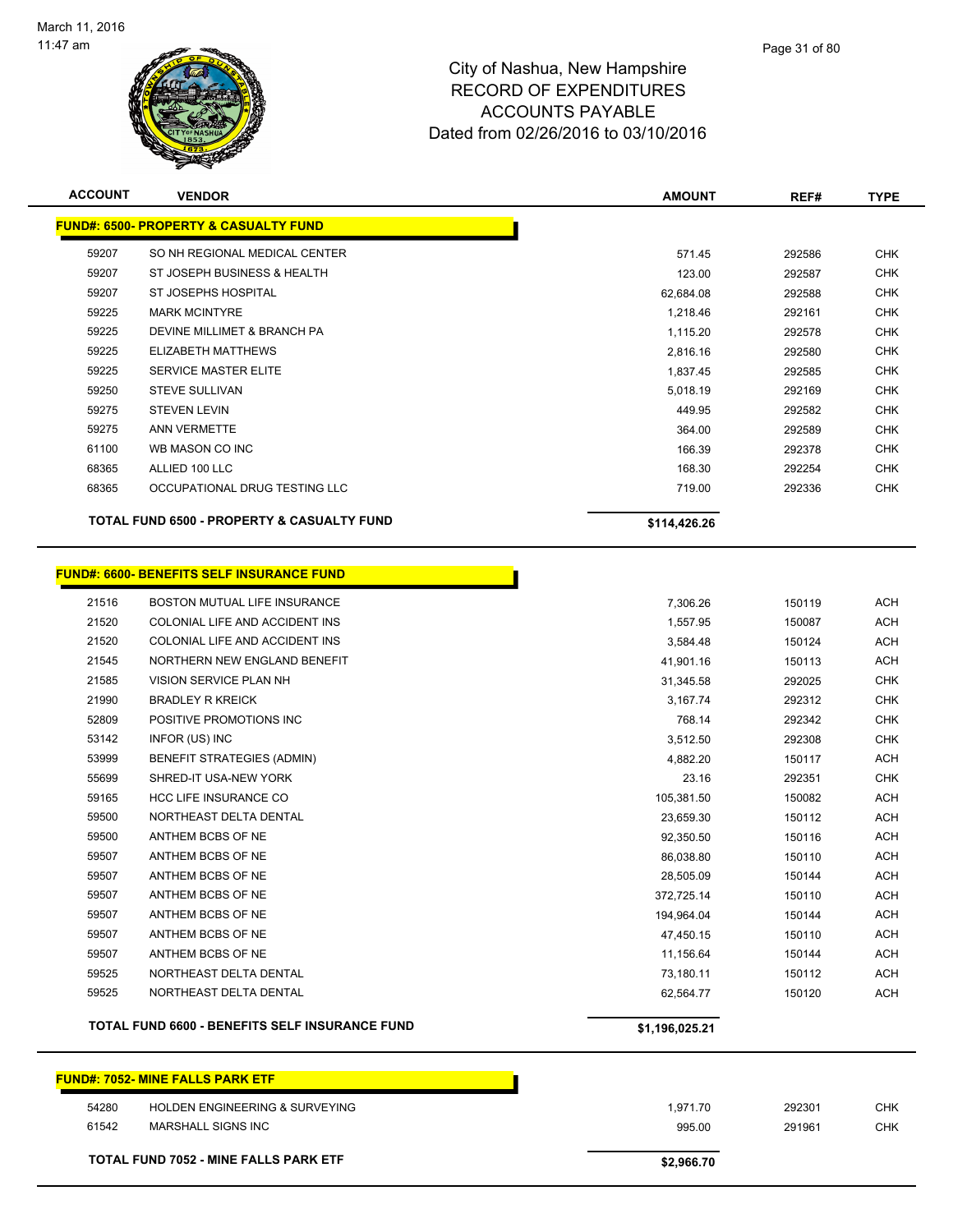

| <b>ACCOUNT</b> | <b>VENDOR</b>                                         | <b>AMOUNT</b>  | REF#   | <b>TYPE</b> |
|----------------|-------------------------------------------------------|----------------|--------|-------------|
|                | <b>FUND#: 6500- PROPERTY &amp; CASUALTY FUND</b>      |                |        |             |
| 59207          | SO NH REGIONAL MEDICAL CENTER                         | 571.45         | 292586 | <b>CHK</b>  |
| 59207          | ST JOSEPH BUSINESS & HEALTH                           | 123.00         | 292587 | <b>CHK</b>  |
| 59207          | ST JOSEPHS HOSPITAL                                   | 62,684.08      | 292588 | <b>CHK</b>  |
| 59225          | <b>MARK MCINTYRE</b>                                  | 1,218.46       | 292161 | <b>CHK</b>  |
| 59225          | DEVINE MILLIMET & BRANCH PA                           | 1,115.20       | 292578 | <b>CHK</b>  |
| 59225          | ELIZABETH MATTHEWS                                    | 2,816.16       | 292580 | <b>CHK</b>  |
| 59225          | <b>SERVICE MASTER ELITE</b>                           | 1,837.45       | 292585 | <b>CHK</b>  |
| 59250          | <b>STEVE SULLIVAN</b>                                 | 5,018.19       | 292169 | <b>CHK</b>  |
| 59275          | <b>STEVEN LEVIN</b>                                   | 449.95         | 292582 | <b>CHK</b>  |
| 59275          | <b>ANN VERMETTE</b>                                   | 364.00         | 292589 | <b>CHK</b>  |
| 61100          | WB MASON CO INC                                       | 166.39         | 292378 | <b>CHK</b>  |
| 68365          | ALLIED 100 LLC                                        | 168.30         | 292254 | <b>CHK</b>  |
| 68365          | OCCUPATIONAL DRUG TESTING LLC                         | 719.00         | 292336 | <b>CHK</b>  |
|                |                                                       |                |        |             |
|                | TOTAL FUND 6500 - PROPERTY & CASUALTY FUND            | \$114,426.26   |        |             |
|                |                                                       |                |        |             |
|                | <b>FUND#: 6600- BENEFITS SELF INSURANCE FUND</b>      |                |        |             |
| 21516          | BOSTON MUTUAL LIFE INSURANCE                          | 7,306.26       | 150119 | ACH         |
| 21520          | COLONIAL LIFE AND ACCIDENT INS                        | 1,557.95       | 150087 | <b>ACH</b>  |
| 21520          | COLONIAL LIFE AND ACCIDENT INS                        | 3,584.48       | 150124 | <b>ACH</b>  |
| 21545          | NORTHERN NEW ENGLAND BENEFIT                          | 41,901.16      | 150113 | <b>ACH</b>  |
| 21585          | VISION SERVICE PLAN NH                                | 31,345.58      | 292025 | <b>CHK</b>  |
| 21990          | <b>BRADLEY R KREICK</b>                               | 3,167.74       | 292312 | <b>CHK</b>  |
| 52809          | POSITIVE PROMOTIONS INC                               | 768.14         | 292342 | <b>CHK</b>  |
| 53142          | INFOR (US) INC                                        | 3,512.50       | 292308 | <b>CHK</b>  |
| 53999          | <b>BENEFIT STRATEGIES (ADMIN)</b>                     | 4,882.20       | 150117 | ACH         |
| 55699          | SHRED-IT USA-NEW YORK                                 | 23.16          | 292351 | <b>CHK</b>  |
| 59165          | <b>HCC LIFE INSURANCE CO</b>                          | 105,381.50     | 150082 | <b>ACH</b>  |
| 59500          | NORTHEAST DELTA DENTAL                                | 23,659.30      | 150112 | ACH         |
| 59500          | ANTHEM BCBS OF NE                                     | 92,350.50      | 150116 | <b>ACH</b>  |
| 59507          | ANTHEM BCBS OF NE                                     | 86,038.80      | 150110 | ACH         |
| 59507          | ANTHEM BCBS OF NE                                     | 28,505.09      | 150144 | <b>ACH</b>  |
| 59507          | ANTHEM BCBS OF NE                                     | 372,725.14     | 150110 | <b>ACH</b>  |
| 59507          | ANTHEM BCBS OF NE                                     | 194,964.04     | 150144 | <b>ACH</b>  |
| 59507          | ANTHEM BCBS OF NE                                     | 47,450.15      | 150110 | <b>ACH</b>  |
| 59507          | ANTHEM BCBS OF NE                                     | 11,156.64      | 150144 | ACH         |
| 59525          | NORTHEAST DELTA DENTAL                                | 73,180.11      | 150112 | ACH         |
| 59525          | NORTHEAST DELTA DENTAL                                | 62,564.77      | 150120 | <b>ACH</b>  |
|                | <b>TOTAL FUND 6600 - BENEFITS SELF INSURANCE FUND</b> | \$1,196,025.21 |        |             |
|                | <b>FUND#: 7052- MINE FALLS PARK ETF</b>               |                |        |             |
| 54280          | HOLDEN ENGINEERING & SURVEYING                        |                |        | <b>CHK</b>  |
| 61542          |                                                       | 1,971.70       | 292301 | CHK         |
|                | MARSHALL SIGNS INC                                    | 995.00         | 291961 |             |

**TOTAL FUND 7052 - MINE FALLS PARK ETF \$2,966.70**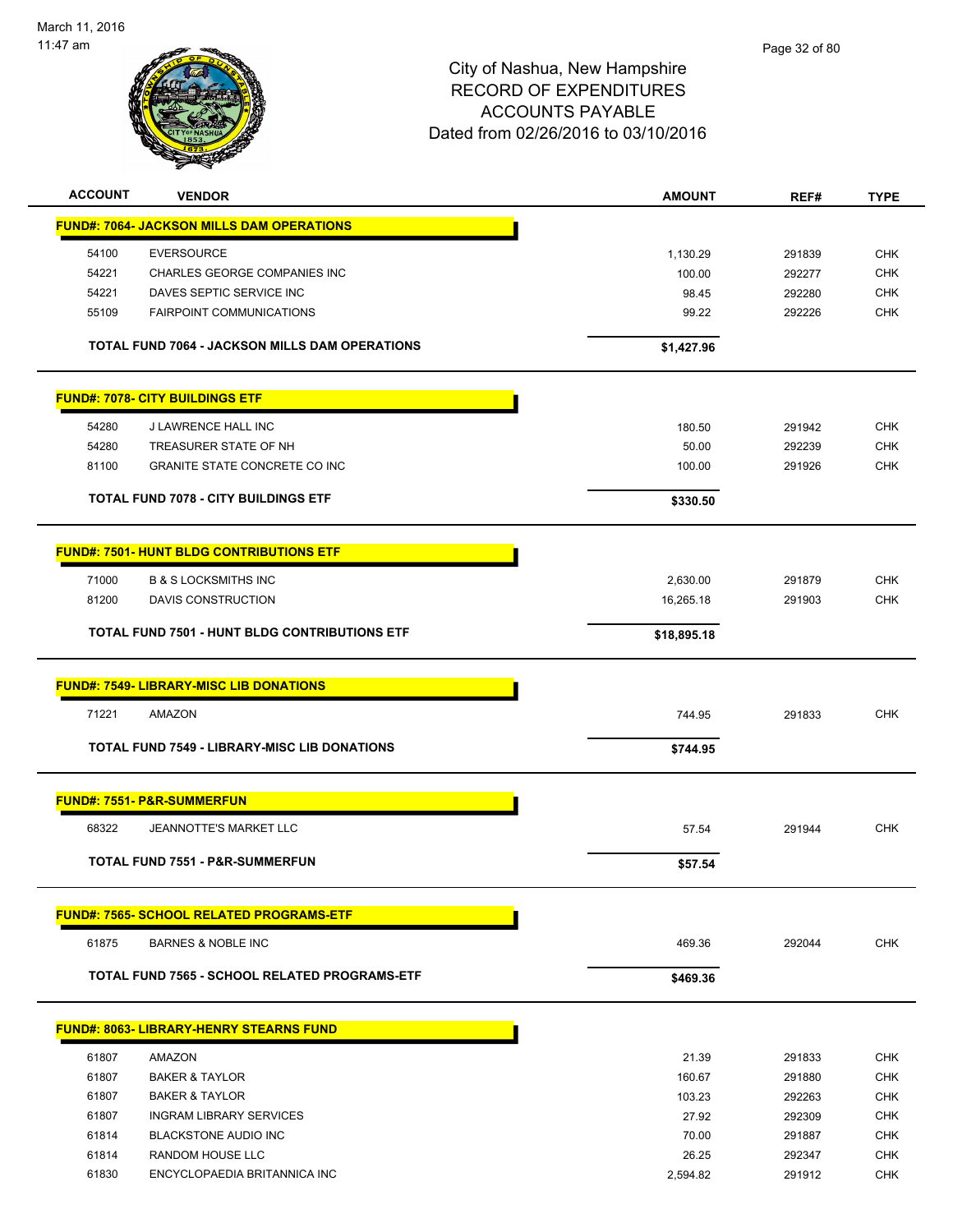

| <b>ACCOUNT</b> | <b>VENDOR</b>                                        | <b>AMOUNT</b> | REF#   | <b>TYPE</b> |
|----------------|------------------------------------------------------|---------------|--------|-------------|
|                | <b>FUND#: 7064- JACKSON MILLS DAM OPERATIONS</b>     |               |        |             |
| 54100          | <b>EVERSOURCE</b>                                    | 1,130.29      | 291839 | <b>CHK</b>  |
| 54221          | CHARLES GEORGE COMPANIES INC                         | 100.00        | 292277 | <b>CHK</b>  |
| 54221          | DAVES SEPTIC SERVICE INC                             | 98.45         | 292280 | <b>CHK</b>  |
| 55109          | <b>FAIRPOINT COMMUNICATIONS</b>                      | 99.22         | 292226 | <b>CHK</b>  |
|                | TOTAL FUND 7064 - JACKSON MILLS DAM OPERATIONS       | \$1,427.96    |        |             |
|                | <b>FUND#: 7078- CITY BUILDINGS ETF</b>               |               |        |             |
| 54280          | J LAWRENCE HALL INC                                  | 180.50        | 291942 | <b>CHK</b>  |
| 54280          | TREASURER STATE OF NH                                | 50.00         | 292239 | CHK         |
| 81100          | <b>GRANITE STATE CONCRETE CO INC</b>                 | 100.00        | 291926 | <b>CHK</b>  |
|                | TOTAL FUND 7078 - CITY BUILDINGS ETF                 | \$330.50      |        |             |
|                | <b>FUND#: 7501- HUNT BLDG CONTRIBUTIONS ETF</b>      |               |        |             |
| 71000          | <b>B &amp; S LOCKSMITHS INC</b>                      | 2,630.00      | 291879 | <b>CHK</b>  |
| 81200          | DAVIS CONSTRUCTION                                   | 16,265.18     | 291903 | <b>CHK</b>  |
|                | <b>TOTAL FUND 7501 - HUNT BLDG CONTRIBUTIONS ETF</b> | \$18,895.18   |        |             |
|                | <b>FUND#: 7549- LIBRARY-MISC LIB DONATIONS</b>       |               |        |             |
| 71221          | AMAZON                                               | 744.95        | 291833 | <b>CHK</b>  |
|                | <b>TOTAL FUND 7549 - LIBRARY-MISC LIB DONATIONS</b>  | \$744.95      |        |             |
|                | <b>FUND#: 7551- P&amp;R-SUMMERFUN</b>                |               |        |             |
| 68322          | JEANNOTTE'S MARKET LLC                               | 57.54         | 291944 | <b>CHK</b>  |
|                | TOTAL FUND 7551 - P&R-SUMMERFUN                      | \$57.54       |        |             |
|                | <b>FUND#: 7565- SCHOOL RELATED PROGRAMS-ETF</b>      |               |        |             |
| 61875          | <b>BARNES &amp; NOBLE INC</b>                        | 469.36        | 292044 | <b>CHK</b>  |
|                | TOTAL FUND 7565 - SCHOOL RELATED PROGRAMS-ETF        | \$469.36      |        |             |
|                | <b>FUND#: 8063- LIBRARY-HENRY STEARNS FUND</b>       |               |        |             |
| 61807          | AMAZON                                               | 21.39         | 291833 | <b>CHK</b>  |
| 61807          | <b>BAKER &amp; TAYLOR</b>                            | 160.67        | 291880 | <b>CHK</b>  |
| 61807          | <b>BAKER &amp; TAYLOR</b>                            | 103.23        | 292263 | <b>CHK</b>  |
| 61807          | <b>INGRAM LIBRARY SERVICES</b>                       | 27.92         | 292309 | CHK         |
| 61814          | <b>BLACKSTONE AUDIO INC</b>                          | 70.00         | 291887 | <b>CHK</b>  |
| 61814          | RANDOM HOUSE LLC                                     | 26.25         | 292347 | <b>CHK</b>  |
| 61830          | ENCYCLOPAEDIA BRITANNICA INC                         | 2,594.82      | 291912 | <b>CHK</b>  |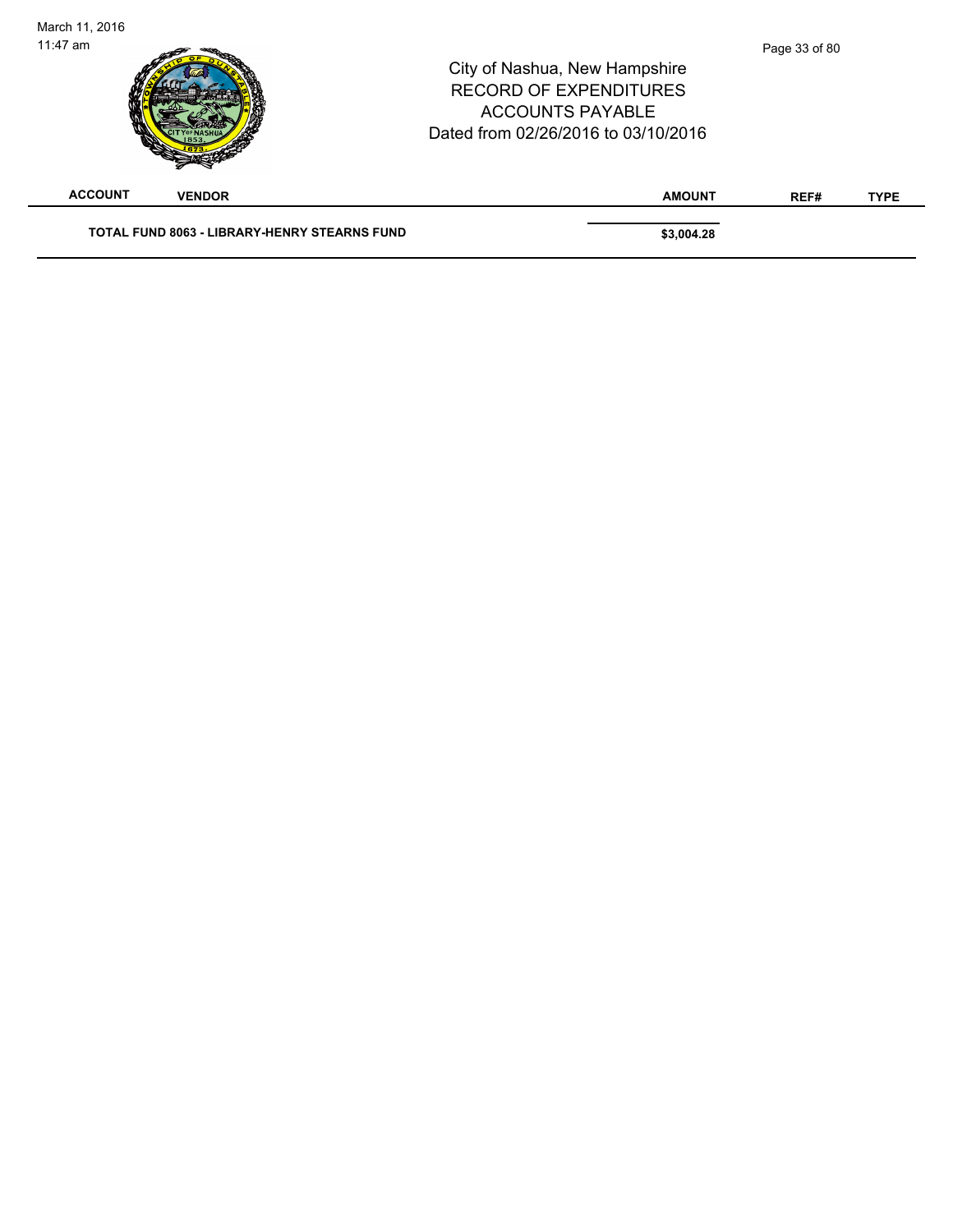| March 11, 2016<br>$11:47$ am |                                                     | City of Nashua, New Hampshire<br><b>RECORD OF EXPENDITURES</b><br><b>ACCOUNTS PAYABLE</b><br>Dated from 02/26/2016 to 03/10/2016 | Page 33 of 80 |             |
|------------------------------|-----------------------------------------------------|----------------------------------------------------------------------------------------------------------------------------------|---------------|-------------|
| <b>ACCOUNT</b>               | <b>VENDOR</b>                                       | <b>AMOUNT</b>                                                                                                                    | REF#          | <b>TYPE</b> |
|                              | <b>TOTAL FUND 8063 - LIBRARY-HENRY STEARNS FUND</b> | \$3,004.28                                                                                                                       |               |             |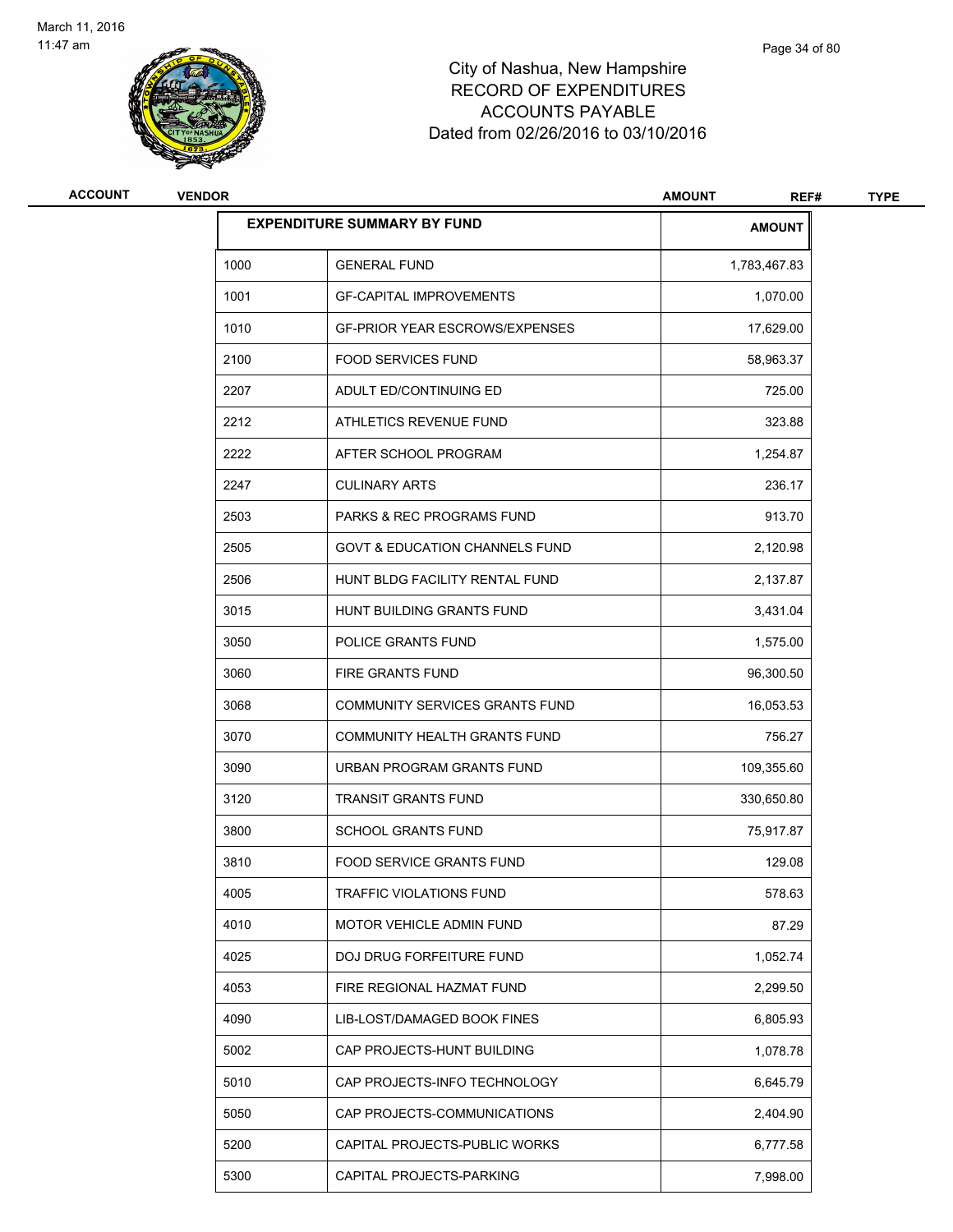

| ACCOUNT | <b>VENDOR</b> |                                           | <b>AMOUNT</b><br>REF# | <b>TYPE</b> |
|---------|---------------|-------------------------------------------|-----------------------|-------------|
|         |               | <b>EXPENDITURE SUMMARY BY FUND</b>        | <b>AMOUNT</b>         |             |
|         | 1000          | <b>GENERAL FUND</b>                       | 1,783,467.83          |             |
|         | 1001          | <b>GF-CAPITAL IMPROVEMENTS</b>            | 1,070.00              |             |
|         | 1010          | <b>GF-PRIOR YEAR ESCROWS/EXPENSES</b>     | 17,629.00             |             |
|         | 2100          | <b>FOOD SERVICES FUND</b>                 | 58,963.37             |             |
|         | 2207          | ADULT ED/CONTINUING ED                    | 725.00                |             |
|         | 2212          | ATHLETICS REVENUE FUND                    | 323.88                |             |
|         | 2222          | AFTER SCHOOL PROGRAM                      | 1,254.87              |             |
|         | 2247          | <b>CULINARY ARTS</b>                      | 236.17                |             |
|         | 2503          | <b>PARKS &amp; REC PROGRAMS FUND</b>      | 913.70                |             |
|         | 2505          | <b>GOVT &amp; EDUCATION CHANNELS FUND</b> | 2,120.98              |             |
|         | 2506          | HUNT BLDG FACILITY RENTAL FUND            | 2,137.87              |             |
|         | 3015          | HUNT BUILDING GRANTS FUND                 | 3,431.04              |             |
|         | 3050          | POLICE GRANTS FUND                        | 1,575.00              |             |
|         | 3060          | FIRE GRANTS FUND                          | 96,300.50             |             |
|         | 3068          | COMMUNITY SERVICES GRANTS FUND            | 16,053.53             |             |
|         | 3070          | COMMUNITY HEALTH GRANTS FUND              | 756.27                |             |
|         | 3090          | URBAN PROGRAM GRANTS FUND                 | 109,355.60            |             |
|         | 3120          | <b>TRANSIT GRANTS FUND</b>                | 330,650.80            |             |
|         | 3800          | <b>SCHOOL GRANTS FUND</b>                 | 75,917.87             |             |
|         | 3810          | FOOD SERVICE GRANTS FUND                  | 129.08                |             |
|         | 4005          | TRAFFIC VIOLATIONS FUND                   | 578.63                |             |
|         | 4010          | MOTOR VEHICLE ADMIN FUND                  | 87.29                 |             |
|         | 4025          | DOJ DRUG FORFEITURE FUND                  | 1,052.74              |             |
|         | 4053          | FIRE REGIONAL HAZMAT FUND                 | 2,299.50              |             |
|         | 4090          | LIB-LOST/DAMAGED BOOK FINES               | 6,805.93              |             |
|         | 5002          | CAP PROJECTS-HUNT BUILDING                | 1,078.78              |             |
|         | 5010          | CAP PROJECTS-INFO TECHNOLOGY              | 6,645.79              |             |
|         | 5050          | CAP PROJECTS-COMMUNICATIONS               | 2,404.90              |             |
|         | 5200          | CAPITAL PROJECTS-PUBLIC WORKS             | 6,777.58              |             |
|         | 5300          | CAPITAL PROJECTS-PARKING                  | 7,998.00              |             |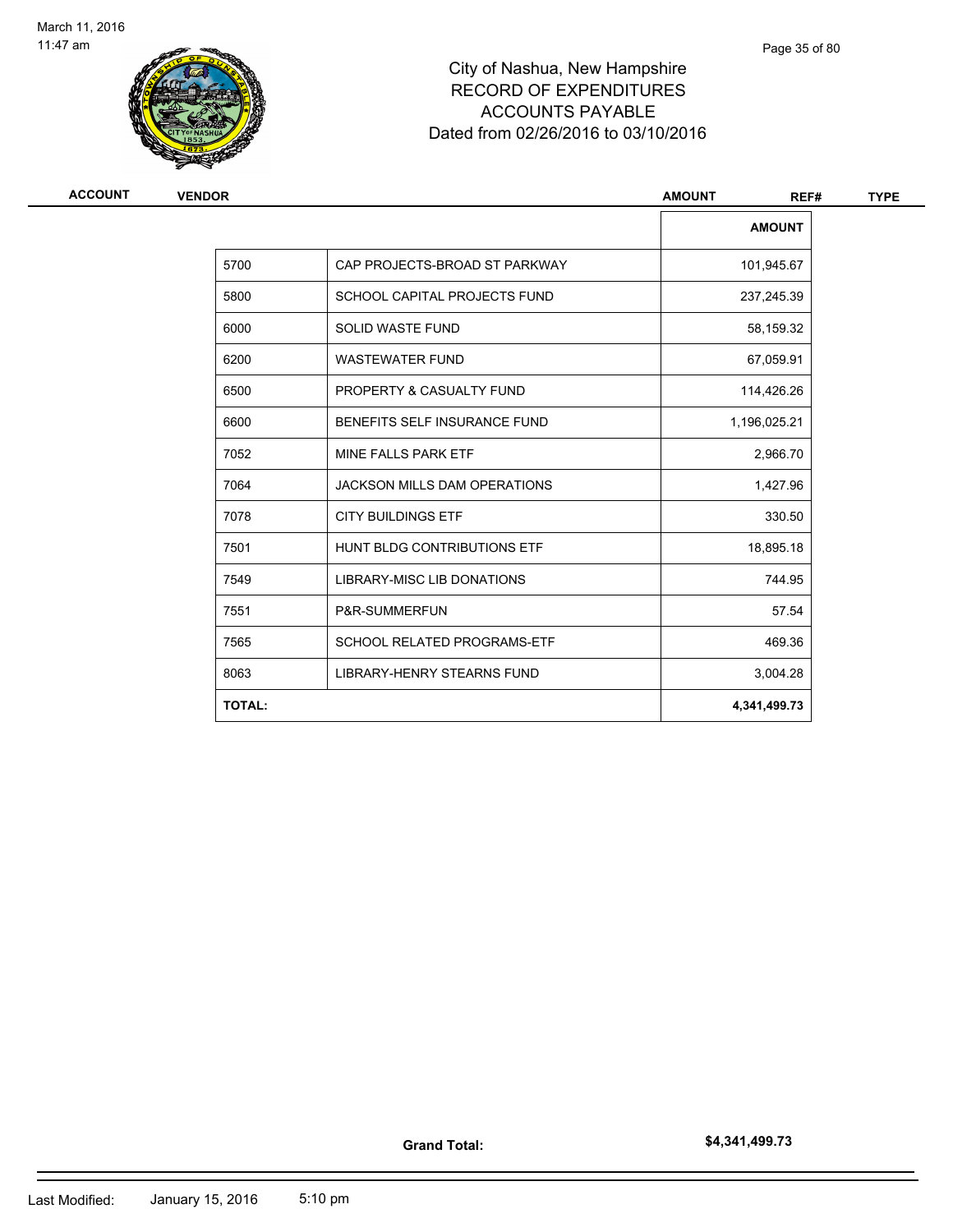

| ACCOUNT<br><b>VENDOR</b> | <b>AMOUNT</b>                       |               |
|--------------------------|-------------------------------------|---------------|
|                          |                                     | <b>AMOUNT</b> |
| 5700                     | CAP PROJECTS-BROAD ST PARKWAY       | 101,945.67    |
| 5800                     | SCHOOL CAPITAL PROJECTS FUND        | 237,245.39    |
| 6000                     | <b>SOLID WASTE FUND</b>             | 58,159.32     |
| 6200                     | <b>WASTEWATER FUND</b>              | 67,059.91     |
| 6500                     | PROPERTY & CASUALTY FUND            | 114,426.26    |
| 6600                     | BENEFITS SELF INSURANCE FUND        | 1,196,025.21  |
| 7052                     | MINE FALLS PARK ETF                 | 2,966.70      |
| 7064                     | <b>JACKSON MILLS DAM OPERATIONS</b> | 1,427.96      |
| 7078                     | <b>CITY BUILDINGS ETF</b>           | 330.50        |
| 7501                     | HUNT BLDG CONTRIBUTIONS ETF         | 18,895.18     |
| 7549                     | <b>LIBRARY-MISC LIB DONATIONS</b>   | 744.95        |
| 7551                     | P&R-SUMMERFUN                       | 57.54         |
| 7565                     | SCHOOL RELATED PROGRAMS-ETF         | 469.36        |
| 8063                     | LIBRARY-HENRY STEARNS FUND          | 3,004.28      |
| <b>TOTAL:</b>            |                                     | 4,341,499.73  |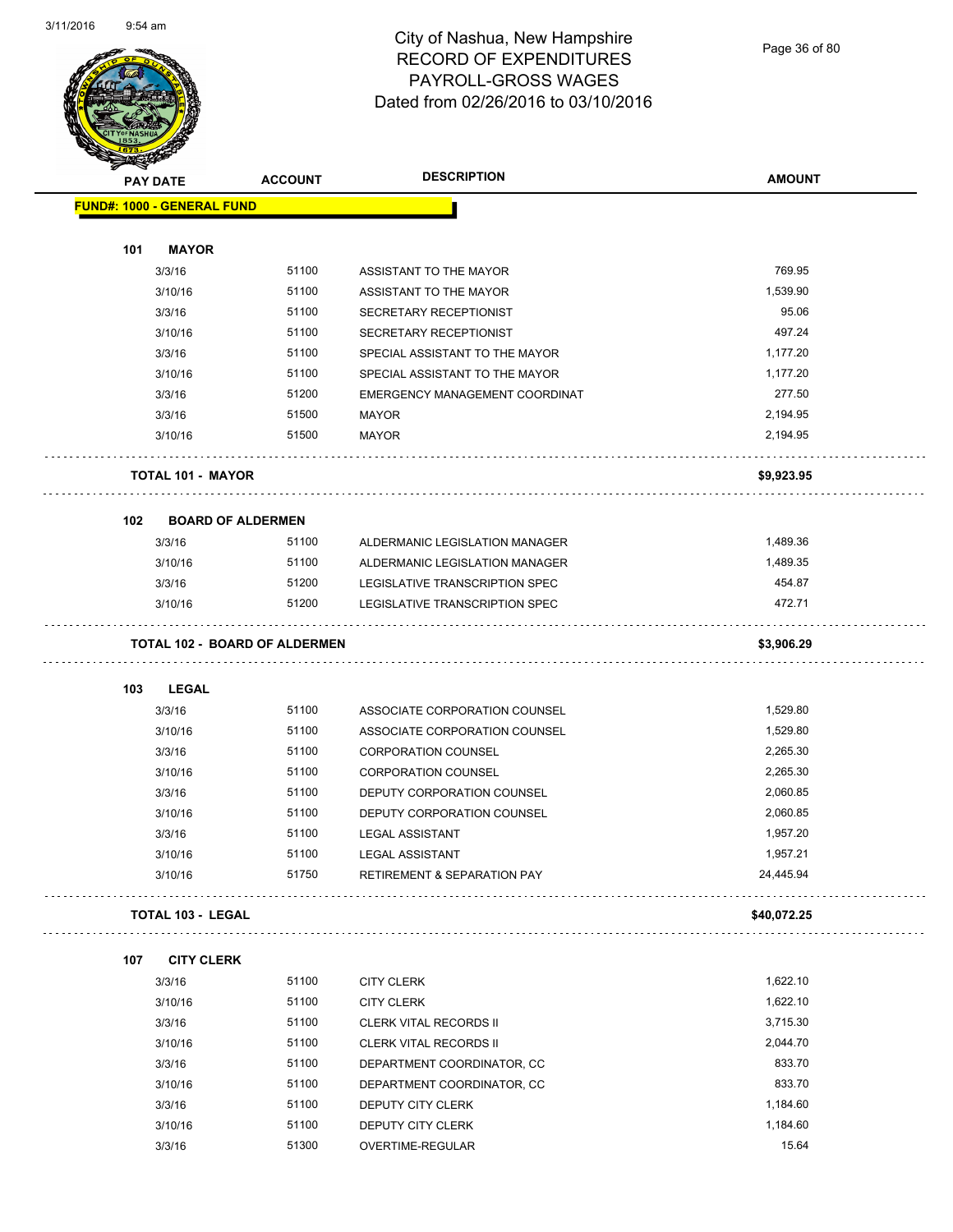

#### City of Nashua, New Hampshire RECORD OF EXPENDITURES PAYROLL-GROSS WAGES Dated from 02/26/2016 to 03/10/2016

Page 36 of 80

| <b>Antarchiefen</b> |                                      |                |                                        |               |
|---------------------|--------------------------------------|----------------|----------------------------------------|---------------|
|                     | <b>PAY DATE</b>                      | <b>ACCOUNT</b> | <b>DESCRIPTION</b>                     | <b>AMOUNT</b> |
|                     | FUND#: 1000 - GENERAL FUND           |                |                                        |               |
|                     |                                      |                |                                        |               |
| 101                 | <b>MAYOR</b>                         |                |                                        |               |
|                     | 3/3/16                               | 51100          | ASSISTANT TO THE MAYOR                 | 769.95        |
|                     | 3/10/16                              | 51100          | ASSISTANT TO THE MAYOR                 | 1,539.90      |
|                     | 3/3/16                               | 51100          | SECRETARY RECEPTIONIST                 | 95.06         |
|                     | 3/10/16                              | 51100          | SECRETARY RECEPTIONIST                 | 497.24        |
|                     | 3/3/16                               | 51100          | SPECIAL ASSISTANT TO THE MAYOR         | 1,177.20      |
|                     | 3/10/16                              | 51100          | SPECIAL ASSISTANT TO THE MAYOR         | 1,177.20      |
|                     | 3/3/16                               | 51200          | EMERGENCY MANAGEMENT COORDINAT         | 277.50        |
|                     | 3/3/16                               | 51500          | <b>MAYOR</b>                           | 2,194.95      |
|                     | 3/10/16                              | 51500          | <b>MAYOR</b>                           | 2,194.95      |
|                     | <b>TOTAL 101 - MAYOR</b>             |                |                                        | \$9,923.95    |
| 102                 | <b>BOARD OF ALDERMEN</b>             |                |                                        |               |
|                     | 3/3/16                               | 51100          | ALDERMANIC LEGISLATION MANAGER         | 1,489.36      |
|                     | 3/10/16                              | 51100          | ALDERMANIC LEGISLATION MANAGER         | 1,489.35      |
|                     | 3/3/16                               | 51200          | LEGISLATIVE TRANSCRIPTION SPEC         | 454.87        |
|                     | 3/10/16                              | 51200          | LEGISLATIVE TRANSCRIPTION SPEC         | 472.71        |
|                     |                                      |                |                                        |               |
|                     | <b>TOTAL 102 - BOARD OF ALDERMEN</b> |                |                                        | \$3,906.29    |
| 103                 | LEGAL                                |                |                                        |               |
|                     | 3/3/16                               | 51100          | ASSOCIATE CORPORATION COUNSEL          | 1,529.80      |
|                     | 3/10/16                              | 51100          | ASSOCIATE CORPORATION COUNSEL          | 1,529.80      |
|                     | 3/3/16                               | 51100          | <b>CORPORATION COUNSEL</b>             | 2,265.30      |
|                     | 3/10/16                              | 51100          | <b>CORPORATION COUNSEL</b>             | 2,265.30      |
|                     | 3/3/16                               | 51100          | DEPUTY CORPORATION COUNSEL             | 2,060.85      |
|                     | 3/10/16                              | 51100          | DEPUTY CORPORATION COUNSEL             | 2,060.85      |
|                     | 3/3/16                               | 51100          | <b>LEGAL ASSISTANT</b>                 | 1,957.20      |
|                     | 3/10/16                              | 51100          | <b>LEGAL ASSISTANT</b>                 | 1,957.21      |
|                     | 3/10/16                              | 51750          | <b>RETIREMENT &amp; SEPARATION PAY</b> | 24,445.94     |
|                     | TOTAL 103 - LEGAL                    |                |                                        | \$40,072.25   |
| 107                 | <b>CITY CLERK</b>                    |                |                                        |               |
|                     | 3/3/16                               | 51100          | <b>CITY CLERK</b>                      | 1,622.10      |
|                     | 3/10/16                              | 51100          | <b>CITY CLERK</b>                      | 1,622.10      |
|                     | 3/3/16                               | 51100          | <b>CLERK VITAL RECORDS II</b>          | 3,715.30      |
|                     | 3/10/16                              | 51100          | <b>CLERK VITAL RECORDS II</b>          | 2,044.70      |
|                     | 3/3/16                               | 51100          | DEPARTMENT COORDINATOR, CC             | 833.70        |
|                     | 3/10/16                              | 51100          | DEPARTMENT COORDINATOR, CC             | 833.70        |
|                     | 3/3/16                               | 51100          | DEPUTY CITY CLERK                      | 1,184.60      |
|                     | 3/10/16                              | 51100          | DEPUTY CITY CLERK                      | 1,184.60      |
|                     | 3/3/16                               | 51300          | OVERTIME-REGULAR                       | 15.64         |
|                     |                                      |                |                                        |               |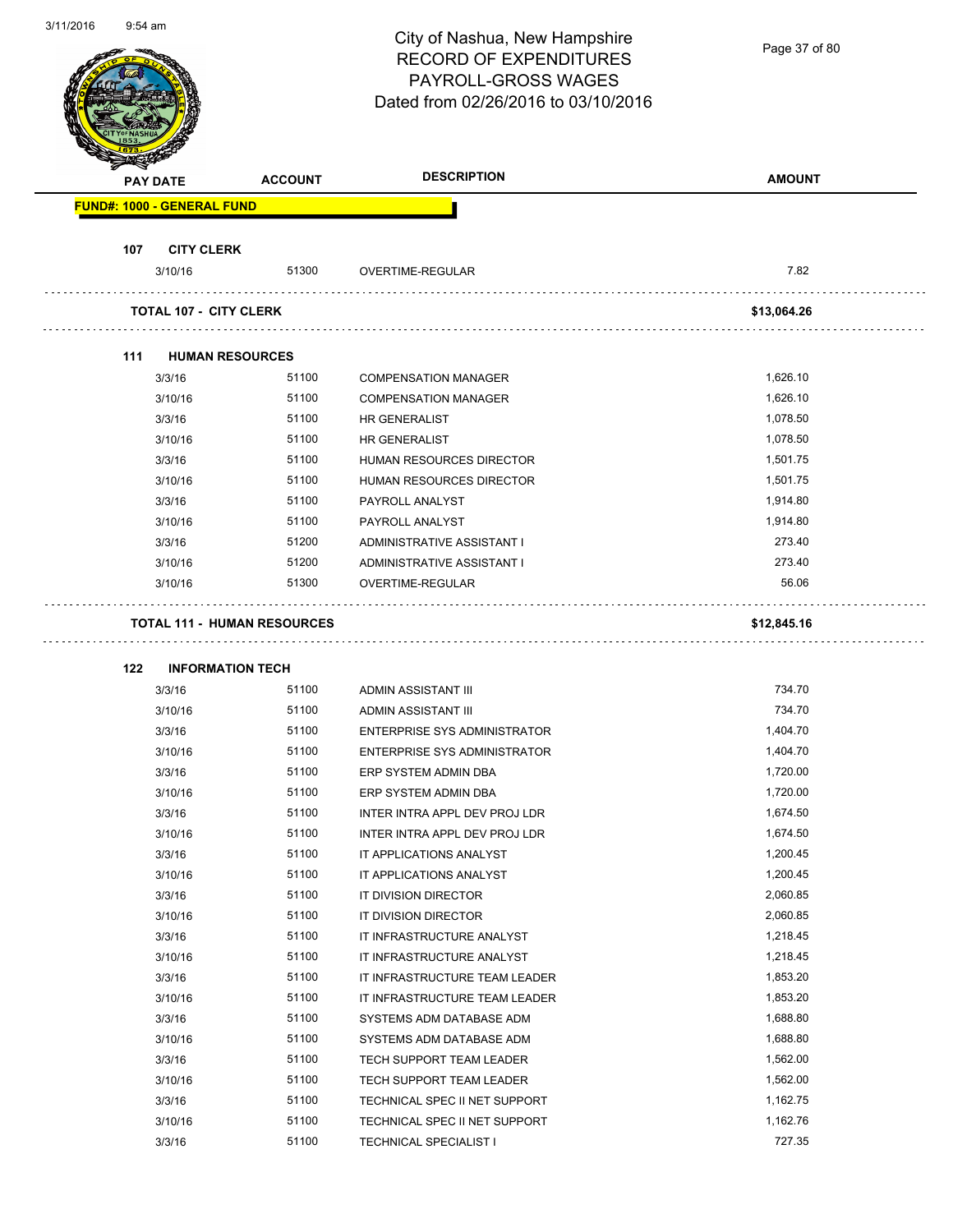Page 37 of 80

|     | <b>PAY DATE</b>                    | <b>ACCOUNT</b> | <b>DESCRIPTION</b>                           | <b>AMOUNT</b>        |
|-----|------------------------------------|----------------|----------------------------------------------|----------------------|
|     | <b>FUND#: 1000 - GENERAL FUND</b>  |                |                                              |                      |
| 107 | <b>CITY CLERK</b>                  |                |                                              |                      |
|     | 3/10/16                            | 51300          | OVERTIME-REGULAR                             | 7.82                 |
|     | <b>TOTAL 107 - CITY CLERK</b>      |                |                                              | \$13,064.26          |
| 111 | <b>HUMAN RESOURCES</b>             |                |                                              |                      |
|     | 3/3/16                             | 51100          | <b>COMPENSATION MANAGER</b>                  | 1,626.10             |
|     | 3/10/16                            | 51100          | <b>COMPENSATION MANAGER</b>                  | 1,626.10             |
|     | 3/3/16                             | 51100          | <b>HR GENERALIST</b>                         | 1,078.50             |
|     | 3/10/16                            | 51100          | <b>HR GENERALIST</b>                         | 1,078.50             |
|     | 3/3/16                             | 51100          | HUMAN RESOURCES DIRECTOR                     | 1,501.75             |
|     | 3/10/16                            | 51100          | <b>HUMAN RESOURCES DIRECTOR</b>              | 1,501.75             |
|     | 3/3/16                             | 51100          | PAYROLL ANALYST                              | 1,914.80             |
|     | 3/10/16                            | 51100          | PAYROLL ANALYST                              | 1,914.80             |
|     | 3/3/16                             | 51200          | ADMINISTRATIVE ASSISTANT I                   | 273.40               |
|     | 3/10/16                            | 51200          | ADMINISTRATIVE ASSISTANT I                   | 273.40               |
|     | 3/10/16                            | 51300          | OVERTIME-REGULAR                             | 56.06                |
|     | <b>TOTAL 111 - HUMAN RESOURCES</b> |                |                                              | \$12,845.16          |
|     |                                    |                |                                              |                      |
| 122 | <b>INFORMATION TECH</b>            |                |                                              |                      |
|     | 3/3/16                             | 51100          | ADMIN ASSISTANT III                          | 734.70               |
|     | 3/10/16                            | 51100          | ADMIN ASSISTANT III                          | 734.70               |
|     | 3/3/16                             | 51100          | <b>ENTERPRISE SYS ADMINISTRATOR</b>          | 1,404.70             |
|     | 3/10/16                            | 51100          | <b>ENTERPRISE SYS ADMINISTRATOR</b>          | 1,404.70             |
|     | 3/3/16                             | 51100          | ERP SYSTEM ADMIN DBA                         | 1,720.00             |
|     | 3/10/16                            | 51100          | ERP SYSTEM ADMIN DBA                         | 1,720.00             |
|     | 3/3/16                             | 51100          | INTER INTRA APPL DEV PROJ LDR                | 1,674.50             |
|     | 3/10/16                            | 51100<br>51100 | INTER INTRA APPL DEV PROJ LDR                | 1,674.50<br>1,200.45 |
|     | 3/3/16                             | 51100          | IT APPLICATIONS ANALYST                      | 1,200.45             |
|     | 3/10/16<br>3/3/16                  | 51100          | IT APPLICATIONS ANALYST                      | 2,060.85             |
|     | 3/10/16                            | 51100          | IT DIVISION DIRECTOR<br>IT DIVISION DIRECTOR | 2,060.85             |
|     | 3/3/16                             | 51100          | IT INFRASTRUCTURE ANALYST                    | 1,218.45             |
|     |                                    |                |                                              |                      |
|     | 3/10/16                            | 51100          | IT INFRASTRUCTURE ANALYST                    | 1,218.45<br>1,853.20 |
|     | 3/3/16                             | 51100          | IT INFRASTRUCTURE TEAM LEADER                |                      |
|     | 3/10/16                            | 51100          | IT INFRASTRUCTURE TEAM LEADER                | 1,853.20             |
|     | 3/3/16                             | 51100          | SYSTEMS ADM DATABASE ADM                     | 1,688.80             |
|     | 3/10/16                            | 51100          | SYSTEMS ADM DATABASE ADM                     | 1,688.80             |
|     | 3/3/16                             | 51100          | TECH SUPPORT TEAM LEADER                     | 1,562.00             |
|     | 3/10/16                            | 51100          | TECH SUPPORT TEAM LEADER                     | 1,562.00             |
|     | 3/3/16                             | 51100          | TECHNICAL SPEC II NET SUPPORT                | 1,162.75             |
|     | 3/10/16                            | 51100          | TECHNICAL SPEC II NET SUPPORT                | 1,162.76             |
|     | 3/3/16                             | 51100          | <b>TECHNICAL SPECIALIST I</b>                | 727.35               |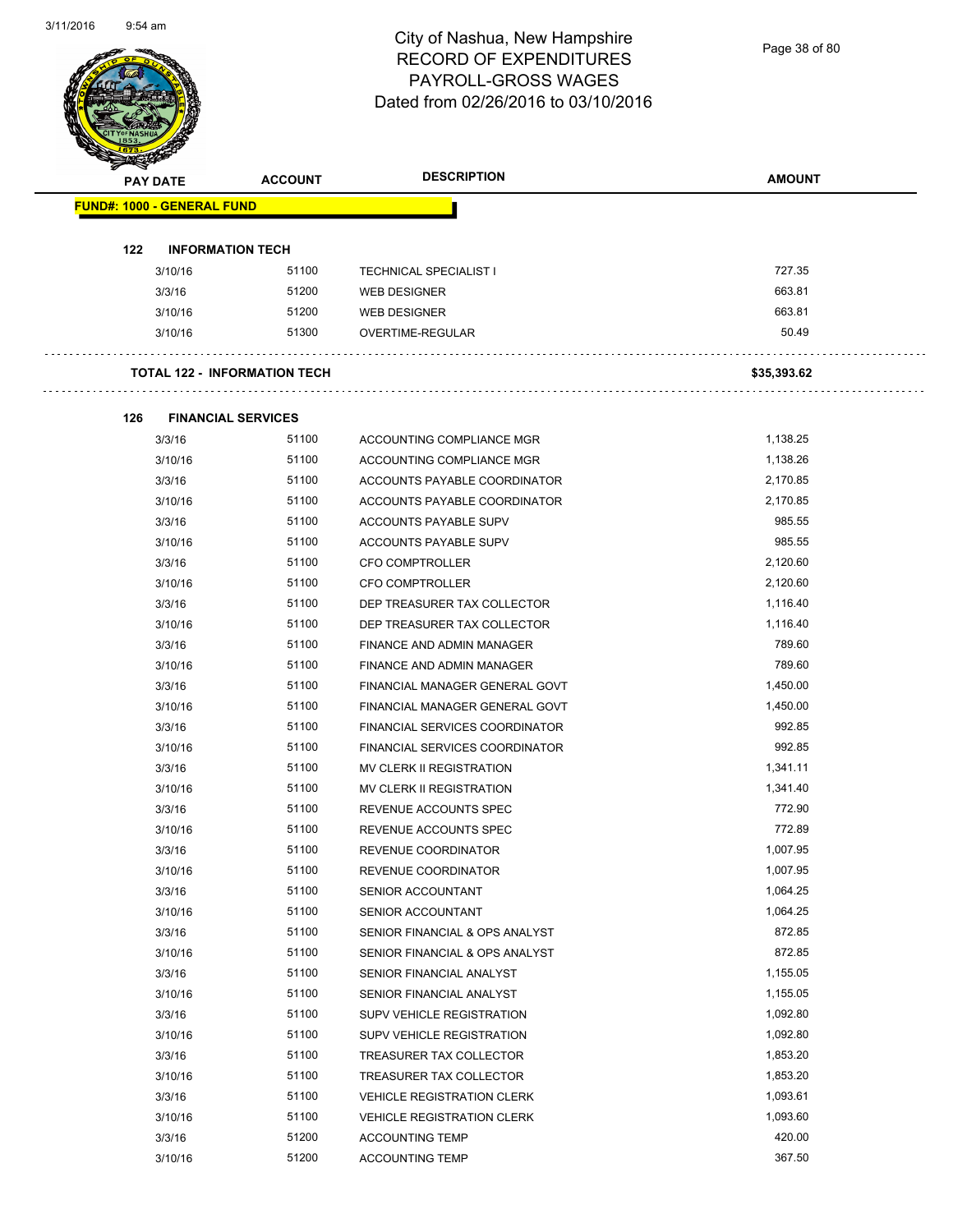Page 38 of 80

|     | <b>PAY DATE</b>                   | <b>ACCOUNT</b>                      | <b>DESCRIPTION</b>                | <b>AMOUNT</b> |
|-----|-----------------------------------|-------------------------------------|-----------------------------------|---------------|
|     | <b>FUND#: 1000 - GENERAL FUND</b> |                                     |                                   |               |
| 122 |                                   | <b>INFORMATION TECH</b>             |                                   |               |
|     | 3/10/16                           | 51100                               | <b>TECHNICAL SPECIALIST I</b>     | 727.35        |
|     | 3/3/16                            | 51200                               | <b>WEB DESIGNER</b>               | 663.81        |
|     | 3/10/16                           | 51200                               | WEB DESIGNER                      | 663.81        |
|     | 3/10/16                           | 51300                               | OVERTIME-REGULAR                  | 50.49         |
|     |                                   | <b>TOTAL 122 - INFORMATION TECH</b> |                                   | \$35,393.62   |
| 126 |                                   | <b>FINANCIAL SERVICES</b>           |                                   |               |
|     | 3/3/16                            | 51100                               | ACCOUNTING COMPLIANCE MGR         | 1,138.25      |
|     | 3/10/16                           | 51100                               | ACCOUNTING COMPLIANCE MGR         | 1,138.26      |
|     | 3/3/16                            | 51100                               | ACCOUNTS PAYABLE COORDINATOR      | 2,170.85      |
|     | 3/10/16                           | 51100                               | ACCOUNTS PAYABLE COORDINATOR      | 2,170.85      |
|     | 3/3/16                            | 51100                               | ACCOUNTS PAYABLE SUPV             | 985.55        |
|     | 3/10/16                           | 51100                               | ACCOUNTS PAYABLE SUPV             | 985.55        |
|     | 3/3/16                            | 51100                               | <b>CFO COMPTROLLER</b>            | 2,120.60      |
|     | 3/10/16                           | 51100                               | <b>CFO COMPTROLLER</b>            | 2,120.60      |
|     | 3/3/16                            | 51100                               | DEP TREASURER TAX COLLECTOR       | 1,116.40      |
|     | 3/10/16                           | 51100                               | DEP TREASURER TAX COLLECTOR       | 1,116.40      |
|     | 3/3/16                            | 51100                               | FINANCE AND ADMIN MANAGER         | 789.60        |
|     | 3/10/16                           | 51100                               | FINANCE AND ADMIN MANAGER         | 789.60        |
|     | 3/3/16                            | 51100                               | FINANCIAL MANAGER GENERAL GOVT    | 1,450.00      |
|     | 3/10/16                           | 51100                               | FINANCIAL MANAGER GENERAL GOVT    | 1,450.00      |
|     | 3/3/16                            | 51100                               | FINANCIAL SERVICES COORDINATOR    | 992.85        |
|     | 3/10/16                           | 51100                               | FINANCIAL SERVICES COORDINATOR    | 992.85        |
|     | 3/3/16                            | 51100                               | <b>MV CLERK II REGISTRATION</b>   | 1,341.11      |
|     | 3/10/16                           | 51100                               | MV CLERK II REGISTRATION          | 1,341.40      |
|     | 3/3/16                            | 51100                               | REVENUE ACCOUNTS SPEC             | 772.90        |
|     | 3/10/16                           | 51100                               | REVENUE ACCOUNTS SPEC             | 772.89        |
|     | 3/3/16                            | 51100                               | REVENUE COORDINATOR               | 1,007.95      |
|     | 3/10/16                           | 51100                               | REVENUE COORDINATOR               | 1,007.95      |
|     | 3/3/16                            | 51100                               | SENIOR ACCOUNTANT                 | 1,064.25      |
|     | 3/10/16                           | 51100                               | SENIOR ACCOUNTANT                 | 1,064.25      |
|     | 3/3/16                            | 51100                               | SENIOR FINANCIAL & OPS ANALYST    | 872.85        |
|     | 3/10/16                           | 51100                               | SENIOR FINANCIAL & OPS ANALYST    | 872.85        |
|     | 3/3/16                            | 51100                               | SENIOR FINANCIAL ANALYST          | 1,155.05      |
|     | 3/10/16                           | 51100                               | SENIOR FINANCIAL ANALYST          | 1,155.05      |
|     | 3/3/16                            | 51100                               | SUPV VEHICLE REGISTRATION         | 1,092.80      |
|     | 3/10/16                           | 51100                               | SUPV VEHICLE REGISTRATION         | 1,092.80      |
|     | 3/3/16                            | 51100                               | TREASURER TAX COLLECTOR           | 1,853.20      |
|     | 3/10/16                           | 51100                               | TREASURER TAX COLLECTOR           | 1,853.20      |
|     | 3/3/16                            | 51100                               | <b>VEHICLE REGISTRATION CLERK</b> | 1,093.61      |
|     | 3/10/16                           | 51100                               | <b>VEHICLE REGISTRATION CLERK</b> | 1,093.60      |
|     | 3/3/16                            | 51200                               | <b>ACCOUNTING TEMP</b>            | 420.00        |
|     | 3/10/16                           | 51200                               | ACCOUNTING TEMP                   | 367.50        |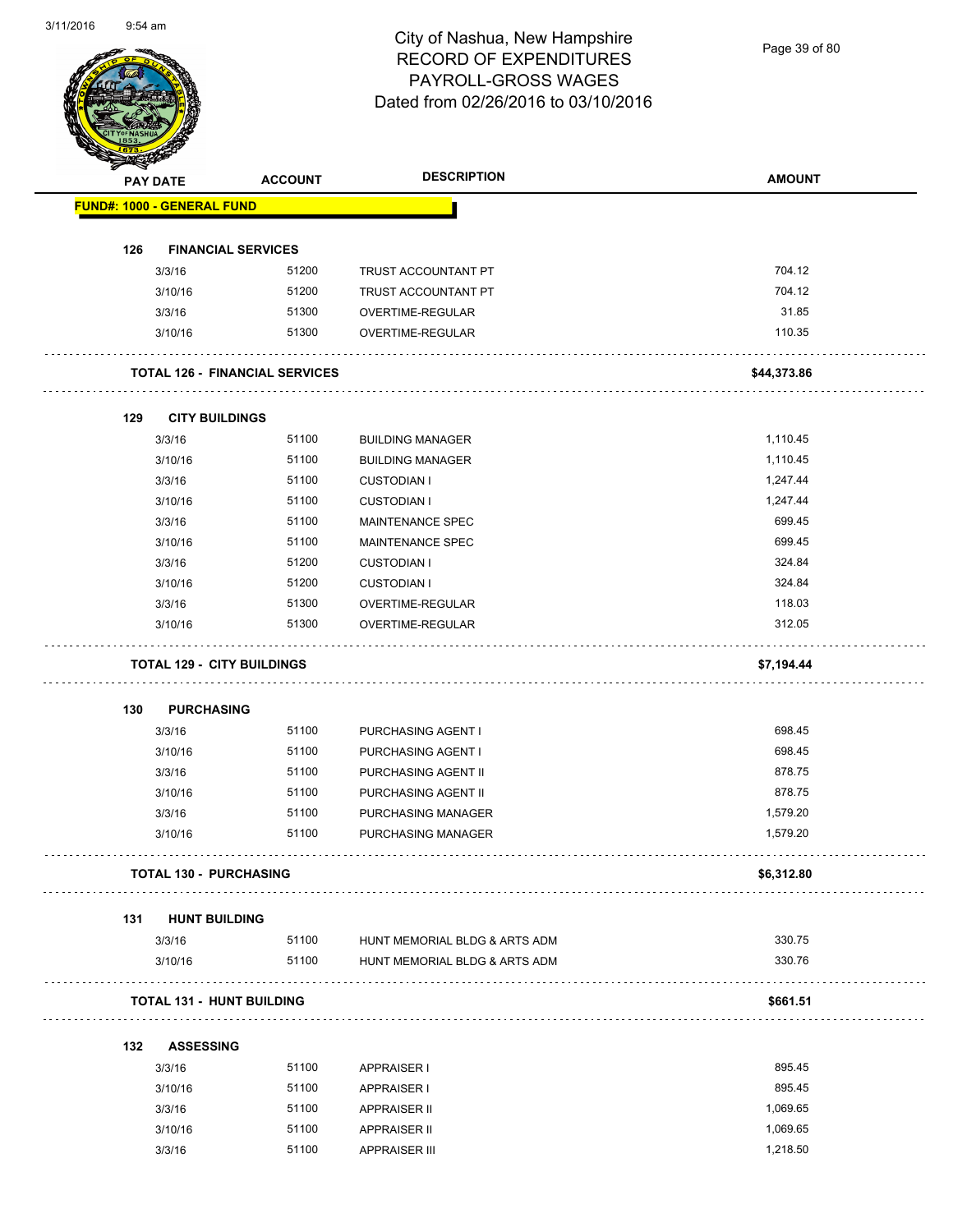Page 39 of 80

|     | <b>PAY DATE</b>                   | <b>ACCOUNT</b>                        | <b>DESCRIPTION</b>                              | <b>AMOUNT</b>        |
|-----|-----------------------------------|---------------------------------------|-------------------------------------------------|----------------------|
|     | <b>FUND#: 1000 - GENERAL FUND</b> |                                       |                                                 |                      |
| 126 |                                   | <b>FINANCIAL SERVICES</b>             |                                                 |                      |
|     | 3/3/16                            | 51200                                 | TRUST ACCOUNTANT PT                             | 704.12               |
|     | 3/10/16                           | 51200                                 | TRUST ACCOUNTANT PT                             | 704.12               |
|     | 3/3/16                            | 51300                                 | OVERTIME-REGULAR                                | 31.85                |
|     | 3/10/16                           | 51300                                 | OVERTIME-REGULAR                                | 110.35               |
|     |                                   | <b>TOTAL 126 - FINANCIAL SERVICES</b> |                                                 | \$44,373.86          |
| 129 | <b>CITY BUILDINGS</b>             |                                       |                                                 |                      |
|     | 3/3/16                            | 51100                                 | <b>BUILDING MANAGER</b>                         | 1,110.45             |
|     | 3/10/16                           | 51100                                 | <b>BUILDING MANAGER</b>                         | 1,110.45             |
|     | 3/3/16                            | 51100                                 | <b>CUSTODIAN I</b>                              | 1,247.44             |
|     | 3/10/16                           | 51100                                 | <b>CUSTODIAN I</b>                              | 1,247.44             |
|     | 3/3/16                            | 51100                                 | MAINTENANCE SPEC                                | 699.45               |
|     | 3/10/16                           | 51100                                 | <b>MAINTENANCE SPEC</b>                         | 699.45               |
|     | 3/3/16                            | 51200                                 | <b>CUSTODIAN I</b>                              | 324.84               |
|     | 3/10/16                           | 51200                                 | <b>CUSTODIAN I</b>                              | 324.84               |
|     | 3/3/16                            | 51300                                 | OVERTIME-REGULAR                                | 118.03               |
|     | 3/10/16                           | 51300                                 | OVERTIME-REGULAR                                | 312.05               |
|     |                                   | <b>TOTAL 129 - CITY BUILDINGS</b>     |                                                 | \$7,194.44           |
|     |                                   |                                       |                                                 |                      |
| 130 | <b>PURCHASING</b>                 |                                       |                                                 |                      |
|     | 3/3/16                            | 51100                                 | PURCHASING AGENT I                              | 698.45               |
|     | 3/10/16                           | 51100                                 | PURCHASING AGENT I                              | 698.45               |
|     | 3/3/16                            | 51100                                 | PURCHASING AGENT II                             | 878.75               |
|     | 3/10/16                           | 51100                                 | <b>PURCHASING AGENT II</b>                      | 878.75               |
|     | 3/3/16                            | 51100<br>51100                        | PURCHASING MANAGER<br><b>PURCHASING MANAGER</b> | 1,579.20<br>1,579.20 |
|     | 3/10/16                           |                                       |                                                 |                      |
|     |                                   | <b>TOTAL 130 - PURCHASING</b>         |                                                 | \$6,312.80           |
| 131 | <b>HUNT BUILDING</b>              |                                       |                                                 |                      |
|     | 3/3/16                            | 51100                                 | HUNT MEMORIAL BLDG & ARTS ADM                   | 330.75               |
|     | 3/10/16                           | 51100                                 | HUNT MEMORIAL BLDG & ARTS ADM                   | 330.76               |
|     |                                   | <b>TOTAL 131 - HUNT BUILDING</b>      |                                                 | \$661.51             |
| 132 | <b>ASSESSING</b>                  |                                       |                                                 |                      |
|     | 3/3/16                            | 51100                                 | <b>APPRAISER I</b>                              | 895.45               |
|     | 3/10/16                           | 51100                                 | <b>APPRAISER I</b>                              | 895.45               |
|     | 3/3/16                            | 51100                                 | <b>APPRAISER II</b>                             | 1,069.65             |
|     | 3/10/16                           | 51100                                 | <b>APPRAISER II</b>                             | 1,069.65             |
|     |                                   |                                       |                                                 |                      |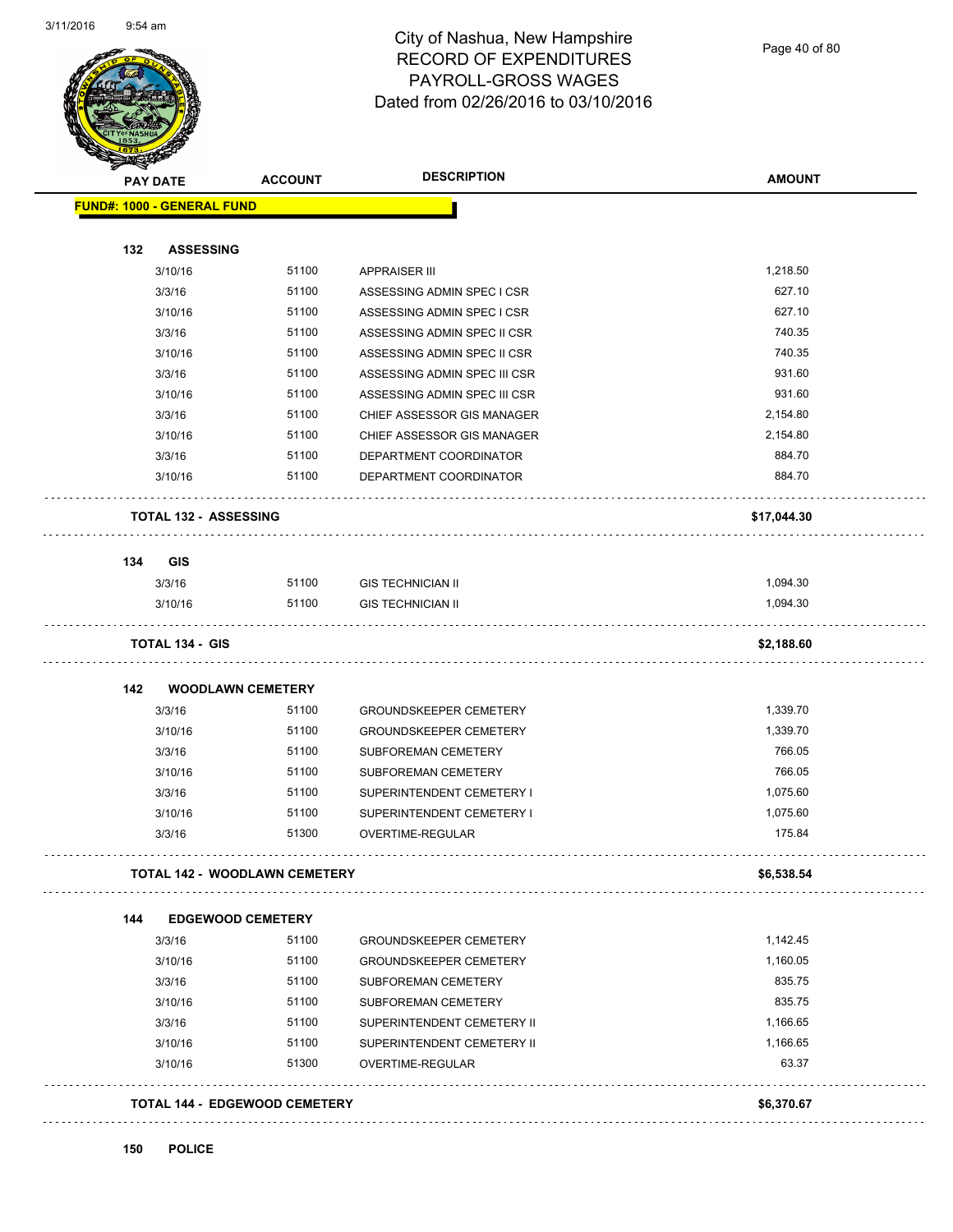

| <b>PAY DATE</b>                   | <b>ACCOUNT</b>                       | <b>DESCRIPTION</b>            | <b>AMOUNT</b> |
|-----------------------------------|--------------------------------------|-------------------------------|---------------|
| <b>FUND#: 1000 - GENERAL FUND</b> |                                      |                               |               |
| 132                               | <b>ASSESSING</b>                     |                               |               |
| 3/10/16                           | 51100                                | <b>APPRAISER III</b>          | 1,218.50      |
| 3/3/16                            | 51100                                | ASSESSING ADMIN SPEC I CSR    | 627.10        |
| 3/10/16                           | 51100                                | ASSESSING ADMIN SPEC I CSR    | 627.10        |
| 3/3/16                            | 51100                                | ASSESSING ADMIN SPEC II CSR   | 740.35        |
| 3/10/16                           | 51100                                | ASSESSING ADMIN SPEC II CSR   | 740.35        |
| 3/3/16                            | 51100                                | ASSESSING ADMIN SPEC III CSR  | 931.60        |
| 3/10/16                           | 51100                                | ASSESSING ADMIN SPEC III CSR  | 931.60        |
| 3/3/16                            | 51100                                | CHIEF ASSESSOR GIS MANAGER    | 2,154.80      |
| 3/10/16                           | 51100                                | CHIEF ASSESSOR GIS MANAGER    | 2,154.80      |
| 3/3/16                            | 51100                                | DEPARTMENT COORDINATOR        | 884.70        |
| 3/10/16                           | 51100                                | DEPARTMENT COORDINATOR        | 884.70        |
|                                   | <b>TOTAL 132 - ASSESSING</b>         |                               | \$17,044.30   |
|                                   |                                      |                               |               |
| 134<br>GIS                        | 51100                                | <b>GIS TECHNICIAN II</b>      | 1,094.30      |
| 3/3/16<br>3/10/16                 | 51100                                |                               | 1,094.30      |
|                                   |                                      | <b>GIS TECHNICIAN II</b>      |               |
| <b>TOTAL 134 - GIS</b>            |                                      |                               | \$2,188.60    |
| 142                               | <b>WOODLAWN CEMETERY</b>             |                               |               |
| 3/3/16                            | 51100                                | <b>GROUNDSKEEPER CEMETERY</b> | 1,339.70      |
| 3/10/16                           | 51100                                | <b>GROUNDSKEEPER CEMETERY</b> | 1,339.70      |
| 3/3/16                            | 51100                                | SUBFOREMAN CEMETERY           | 766.05        |
| 3/10/16                           | 51100                                | <b>SUBFOREMAN CEMETERY</b>    | 766.05        |
| 3/3/16                            | 51100                                | SUPERINTENDENT CEMETERY I     | 1,075.60      |
| 3/10/16                           | 51100                                | SUPERINTENDENT CEMETERY I     | 1,075.60      |
| 3/3/16                            | 51300                                | OVERTIME-REGULAR              | 175.84        |
|                                   | <b>TOTAL 142 - WOODLAWN CEMETERY</b> |                               | \$6,538.54    |
| 144                               | <b>EDGEWOOD CEMETERY</b>             |                               |               |
| 3/3/16                            | 51100                                | <b>GROUNDSKEEPER CEMETERY</b> | 1,142.45      |
| 3/10/16                           | 51100                                | <b>GROUNDSKEEPER CEMETERY</b> | 1,160.05      |
| 3/3/16                            | 51100                                | SUBFOREMAN CEMETERY           | 835.75        |
| 3/10/16                           | 51100                                | SUBFOREMAN CEMETERY           | 835.75        |
| 3/3/16                            | 51100                                | SUPERINTENDENT CEMETERY II    | 1,166.65      |
| 3/10/16                           | 51100                                | SUPERINTENDENT CEMETERY II    | 1,166.65      |
| 3/10/16                           | 51300                                | OVERTIME-REGULAR              | 63.37         |
|                                   | <b>TOTAL 144 - EDGEWOOD CEMETERY</b> |                               | \$6,370.67    |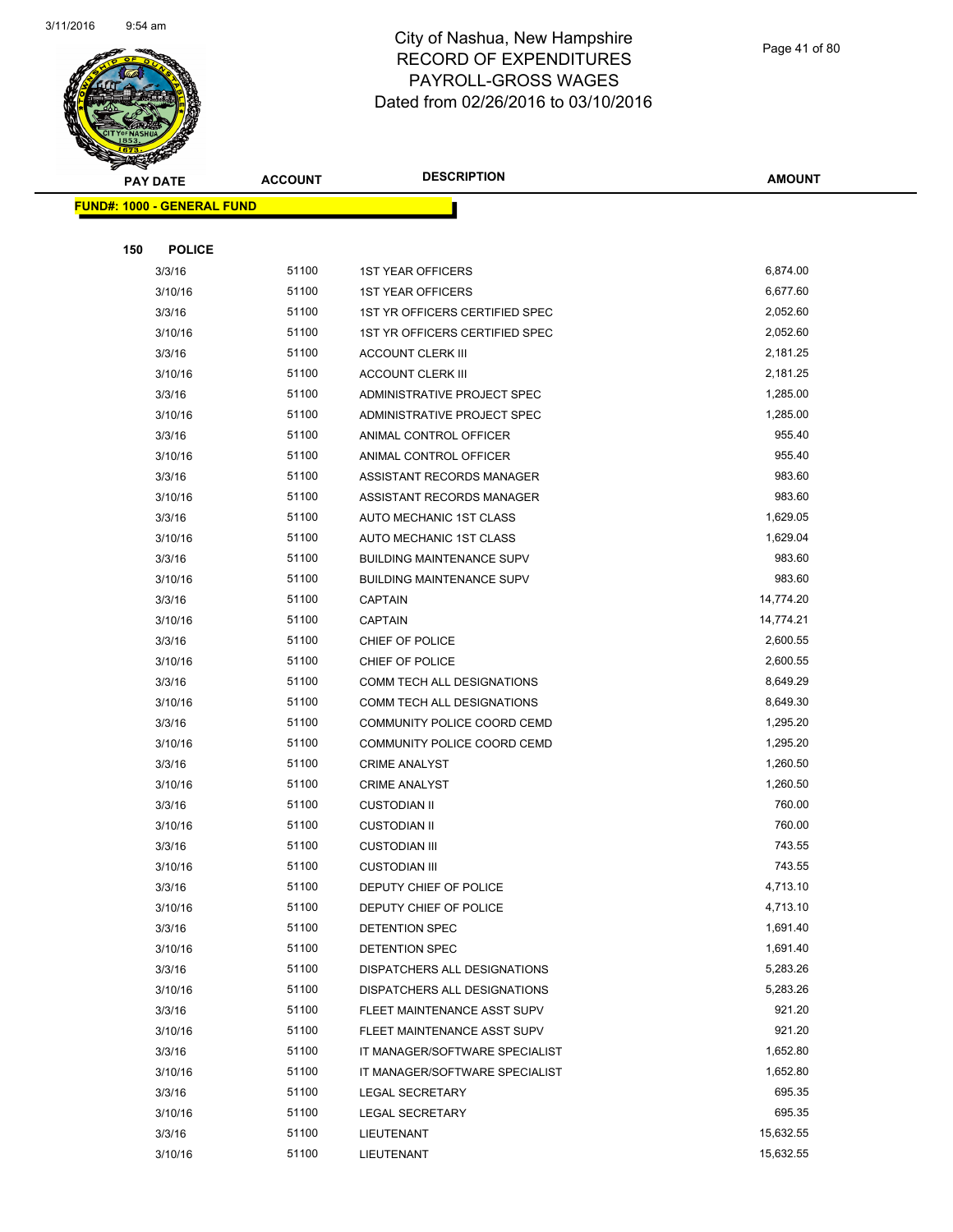

Page 41 of 80

|     | <b>PAY DATE</b>                   | <b>ACCOUNT</b> | <b>DESCRIPTION</b>               | AMOUNT    |
|-----|-----------------------------------|----------------|----------------------------------|-----------|
|     | <b>FUND#: 1000 - GENERAL FUND</b> |                |                                  |           |
|     |                                   |                |                                  |           |
| 150 | <b>POLICE</b>                     |                |                                  |           |
|     | 3/3/16                            | 51100          | <b>1ST YEAR OFFICERS</b>         | 6,874.00  |
|     | 3/10/16                           | 51100          | <b>1ST YEAR OFFICERS</b>         | 6,677.60  |
|     | 3/3/16                            | 51100          | 1ST YR OFFICERS CERTIFIED SPEC   | 2,052.60  |
|     | 3/10/16                           | 51100          | 1ST YR OFFICERS CERTIFIED SPEC   | 2,052.60  |
|     | 3/3/16                            | 51100          | <b>ACCOUNT CLERK III</b>         | 2,181.25  |
|     | 3/10/16                           | 51100          | <b>ACCOUNT CLERK III</b>         | 2,181.25  |
|     | 3/3/16                            | 51100          | ADMINISTRATIVE PROJECT SPEC      | 1,285.00  |
|     | 3/10/16                           | 51100          | ADMINISTRATIVE PROJECT SPEC      | 1,285.00  |
|     | 3/3/16                            | 51100          | ANIMAL CONTROL OFFICER           | 955.40    |
|     | 3/10/16                           | 51100          | ANIMAL CONTROL OFFICER           | 955.40    |
|     | 3/3/16                            | 51100          | ASSISTANT RECORDS MANAGER        | 983.60    |
|     | 3/10/16                           | 51100          | ASSISTANT RECORDS MANAGER        | 983.60    |
|     | 3/3/16                            | 51100          | AUTO MECHANIC 1ST CLASS          | 1,629.05  |
|     | 3/10/16                           | 51100          | AUTO MECHANIC 1ST CLASS          | 1,629.04  |
|     | 3/3/16                            | 51100          | <b>BUILDING MAINTENANCE SUPV</b> | 983.60    |
|     | 3/10/16                           | 51100          | <b>BUILDING MAINTENANCE SUPV</b> | 983.60    |
|     | 3/3/16                            | 51100          | CAPTAIN                          | 14,774.20 |
|     | 3/10/16                           | 51100          | <b>CAPTAIN</b>                   | 14,774.21 |
|     | 3/3/16                            | 51100          | CHIEF OF POLICE                  | 2,600.55  |
|     | 3/10/16                           | 51100          | CHIEF OF POLICE                  | 2,600.55  |
|     | 3/3/16                            | 51100          | COMM TECH ALL DESIGNATIONS       | 8,649.29  |
|     | 3/10/16                           | 51100          | COMM TECH ALL DESIGNATIONS       | 8,649.30  |
|     | 3/3/16                            | 51100          | COMMUNITY POLICE COORD CEMD      | 1,295.20  |
|     | 3/10/16                           | 51100          | COMMUNITY POLICE COORD CEMD      | 1,295.20  |
|     | 3/3/16                            | 51100          | <b>CRIME ANALYST</b>             | 1,260.50  |
|     | 3/10/16                           | 51100          | <b>CRIME ANALYST</b>             | 1,260.50  |
|     | 3/3/16                            | 51100          | <b>CUSTODIAN II</b>              | 760.00    |
|     | 3/10/16                           | 51100          | <b>CUSTODIAN II</b>              | 760.00    |
|     | 3/3/16                            | 51100          | <b>CUSTODIAN III</b>             | 743.55    |
|     | 3/10/16                           | 51100          | <b>CUSTODIAN III</b>             | 743.55    |
|     | 3/3/16                            | 51100          | DEPUTY CHIEF OF POLICE           | 4,713.10  |
|     | 3/10/16                           | 51100          | DEPUTY CHIEF OF POLICE           | 4,713.10  |
|     | 3/3/16                            | 51100          | DETENTION SPEC                   | 1,691.40  |
|     | 3/10/16                           | 51100          | DETENTION SPEC                   | 1,691.40  |
|     | 3/3/16                            | 51100          | DISPATCHERS ALL DESIGNATIONS     | 5,283.26  |
|     | 3/10/16                           | 51100          | DISPATCHERS ALL DESIGNATIONS     | 5,283.26  |
|     | 3/3/16                            | 51100          | FLEET MAINTENANCE ASST SUPV      | 921.20    |
|     | 3/10/16                           | 51100          | FLEET MAINTENANCE ASST SUPV      | 921.20    |
|     | 3/3/16                            | 51100          | IT MANAGER/SOFTWARE SPECIALIST   | 1,652.80  |
|     | 3/10/16                           | 51100          | IT MANAGER/SOFTWARE SPECIALIST   | 1,652.80  |
|     | 3/3/16                            | 51100          | LEGAL SECRETARY                  | 695.35    |
|     | 3/10/16                           | 51100          | <b>LEGAL SECRETARY</b>           | 695.35    |
|     | 3/3/16                            | 51100          | LIEUTENANT                       | 15,632.55 |
|     | 3/10/16                           | 51100          | LIEUTENANT                       | 15,632.55 |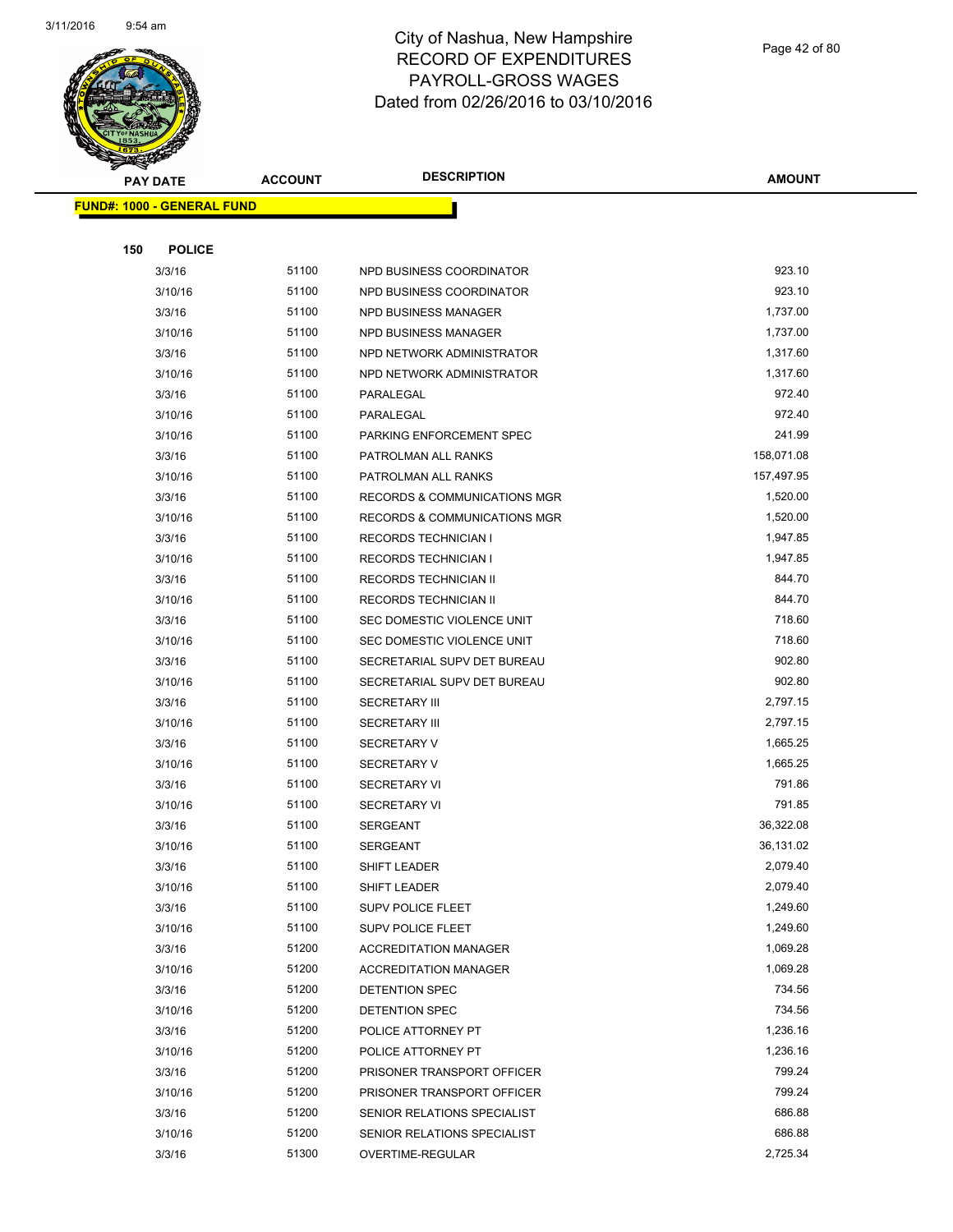

|     | <b>PAY DATE</b>                    | <b>ACCOUNT</b> | <b>DESCRIPTION</b>                      | <b>AMOUNT</b> |
|-----|------------------------------------|----------------|-----------------------------------------|---------------|
|     | <u> FUND#: 1000 - GENERAL FUND</u> |                |                                         |               |
|     |                                    |                |                                         |               |
| 150 | <b>POLICE</b>                      |                |                                         |               |
|     | 3/3/16                             | 51100          | NPD BUSINESS COORDINATOR                | 923.10        |
|     | 3/10/16                            | 51100          | NPD BUSINESS COORDINATOR                | 923.10        |
|     | 3/3/16                             | 51100          | NPD BUSINESS MANAGER                    | 1,737.00      |
|     | 3/10/16                            | 51100          | NPD BUSINESS MANAGER                    | 1,737.00      |
|     | 3/3/16                             | 51100          | NPD NETWORK ADMINISTRATOR               | 1,317.60      |
|     | 3/10/16                            | 51100          | NPD NETWORK ADMINISTRATOR               | 1,317.60      |
|     | 3/3/16                             | 51100          | PARALEGAL                               | 972.40        |
|     | 3/10/16                            | 51100          | PARALEGAL                               | 972.40        |
|     | 3/10/16                            | 51100          | PARKING ENFORCEMENT SPEC                | 241.99        |
|     | 3/3/16                             | 51100          | PATROLMAN ALL RANKS                     | 158,071.08    |
|     | 3/10/16                            | 51100          | PATROLMAN ALL RANKS                     | 157,497.95    |
|     | 3/3/16                             | 51100          | <b>RECORDS &amp; COMMUNICATIONS MGR</b> | 1,520.00      |
|     | 3/10/16                            | 51100          | RECORDS & COMMUNICATIONS MGR            | 1,520.00      |
|     | 3/3/16                             | 51100          | <b>RECORDS TECHNICIAN I</b>             | 1,947.85      |
|     | 3/10/16                            | 51100          | <b>RECORDS TECHNICIAN I</b>             | 1,947.85      |
|     | 3/3/16                             | 51100          | RECORDS TECHNICIAN II                   | 844.70        |
|     | 3/10/16                            | 51100          | RECORDS TECHNICIAN II                   | 844.70        |
|     | 3/3/16                             | 51100          | SEC DOMESTIC VIOLENCE UNIT              | 718.60        |
|     | 3/10/16                            | 51100          | SEC DOMESTIC VIOLENCE UNIT              | 718.60        |
|     | 3/3/16                             | 51100          | SECRETARIAL SUPV DET BUREAU             | 902.80        |
|     | 3/10/16                            | 51100          | SECRETARIAL SUPV DET BUREAU             | 902.80        |
|     | 3/3/16                             | 51100          | <b>SECRETARY III</b>                    | 2,797.15      |
|     | 3/10/16                            | 51100          | <b>SECRETARY III</b>                    | 2,797.15      |
|     | 3/3/16                             | 51100          | <b>SECRETARY V</b>                      | 1,665.25      |
|     | 3/10/16                            | 51100          | <b>SECRETARY V</b>                      | 1,665.25      |
|     | 3/3/16                             | 51100          | <b>SECRETARY VI</b>                     | 791.86        |
|     | 3/10/16                            | 51100          | <b>SECRETARY VI</b>                     | 791.85        |
|     | 3/3/16                             | 51100          | <b>SERGEANT</b>                         | 36,322.08     |
|     | 3/10/16                            | 51100          | <b>SERGEANT</b>                         | 36,131.02     |
|     | 3/3/16                             | 51100          | SHIFT LEADER                            | 2,079.40      |
|     | 3/10/16                            | 51100          | SHIFT LEADER                            | 2,079.40      |
|     | 3/3/16                             | 51100          | <b>SUPV POLICE FLEET</b>                | 1,249.60      |
|     | 3/10/16                            | 51100          | <b>SUPV POLICE FLEET</b>                | 1,249.60      |
|     | 3/3/16                             | 51200          | <b>ACCREDITATION MANAGER</b>            | 1,069.28      |
|     | 3/10/16                            | 51200          | <b>ACCREDITATION MANAGER</b>            | 1,069.28      |
|     | 3/3/16                             | 51200          | DETENTION SPEC                          | 734.56        |
|     | 3/10/16                            | 51200          | DETENTION SPEC                          | 734.56        |
|     | 3/3/16                             | 51200          | POLICE ATTORNEY PT                      | 1,236.16      |
|     | 3/10/16                            | 51200          | POLICE ATTORNEY PT                      | 1,236.16      |
|     | 3/3/16                             | 51200          | PRISONER TRANSPORT OFFICER              | 799.24        |
|     | 3/10/16                            | 51200          | PRISONER TRANSPORT OFFICER              | 799.24        |
|     | 3/3/16                             | 51200          | SENIOR RELATIONS SPECIALIST             | 686.88        |
|     | 3/10/16                            | 51200          | SENIOR RELATIONS SPECIALIST             | 686.88        |
|     | 3/3/16                             | 51300          | OVERTIME-REGULAR                        | 2,725.34      |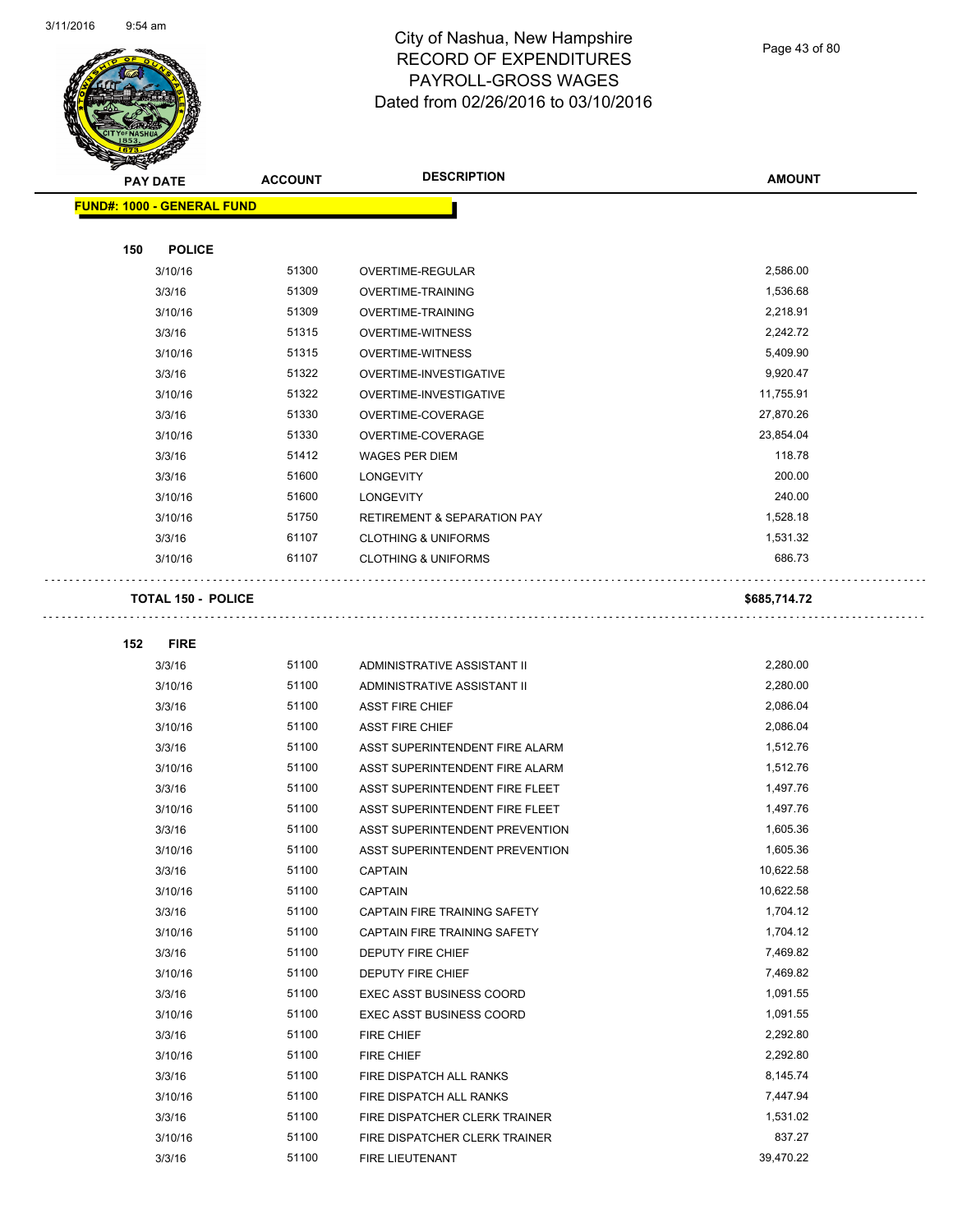$\bar{\mathbb{Z}}$  .

 $\ddot{\phantom{1}}$  .



## City of Nashua, New Hampshire RECORD OF EXPENDITURES PAYROLL-GROSS WAGES Dated from 02/26/2016 to 03/10/2016

Page 43 of 80

**AMOUNT**

| <b>FUND#: 1000 - GENERAL FUND</b> |       |                                        |              |
|-----------------------------------|-------|----------------------------------------|--------------|
|                                   |       |                                        |              |
| 150<br><b>POLICE</b>              |       |                                        |              |
| 3/10/16                           | 51300 | OVERTIME-REGULAR                       | 2,586.00     |
| 3/3/16                            | 51309 | <b>OVERTIME-TRAINING</b>               | 1,536.68     |
| 3/10/16                           | 51309 | <b>OVERTIME-TRAINING</b>               | 2,218.91     |
| 3/3/16                            | 51315 | <b>OVERTIME-WITNESS</b>                | 2,242.72     |
| 3/10/16                           | 51315 | <b>OVERTIME-WITNESS</b>                | 5,409.90     |
| 3/3/16                            | 51322 | OVERTIME-INVESTIGATIVE                 | 9,920.47     |
| 3/10/16                           | 51322 | OVERTIME-INVESTIGATIVE                 | 11,755.91    |
| 3/3/16                            | 51330 | OVERTIME-COVERAGE                      | 27,870.26    |
| 3/10/16                           | 51330 | OVERTIME-COVERAGE                      | 23,854.04    |
| 3/3/16                            | 51412 | WAGES PER DIEM                         | 118.78       |
| 3/3/16                            | 51600 | <b>LONGEVITY</b>                       | 200.00       |
| 3/10/16                           | 51600 | <b>LONGEVITY</b>                       | 240.00       |
| 3/10/16                           | 51750 | <b>RETIREMENT &amp; SEPARATION PAY</b> | 1,528.18     |
| 3/3/16                            | 61107 | <b>CLOTHING &amp; UNIFORMS</b>         | 1,531.32     |
| 3/10/16                           | 61107 | <b>CLOTHING &amp; UNIFORMS</b>         | 686.73       |
| <b>TOTAL 150 - POLICE</b>         |       |                                        | \$685,714.72 |
|                                   |       |                                        |              |
| 152<br><b>FIRE</b>                |       |                                        |              |
| 3/3/16                            | 51100 | ADMINISTRATIVE ASSISTANT II            | 2,280.00     |
| 3/10/16                           | 51100 | ADMINISTRATIVE ASSISTANT II            | 2,280.00     |
| 3/3/16                            | 51100 | <b>ASST FIRE CHIEF</b>                 | 2,086.04     |
| 3/10/16                           | 51100 | <b>ASST FIRE CHIEF</b>                 | 2,086.04     |
| 3/3/16                            | 51100 | ASST SUPERINTENDENT FIRE ALARM         | 1,512.76     |
| 3/10/16                           | 51100 | ASST SUPERINTENDENT FIRE ALARM         | 1,512.76     |
| 3/3/16                            | 51100 | ASST SUPERINTENDENT FIRE FLEET         | 1,497.76     |
| 3/10/16                           | 51100 | ASST SUPERINTENDENT FIRE FLEET         | 1,497.76     |
| 3/3/16                            | 51100 | ASST SUPERINTENDENT PREVENTION         | 1,605.36     |
| 3/10/16                           | 51100 | ASST SUPERINTENDENT PREVENTION         | 1,605.36     |
| 3/3/16                            | 51100 | <b>CAPTAIN</b>                         | 10,622.58    |
| 3/10/16                           | 51100 | CAPTAIN                                | 10,622.58    |
| 3/3/16                            | 51100 | CAPTAIN FIRE TRAINING SAFETY           | 1,704.12     |
| 3/10/16                           | 51100 | CAPTAIN FIRE TRAINING SAFETY           | 1,704.12     |
| 3/3/16                            | 51100 | DEPUTY FIRE CHIEF                      | 7,469.82     |
| 3/10/16                           | 51100 | DEPUTY FIRE CHIEF                      | 7,469.82     |
| 3/3/16                            | 51100 | <b>EXEC ASST BUSINESS COORD</b>        | 1,091.55     |
| 3/10/16                           | 51100 | <b>EXEC ASST BUSINESS COORD</b>        | 1,091.55     |
| 3/3/16                            | 51100 | FIRE CHIEF                             | 2,292.80     |
| 3/10/16                           | 51100 | FIRE CHIEF                             | 2,292.80     |
| 3/3/16                            | 51100 | FIRE DISPATCH ALL RANKS                | 8,145.74     |
| 3/10/16                           | 51100 | FIRE DISPATCH ALL RANKS                | 7,447.94     |
| 3/3/16                            | 51100 | FIRE DISPATCHER CLERK TRAINER          | 1,531.02     |
| 3/10/16                           | 51100 | FIRE DISPATCHER CLERK TRAINER          | 837.27       |
| 3/3/16                            | 51100 | FIRE LIEUTENANT                        | 39,470.22    |
|                                   |       |                                        |              |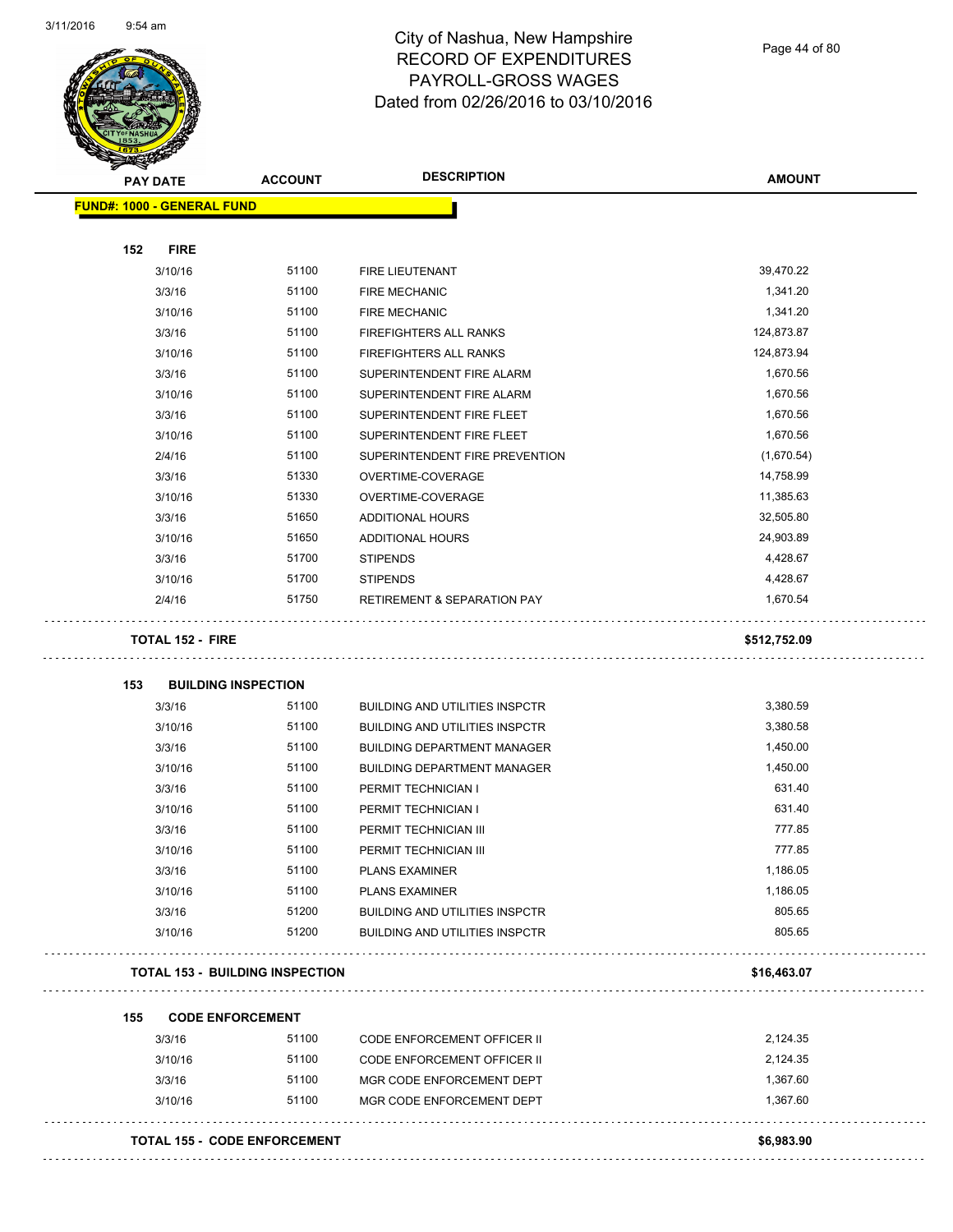

Page 44 of 80

| <b>PAY DATE</b> |                                   | <b>ACCOUNT</b>                         | <b>DESCRIPTION</b>                     | <b>AMOUNT</b> |
|-----------------|-----------------------------------|----------------------------------------|----------------------------------------|---------------|
|                 | <b>FUND#: 1000 - GENERAL FUND</b> |                                        |                                        |               |
| 152             | <b>FIRE</b>                       |                                        |                                        |               |
|                 | 3/10/16                           | 51100                                  | FIRE LIEUTENANT                        | 39,470.22     |
|                 | 3/3/16                            | 51100                                  | <b>FIRE MECHANIC</b>                   | 1,341.20      |
|                 | 3/10/16                           | 51100                                  | <b>FIRE MECHANIC</b>                   | 1,341.20      |
|                 | 3/3/16                            | 51100                                  | <b>FIREFIGHTERS ALL RANKS</b>          | 124,873.87    |
|                 | 3/10/16                           | 51100                                  | FIREFIGHTERS ALL RANKS                 | 124,873.94    |
|                 | 3/3/16                            | 51100                                  | SUPERINTENDENT FIRE ALARM              | 1,670.56      |
|                 | 3/10/16                           | 51100                                  | SUPERINTENDENT FIRE ALARM              | 1,670.56      |
|                 | 3/3/16                            | 51100                                  | SUPERINTENDENT FIRE FLEET              | 1,670.56      |
|                 | 3/10/16                           | 51100                                  | SUPERINTENDENT FIRE FLEET              | 1,670.56      |
|                 | 2/4/16                            | 51100                                  | SUPERINTENDENT FIRE PREVENTION         | (1,670.54)    |
|                 | 3/3/16                            | 51330                                  | OVERTIME-COVERAGE                      | 14,758.99     |
|                 | 3/10/16                           | 51330                                  | OVERTIME-COVERAGE                      | 11,385.63     |
|                 | 3/3/16                            | 51650                                  | <b>ADDITIONAL HOURS</b>                | 32,505.80     |
|                 | 3/10/16                           | 51650                                  | ADDITIONAL HOURS                       | 24,903.89     |
|                 | 3/3/16                            | 51700                                  | <b>STIPENDS</b>                        | 4,428.67      |
|                 | 3/10/16                           | 51700                                  | <b>STIPENDS</b>                        | 4,428.67      |
|                 | 2/4/16                            | 51750                                  | <b>RETIREMENT &amp; SEPARATION PAY</b> | 1,670.54      |
|                 | <b>TOTAL 152 - FIRE</b>           |                                        |                                        | \$512,752.09  |
| 153             |                                   | <b>BUILDING INSPECTION</b>             |                                        |               |
|                 | 3/3/16                            | 51100                                  | <b>BUILDING AND UTILITIES INSPCTR</b>  | 3,380.59      |
|                 | 3/10/16                           | 51100                                  | <b>BUILDING AND UTILITIES INSPCTR</b>  | 3,380.58      |
|                 | 3/3/16                            | 51100                                  | <b>BUILDING DEPARTMENT MANAGER</b>     | 1,450.00      |
|                 | 3/10/16                           | 51100                                  | <b>BUILDING DEPARTMENT MANAGER</b>     | 1,450.00      |
|                 | 3/3/16                            | 51100                                  | PERMIT TECHNICIAN I                    | 631.40        |
|                 | 3/10/16                           | 51100                                  | PERMIT TECHNICIAN I                    | 631.40        |
|                 | 3/3/16                            | 51100                                  | PERMIT TECHNICIAN III                  | 777.85        |
|                 | 3/10/16                           | 51100                                  | PERMIT TECHNICIAN III                  | 777.85        |
|                 | 3/3/16                            | 51100                                  | <b>PLANS EXAMINER</b>                  | 1,186.05      |
|                 | 3/10/16                           | 51100                                  | <b>PLANS EXAMINER</b>                  | 1,186.05      |
|                 | 3/3/16                            | 51200                                  | <b>BUILDING AND UTILITIES INSPCTR</b>  | 805.65        |
|                 | 3/10/16                           | 51200                                  | <b>BUILDING AND UTILITIES INSPCTR</b>  | 805.65        |
|                 |                                   | <b>TOTAL 153 - BUILDING INSPECTION</b> |                                        | \$16,463.07   |
| 155             |                                   | <b>CODE ENFORCEMENT</b>                |                                        |               |
|                 | 3/3/16                            | 51100                                  | <b>CODE ENFORCEMENT OFFICER II</b>     | 2,124.35      |
|                 | 3/10/16                           | 51100                                  | CODE ENFORCEMENT OFFICER II            | 2,124.35      |
|                 | 3/3/16                            | 51100                                  | MGR CODE ENFORCEMENT DEPT              | 1,367.60      |
|                 | 3/10/16                           | 51100                                  | MGR CODE ENFORCEMENT DEPT              | 1,367.60      |
|                 |                                   |                                        |                                        |               |
|                 |                                   | <b>TOTAL 155 - CODE ENFORCEMENT</b>    |                                        | \$6,983.90    |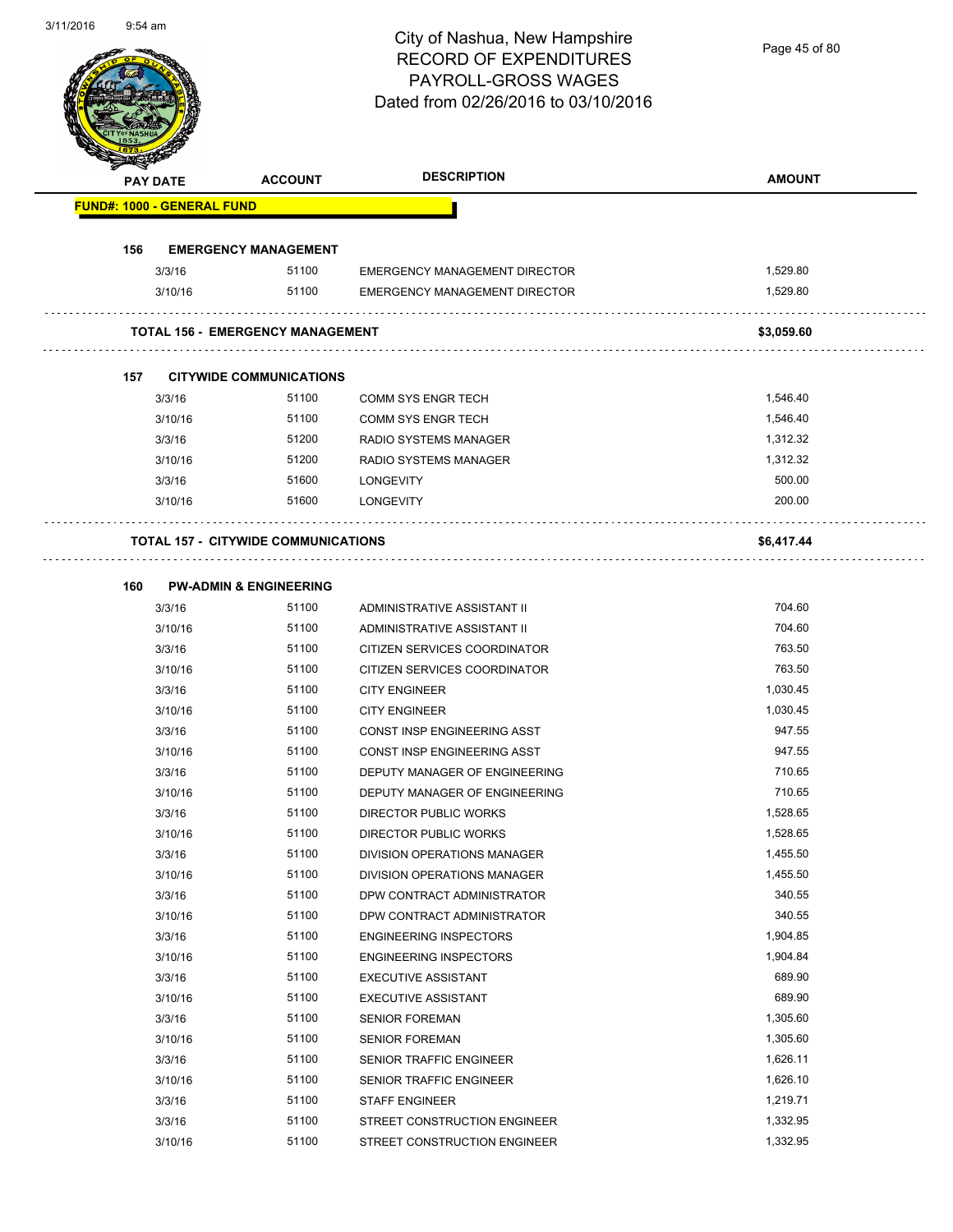Page 45 of 80

| <b>PAY DATE</b> |                                   | <b>ACCOUNT</b>                             | <b>DESCRIPTION</b>                   | <b>AMOUNT</b> |
|-----------------|-----------------------------------|--------------------------------------------|--------------------------------------|---------------|
|                 | <b>FUND#: 1000 - GENERAL FUND</b> |                                            |                                      |               |
| 156             |                                   | <b>EMERGENCY MANAGEMENT</b>                |                                      |               |
|                 | 3/3/16                            | 51100                                      | <b>EMERGENCY MANAGEMENT DIRECTOR</b> | 1,529.80      |
|                 | 3/10/16                           | 51100                                      | <b>EMERGENCY MANAGEMENT DIRECTOR</b> | 1,529.80      |
|                 |                                   |                                            |                                      |               |
|                 |                                   | <b>TOTAL 156 - EMERGENCY MANAGEMENT</b>    |                                      | \$3,059.60    |
| 157             |                                   | <b>CITYWIDE COMMUNICATIONS</b>             |                                      |               |
|                 | 3/3/16                            | 51100                                      | <b>COMM SYS ENGR TECH</b>            | 1,546.40      |
|                 | 3/10/16                           | 51100                                      | <b>COMM SYS ENGR TECH</b>            | 1,546.40      |
|                 | 3/3/16                            | 51200                                      | <b>RADIO SYSTEMS MANAGER</b>         | 1,312.32      |
|                 | 3/10/16                           | 51200                                      | <b>RADIO SYSTEMS MANAGER</b>         | 1,312.32      |
|                 | 3/3/16                            | 51600                                      | <b>LONGEVITY</b>                     | 500.00        |
|                 | 3/10/16                           | 51600                                      | <b>LONGEVITY</b>                     | 200.00        |
|                 |                                   | <b>TOTAL 157 - CITYWIDE COMMUNICATIONS</b> |                                      | \$6,417.44    |
| 160             |                                   | <b>PW-ADMIN &amp; ENGINEERING</b>          |                                      |               |
|                 | 3/3/16                            | 51100                                      | ADMINISTRATIVE ASSISTANT II          | 704.60        |
|                 | 3/10/16                           | 51100                                      | ADMINISTRATIVE ASSISTANT II          | 704.60        |
|                 | 3/3/16                            | 51100                                      | CITIZEN SERVICES COORDINATOR         | 763.50        |
|                 | 3/10/16                           | 51100                                      | CITIZEN SERVICES COORDINATOR         | 763.50        |
|                 | 3/3/16                            | 51100                                      | <b>CITY ENGINEER</b>                 | 1,030.45      |
|                 | 3/10/16                           | 51100                                      | <b>CITY ENGINEER</b>                 | 1,030.45      |
|                 | 3/3/16                            | 51100                                      | CONST INSP ENGINEERING ASST          | 947.55        |
|                 | 3/10/16                           | 51100                                      | CONST INSP ENGINEERING ASST          | 947.55        |
|                 | 3/3/16                            | 51100                                      | DEPUTY MANAGER OF ENGINEERING        | 710.65        |
|                 | 3/10/16                           | 51100                                      | DEPUTY MANAGER OF ENGINEERING        | 710.65        |
|                 | 3/3/16                            | 51100                                      | DIRECTOR PUBLIC WORKS                | 1,528.65      |
|                 | 3/10/16                           | 51100                                      | DIRECTOR PUBLIC WORKS                | 1,528.65      |
|                 | 3/3/16                            | 51100                                      | DIVISION OPERATIONS MANAGER          | 1,455.50      |
|                 | 3/10/16                           | 51100                                      | DIVISION OPERATIONS MANAGER          | 1,455.50      |
|                 | 3/3/16                            | 51100                                      | DPW CONTRACT ADMINISTRATOR           | 340.55        |
|                 | 3/10/16                           | 51100                                      | DPW CONTRACT ADMINISTRATOR           | 340.55        |
|                 | 3/3/16                            | 51100                                      | <b>ENGINEERING INSPECTORS</b>        | 1,904.85      |
|                 | 3/10/16                           | 51100                                      | <b>ENGINEERING INSPECTORS</b>        | 1,904.84      |
|                 | 3/3/16                            | 51100                                      | <b>EXECUTIVE ASSISTANT</b>           | 689.90        |
|                 | 3/10/16                           | 51100                                      | <b>EXECUTIVE ASSISTANT</b>           | 689.90        |
|                 | 3/3/16                            | 51100                                      | <b>SENIOR FOREMAN</b>                | 1,305.60      |
|                 | 3/10/16                           | 51100                                      | <b>SENIOR FOREMAN</b>                | 1,305.60      |
|                 | 3/3/16                            | 51100                                      | SENIOR TRAFFIC ENGINEER              | 1,626.11      |
|                 | 3/10/16                           | 51100                                      | SENIOR TRAFFIC ENGINEER              | 1,626.10      |
|                 | 3/3/16                            | 51100                                      | <b>STAFF ENGINEER</b>                | 1,219.71      |
|                 |                                   |                                            |                                      |               |
|                 | 3/3/16                            | 51100                                      | STREET CONSTRUCTION ENGINEER         | 1,332.95      |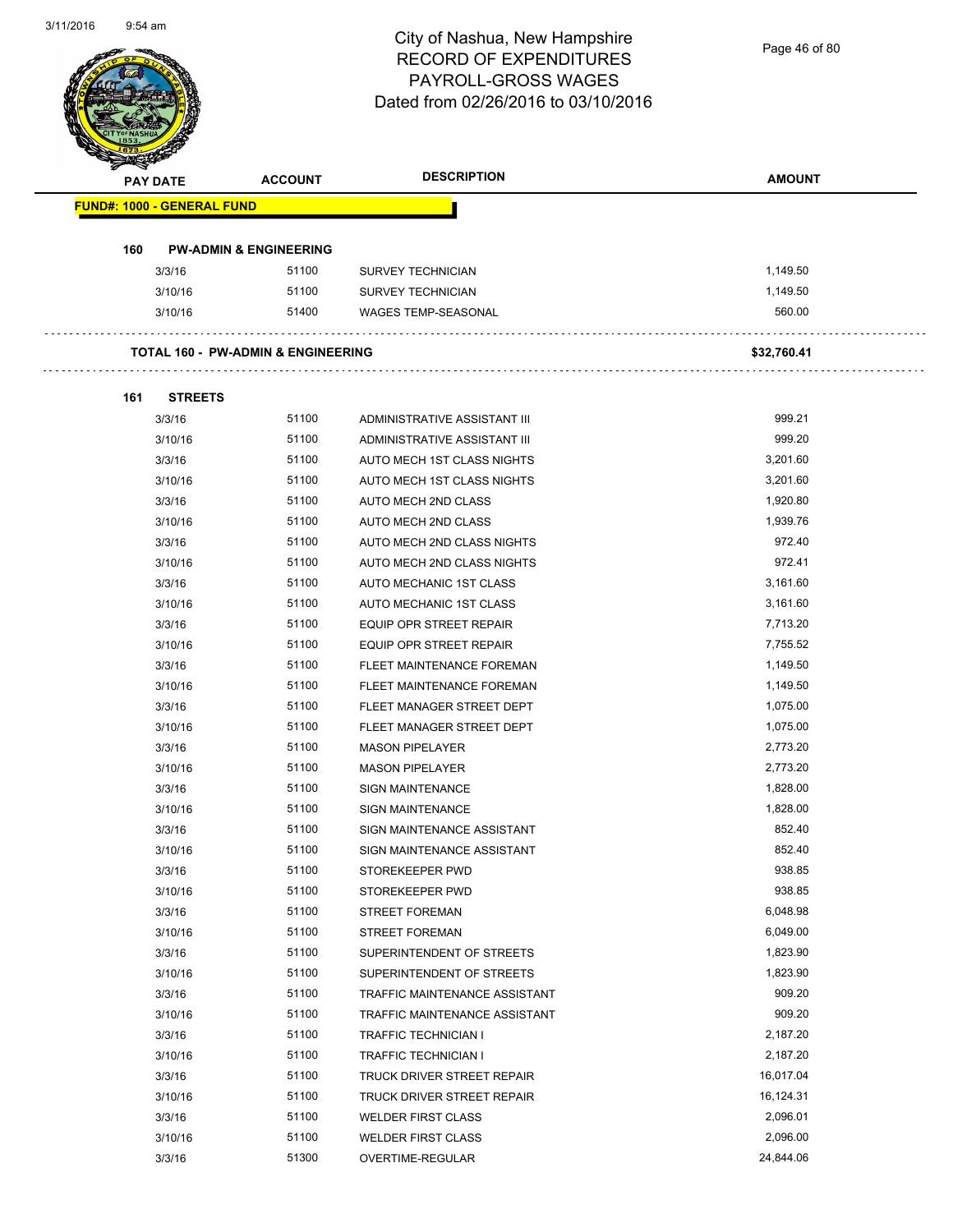Page 46 of 80

| <b>PAY DATE</b>                   | <b>ACCOUNT</b>                                | <b>DESCRIPTION</b>            | <b>AMOUNT</b> |
|-----------------------------------|-----------------------------------------------|-------------------------------|---------------|
| <b>FUND#: 1000 - GENERAL FUND</b> |                                               |                               |               |
| 160                               | <b>PW-ADMIN &amp; ENGINEERING</b>             |                               |               |
| 3/3/16                            | 51100                                         | <b>SURVEY TECHNICIAN</b>      | 1,149.50      |
| 3/10/16                           | 51100                                         | <b>SURVEY TECHNICIAN</b>      | 1,149.50      |
| 3/10/16                           | 51400                                         | <b>WAGES TEMP-SEASONAL</b>    | 560.00        |
|                                   | <b>TOTAL 160 - PW-ADMIN &amp; ENGINEERING</b> |                               | \$32,760.41   |
| <b>STREETS</b><br>161             |                                               |                               |               |
| 3/3/16                            | 51100                                         | ADMINISTRATIVE ASSISTANT III  | 999.21        |
| 3/10/16                           | 51100                                         | ADMINISTRATIVE ASSISTANT III  | 999.20        |
| 3/3/16                            | 51100                                         | AUTO MECH 1ST CLASS NIGHTS    | 3,201.60      |
| 3/10/16                           | 51100                                         | AUTO MECH 1ST CLASS NIGHTS    | 3,201.60      |
| 3/3/16                            | 51100                                         | AUTO MECH 2ND CLASS           | 1,920.80      |
| 3/10/16                           | 51100                                         | AUTO MECH 2ND CLASS           | 1,939.76      |
| 3/3/16                            | 51100                                         | AUTO MECH 2ND CLASS NIGHTS    | 972.40        |
| 3/10/16                           | 51100                                         | AUTO MECH 2ND CLASS NIGHTS    | 972.41        |
| 3/3/16                            | 51100                                         | AUTO MECHANIC 1ST CLASS       | 3,161.60      |
| 3/10/16                           | 51100                                         | AUTO MECHANIC 1ST CLASS       | 3,161.60      |
| 3/3/16                            | 51100                                         | EQUIP OPR STREET REPAIR       | 7,713.20      |
| 3/10/16                           | 51100                                         | EQUIP OPR STREET REPAIR       | 7,755.52      |
| 3/3/16                            | 51100                                         | FLEET MAINTENANCE FOREMAN     | 1,149.50      |
| 3/10/16                           | 51100                                         | FLEET MAINTENANCE FOREMAN     | 1,149.50      |
| 3/3/16                            | 51100                                         | FLEET MANAGER STREET DEPT     | 1,075.00      |
| 3/10/16                           | 51100                                         | FLEET MANAGER STREET DEPT     | 1,075.00      |
| 3/3/16                            | 51100                                         | <b>MASON PIPELAYER</b>        | 2,773.20      |
| 3/10/16                           | 51100                                         | <b>MASON PIPELAYER</b>        | 2,773.20      |
| 3/3/16                            | 51100                                         | <b>SIGN MAINTENANCE</b>       | 1,828.00      |
| 3/10/16                           | 51100                                         | <b>SIGN MAINTENANCE</b>       | 1,828.00      |
| 3/3/16                            | 51100                                         | SIGN MAINTENANCE ASSISTANT    | 852.40        |
| 3/10/16                           | 51100                                         | SIGN MAINTENANCE ASSISTANT    | 852.40        |
| 3/3/16                            | 51100                                         | STOREKEEPER PWD               | 938.85        |
| 3/10/16                           | 51100                                         | STOREKEEPER PWD               | 938.85        |
| 3/3/16                            | 51100                                         | <b>STREET FOREMAN</b>         | 6,048.98      |
| 3/10/16                           | 51100                                         | STREET FOREMAN                | 6,049.00      |
| 3/3/16                            | 51100                                         | SUPERINTENDENT OF STREETS     | 1,823.90      |
| 3/10/16                           | 51100                                         | SUPERINTENDENT OF STREETS     | 1,823.90      |
| 3/3/16                            | 51100                                         | TRAFFIC MAINTENANCE ASSISTANT | 909.20        |
| 3/10/16                           | 51100                                         | TRAFFIC MAINTENANCE ASSISTANT | 909.20        |
| 3/3/16                            | 51100                                         | TRAFFIC TECHNICIAN I          | 2,187.20      |
| 3/10/16                           | 51100                                         | TRAFFIC TECHNICIAN I          | 2,187.20      |
| 3/3/16                            | 51100                                         | TRUCK DRIVER STREET REPAIR    | 16,017.04     |
| 3/10/16                           | 51100                                         | TRUCK DRIVER STREET REPAIR    | 16,124.31     |
| 3/3/16                            | 51100                                         | <b>WELDER FIRST CLASS</b>     | 2,096.01      |
| 3/10/16                           | 51100                                         | <b>WELDER FIRST CLASS</b>     | 2,096.00      |
| 3/3/16                            | 51300                                         | OVERTIME-REGULAR              | 24,844.06     |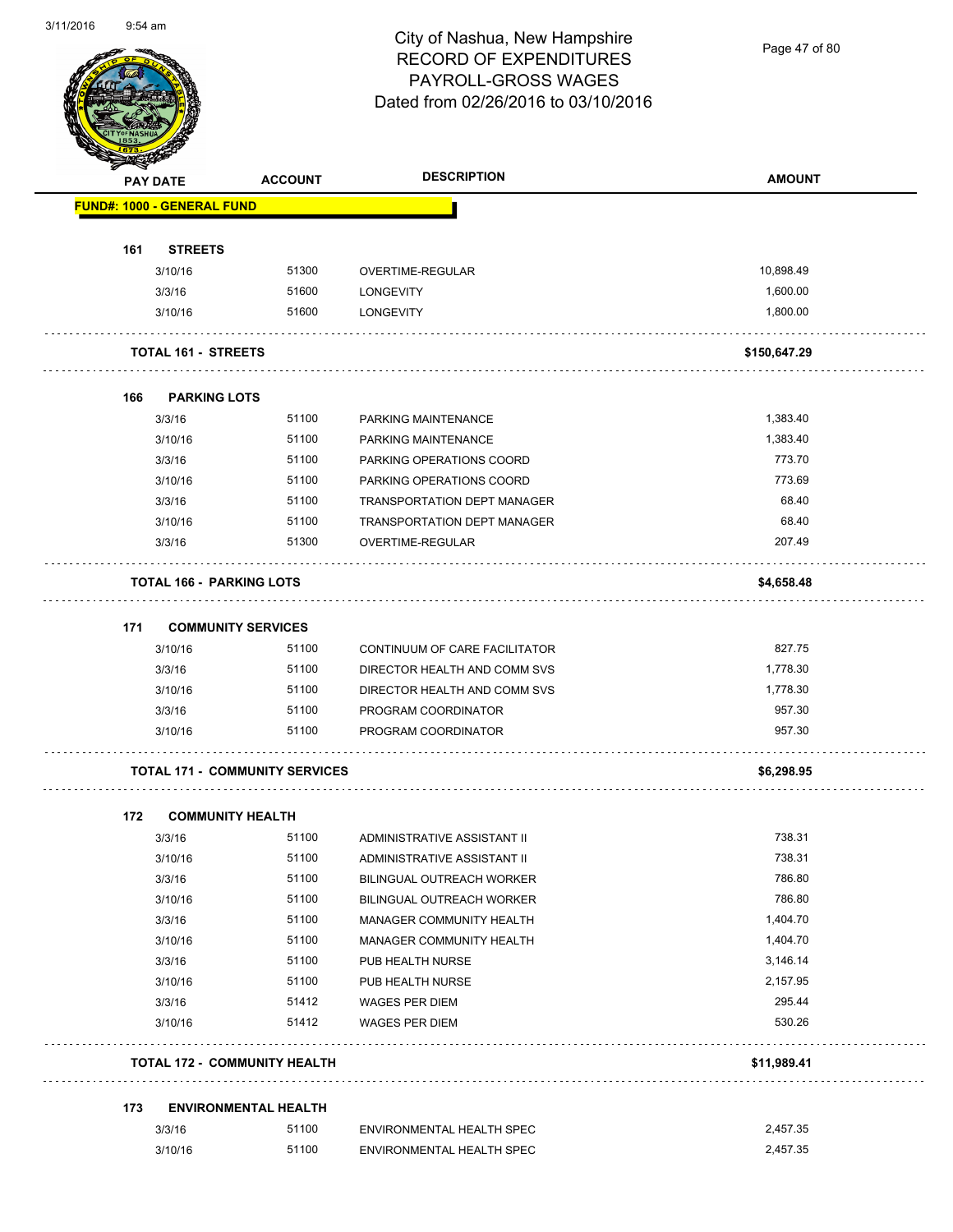

Page 47 of 80

| <b>Subsidiary</b> | <b>PAY DATE</b>                   | <b>ACCOUNT</b>                        | <b>DESCRIPTION</b>                 | <b>AMOUNT</b> |
|-------------------|-----------------------------------|---------------------------------------|------------------------------------|---------------|
|                   | <b>FUND#: 1000 - GENERAL FUND</b> |                                       |                                    |               |
|                   |                                   |                                       |                                    |               |
| 161               | <b>STREETS</b>                    |                                       |                                    |               |
|                   | 3/10/16                           | 51300                                 | OVERTIME-REGULAR                   | 10,898.49     |
|                   | 3/3/16                            | 51600                                 | <b>LONGEVITY</b>                   | 1,600.00      |
|                   | 3/10/16                           | 51600                                 | <b>LONGEVITY</b>                   | 1,800.00      |
|                   | <b>TOTAL 161 - STREETS</b>        |                                       |                                    | \$150,647.29  |
| 166               | <b>PARKING LOTS</b>               |                                       |                                    |               |
|                   | 3/3/16                            | 51100                                 | PARKING MAINTENANCE                | 1,383.40      |
|                   | 3/10/16                           | 51100                                 | PARKING MAINTENANCE                | 1,383.40      |
|                   | 3/3/16                            | 51100                                 | PARKING OPERATIONS COORD           | 773.70        |
|                   | 3/10/16                           | 51100                                 | PARKING OPERATIONS COORD           | 773.69        |
|                   | 3/3/16                            | 51100                                 | <b>TRANSPORTATION DEPT MANAGER</b> | 68.40         |
|                   | 3/10/16                           | 51100                                 | TRANSPORTATION DEPT MANAGER        | 68.40         |
|                   | 3/3/16                            | 51300                                 | <b>OVERTIME-REGULAR</b>            | 207.49        |
|                   | <b>TOTAL 166 - PARKING LOTS</b>   |                                       |                                    | \$4,658.48    |
| 171               | <b>COMMUNITY SERVICES</b>         |                                       |                                    |               |
|                   | 3/10/16                           | 51100                                 | CONTINUUM OF CARE FACILITATOR      | 827.75        |
|                   | 3/3/16                            | 51100                                 | DIRECTOR HEALTH AND COMM SVS       | 1,778.30      |
|                   | 3/10/16                           | 51100                                 | DIRECTOR HEALTH AND COMM SVS       | 1,778.30      |
|                   | 3/3/16                            | 51100                                 | PROGRAM COORDINATOR                | 957.30        |
|                   | 3/10/16                           | 51100                                 | PROGRAM COORDINATOR                | 957.30        |
|                   |                                   | <b>TOTAL 171 - COMMUNITY SERVICES</b> |                                    | \$6,298.95    |
|                   |                                   |                                       |                                    |               |
| 172               | <b>COMMUNITY HEALTH</b>           |                                       |                                    |               |
|                   | 3/3/16                            | 51100                                 | ADMINISTRATIVE ASSISTANT II        | 738.31        |
|                   | 3/10/16                           | 51100                                 | ADMINISTRATIVE ASSISTANT II        | 738.31        |
|                   | 3/3/16                            | 51100                                 | BILINGUAL OUTREACH WORKER          | 786.80        |
|                   | 3/10/16                           | 51100                                 | BILINGUAL OUTREACH WORKER          | 786.80        |
|                   | 3/3/16                            | 51100                                 | MANAGER COMMUNITY HEALTH           | 1,404.70      |
|                   | 3/10/16                           | 51100                                 | MANAGER COMMUNITY HEALTH           | 1,404.70      |
|                   | 3/3/16                            | 51100                                 | PUB HEALTH NURSE                   | 3,146.14      |
|                   | 3/10/16                           | 51100                                 | PUB HEALTH NURSE                   | 2,157.95      |
|                   | 3/3/16                            | 51412                                 | WAGES PER DIEM                     | 295.44        |
|                   | 3/10/16                           | 51412                                 | <b>WAGES PER DIEM</b>              | 530.26        |
|                   |                                   | <b>TOTAL 172 - COMMUNITY HEALTH</b>   |                                    | \$11,989.41   |
|                   |                                   |                                       |                                    |               |
| 173               |                                   | <b>ENVIRONMENTAL HEALTH</b>           |                                    |               |
|                   | 3/3/16                            | 51100                                 | ENVIRONMENTAL HEALTH SPEC          | 2,457.35      |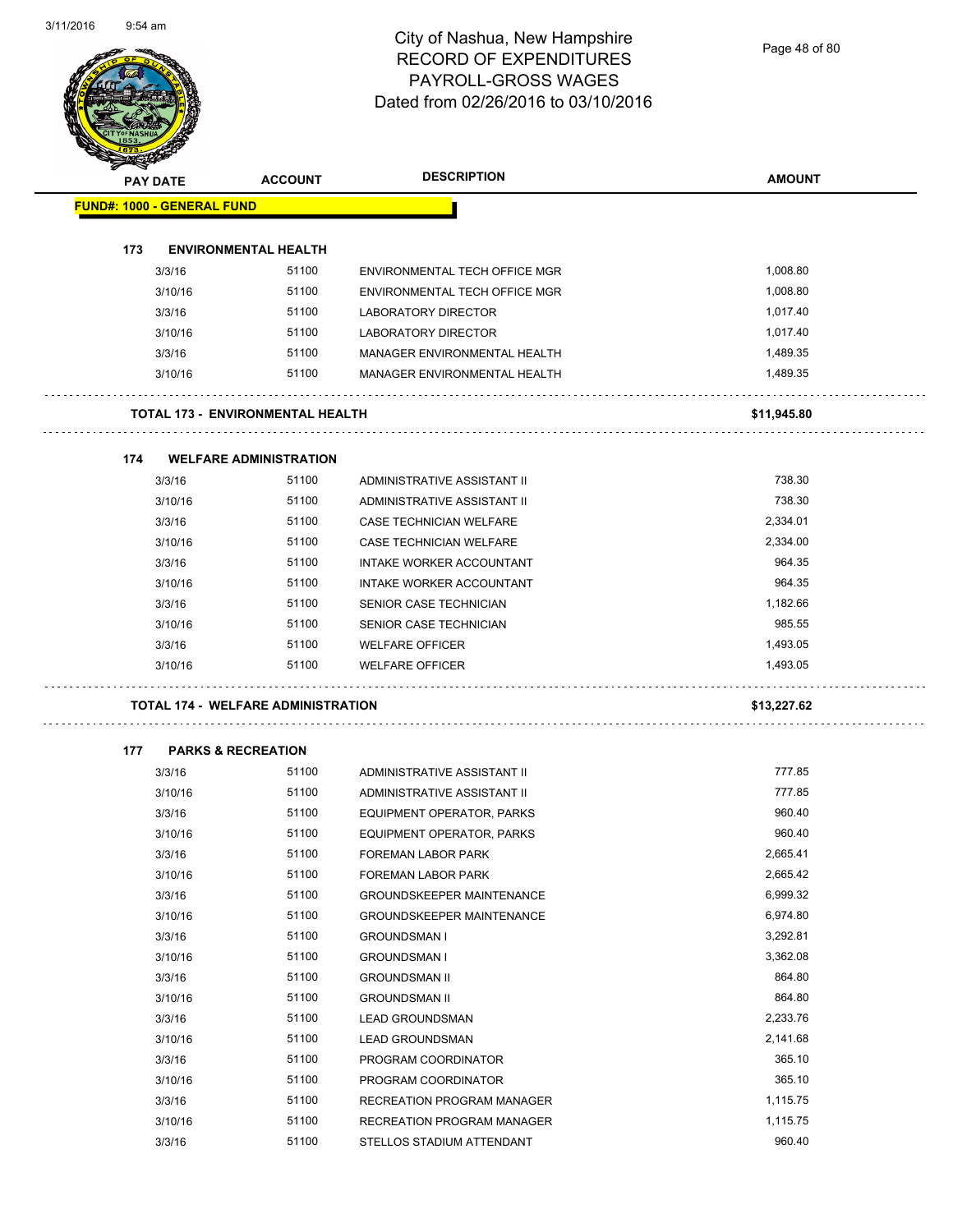Page 48 of 80

| <b>STATER</b>                     |                 |                                           |                                  |               |
|-----------------------------------|-----------------|-------------------------------------------|----------------------------------|---------------|
|                                   | <b>PAY DATE</b> | <b>ACCOUNT</b>                            | <b>DESCRIPTION</b>               | <b>AMOUNT</b> |
| <b>FUND#: 1000 - GENERAL FUND</b> |                 |                                           |                                  |               |
|                                   |                 |                                           |                                  |               |
| 173                               |                 | <b>ENVIRONMENTAL HEALTH</b>               |                                  |               |
|                                   | 3/3/16          | 51100                                     | ENVIRONMENTAL TECH OFFICE MGR    | 1,008.80      |
|                                   | 3/10/16         | 51100                                     | ENVIRONMENTAL TECH OFFICE MGR    | 1,008.80      |
|                                   | 3/3/16          | 51100                                     | <b>LABORATORY DIRECTOR</b>       | 1,017.40      |
|                                   | 3/10/16         | 51100                                     | <b>LABORATORY DIRECTOR</b>       | 1,017.40      |
|                                   | 3/3/16          | 51100                                     | MANAGER ENVIRONMENTAL HEALTH     | 1,489.35      |
|                                   | 3/10/16         | 51100                                     | MANAGER ENVIRONMENTAL HEALTH     | 1,489.35      |
|                                   |                 | <b>TOTAL 173 - ENVIRONMENTAL HEALTH</b>   |                                  | \$11,945.80   |
| 174                               |                 | <b>WELFARE ADMINISTRATION</b>             |                                  |               |
|                                   | 3/3/16          | 51100                                     | ADMINISTRATIVE ASSISTANT II      | 738.30        |
|                                   | 3/10/16         | 51100                                     | ADMINISTRATIVE ASSISTANT II      | 738.30        |
|                                   | 3/3/16          | 51100                                     | CASE TECHNICIAN WELFARE          | 2,334.01      |
|                                   | 3/10/16         | 51100                                     | CASE TECHNICIAN WELFARE          | 2,334.00      |
|                                   | 3/3/16          | 51100                                     | INTAKE WORKER ACCOUNTANT         | 964.35        |
|                                   | 3/10/16         | 51100                                     | <b>INTAKE WORKER ACCOUNTANT</b>  | 964.35        |
|                                   | 3/3/16          | 51100                                     | SENIOR CASE TECHNICIAN           | 1,182.66      |
|                                   | 3/10/16         | 51100                                     | SENIOR CASE TECHNICIAN           | 985.55        |
|                                   | 3/3/16          | 51100                                     | <b>WELFARE OFFICER</b>           | 1,493.05      |
|                                   | 3/10/16         | 51100                                     | <b>WELFARE OFFICER</b>           | 1,493.05      |
|                                   |                 | <b>TOTAL 174 - WELFARE ADMINISTRATION</b> |                                  | \$13,227.62   |
|                                   |                 |                                           |                                  |               |
| 177                               |                 | <b>PARKS &amp; RECREATION</b>             |                                  | 777.85        |
|                                   | 3/3/16          | 51100                                     | ADMINISTRATIVE ASSISTANT II      | 777.85        |
|                                   | 3/10/16         | 51100                                     | ADMINISTRATIVE ASSISTANT II      |               |
|                                   | 3/3/16          | 51100                                     | EQUIPMENT OPERATOR, PARKS        | 960.40        |
|                                   | 3/10/16         | 51100                                     | <b>EQUIPMENT OPERATOR, PARKS</b> | 960.40        |
|                                   | 3/3/16          | 51100                                     | FOREMAN LABOR PARK               | 2,665.41      |
|                                   | 3/10/16         | 51100                                     | FOREMAN LABOR PARK               | 2,665.42      |
|                                   | 3/3/16          | 51100                                     | <b>GROUNDSKEEPER MAINTENANCE</b> | 6,999.32      |
|                                   | 3/10/16         | 51100                                     | <b>GROUNDSKEEPER MAINTENANCE</b> | 6,974.80      |
|                                   | 3/3/16          | 51100                                     | <b>GROUNDSMAN I</b>              | 3,292.81      |
|                                   | 3/10/16         | 51100                                     | <b>GROUNDSMAN I</b>              | 3,362.08      |
|                                   | 3/3/16          | 51100                                     | <b>GROUNDSMAN II</b>             | 864.80        |
|                                   | 3/10/16         | 51100                                     | <b>GROUNDSMAN II</b>             | 864.80        |
|                                   | 3/3/16          | 51100                                     | <b>LEAD GROUNDSMAN</b>           | 2,233.76      |
|                                   | 3/10/16         | 51100                                     | <b>LEAD GROUNDSMAN</b>           | 2,141.68      |
|                                   | 3/3/16          | 51100                                     | PROGRAM COORDINATOR              | 365.10        |
|                                   | 3/10/16         | 51100                                     | PROGRAM COORDINATOR              | 365.10        |
|                                   | 3/3/16          | 51100                                     | RECREATION PROGRAM MANAGER       | 1,115.75      |
|                                   | 3/10/16         | 51100                                     | RECREATION PROGRAM MANAGER       | 1,115.75      |
|                                   | 3/3/16          | 51100                                     | STELLOS STADIUM ATTENDANT        | 960.40        |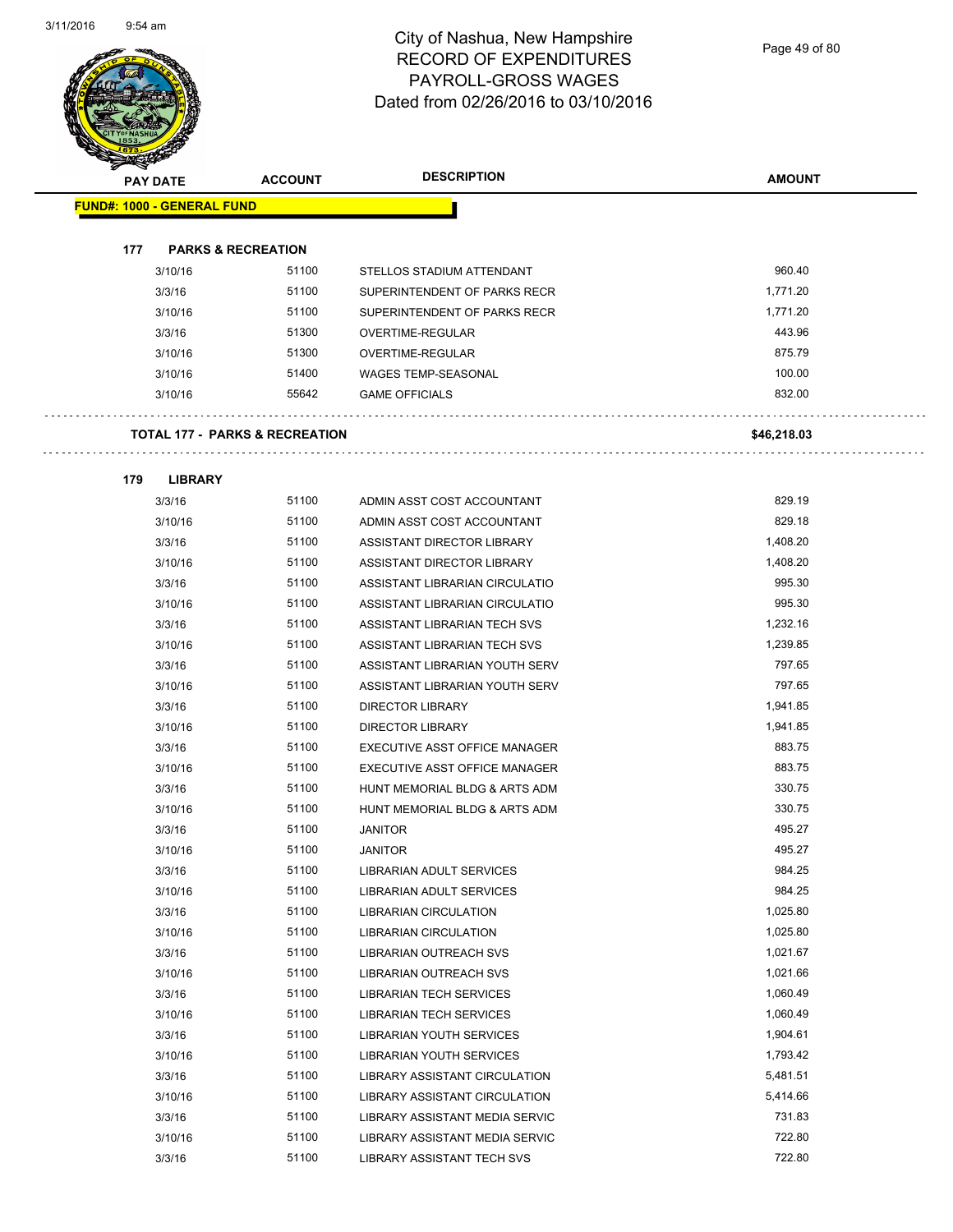Page 49 of 80

|     | <b>PAY DATE</b>                           | <b>ACCOUNT</b> | <b>DESCRIPTION</b>                   | <b>AMOUNT</b> |
|-----|-------------------------------------------|----------------|--------------------------------------|---------------|
|     | <b>FUND#: 1000 - GENERAL FUND</b>         |                |                                      |               |
|     |                                           |                |                                      |               |
| 177 | <b>PARKS &amp; RECREATION</b>             |                |                                      |               |
|     | 3/10/16                                   | 51100          | STELLOS STADIUM ATTENDANT            | 960.40        |
|     | 3/3/16                                    | 51100          | SUPERINTENDENT OF PARKS RECR         | 1,771.20      |
|     | 3/10/16                                   | 51100          | SUPERINTENDENT OF PARKS RECR         | 1,771.20      |
|     | 3/3/16                                    | 51300          | OVERTIME-REGULAR                     | 443.96        |
|     | 3/10/16                                   | 51300          | OVERTIME-REGULAR                     | 875.79        |
|     | 3/10/16                                   | 51400          | <b>WAGES TEMP-SEASONAL</b>           | 100.00        |
|     | 3/10/16                                   | 55642          | <b>GAME OFFICIALS</b>                | 832.00        |
|     | <b>TOTAL 177 - PARKS &amp; RECREATION</b> |                |                                      |               |
|     |                                           |                |                                      | \$46,218.03   |
| 179 | <b>LIBRARY</b>                            |                |                                      |               |
|     | 3/3/16                                    | 51100          | ADMIN ASST COST ACCOUNTANT           | 829.19        |
|     | 3/10/16                                   | 51100          | ADMIN ASST COST ACCOUNTANT           | 829.18        |
|     | 3/3/16                                    | 51100          | ASSISTANT DIRECTOR LIBRARY           | 1,408.20      |
|     | 3/10/16                                   | 51100          | <b>ASSISTANT DIRECTOR LIBRARY</b>    | 1,408.20      |
|     | 3/3/16                                    | 51100          | ASSISTANT LIBRARIAN CIRCULATIO       | 995.30        |
|     | 3/10/16                                   | 51100          | ASSISTANT LIBRARIAN CIRCULATIO       | 995.30        |
|     | 3/3/16                                    | 51100          | ASSISTANT LIBRARIAN TECH SVS         | 1,232.16      |
|     | 3/10/16                                   | 51100          | ASSISTANT LIBRARIAN TECH SVS         | 1,239.85      |
|     | 3/3/16                                    | 51100          | ASSISTANT LIBRARIAN YOUTH SERV       | 797.65        |
|     | 3/10/16                                   | 51100          | ASSISTANT LIBRARIAN YOUTH SERV       | 797.65        |
|     | 3/3/16                                    | 51100          | <b>DIRECTOR LIBRARY</b>              | 1,941.85      |
|     | 3/10/16                                   | 51100          | <b>DIRECTOR LIBRARY</b>              | 1,941.85      |
|     | 3/3/16                                    | 51100          | EXECUTIVE ASST OFFICE MANAGER        | 883.75        |
|     | 3/10/16                                   | 51100          | <b>EXECUTIVE ASST OFFICE MANAGER</b> | 883.75        |
|     | 3/3/16                                    | 51100          | HUNT MEMORIAL BLDG & ARTS ADM        | 330.75        |
|     | 3/10/16                                   | 51100          | HUNT MEMORIAL BLDG & ARTS ADM        | 330.75        |
|     | 3/3/16                                    | 51100          | <b>JANITOR</b>                       | 495.27        |
|     | 3/10/16                                   | 51100          | JANITOR                              | 495.27        |
|     | 3/3/16                                    | 51100          | LIBRARIAN ADULT SERVICES             | 984.25        |
|     | 3/10/16                                   | 51100          | LIBRARIAN ADULT SERVICES             | 984.25        |
|     | 3/3/16                                    | 51100          | <b>LIBRARIAN CIRCULATION</b>         | 1,025.80      |
|     | 3/10/16                                   | 51100          | LIBRARIAN CIRCULATION                | 1,025.80      |
|     | 3/3/16                                    | 51100          | LIBRARIAN OUTREACH SVS               | 1,021.67      |
|     | 3/10/16                                   | 51100          | <b>LIBRARIAN OUTREACH SVS</b>        | 1,021.66      |
|     | 3/3/16                                    | 51100          | <b>LIBRARIAN TECH SERVICES</b>       | 1,060.49      |
|     | 3/10/16                                   | 51100          | <b>LIBRARIAN TECH SERVICES</b>       | 1,060.49      |
|     | 3/3/16                                    | 51100          | <b>LIBRARIAN YOUTH SERVICES</b>      | 1,904.61      |
|     | 3/10/16                                   | 51100          | LIBRARIAN YOUTH SERVICES             | 1,793.42      |
|     | 3/3/16                                    | 51100          | LIBRARY ASSISTANT CIRCULATION        | 5,481.51      |
|     | 3/10/16                                   | 51100          | LIBRARY ASSISTANT CIRCULATION        | 5,414.66      |
|     | 3/3/16                                    | 51100          | LIBRARY ASSISTANT MEDIA SERVIC       | 731.83        |
|     | 3/10/16                                   | 51100          | LIBRARY ASSISTANT MEDIA SERVIC       | 722.80        |
|     |                                           |                |                                      |               |

3/3/16 51100 LIBRARY ASSISTANT TECH SVS 722.80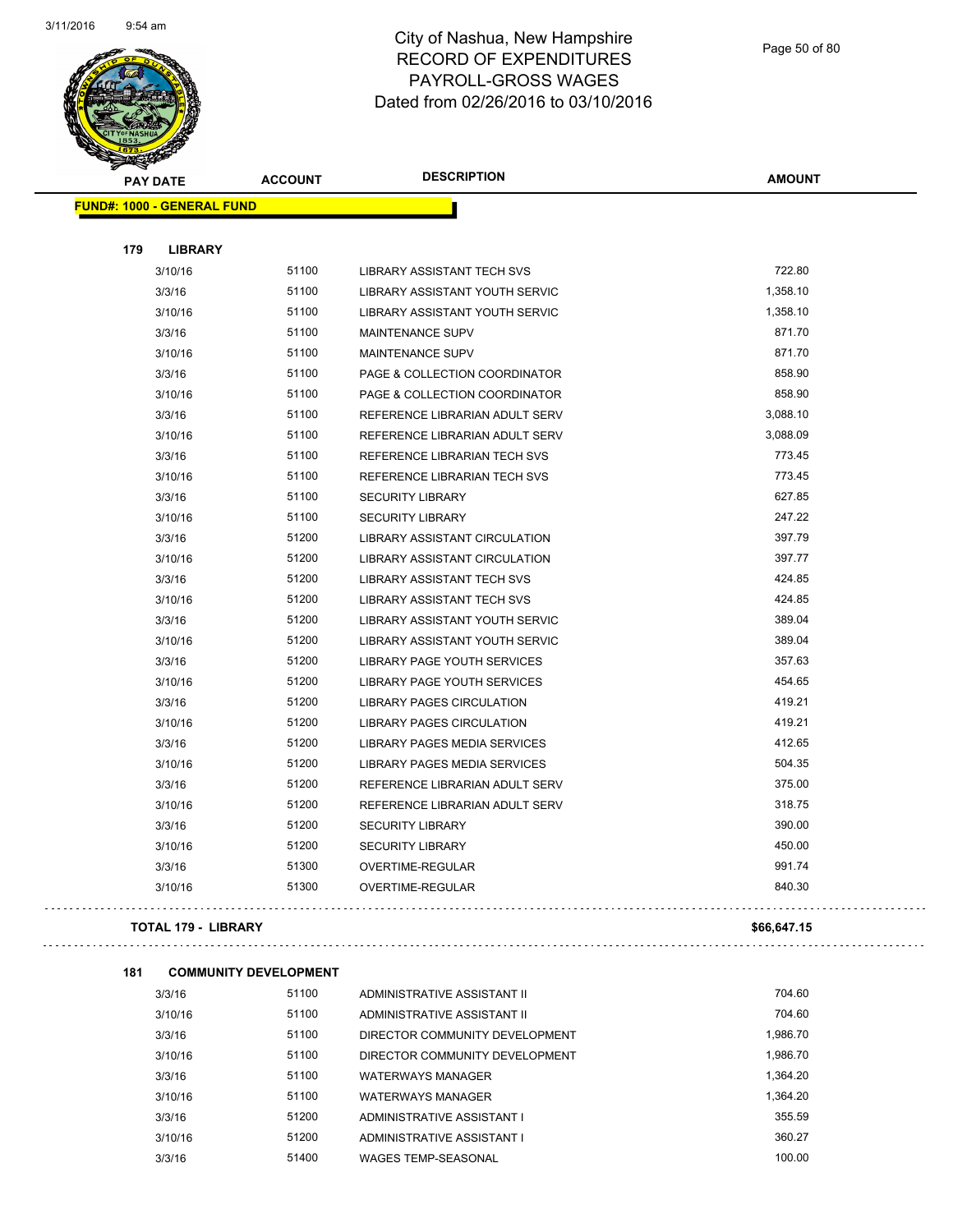

Page 50 of 80

| <b>REAL AND STATE</b> |                                   |                |                                   |               |
|-----------------------|-----------------------------------|----------------|-----------------------------------|---------------|
| <b>PAY DATE</b>       |                                   | <b>ACCOUNT</b> | <b>DESCRIPTION</b>                | <b>AMOUNT</b> |
|                       | <b>FUND#: 1000 - GENERAL FUND</b> |                |                                   |               |
|                       |                                   |                |                                   |               |
| 179                   | <b>LIBRARY</b>                    |                |                                   |               |
|                       | 3/10/16                           | 51100          | LIBRARY ASSISTANT TECH SVS        | 722.80        |
|                       | 3/3/16                            | 51100          | LIBRARY ASSISTANT YOUTH SERVIC    | 1,358.10      |
|                       | 3/10/16                           | 51100          | LIBRARY ASSISTANT YOUTH SERVIC    | 1,358.10      |
|                       | 3/3/16                            | 51100          | <b>MAINTENANCE SUPV</b>           | 871.70        |
|                       | 3/10/16                           | 51100          | <b>MAINTENANCE SUPV</b>           | 871.70        |
|                       | 3/3/16                            | 51100          | PAGE & COLLECTION COORDINATOR     | 858.90        |
|                       | 3/10/16                           | 51100          | PAGE & COLLECTION COORDINATOR     | 858.90        |
|                       | 3/3/16                            | 51100          | REFERENCE LIBRARIAN ADULT SERV    | 3,088.10      |
|                       | 3/10/16                           | 51100          | REFERENCE LIBRARIAN ADULT SERV    | 3,088.09      |
|                       | 3/3/16                            | 51100          | REFERENCE LIBRARIAN TECH SVS      | 773.45        |
|                       | 3/10/16                           | 51100          | REFERENCE LIBRARIAN TECH SVS      | 773.45        |
|                       | 3/3/16                            | 51100          | <b>SECURITY LIBRARY</b>           | 627.85        |
|                       | 3/10/16                           | 51100          | <b>SECURITY LIBRARY</b>           | 247.22        |
|                       | 3/3/16                            | 51200          | LIBRARY ASSISTANT CIRCULATION     | 397.79        |
|                       | 3/10/16                           | 51200          | LIBRARY ASSISTANT CIRCULATION     | 397.77        |
|                       | 3/3/16                            | 51200          | <b>LIBRARY ASSISTANT TECH SVS</b> | 424.85        |
|                       | 3/10/16                           | 51200          | LIBRARY ASSISTANT TECH SVS        | 424.85        |
|                       | 3/3/16                            | 51200          | LIBRARY ASSISTANT YOUTH SERVIC    | 389.04        |
|                       | 3/10/16                           | 51200          | LIBRARY ASSISTANT YOUTH SERVIC    | 389.04        |
|                       | 3/3/16                            | 51200          | LIBRARY PAGE YOUTH SERVICES       | 357.63        |
|                       | 3/10/16                           | 51200          | LIBRARY PAGE YOUTH SERVICES       | 454.65        |
|                       | 3/3/16                            | 51200          | LIBRARY PAGES CIRCULATION         | 419.21        |
|                       | 3/10/16                           | 51200          | LIBRARY PAGES CIRCULATION         | 419.21        |
|                       | 3/3/16                            | 51200          | LIBRARY PAGES MEDIA SERVICES      | 412.65        |
|                       | 3/10/16                           | 51200          | LIBRARY PAGES MEDIA SERVICES      | 504.35        |
|                       | 3/3/16                            | 51200          | REFERENCE LIBRARIAN ADULT SERV    | 375.00        |
|                       | 3/10/16                           | 51200          | REFERENCE LIBRARIAN ADULT SERV    | 318.75        |
|                       | 3/3/16                            | 51200          | <b>SECURITY LIBRARY</b>           | 390.00        |
|                       | 3/10/16                           | 51200          | SECURITY LIBRARY                  | 450.00        |
|                       | 3/3/16                            | 51300          | OVERTIME-REGULAR                  | 991.74        |
|                       | 3/10/16                           | 51300          | <b>OVERTIME-REGULAR</b>           | 840.30        |
|                       | TOTAL 179 - LIBRARY               |                |                                   | \$66,647.15   |
|                       |                                   |                |                                   |               |
| 181                   | <b>COMMUNITY DEVELOPMENT</b>      |                |                                   |               |
|                       | 3/3/16                            | 51100          | ADMINISTRATIVE ASSISTANT II       | 704.60        |
|                       | 3/10/16                           | 51100          | ADMINISTRATIVE ASSISTANT II       | 704.60        |
|                       | 3/3/16                            | 51100          | DIRECTOR COMMUNITY DEVELOPMENT    | 1,986.70      |
|                       | 3/10/16                           | 51100          | DIRECTOR COMMUNITY DEVELOPMENT    | 1,986.70      |
|                       | 3/3/16                            | 51100          | <b>WATERWAYS MANAGER</b>          | 1,364.20      |
|                       | 3/10/16                           | 51100          | WATERWAYS MANAGER                 | 1,364.20      |

3/3/16 51200 ADMINISTRATIVE ASSISTANT I 355.59 3/10/16 51200 ADMINISTRATIVE ASSISTANT I 360.27 3/3/16 51400 WAGES TEMP-SEASONAL 100.00 100.00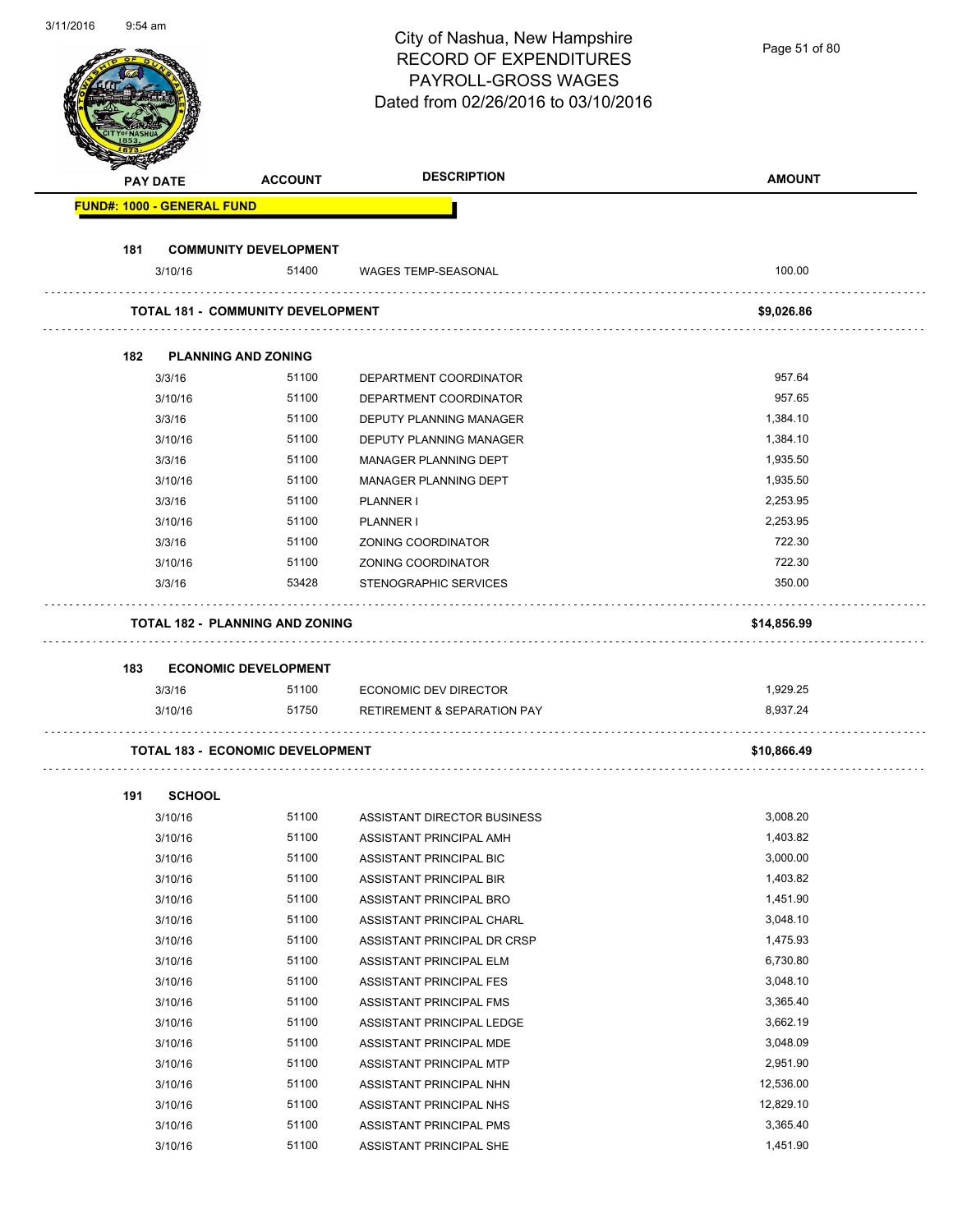| 3/11/2010 | $9.54$ am |                                   |                                          | City of Nashua, New Hampshire<br><b>RECORD OF EXPENDITURES</b><br>PAYROLL-GROSS WAGES<br>Dated from 02/26/2016 to 03/10/2016 | Page 51 of 80 |
|-----------|-----------|-----------------------------------|------------------------------------------|------------------------------------------------------------------------------------------------------------------------------|---------------|
|           |           | <b>PAY DATE</b>                   | <b>ACCOUNT</b>                           | <b>DESCRIPTION</b>                                                                                                           | <b>AMOUNT</b> |
|           |           | <b>FUND#: 1000 - GENERAL FUND</b> |                                          |                                                                                                                              |               |
|           |           |                                   |                                          |                                                                                                                              |               |
|           | 181       | 3/10/16                           | <b>COMMUNITY DEVELOPMENT</b><br>51400    |                                                                                                                              | 100.00        |
|           |           |                                   |                                          | <b>WAGES TEMP-SEASONAL</b>                                                                                                   |               |
|           |           |                                   | <b>TOTAL 181 - COMMUNITY DEVELOPMENT</b> |                                                                                                                              | \$9,026.86    |
|           |           |                                   |                                          |                                                                                                                              |               |
|           | 182       |                                   | <b>PLANNING AND ZONING</b>               |                                                                                                                              |               |
|           |           | 3/3/16                            | 51100                                    | DEPARTMENT COORDINATOR                                                                                                       | 957.64        |
|           |           | 3/10/16                           | 51100                                    | DEPARTMENT COORDINATOR                                                                                                       | 957.65        |
|           |           | 3/3/16                            | 51100                                    | DEPUTY PLANNING MANAGER                                                                                                      | 1,384.10      |
|           |           | 3/10/16                           | 51100                                    | DEPUTY PLANNING MANAGER                                                                                                      | 1,384.10      |
|           |           | 3/3/16                            | 51100                                    | <b>MANAGER PLANNING DEPT</b>                                                                                                 | 1,935.50      |
|           |           | 3/10/16                           | 51100                                    | MANAGER PLANNING DEPT                                                                                                        | 1,935.50      |
|           |           | 3/3/16                            | 51100                                    | PLANNER I                                                                                                                    | 2,253.95      |
|           |           | 3/10/16                           | 51100                                    | PLANNER I                                                                                                                    | 2,253.95      |
|           |           | 3/3/16                            | 51100                                    | ZONING COORDINATOR                                                                                                           | 722.30        |
|           |           | 3/10/16                           | 51100                                    | ZONING COORDINATOR                                                                                                           | 722.30        |
|           |           | 3/3/16                            | 53428                                    | STENOGRAPHIC SERVICES                                                                                                        | 350.00        |
|           |           |                                   | <b>TOTAL 182 - PLANNING AND ZONING</b>   |                                                                                                                              | \$14,856.99   |
|           | 183       |                                   | <b>ECONOMIC DEVELOPMENT</b>              |                                                                                                                              |               |
|           |           | 3/3/16                            | 51100                                    | <b>ECONOMIC DEV DIRECTOR</b>                                                                                                 | 1,929.25      |
|           |           | 3/10/16                           | 51750                                    | RETIREMENT & SEPARATION PAY                                                                                                  | 8,937.24      |
|           |           |                                   | <b>TOTAL 183 - ECONOMIC DEVELOPMENT</b>  |                                                                                                                              | \$10,866.49   |
|           |           |                                   |                                          |                                                                                                                              |               |
|           | 191       | <b>SCHOOL</b>                     |                                          |                                                                                                                              |               |
|           |           | 3/10/16                           | 51100                                    | ASSISTANT DIRECTOR BUSINESS                                                                                                  | 3,008.20      |
|           |           | 3/10/16                           | 51100                                    | ASSISTANT PRINCIPAL AMH                                                                                                      | 1,403.82      |
|           |           | 3/10/16                           | 51100                                    | ASSISTANT PRINCIPAL BIC                                                                                                      | 3,000.00      |
|           |           | 3/10/16                           | 51100                                    | ASSISTANT PRINCIPAL BIR                                                                                                      | 1,403.82      |
|           |           | 3/10/16                           | 51100                                    | ASSISTANT PRINCIPAL BRO                                                                                                      | 1,451.90      |
|           |           | 3/10/16                           | 51100                                    | ASSISTANT PRINCIPAL CHARL                                                                                                    | 3,048.10      |
|           |           | 3/10/16                           | 51100                                    | ASSISTANT PRINCIPAL DR CRSP                                                                                                  | 1,475.93      |
|           |           | 3/10/16                           | 51100                                    | ASSISTANT PRINCIPAL ELM                                                                                                      | 6,730.80      |
|           |           | 3/10/16                           | 51100                                    | ASSISTANT PRINCIPAL FES                                                                                                      | 3,048.10      |
|           |           | 3/10/16                           | 51100                                    | ASSISTANT PRINCIPAL FMS                                                                                                      | 3,365.40      |
|           |           | 3/10/16                           | 51100                                    | ASSISTANT PRINCIPAL LEDGE                                                                                                    | 3,662.19      |
|           |           | 3/10/16                           | 51100                                    | ASSISTANT PRINCIPAL MDE                                                                                                      | 3,048.09      |
|           |           | 3/10/16                           | 51100                                    | ASSISTANT PRINCIPAL MTP                                                                                                      | 2,951.90      |
|           |           | 3/10/16                           | 51100                                    | ASSISTANT PRINCIPAL NHN                                                                                                      | 12,536.00     |
|           |           | 3/10/16                           | 51100                                    | ASSISTANT PRINCIPAL NHS                                                                                                      | 12,829.10     |
|           |           | 3/10/16                           | 51100<br>51100                           | ASSISTANT PRINCIPAL PMS                                                                                                      | 3,365.40      |
|           |           | 3/10/16                           |                                          | ASSISTANT PRINCIPAL SHE                                                                                                      | 1,451.90      |

3/11/2016 9:54 am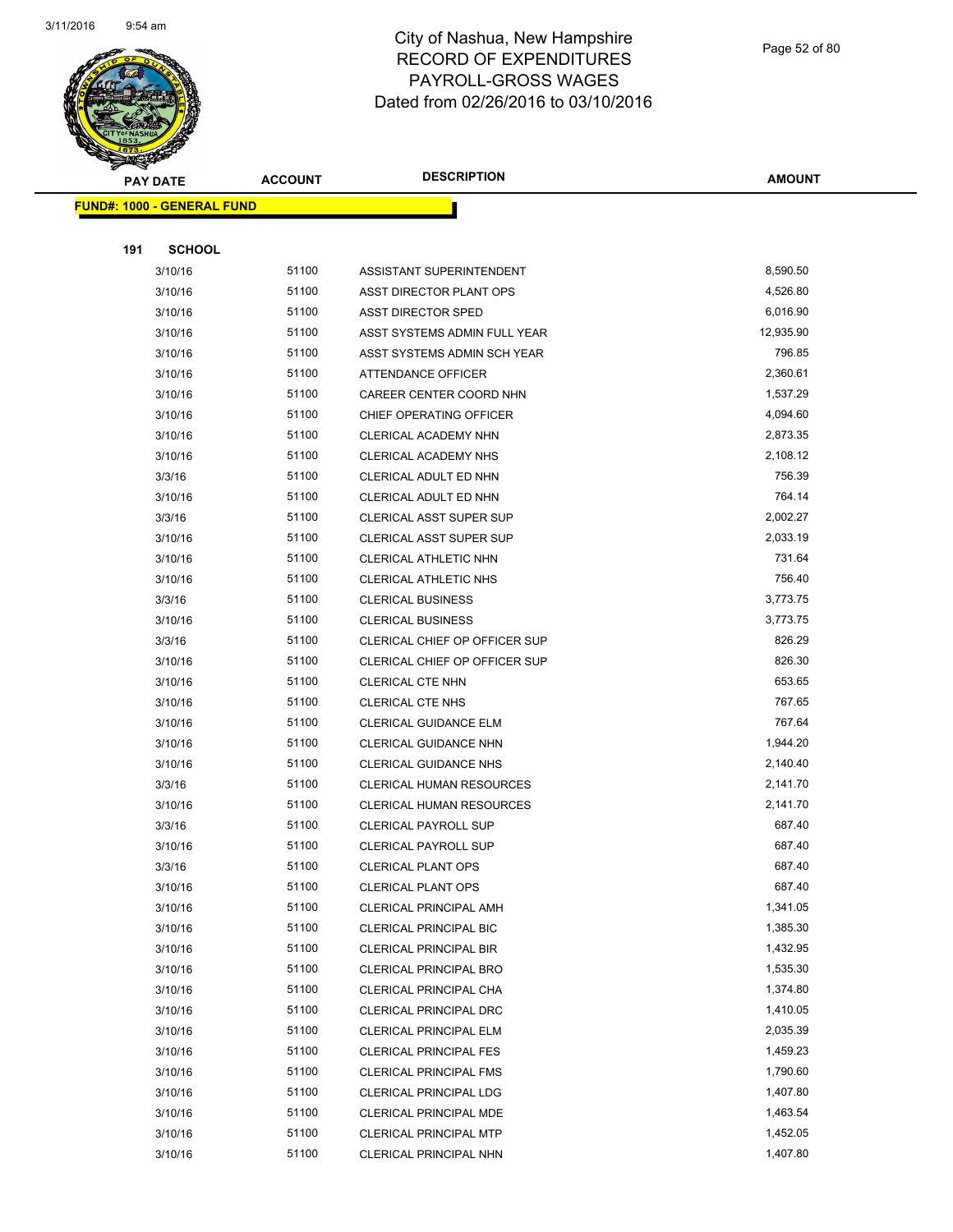

Page 52 of 80

| <b>PAY DATE</b>                   | <b>ACCOUNT</b> | <b>DESCRIPTION</b>                                      | <b>AMOUNT</b>        |
|-----------------------------------|----------------|---------------------------------------------------------|----------------------|
| <b>FUND#: 1000 - GENERAL FUND</b> |                |                                                         |                      |
|                                   |                |                                                         |                      |
| 191<br><b>SCHOOL</b>              |                |                                                         |                      |
| 3/10/16                           | 51100          | ASSISTANT SUPERINTENDENT                                | 8,590.50             |
| 3/10/16                           | 51100          | ASST DIRECTOR PLANT OPS                                 | 4,526.80             |
| 3/10/16                           | 51100          | ASST DIRECTOR SPED                                      | 6,016.90             |
| 3/10/16                           | 51100          | ASST SYSTEMS ADMIN FULL YEAR                            | 12,935.90            |
| 3/10/16                           | 51100          | ASST SYSTEMS ADMIN SCH YEAR                             | 796.85               |
| 3/10/16                           | 51100          | ATTENDANCE OFFICER                                      | 2,360.61             |
| 3/10/16                           | 51100          | CAREER CENTER COORD NHN                                 | 1,537.29             |
| 3/10/16                           | 51100          | CHIEF OPERATING OFFICER                                 | 4,094.60             |
| 3/10/16                           | 51100          | CLERICAL ACADEMY NHN                                    | 2,873.35             |
| 3/10/16                           | 51100          | CLERICAL ACADEMY NHS                                    | 2,108.12             |
| 3/3/16                            | 51100          | CLERICAL ADULT ED NHN                                   | 756.39               |
| 3/10/16                           | 51100          | CLERICAL ADULT ED NHN                                   | 764.14               |
| 3/3/16                            | 51100          | <b>CLERICAL ASST SUPER SUP</b>                          | 2,002.27             |
| 3/10/16                           | 51100          | <b>CLERICAL ASST SUPER SUP</b>                          | 2,033.19             |
| 3/10/16                           | 51100          | CLERICAL ATHLETIC NHN                                   | 731.64               |
| 3/10/16                           | 51100          | <b>CLERICAL ATHLETIC NHS</b>                            | 756.40               |
| 3/3/16                            | 51100          | <b>CLERICAL BUSINESS</b>                                | 3,773.75             |
| 3/10/16                           | 51100          | <b>CLERICAL BUSINESS</b>                                | 3,773.75             |
| 3/3/16                            | 51100          | CLERICAL CHIEF OP OFFICER SUP                           | 826.29               |
| 3/10/16                           | 51100          | CLERICAL CHIEF OP OFFICER SUP                           | 826.30               |
| 3/10/16                           | 51100          | CLERICAL CTE NHN                                        | 653.65               |
| 3/10/16                           | 51100          | <b>CLERICAL CTE NHS</b>                                 | 767.65               |
| 3/10/16                           | 51100          | <b>CLERICAL GUIDANCE ELM</b>                            | 767.64               |
| 3/10/16                           | 51100          | CLERICAL GUIDANCE NHN                                   | 1,944.20             |
| 3/10/16                           | 51100          | <b>CLERICAL GUIDANCE NHS</b>                            | 2,140.40             |
| 3/3/16                            | 51100          | CLERICAL HUMAN RESOURCES                                | 2,141.70             |
| 3/10/16                           | 51100          | CLERICAL HUMAN RESOURCES                                | 2,141.70             |
| 3/3/16                            | 51100          | <b>CLERICAL PAYROLL SUP</b>                             | 687.40               |
| 3/10/16                           | 51100          | <b>CLERICAL PAYROLL SUP</b>                             | 687.40               |
| 3/3/16                            | 51100          | <b>CLERICAL PLANT OPS</b>                               | 687.40               |
| 3/10/16                           | 51100          | <b>CLERICAL PLANT OPS</b>                               | 687.40               |
| 3/10/16                           | 51100          | <b>CLERICAL PRINCIPAL AMH</b>                           | 1,341.05             |
| 3/10/16                           | 51100          | <b>CLERICAL PRINCIPAL BIC</b>                           | 1,385.30             |
| 3/10/16                           | 51100          | CLERICAL PRINCIPAL BIR                                  | 1,432.95             |
| 3/10/16                           | 51100          | <b>CLERICAL PRINCIPAL BRO</b>                           | 1,535.30             |
| 3/10/16                           | 51100          | CLERICAL PRINCIPAL CHA                                  | 1,374.80             |
| 3/10/16                           | 51100          | <b>CLERICAL PRINCIPAL DRC</b>                           | 1,410.05             |
| 3/10/16                           | 51100          | CLERICAL PRINCIPAL ELM                                  | 2,035.39             |
| 3/10/16                           | 51100          | <b>CLERICAL PRINCIPAL FES</b>                           | 1,459.23             |
| 3/10/16                           | 51100          | <b>CLERICAL PRINCIPAL FMS</b>                           | 1,790.60             |
| 3/10/16                           | 51100          | CLERICAL PRINCIPAL LDG                                  | 1,407.80             |
| 3/10/16                           | 51100<br>51100 | <b>CLERICAL PRINCIPAL MDE</b>                           | 1,463.54<br>1,452.05 |
| 3/10/16<br>3/10/16                | 51100          | <b>CLERICAL PRINCIPAL MTP</b><br>CLERICAL PRINCIPAL NHN | 1,407.80             |
|                                   |                |                                                         |                      |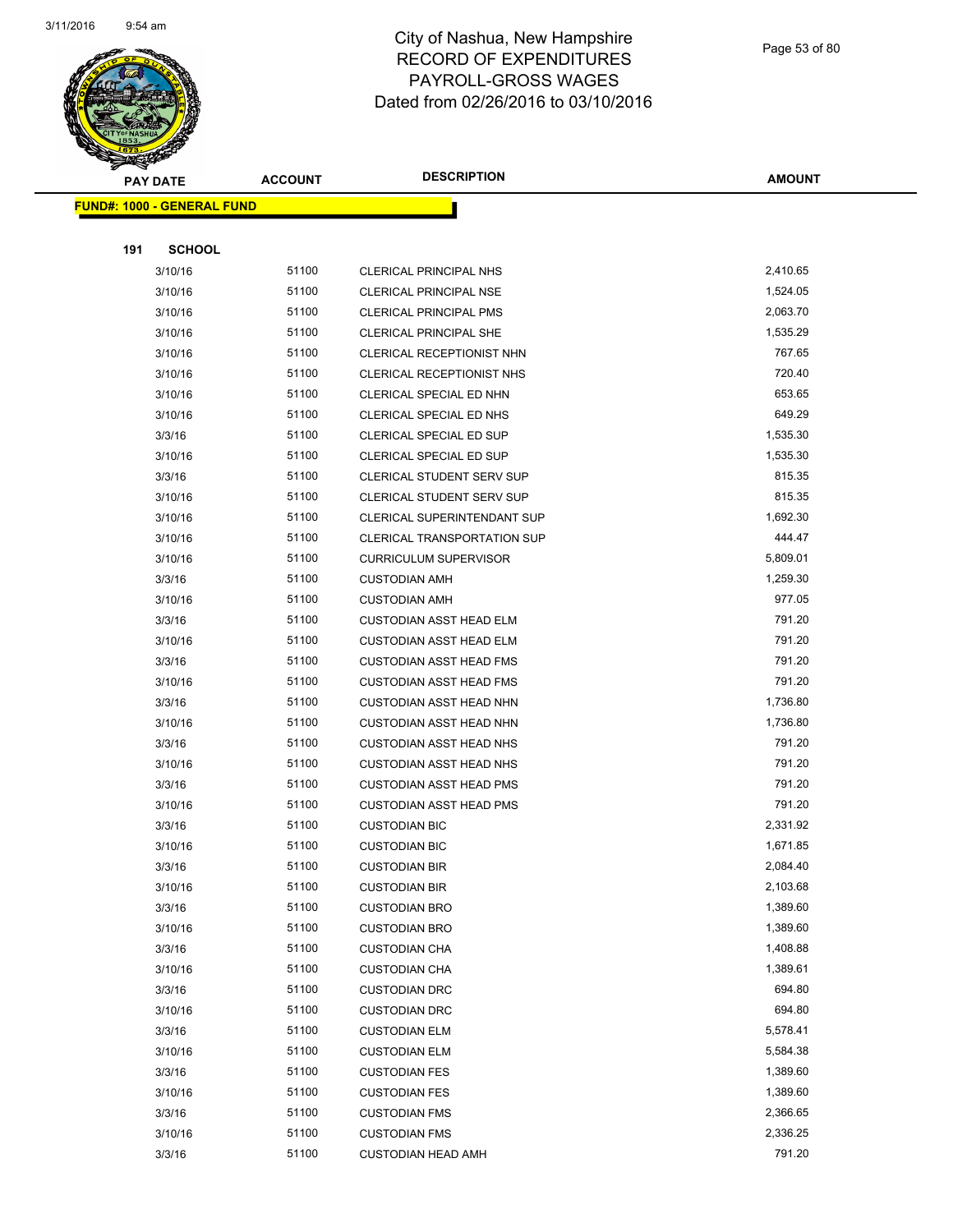

Page 53 of 80

|     | <b>PAY DATE</b>                   | <b>ACCOUNT</b> | <b>DESCRIPTION</b>                 | <b>AMOUNT</b> |
|-----|-----------------------------------|----------------|------------------------------------|---------------|
|     | <b>FUND#: 1000 - GENERAL FUND</b> |                |                                    |               |
|     |                                   |                |                                    |               |
| 191 | <b>SCHOOL</b>                     |                |                                    |               |
|     | 3/10/16                           | 51100          | CLERICAL PRINCIPAL NHS             | 2,410.65      |
|     | 3/10/16                           | 51100          | <b>CLERICAL PRINCIPAL NSE</b>      | 1,524.05      |
|     | 3/10/16                           | 51100          | <b>CLERICAL PRINCIPAL PMS</b>      | 2,063.70      |
|     | 3/10/16                           | 51100          | <b>CLERICAL PRINCIPAL SHE</b>      | 1,535.29      |
|     | 3/10/16                           | 51100          | CLERICAL RECEPTIONIST NHN          | 767.65        |
|     | 3/10/16                           | 51100          | CLERICAL RECEPTIONIST NHS          | 720.40        |
|     | 3/10/16                           | 51100          | CLERICAL SPECIAL ED NHN            | 653.65        |
|     | 3/10/16                           | 51100          | CLERICAL SPECIAL ED NHS            | 649.29        |
|     | 3/3/16                            | 51100          | CLERICAL SPECIAL ED SUP            | 1,535.30      |
|     | 3/10/16                           | 51100          | CLERICAL SPECIAL ED SUP            | 1,535.30      |
|     | 3/3/16                            | 51100          | CLERICAL STUDENT SERV SUP          | 815.35        |
|     | 3/10/16                           | 51100          | <b>CLERICAL STUDENT SERV SUP</b>   | 815.35        |
|     | 3/10/16                           | 51100          | CLERICAL SUPERINTENDANT SUP        | 1,692.30      |
|     | 3/10/16                           | 51100          | <b>CLERICAL TRANSPORTATION SUP</b> | 444.47        |
|     | 3/10/16                           | 51100          | <b>CURRICULUM SUPERVISOR</b>       | 5,809.01      |
|     | 3/3/16                            | 51100          | <b>CUSTODIAN AMH</b>               | 1,259.30      |
|     | 3/10/16                           | 51100          | <b>CUSTODIAN AMH</b>               | 977.05        |
|     | 3/3/16                            | 51100          | <b>CUSTODIAN ASST HEAD ELM</b>     | 791.20        |
|     | 3/10/16                           | 51100          | <b>CUSTODIAN ASST HEAD ELM</b>     | 791.20        |
|     | 3/3/16                            | 51100          | <b>CUSTODIAN ASST HEAD FMS</b>     | 791.20        |
|     | 3/10/16                           | 51100          | <b>CUSTODIAN ASST HEAD FMS</b>     | 791.20        |
|     | 3/3/16                            | 51100          | <b>CUSTODIAN ASST HEAD NHN</b>     | 1,736.80      |
|     | 3/10/16                           | 51100          | <b>CUSTODIAN ASST HEAD NHN</b>     | 1,736.80      |
|     | 3/3/16                            | 51100          | <b>CUSTODIAN ASST HEAD NHS</b>     | 791.20        |
|     | 3/10/16                           | 51100          | <b>CUSTODIAN ASST HEAD NHS</b>     | 791.20        |
|     | 3/3/16                            | 51100          | <b>CUSTODIAN ASST HEAD PMS</b>     | 791.20        |
|     | 3/10/16                           | 51100          | <b>CUSTODIAN ASST HEAD PMS</b>     | 791.20        |
|     | 3/3/16                            | 51100          | <b>CUSTODIAN BIC</b>               | 2,331.92      |
|     | 3/10/16                           | 51100          | <b>CUSTODIAN BIC</b>               | 1,671.85      |
|     | 3/3/16                            | 51100          | <b>CUSTODIAN BIR</b>               | 2,084.40      |
|     | 3/10/16                           | 51100          | <b>CUSTODIAN BIR</b>               | 2,103.68      |
|     | 3/3/16                            | 51100          | <b>CUSTODIAN BRO</b>               | 1,389.60      |
|     | 3/10/16                           | 51100          | <b>CUSTODIAN BRO</b>               | 1,389.60      |
|     | 3/3/16                            | 51100          | <b>CUSTODIAN CHA</b>               | 1,408.88      |
|     | 3/10/16                           | 51100          | <b>CUSTODIAN CHA</b>               | 1,389.61      |
|     | 3/3/16                            | 51100          | <b>CUSTODIAN DRC</b>               | 694.80        |
|     | 3/10/16                           | 51100          | <b>CUSTODIAN DRC</b>               | 694.80        |
|     | 3/3/16                            | 51100          | <b>CUSTODIAN ELM</b>               | 5,578.41      |
|     | 3/10/16                           | 51100          | <b>CUSTODIAN ELM</b>               | 5,584.38      |
|     | 3/3/16                            | 51100          | <b>CUSTODIAN FES</b>               | 1,389.60      |
|     | 3/10/16                           | 51100          | <b>CUSTODIAN FES</b>               | 1,389.60      |
|     | 3/3/16                            | 51100          | <b>CUSTODIAN FMS</b>               | 2,366.65      |
|     | 3/10/16                           | 51100          | <b>CUSTODIAN FMS</b>               | 2,336.25      |
|     | 3/3/16                            | 51100          | <b>CUSTODIAN HEAD AMH</b>          | 791.20        |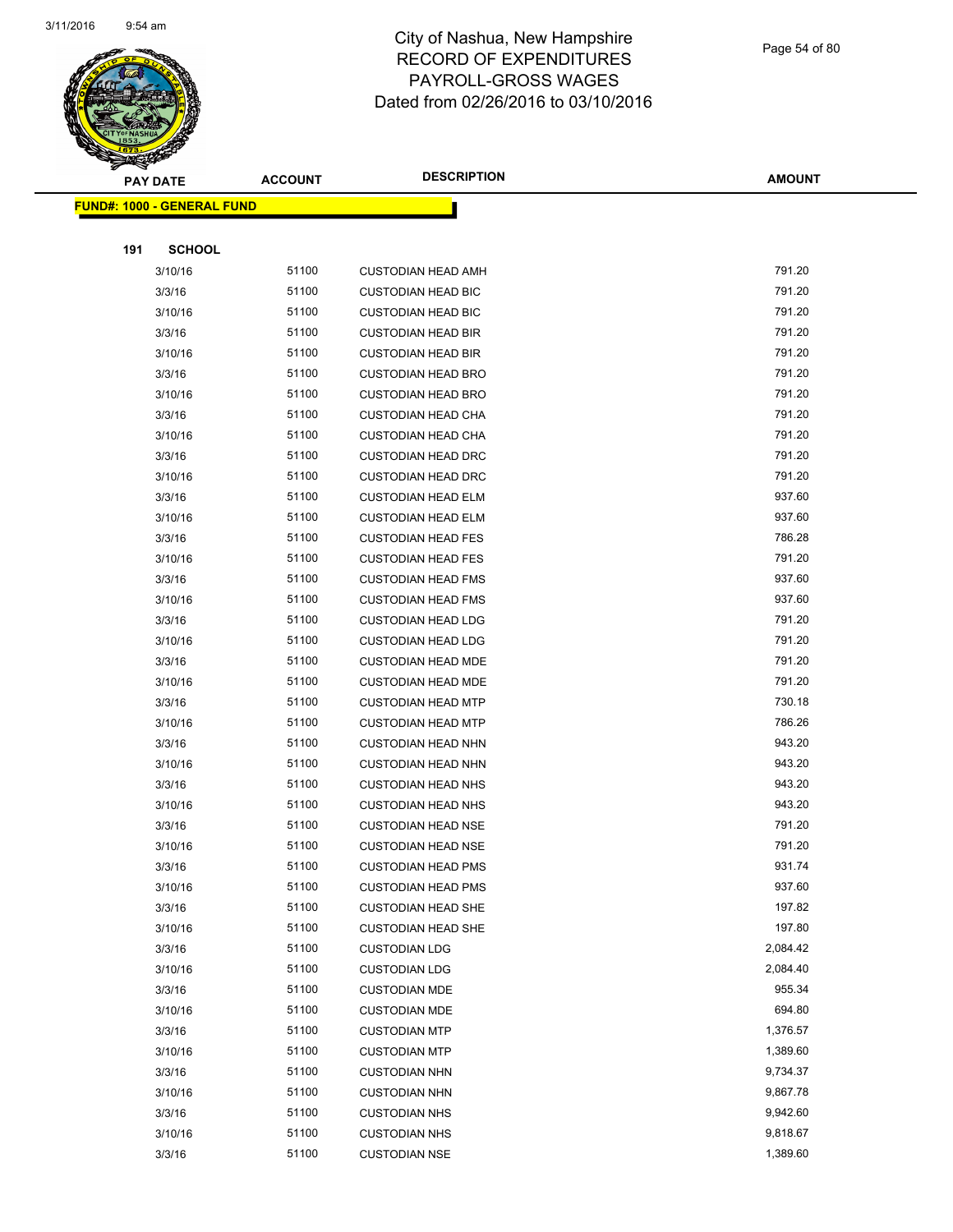

|     | <b>PAY DATE</b>                    | <b>ACCOUNT</b> | <b>DESCRIPTION</b>        | <b>AMOUNT</b> |
|-----|------------------------------------|----------------|---------------------------|---------------|
|     | <u> FUND#: 1000 - GENERAL FUND</u> |                |                           |               |
|     |                                    |                |                           |               |
| 191 | <b>SCHOOL</b>                      |                |                           |               |
|     | 3/10/16                            | 51100          | <b>CUSTODIAN HEAD AMH</b> | 791.20        |
|     | 3/3/16                             | 51100          | <b>CUSTODIAN HEAD BIC</b> | 791.20        |
|     | 3/10/16                            | 51100          | <b>CUSTODIAN HEAD BIC</b> | 791.20        |
|     | 3/3/16                             | 51100          | <b>CUSTODIAN HEAD BIR</b> | 791.20        |
|     | 3/10/16                            | 51100          | <b>CUSTODIAN HEAD BIR</b> | 791.20        |
|     | 3/3/16                             | 51100          | <b>CUSTODIAN HEAD BRO</b> | 791.20        |
|     | 3/10/16                            | 51100          | <b>CUSTODIAN HEAD BRO</b> | 791.20        |
|     | 3/3/16                             | 51100          | <b>CUSTODIAN HEAD CHA</b> | 791.20        |
|     | 3/10/16                            | 51100          | <b>CUSTODIAN HEAD CHA</b> | 791.20        |
|     | 3/3/16                             | 51100          | <b>CUSTODIAN HEAD DRC</b> | 791.20        |
|     | 3/10/16                            | 51100          | <b>CUSTODIAN HEAD DRC</b> | 791.20        |
|     | 3/3/16                             | 51100          | <b>CUSTODIAN HEAD ELM</b> | 937.60        |
|     | 3/10/16                            | 51100          | <b>CUSTODIAN HEAD ELM</b> | 937.60        |
|     | 3/3/16                             | 51100          | <b>CUSTODIAN HEAD FES</b> | 786.28        |
|     | 3/10/16                            | 51100          | <b>CUSTODIAN HEAD FES</b> | 791.20        |
|     | 3/3/16                             | 51100          | <b>CUSTODIAN HEAD FMS</b> | 937.60        |
|     | 3/10/16                            | 51100          | <b>CUSTODIAN HEAD FMS</b> | 937.60        |
|     | 3/3/16                             | 51100          | <b>CUSTODIAN HEAD LDG</b> | 791.20        |
|     | 3/10/16                            | 51100          | <b>CUSTODIAN HEAD LDG</b> | 791.20        |
|     | 3/3/16                             | 51100          | <b>CUSTODIAN HEAD MDE</b> | 791.20        |
|     | 3/10/16                            | 51100          | <b>CUSTODIAN HEAD MDE</b> | 791.20        |
|     | 3/3/16                             | 51100          | <b>CUSTODIAN HEAD MTP</b> | 730.18        |
|     | 3/10/16                            | 51100          | <b>CUSTODIAN HEAD MTP</b> | 786.26        |
|     | 3/3/16                             | 51100          | <b>CUSTODIAN HEAD NHN</b> | 943.20        |
|     | 3/10/16                            | 51100          | <b>CUSTODIAN HEAD NHN</b> | 943.20        |
|     | 3/3/16                             | 51100          | <b>CUSTODIAN HEAD NHS</b> | 943.20        |
|     | 3/10/16                            | 51100          | <b>CUSTODIAN HEAD NHS</b> | 943.20        |
|     | 3/3/16                             | 51100          | <b>CUSTODIAN HEAD NSE</b> | 791.20        |
|     | 3/10/16                            | 51100          | <b>CUSTODIAN HEAD NSE</b> | 791.20        |
|     | 3/3/16                             | 51100          | <b>CUSTODIAN HEAD PMS</b> | 931.74        |
|     | 3/10/16                            | 51100          | <b>CUSTODIAN HEAD PMS</b> | 937.60        |
|     | 3/3/16                             | 51100          | <b>CUSTODIAN HEAD SHE</b> | 197.82        |
|     | 3/10/16                            | 51100          | <b>CUSTODIAN HEAD SHE</b> | 197.80        |
|     | 3/3/16                             | 51100          | <b>CUSTODIAN LDG</b>      | 2,084.42      |
|     | 3/10/16                            | 51100          | <b>CUSTODIAN LDG</b>      | 2,084.40      |
|     | 3/3/16                             | 51100          | <b>CUSTODIAN MDE</b>      | 955.34        |
|     | 3/10/16                            | 51100          | <b>CUSTODIAN MDE</b>      | 694.80        |
|     | 3/3/16                             | 51100          | <b>CUSTODIAN MTP</b>      | 1,376.57      |
|     | 3/10/16                            | 51100          | <b>CUSTODIAN MTP</b>      | 1,389.60      |
|     | 3/3/16                             | 51100          | <b>CUSTODIAN NHN</b>      | 9,734.37      |
|     | 3/10/16                            | 51100          | <b>CUSTODIAN NHN</b>      | 9,867.78      |
|     | 3/3/16                             | 51100          | <b>CUSTODIAN NHS</b>      | 9,942.60      |
|     | 3/10/16                            | 51100          | <b>CUSTODIAN NHS</b>      | 9,818.67      |
|     | 3/3/16                             | 51100          | <b>CUSTODIAN NSE</b>      | 1,389.60      |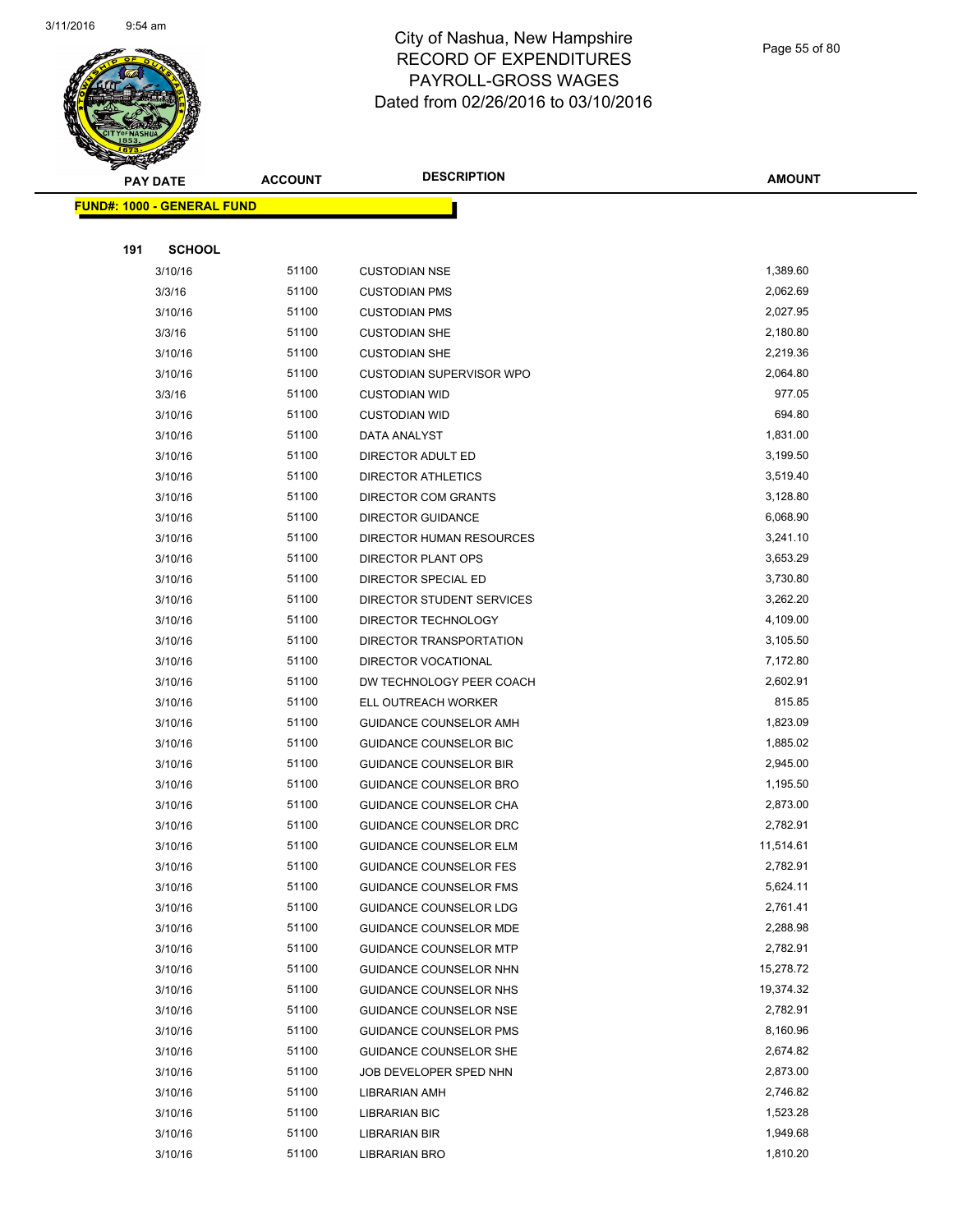

Page 55 of 80

| <b>PAY DATE</b>                   | <b>ACCOUNT</b> | <b>DESCRIPTION</b>              | <b>AMOUNT</b> |
|-----------------------------------|----------------|---------------------------------|---------------|
| <b>FUND#: 1000 - GENERAL FUND</b> |                |                                 |               |
|                                   |                |                                 |               |
| <b>SCHOOL</b><br>191              |                |                                 |               |
| 3/10/16                           | 51100          | <b>CUSTODIAN NSE</b>            | 1,389.60      |
| 3/3/16                            | 51100          | <b>CUSTODIAN PMS</b>            | 2,062.69      |
| 3/10/16                           | 51100          | <b>CUSTODIAN PMS</b>            | 2,027.95      |
| 3/3/16                            | 51100          | <b>CUSTODIAN SHE</b>            | 2,180.80      |
| 3/10/16                           | 51100          | <b>CUSTODIAN SHE</b>            | 2,219.36      |
| 3/10/16                           | 51100          | <b>CUSTODIAN SUPERVISOR WPO</b> | 2,064.80      |
| 3/3/16                            | 51100          | <b>CUSTODIAN WID</b>            | 977.05        |
| 3/10/16                           | 51100          | <b>CUSTODIAN WID</b>            | 694.80        |
| 3/10/16                           | 51100          | DATA ANALYST                    | 1,831.00      |
| 3/10/16                           | 51100          | DIRECTOR ADULT ED               | 3,199.50      |
| 3/10/16                           | 51100          | DIRECTOR ATHLETICS              | 3,519.40      |
| 3/10/16                           | 51100          | <b>DIRECTOR COM GRANTS</b>      | 3,128.80      |
| 3/10/16                           | 51100          | <b>DIRECTOR GUIDANCE</b>        | 6,068.90      |
| 3/10/16                           | 51100          | DIRECTOR HUMAN RESOURCES        | 3,241.10      |
| 3/10/16                           | 51100          | DIRECTOR PLANT OPS              | 3,653.29      |
| 3/10/16                           | 51100          | DIRECTOR SPECIAL ED             | 3,730.80      |
| 3/10/16                           | 51100          | DIRECTOR STUDENT SERVICES       | 3,262.20      |
| 3/10/16                           | 51100          | DIRECTOR TECHNOLOGY             | 4,109.00      |
| 3/10/16                           | 51100          | DIRECTOR TRANSPORTATION         | 3,105.50      |
| 3/10/16                           | 51100          | DIRECTOR VOCATIONAL             | 7,172.80      |
| 3/10/16                           | 51100          | DW TECHNOLOGY PEER COACH        | 2,602.91      |
| 3/10/16                           | 51100          | ELL OUTREACH WORKER             | 815.85        |
| 3/10/16                           | 51100          | GUIDANCE COUNSELOR AMH          | 1,823.09      |
| 3/10/16                           | 51100          | GUIDANCE COUNSELOR BIC          | 1,885.02      |
| 3/10/16                           | 51100          | <b>GUIDANCE COUNSELOR BIR</b>   | 2,945.00      |
| 3/10/16                           | 51100          | <b>GUIDANCE COUNSELOR BRO</b>   | 1,195.50      |
| 3/10/16                           | 51100          | GUIDANCE COUNSELOR CHA          | 2,873.00      |
| 3/10/16                           | 51100          | GUIDANCE COUNSELOR DRC          | 2,782.91      |
| 3/10/16                           | 51100          | <b>GUIDANCE COUNSELOR ELM</b>   | 11,514.61     |
| 3/10/16                           | 51100          | <b>GUIDANCE COUNSELOR FES</b>   | 2,782.91      |
| 3/10/16                           | 51100          | <b>GUIDANCE COUNSELOR FMS</b>   | 5,624.11      |
| 3/10/16                           | 51100          | GUIDANCE COUNSELOR LDG          | 2,761.41      |
| 3/10/16                           | 51100          | GUIDANCE COUNSELOR MDE          | 2,288.98      |
| 3/10/16                           | 51100          | <b>GUIDANCE COUNSELOR MTP</b>   | 2,782.91      |
| 3/10/16                           | 51100          | GUIDANCE COUNSELOR NHN          | 15,278.72     |
| 3/10/16                           | 51100          | GUIDANCE COUNSELOR NHS          | 19,374.32     |
| 3/10/16                           | 51100          | GUIDANCE COUNSELOR NSE          | 2,782.91      |
| 3/10/16                           | 51100          | <b>GUIDANCE COUNSELOR PMS</b>   | 8,160.96      |
| 3/10/16                           | 51100          | GUIDANCE COUNSELOR SHE          | 2,674.82      |
| 3/10/16                           | 51100          | JOB DEVELOPER SPED NHN          | 2,873.00      |
| 3/10/16                           | 51100          | LIBRARIAN AMH                   | 2,746.82      |
| 3/10/16                           | 51100          | LIBRARIAN BIC                   | 1,523.28      |
| 3/10/16                           | 51100          | LIBRARIAN BIR                   | 1,949.68      |
| 3/10/16                           | 51100          | LIBRARIAN BRO                   | 1,810.20      |
|                                   |                |                                 |               |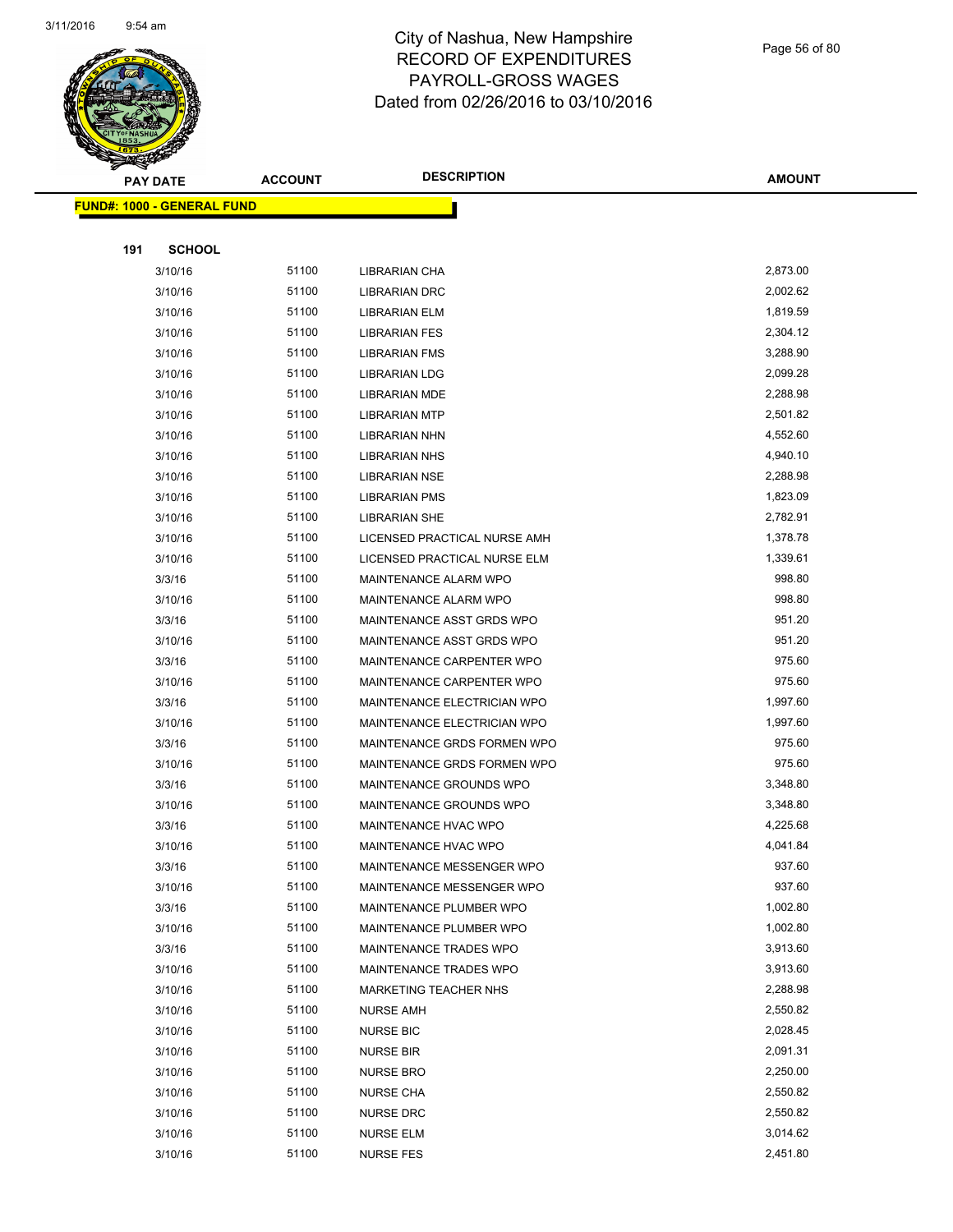

Page 56 of 80

|     | <b>PAY DATE</b>                   | <b>ACCOUNT</b> | <b>DESCRIPTION</b>           | <b>AMOUNT</b> |
|-----|-----------------------------------|----------------|------------------------------|---------------|
|     | <b>FUND#: 1000 - GENERAL FUND</b> |                |                              |               |
|     |                                   |                |                              |               |
| 191 | <b>SCHOOL</b>                     |                |                              |               |
|     | 3/10/16                           | 51100          | LIBRARIAN CHA                | 2,873.00      |
|     | 3/10/16                           | 51100          | <b>LIBRARIAN DRC</b>         | 2,002.62      |
|     | 3/10/16                           | 51100          | <b>LIBRARIAN ELM</b>         | 1,819.59      |
|     | 3/10/16                           | 51100          | <b>LIBRARIAN FES</b>         | 2,304.12      |
|     | 3/10/16                           | 51100          | <b>LIBRARIAN FMS</b>         | 3,288.90      |
|     | 3/10/16                           | 51100          | LIBRARIAN LDG                | 2,099.28      |
|     | 3/10/16                           | 51100          | <b>LIBRARIAN MDE</b>         | 2,288.98      |
|     | 3/10/16                           | 51100          | <b>LIBRARIAN MTP</b>         | 2,501.82      |
|     | 3/10/16                           | 51100          | <b>LIBRARIAN NHN</b>         | 4,552.60      |
|     | 3/10/16                           | 51100          | <b>LIBRARIAN NHS</b>         | 4,940.10      |
|     | 3/10/16                           | 51100          | <b>LIBRARIAN NSE</b>         | 2,288.98      |
|     | 3/10/16                           | 51100          | <b>LIBRARIAN PMS</b>         | 1,823.09      |
|     | 3/10/16                           | 51100          | <b>LIBRARIAN SHE</b>         | 2,782.91      |
|     | 3/10/16                           | 51100          | LICENSED PRACTICAL NURSE AMH | 1,378.78      |
|     | 3/10/16                           | 51100          | LICENSED PRACTICAL NURSE ELM | 1,339.61      |
|     | 3/3/16                            | 51100          | MAINTENANCE ALARM WPO        | 998.80        |
|     | 3/10/16                           | 51100          | MAINTENANCE ALARM WPO        | 998.80        |
|     | 3/3/16                            | 51100          | MAINTENANCE ASST GRDS WPO    | 951.20        |
|     | 3/10/16                           | 51100          | MAINTENANCE ASST GRDS WPO    | 951.20        |
|     | 3/3/16                            | 51100          | MAINTENANCE CARPENTER WPO    | 975.60        |
|     | 3/10/16                           | 51100          | MAINTENANCE CARPENTER WPO    | 975.60        |
|     | 3/3/16                            | 51100          | MAINTENANCE ELECTRICIAN WPO  | 1,997.60      |
|     | 3/10/16                           | 51100          | MAINTENANCE ELECTRICIAN WPO  | 1,997.60      |
|     | 3/3/16                            | 51100          | MAINTENANCE GRDS FORMEN WPO  | 975.60        |
|     | 3/10/16                           | 51100          | MAINTENANCE GRDS FORMEN WPO  | 975.60        |
|     | 3/3/16                            | 51100          | MAINTENANCE GROUNDS WPO      | 3,348.80      |
|     | 3/10/16                           | 51100          | MAINTENANCE GROUNDS WPO      | 3,348.80      |
|     | 3/3/16                            | 51100          | MAINTENANCE HVAC WPO         | 4,225.68      |
|     | 3/10/16                           | 51100          | MAINTENANCE HVAC WPO         | 4,041.84      |
|     | 3/3/16                            | 51100          | MAINTENANCE MESSENGER WPO    | 937.60        |
|     | 3/10/16                           | 51100          | MAINTENANCE MESSENGER WPO    | 937.60        |
|     | 3/3/16                            | 51100          | MAINTENANCE PLUMBER WPO      | 1,002.80      |
|     | 3/10/16                           | 51100          | MAINTENANCE PLUMBER WPO      | 1,002.80      |
|     | 3/3/16                            | 51100          | MAINTENANCE TRADES WPO       | 3,913.60      |
|     | 3/10/16                           | 51100          | MAINTENANCE TRADES WPO       | 3,913.60      |
|     | 3/10/16                           | 51100          | MARKETING TEACHER NHS        | 2,288.98      |
|     | 3/10/16                           | 51100          | <b>NURSE AMH</b>             | 2,550.82      |
|     | 3/10/16                           | 51100          | <b>NURSE BIC</b>             | 2,028.45      |
|     | 3/10/16                           | 51100          | <b>NURSE BIR</b>             | 2,091.31      |
|     | 3/10/16                           | 51100          | <b>NURSE BRO</b>             | 2,250.00      |
|     | 3/10/16                           | 51100          | <b>NURSE CHA</b>             | 2,550.82      |
|     | 3/10/16                           | 51100          | <b>NURSE DRC</b>             | 2,550.82      |
|     | 3/10/16                           | 51100          | <b>NURSE ELM</b>             | 3,014.62      |
|     | 3/10/16                           | 51100          | <b>NURSE FES</b>             | 2,451.80      |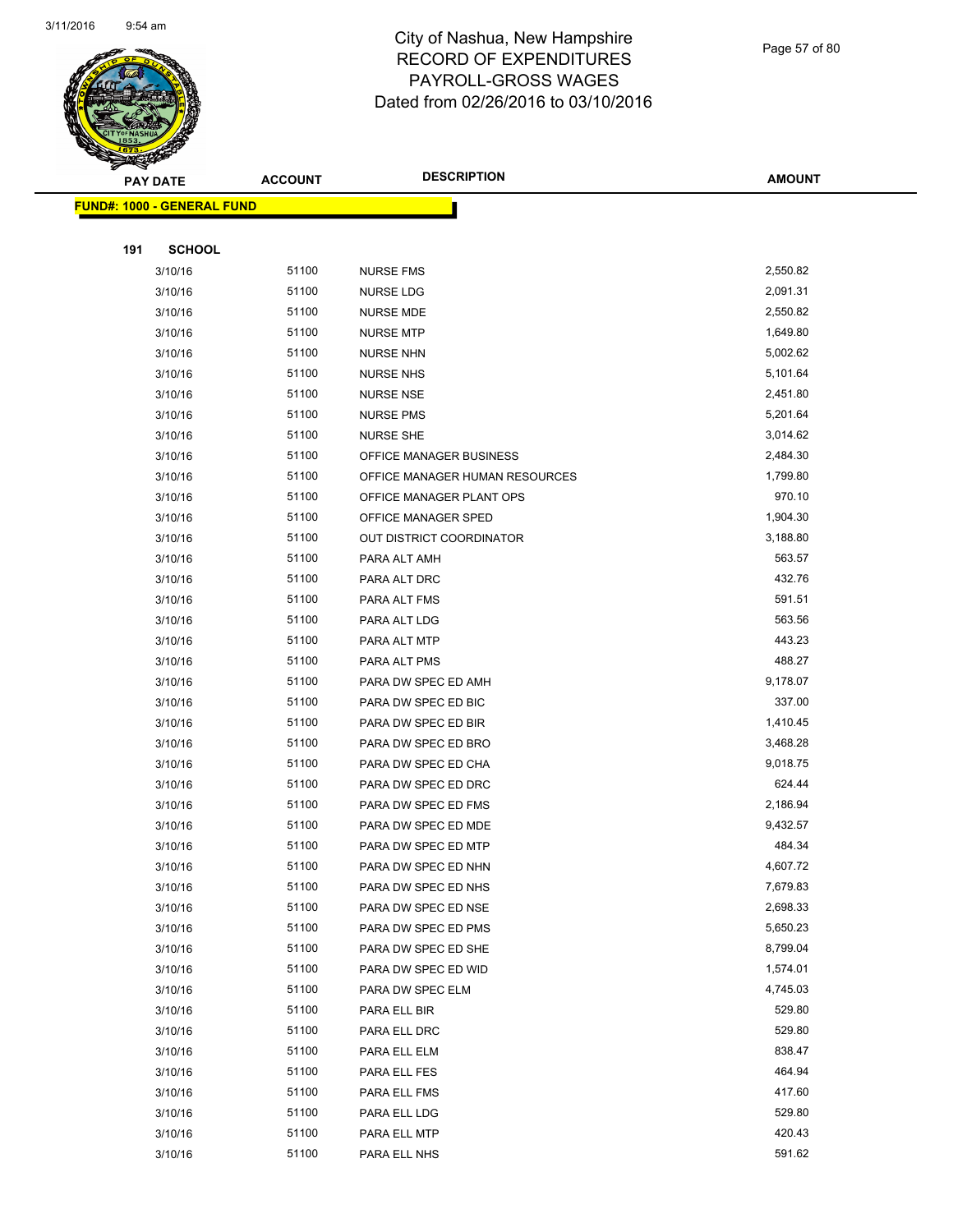

Page 57 of 80

| <b>PAY DATE</b>                   | <b>ACCOUNT</b> | <b>DESCRIPTION</b>              | <b>AMOUNT</b>        |
|-----------------------------------|----------------|---------------------------------|----------------------|
| <b>FUND#: 1000 - GENERAL FUND</b> |                |                                 |                      |
|                                   |                |                                 |                      |
| 191<br><b>SCHOOL</b>              |                |                                 |                      |
| 3/10/16                           | 51100          | <b>NURSE FMS</b>                | 2,550.82             |
| 3/10/16                           | 51100          | NURSE LDG                       | 2,091.31             |
| 3/10/16                           | 51100          | <b>NURSE MDE</b>                | 2,550.82             |
| 3/10/16                           | 51100          | <b>NURSE MTP</b>                | 1,649.80             |
| 3/10/16                           | 51100          | <b>NURSE NHN</b>                | 5,002.62             |
| 3/10/16                           | 51100          | <b>NURSE NHS</b>                | 5,101.64             |
| 3/10/16                           | 51100          | <b>NURSE NSE</b>                | 2,451.80             |
| 3/10/16                           | 51100          | <b>NURSE PMS</b>                | 5,201.64             |
| 3/10/16                           | 51100          | <b>NURSE SHE</b>                | 3,014.62             |
| 3/10/16                           | 51100          | OFFICE MANAGER BUSINESS         | 2,484.30             |
| 3/10/16                           | 51100          | OFFICE MANAGER HUMAN RESOURCES  | 1,799.80             |
| 3/10/16                           | 51100          | OFFICE MANAGER PLANT OPS        | 970.10               |
| 3/10/16                           | 51100          | OFFICE MANAGER SPED             | 1,904.30             |
| 3/10/16                           | 51100          | <b>OUT DISTRICT COORDINATOR</b> | 3,188.80             |
| 3/10/16                           | 51100          | PARA ALT AMH                    | 563.57               |
| 3/10/16                           | 51100          | PARA ALT DRC                    | 432.76               |
| 3/10/16                           | 51100          | PARA ALT FMS                    | 591.51               |
| 3/10/16                           | 51100          | PARA ALT LDG                    | 563.56               |
| 3/10/16                           | 51100          | PARA ALT MTP                    | 443.23               |
| 3/10/16                           | 51100          | PARA ALT PMS                    | 488.27               |
| 3/10/16                           | 51100          | PARA DW SPEC ED AMH             | 9,178.07             |
| 3/10/16                           | 51100          | PARA DW SPEC ED BIC             | 337.00               |
| 3/10/16                           | 51100          | PARA DW SPEC ED BIR             | 1,410.45             |
| 3/10/16                           | 51100          | PARA DW SPEC ED BRO             | 3,468.28             |
| 3/10/16                           | 51100          | PARA DW SPEC ED CHA             | 9,018.75             |
| 3/10/16                           | 51100          | PARA DW SPEC ED DRC             | 624.44               |
| 3/10/16                           | 51100          | PARA DW SPEC ED FMS             | 2,186.94             |
| 3/10/16                           | 51100          | PARA DW SPEC ED MDE             | 9,432.57             |
| 3/10/16                           | 51100          | PARA DW SPEC ED MTP             | 484.34               |
| 3/10/16                           | 51100          | PARA DW SPEC ED NHN             | 4,607.72             |
| 3/10/16                           | 51100          | PARA DW SPEC ED NHS             | 7,679.83             |
| 3/10/16                           | 51100          | PARA DW SPEC ED NSE             | 2,698.33             |
| 3/10/16                           | 51100          | PARA DW SPEC ED PMS             | 5,650.23             |
| 3/10/16                           | 51100          | PARA DW SPEC ED SHE             | 8,799.04             |
| 3/10/16                           | 51100          | PARA DW SPEC ED WID             | 1,574.01<br>4,745.03 |
| 3/10/16                           | 51100          | PARA DW SPEC ELM                |                      |
| 3/10/16                           | 51100          | PARA ELL BIR                    | 529.80               |
| 3/10/16                           | 51100<br>51100 | PARA ELL DRC                    | 529.80<br>838.47     |
| 3/10/16                           | 51100          | PARA ELL ELM                    | 464.94               |
| 3/10/16                           | 51100          | PARA ELL FES                    | 417.60               |
| 3/10/16<br>3/10/16                | 51100          | PARA ELL FMS<br>PARA ELL LDG    | 529.80               |
| 3/10/16                           | 51100          | PARA ELL MTP                    | 420.43               |
| 3/10/16                           | 51100          | PARA ELL NHS                    | 591.62               |
|                                   |                |                                 |                      |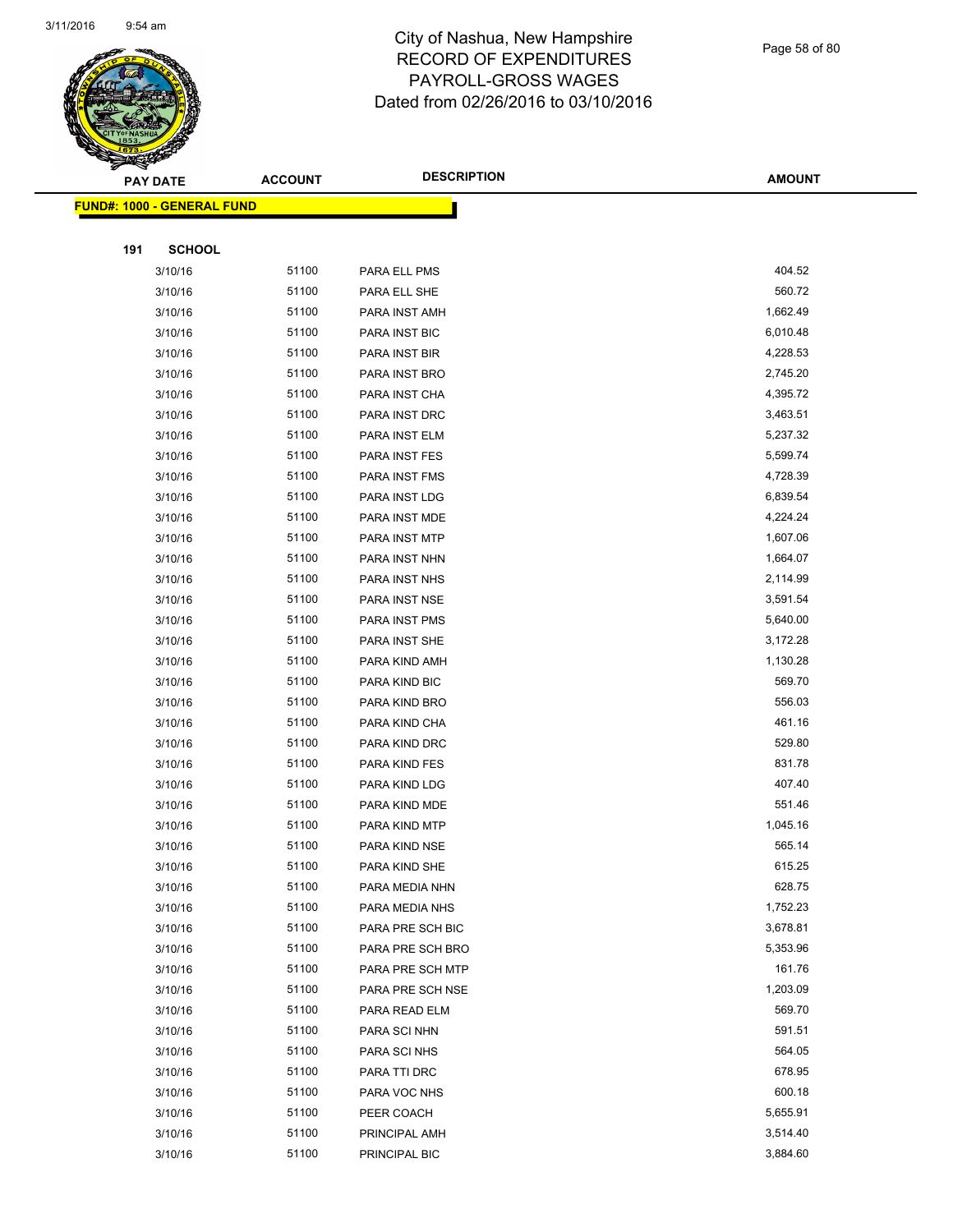

Page 58 of 80

|     | <b>PAY DATE</b>                    | <b>ACCOUNT</b> | <b>DESCRIPTION</b> | <b>AMOUNT</b> |
|-----|------------------------------------|----------------|--------------------|---------------|
|     | <u> FUND#: 1000 - GENERAL FUND</u> |                |                    |               |
|     |                                    |                |                    |               |
| 191 | <b>SCHOOL</b>                      |                |                    |               |
|     | 3/10/16                            | 51100          | PARA ELL PMS       | 404.52        |
|     | 3/10/16                            | 51100          | PARA ELL SHE       | 560.72        |
|     | 3/10/16                            | 51100          | PARA INST AMH      | 1,662.49      |
|     | 3/10/16                            | 51100          | PARA INST BIC      | 6,010.48      |
|     | 3/10/16                            | 51100          | PARA INST BIR      | 4,228.53      |
|     | 3/10/16                            | 51100          | PARA INST BRO      | 2,745.20      |
|     | 3/10/16                            | 51100          | PARA INST CHA      | 4,395.72      |
|     | 3/10/16                            | 51100          | PARA INST DRC      | 3,463.51      |
|     | 3/10/16                            | 51100          | PARA INST ELM      | 5,237.32      |
|     | 3/10/16                            | 51100          | PARA INST FES      | 5,599.74      |
|     | 3/10/16                            | 51100          | PARA INST FMS      | 4,728.39      |
|     | 3/10/16                            | 51100          | PARA INST LDG      | 6,839.54      |
|     | 3/10/16                            | 51100          | PARA INST MDE      | 4,224.24      |
|     | 3/10/16                            | 51100          | PARA INST MTP      | 1,607.06      |
|     | 3/10/16                            | 51100          | PARA INST NHN      | 1,664.07      |
|     | 3/10/16                            | 51100          | PARA INST NHS      | 2,114.99      |
|     | 3/10/16                            | 51100          | PARA INST NSE      | 3,591.54      |
|     | 3/10/16                            | 51100          | PARA INST PMS      | 5,640.00      |
|     | 3/10/16                            | 51100          | PARA INST SHE      | 3,172.28      |
|     | 3/10/16                            | 51100          | PARA KIND AMH      | 1,130.28      |
|     | 3/10/16                            | 51100          | PARA KIND BIC      | 569.70        |
|     | 3/10/16                            | 51100          | PARA KIND BRO      | 556.03        |
|     | 3/10/16                            | 51100          | PARA KIND CHA      | 461.16        |
|     | 3/10/16                            | 51100          | PARA KIND DRC      | 529.80        |
|     | 3/10/16                            | 51100          | PARA KIND FES      | 831.78        |
|     | 3/10/16                            | 51100          | PARA KIND LDG      | 407.40        |
|     | 3/10/16                            | 51100          | PARA KIND MDE      | 551.46        |
|     | 3/10/16                            | 51100          | PARA KIND MTP      | 1,045.16      |
|     | 3/10/16                            | 51100          | PARA KIND NSE      | 565.14        |
|     | 3/10/16                            | 51100          | PARA KIND SHE      | 615.25        |
|     | 3/10/16                            | 51100          | PARA MEDIA NHN     | 628.75        |
|     | 3/10/16                            | 51100          | PARA MEDIA NHS     | 1,752.23      |
|     | 3/10/16                            | 51100          | PARA PRE SCH BIC   | 3,678.81      |
|     | 3/10/16                            | 51100          | PARA PRE SCH BRO   | 5,353.96      |
|     | 3/10/16                            | 51100          | PARA PRE SCH MTP   | 161.76        |
|     | 3/10/16                            | 51100          | PARA PRE SCH NSE   | 1,203.09      |
|     | 3/10/16                            | 51100          | PARA READ ELM      | 569.70        |
|     | 3/10/16                            | 51100          | PARA SCI NHN       | 591.51        |
|     | 3/10/16                            | 51100          | PARA SCI NHS       | 564.05        |
|     | 3/10/16                            | 51100          | PARA TTI DRC       | 678.95        |
|     | 3/10/16                            | 51100          | PARA VOC NHS       | 600.18        |
|     | 3/10/16                            | 51100          | PEER COACH         | 5,655.91      |
|     | 3/10/16                            | 51100          | PRINCIPAL AMH      | 3,514.40      |
|     | 3/10/16                            | 51100          | PRINCIPAL BIC      | 3,884.60      |
|     |                                    |                |                    |               |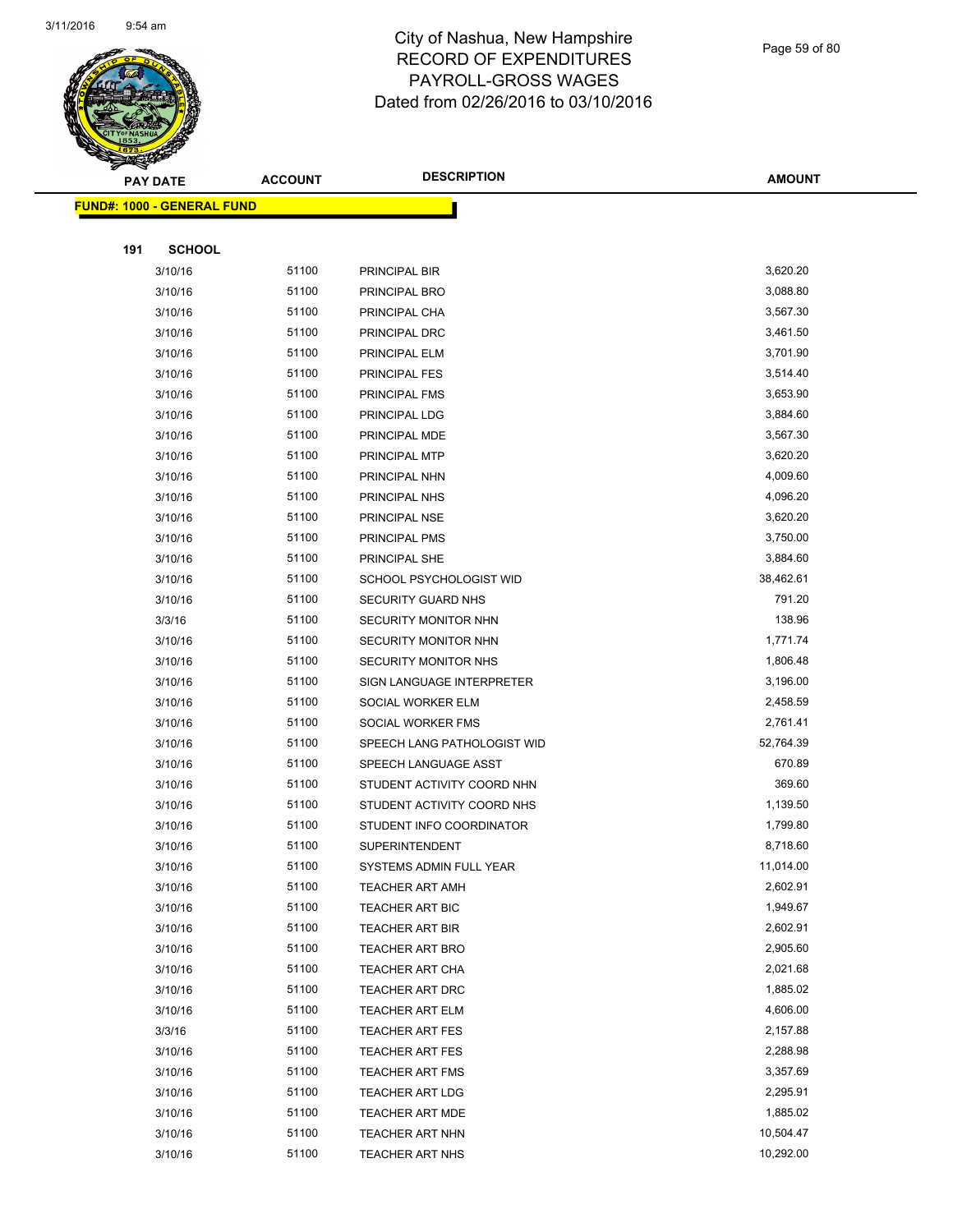

Page 59 of 80

|     | <b>PAY DATE</b>                    | <b>ACCOUNT</b> | <b>DESCRIPTION</b>          | <b>AMOUNT</b> |
|-----|------------------------------------|----------------|-----------------------------|---------------|
|     | <u> FUND#: 1000 - GENERAL FUND</u> |                |                             |               |
|     |                                    |                |                             |               |
| 191 | <b>SCHOOL</b>                      |                |                             |               |
|     | 3/10/16                            | 51100          | PRINCIPAL BIR               | 3,620.20      |
|     | 3/10/16                            | 51100          | PRINCIPAL BRO               | 3,088.80      |
|     | 3/10/16                            | 51100          | PRINCIPAL CHA               | 3,567.30      |
|     | 3/10/16                            | 51100          | PRINCIPAL DRC               | 3,461.50      |
|     | 3/10/16                            | 51100          | PRINCIPAL ELM               | 3,701.90      |
|     | 3/10/16                            | 51100          | PRINCIPAL FES               | 3,514.40      |
|     | 3/10/16                            | 51100          | PRINCIPAL FMS               | 3,653.90      |
|     | 3/10/16                            | 51100          | PRINCIPAL LDG               | 3,884.60      |
|     | 3/10/16                            | 51100          | PRINCIPAL MDE               | 3,567.30      |
|     | 3/10/16                            | 51100          | PRINCIPAL MTP               | 3,620.20      |
|     | 3/10/16                            | 51100          | PRINCIPAL NHN               | 4,009.60      |
|     | 3/10/16                            | 51100          | PRINCIPAL NHS               | 4,096.20      |
|     | 3/10/16                            | 51100          | PRINCIPAL NSE               | 3,620.20      |
|     | 3/10/16                            | 51100          | PRINCIPAL PMS               | 3,750.00      |
|     | 3/10/16                            | 51100          | PRINCIPAL SHE               | 3,884.60      |
|     | 3/10/16                            | 51100          | SCHOOL PSYCHOLOGIST WID     | 38,462.61     |
|     | 3/10/16                            | 51100          | <b>SECURITY GUARD NHS</b>   | 791.20        |
|     | 3/3/16                             | 51100          | SECURITY MONITOR NHN        | 138.96        |
|     | 3/10/16                            | 51100          | SECURITY MONITOR NHN        | 1,771.74      |
|     | 3/10/16                            | 51100          | SECURITY MONITOR NHS        | 1,806.48      |
|     | 3/10/16                            | 51100          | SIGN LANGUAGE INTERPRETER   | 3,196.00      |
|     | 3/10/16                            | 51100          | SOCIAL WORKER ELM           | 2,458.59      |
|     | 3/10/16                            | 51100          | SOCIAL WORKER FMS           | 2,761.41      |
|     | 3/10/16                            | 51100          | SPEECH LANG PATHOLOGIST WID | 52,764.39     |
|     | 3/10/16                            | 51100          | SPEECH LANGUAGE ASST        | 670.89        |
|     | 3/10/16                            | 51100          | STUDENT ACTIVITY COORD NHN  | 369.60        |
|     | 3/10/16                            | 51100          | STUDENT ACTIVITY COORD NHS  | 1,139.50      |
|     | 3/10/16                            | 51100          | STUDENT INFO COORDINATOR    | 1,799.80      |
|     | 3/10/16                            | 51100          | SUPERINTENDENT              | 8,718.60      |
|     | 3/10/16                            | 51100          | SYSTEMS ADMIN FULL YEAR     | 11,014.00     |
|     | 3/10/16                            | 51100          | <b>TEACHER ART AMH</b>      | 2,602.91      |
|     | 3/10/16                            | 51100          | <b>TEACHER ART BIC</b>      | 1,949.67      |
|     | 3/10/16                            | 51100          | <b>TEACHER ART BIR</b>      | 2,602.91      |
|     | 3/10/16                            | 51100          | <b>TEACHER ART BRO</b>      | 2,905.60      |
|     | 3/10/16                            | 51100          | <b>TEACHER ART CHA</b>      | 2,021.68      |
|     | 3/10/16                            | 51100          | TEACHER ART DRC             | 1,885.02      |
|     | 3/10/16                            | 51100          | <b>TEACHER ART ELM</b>      | 4,606.00      |
|     | 3/3/16                             | 51100          | <b>TEACHER ART FES</b>      | 2,157.88      |
|     | 3/10/16                            | 51100          | <b>TEACHER ART FES</b>      | 2,288.98      |
|     | 3/10/16                            | 51100          | <b>TEACHER ART FMS</b>      | 3,357.69      |
|     | 3/10/16                            | 51100          | <b>TEACHER ART LDG</b>      | 2,295.91      |
|     | 3/10/16                            | 51100          | <b>TEACHER ART MDE</b>      | 1,885.02      |
|     | 3/10/16                            | 51100          | TEACHER ART NHN             | 10,504.47     |
|     | 3/10/16                            | 51100          | TEACHER ART NHS             | 10,292.00     |
|     |                                    |                |                             |               |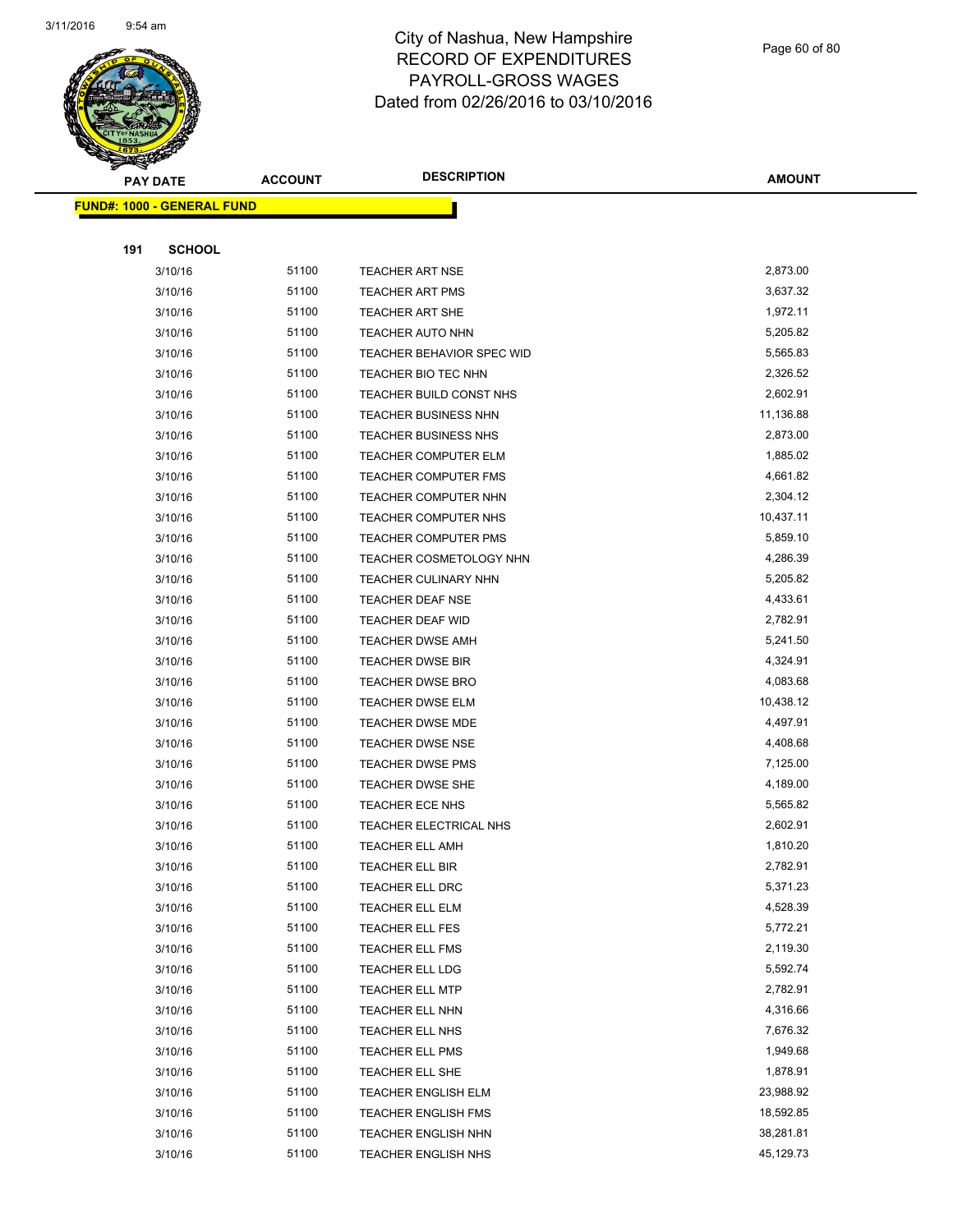

Page 60 of 80

|     | <b>PAY DATE</b>                   | <b>ACCOUNT</b> | <b>DESCRIPTION</b>                            | <b>AMOUNT</b>        |
|-----|-----------------------------------|----------------|-----------------------------------------------|----------------------|
|     | <b>FUND#: 1000 - GENERAL FUND</b> |                |                                               |                      |
|     |                                   |                |                                               |                      |
| 191 | <b>SCHOOL</b>                     |                |                                               |                      |
|     | 3/10/16                           | 51100          | <b>TEACHER ART NSE</b>                        | 2,873.00             |
|     | 3/10/16                           | 51100          | TEACHER ART PMS                               | 3,637.32             |
|     | 3/10/16                           | 51100          | <b>TEACHER ART SHE</b>                        | 1,972.11             |
|     | 3/10/16                           | 51100          | <b>TEACHER AUTO NHN</b>                       | 5,205.82             |
|     | 3/10/16                           | 51100          | <b>TEACHER BEHAVIOR SPEC WID</b>              | 5,565.83             |
|     | 3/10/16                           | 51100          | TEACHER BIO TEC NHN                           | 2,326.52             |
|     | 3/10/16                           | 51100          | TEACHER BUILD CONST NHS                       | 2,602.91             |
|     | 3/10/16                           | 51100          | <b>TEACHER BUSINESS NHN</b>                   | 11,136.88            |
|     | 3/10/16                           | 51100          | <b>TEACHER BUSINESS NHS</b>                   | 2,873.00             |
|     | 3/10/16                           | 51100          | <b>TEACHER COMPUTER ELM</b>                   | 1,885.02             |
|     | 3/10/16                           | 51100          | TEACHER COMPUTER FMS                          | 4,661.82             |
|     | 3/10/16                           | 51100          | <b>TEACHER COMPUTER NHN</b>                   | 2,304.12             |
|     | 3/10/16                           | 51100          | TEACHER COMPUTER NHS                          | 10,437.11            |
|     | 3/10/16                           | 51100          | TEACHER COMPUTER PMS                          | 5,859.10             |
|     | 3/10/16                           | 51100          | TEACHER COSMETOLOGY NHN                       | 4,286.39             |
|     | 3/10/16                           | 51100          | TEACHER CULINARY NHN                          | 5,205.82             |
|     | 3/10/16                           | 51100          | <b>TEACHER DEAF NSE</b>                       | 4,433.61             |
|     | 3/10/16                           | 51100          | TEACHER DEAF WID                              | 2,782.91             |
|     | 3/10/16                           | 51100          | <b>TEACHER DWSE AMH</b>                       | 5,241.50             |
|     | 3/10/16                           | 51100          | TEACHER DWSE BIR                              | 4,324.91             |
|     | 3/10/16                           | 51100          | TEACHER DWSE BRO                              | 4,083.68             |
|     | 3/10/16                           | 51100          | TEACHER DWSE ELM                              | 10,438.12            |
|     | 3/10/16                           | 51100          | <b>TEACHER DWSE MDE</b>                       | 4,497.91             |
|     | 3/10/16                           | 51100          | <b>TEACHER DWSE NSE</b>                       | 4,408.68             |
|     | 3/10/16                           | 51100          | <b>TEACHER DWSE PMS</b>                       | 7,125.00             |
|     | 3/10/16                           | 51100          | TEACHER DWSE SHE                              | 4,189.00             |
|     | 3/10/16                           | 51100          | TEACHER ECE NHS                               | 5,565.82             |
|     | 3/10/16                           | 51100          | TEACHER ELECTRICAL NHS                        | 2,602.91             |
|     | 3/10/16                           | 51100          | <b>TEACHER ELL AMH</b>                        | 1,810.20             |
|     | 3/10/16                           | 51100          | TEACHER ELL BIR                               | 2,782.91             |
|     | 3/10/16                           | 51100          | TEACHER ELL DRC                               | 5,371.23             |
|     | 3/10/16                           | 51100          | TEACHER ELL ELM                               | 4,528.39             |
|     | 3/10/16                           | 51100          | TEACHER ELL FES                               | 5,772.21             |
|     | 3/10/16                           | 51100          | TEACHER ELL FMS                               | 2,119.30             |
|     | 3/10/16                           | 51100          | <b>TEACHER ELL LDG</b>                        | 5,592.74             |
|     | 3/10/16                           | 51100          | TEACHER ELL MTP                               | 2,782.91             |
|     | 3/10/16                           | 51100          | TEACHER ELL NHN                               | 4,316.66             |
|     | 3/10/16                           | 51100          | TEACHER ELL NHS                               | 7,676.32<br>1,949.68 |
|     | 3/10/16                           | 51100          | TEACHER ELL PMS                               | 1,878.91             |
|     | 3/10/16<br>3/10/16                | 51100<br>51100 | TEACHER ELL SHE<br><b>TEACHER ENGLISH ELM</b> | 23,988.92            |
|     | 3/10/16                           | 51100          | <b>TEACHER ENGLISH FMS</b>                    | 18,592.85            |
|     | 3/10/16                           | 51100          | <b>TEACHER ENGLISH NHN</b>                    | 38,281.81            |
|     | 3/10/16                           | 51100          | TEACHER ENGLISH NHS                           | 45,129.73            |
|     |                                   |                |                                               |                      |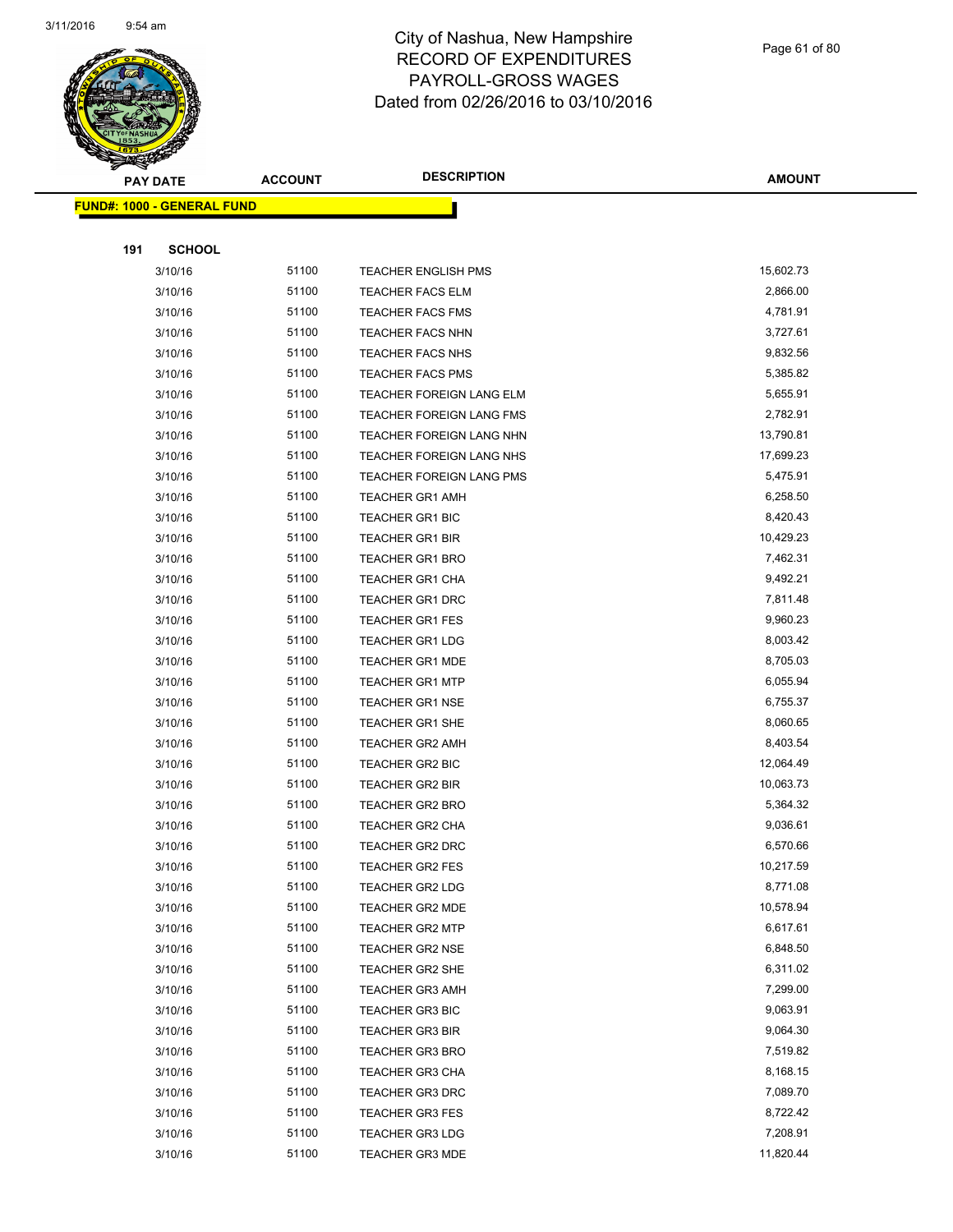

Page 61 of 80

| $\tilde{\phantom{a}}$ | <b>PAY DATE</b>                   | <b>ACCOUNT</b> | <b>DESCRIPTION</b>         | <b>AMOUNT</b> |
|-----------------------|-----------------------------------|----------------|----------------------------|---------------|
|                       | <b>FUND#: 1000 - GENERAL FUND</b> |                |                            |               |
|                       |                                   |                |                            |               |
| 191                   | <b>SCHOOL</b>                     |                |                            |               |
|                       | 3/10/16                           | 51100          | <b>TEACHER ENGLISH PMS</b> | 15,602.73     |
|                       | 3/10/16                           | 51100          | <b>TEACHER FACS ELM</b>    | 2,866.00      |
|                       | 3/10/16                           | 51100          | <b>TEACHER FACS FMS</b>    | 4,781.91      |
|                       | 3/10/16                           | 51100          | <b>TEACHER FACS NHN</b>    | 3,727.61      |
|                       | 3/10/16                           | 51100          | <b>TEACHER FACS NHS</b>    | 9,832.56      |
|                       | 3/10/16                           | 51100          | <b>TEACHER FACS PMS</b>    | 5,385.82      |
|                       | 3/10/16                           | 51100          | TEACHER FOREIGN LANG ELM   | 5,655.91      |
|                       | 3/10/16                           | 51100          | TEACHER FOREIGN LANG FMS   | 2,782.91      |
|                       | 3/10/16                           | 51100          | TEACHER FOREIGN LANG NHN   | 13,790.81     |
|                       | 3/10/16                           | 51100          | TEACHER FOREIGN LANG NHS   | 17,699.23     |
|                       | 3/10/16                           | 51100          | TEACHER FOREIGN LANG PMS   | 5,475.91      |
|                       | 3/10/16                           | 51100          | <b>TEACHER GR1 AMH</b>     | 6,258.50      |
|                       | 3/10/16                           | 51100          | <b>TEACHER GR1 BIC</b>     | 8,420.43      |
|                       | 3/10/16                           | 51100          | <b>TEACHER GR1 BIR</b>     | 10,429.23     |
|                       | 3/10/16                           | 51100          | <b>TEACHER GR1 BRO</b>     | 7,462.31      |
|                       | 3/10/16                           | 51100          | <b>TEACHER GR1 CHA</b>     | 9,492.21      |
|                       | 3/10/16                           | 51100          | TEACHER GR1 DRC            | 7,811.48      |
|                       | 3/10/16                           | 51100          | <b>TEACHER GR1 FES</b>     | 9,960.23      |
|                       | 3/10/16                           | 51100          | <b>TEACHER GR1 LDG</b>     | 8,003.42      |
|                       | 3/10/16                           | 51100          | <b>TEACHER GR1 MDE</b>     | 8,705.03      |
|                       | 3/10/16                           | 51100          | <b>TEACHER GR1 MTP</b>     | 6,055.94      |
|                       | 3/10/16                           | 51100          | <b>TEACHER GR1 NSE</b>     | 6,755.37      |
|                       | 3/10/16                           | 51100          | <b>TEACHER GR1 SHE</b>     | 8,060.65      |
|                       | 3/10/16                           | 51100          | <b>TEACHER GR2 AMH</b>     | 8,403.54      |
|                       | 3/10/16                           | 51100          | TEACHER GR2 BIC            | 12,064.49     |
|                       | 3/10/16                           | 51100          | <b>TEACHER GR2 BIR</b>     | 10,063.73     |
|                       | 3/10/16                           | 51100          | <b>TEACHER GR2 BRO</b>     | 5,364.32      |
|                       | 3/10/16                           | 51100          | <b>TEACHER GR2 CHA</b>     | 9,036.61      |
|                       | 3/10/16                           | 51100          | <b>TEACHER GR2 DRC</b>     | 6,570.66      |
|                       | 3/10/16                           | 51100          | TEACHER GR2 FES            | 10,217.59     |
|                       | 3/10/16                           | 51100          | <b>TEACHER GR2 LDG</b>     | 8,771.08      |
|                       | 3/10/16                           | 51100          | <b>TEACHER GR2 MDE</b>     | 10,578.94     |
|                       | 3/10/16                           | 51100          | <b>TEACHER GR2 MTP</b>     | 6,617.61      |
|                       | 3/10/16                           | 51100          | <b>TEACHER GR2 NSE</b>     | 6,848.50      |
|                       | 3/10/16                           | 51100          | TEACHER GR2 SHE            | 6,311.02      |
|                       | 3/10/16                           | 51100          | <b>TEACHER GR3 AMH</b>     | 7,299.00      |
|                       | 3/10/16                           | 51100          | <b>TEACHER GR3 BIC</b>     | 9,063.91      |
|                       | 3/10/16                           | 51100          | <b>TEACHER GR3 BIR</b>     | 9,064.30      |
|                       | 3/10/16                           | 51100          | <b>TEACHER GR3 BRO</b>     | 7,519.82      |
|                       | 3/10/16                           | 51100          | <b>TEACHER GR3 CHA</b>     | 8,168.15      |
|                       | 3/10/16                           | 51100          | <b>TEACHER GR3 DRC</b>     | 7,089.70      |
|                       | 3/10/16                           | 51100          | <b>TEACHER GR3 FES</b>     | 8,722.42      |
|                       | 3/10/16                           | 51100          | <b>TEACHER GR3 LDG</b>     | 7,208.91      |
|                       | 3/10/16                           | 51100          | <b>TEACHER GR3 MDE</b>     | 11,820.44     |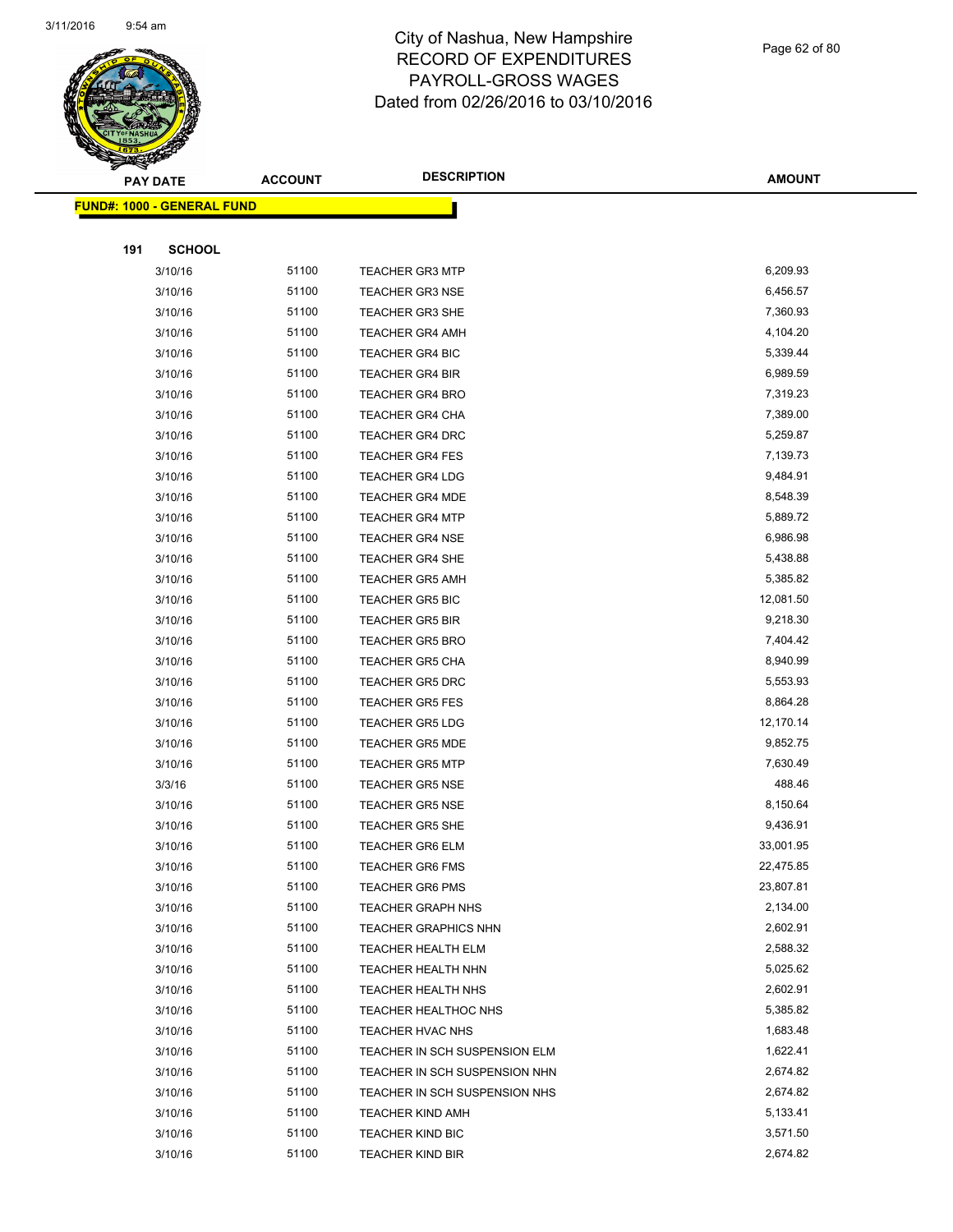

Page 62 of 80

|     | <b>PAY DATE</b>                   | <b>ACCOUNT</b> | <b>DESCRIPTION</b>            | <b>AMOUNT</b> |
|-----|-----------------------------------|----------------|-------------------------------|---------------|
|     | <b>FUND#: 1000 - GENERAL FUND</b> |                |                               |               |
|     |                                   |                |                               |               |
| 191 | <b>SCHOOL</b>                     |                |                               |               |
|     | 3/10/16                           | 51100          | <b>TEACHER GR3 MTP</b>        | 6,209.93      |
|     | 3/10/16                           | 51100          | <b>TEACHER GR3 NSE</b>        | 6,456.57      |
|     | 3/10/16                           | 51100          | <b>TEACHER GR3 SHE</b>        | 7,360.93      |
|     | 3/10/16                           | 51100          | <b>TEACHER GR4 AMH</b>        | 4,104.20      |
|     | 3/10/16                           | 51100          | TEACHER GR4 BIC               | 5,339.44      |
|     | 3/10/16                           | 51100          | <b>TEACHER GR4 BIR</b>        | 6,989.59      |
|     | 3/10/16                           | 51100          | <b>TEACHER GR4 BRO</b>        | 7,319.23      |
|     | 3/10/16                           | 51100          | <b>TEACHER GR4 CHA</b>        | 7,389.00      |
|     | 3/10/16                           | 51100          | <b>TEACHER GR4 DRC</b>        | 5,259.87      |
|     | 3/10/16                           | 51100          | <b>TEACHER GR4 FES</b>        | 7,139.73      |
|     | 3/10/16                           | 51100          | <b>TEACHER GR4 LDG</b>        | 9,484.91      |
|     | 3/10/16                           | 51100          | <b>TEACHER GR4 MDE</b>        | 8,548.39      |
|     | 3/10/16                           | 51100          | <b>TEACHER GR4 MTP</b>        | 5,889.72      |
|     | 3/10/16                           | 51100          | <b>TEACHER GR4 NSE</b>        | 6,986.98      |
|     | 3/10/16                           | 51100          | <b>TEACHER GR4 SHE</b>        | 5,438.88      |
|     | 3/10/16                           | 51100          | <b>TEACHER GR5 AMH</b>        | 5,385.82      |
|     | 3/10/16                           | 51100          | <b>TEACHER GR5 BIC</b>        | 12,081.50     |
|     | 3/10/16                           | 51100          | <b>TEACHER GR5 BIR</b>        | 9,218.30      |
|     | 3/10/16                           | 51100          | <b>TEACHER GR5 BRO</b>        | 7,404.42      |
|     | 3/10/16                           | 51100          | <b>TEACHER GR5 CHA</b>        | 8,940.99      |
|     | 3/10/16                           | 51100          | <b>TEACHER GR5 DRC</b>        | 5,553.93      |
|     | 3/10/16                           | 51100          | <b>TEACHER GR5 FES</b>        | 8,864.28      |
|     | 3/10/16                           | 51100          | <b>TEACHER GR5 LDG</b>        | 12,170.14     |
|     | 3/10/16                           | 51100          | <b>TEACHER GR5 MDE</b>        | 9,852.75      |
|     | 3/10/16                           | 51100          | <b>TEACHER GR5 MTP</b>        | 7,630.49      |
|     | 3/3/16                            | 51100          | <b>TEACHER GR5 NSE</b>        | 488.46        |
|     | 3/10/16                           | 51100          | <b>TEACHER GR5 NSE</b>        | 8,150.64      |
|     | 3/10/16                           | 51100          | <b>TEACHER GR5 SHE</b>        | 9,436.91      |
|     | 3/10/16                           | 51100          | <b>TEACHER GR6 ELM</b>        | 33,001.95     |
|     | 3/10/16                           | 51100          | TEACHER GR6 FMS               | 22,475.85     |
|     | 3/10/16                           | 51100          | <b>TEACHER GR6 PMS</b>        | 23,807.81     |
|     | 3/10/16                           | 51100          | <b>TEACHER GRAPH NHS</b>      | 2,134.00      |
|     | 3/10/16                           | 51100          | <b>TEACHER GRAPHICS NHN</b>   | 2,602.91      |
|     | 3/10/16                           | 51100          | TEACHER HEALTH ELM            | 2,588.32      |
|     | 3/10/16                           | 51100          | TEACHER HEALTH NHN            | 5,025.62      |
|     | 3/10/16                           | 51100          | <b>TEACHER HEALTH NHS</b>     | 2,602.91      |
|     | 3/10/16                           | 51100          | <b>TEACHER HEALTHOC NHS</b>   | 5,385.82      |
|     | 3/10/16                           | 51100          | TEACHER HVAC NHS              | 1,683.48      |
|     | 3/10/16                           | 51100          | TEACHER IN SCH SUSPENSION ELM | 1,622.41      |
|     | 3/10/16                           | 51100          | TEACHER IN SCH SUSPENSION NHN | 2,674.82      |
|     | 3/10/16                           | 51100          | TEACHER IN SCH SUSPENSION NHS | 2,674.82      |
|     | 3/10/16                           | 51100          | <b>TEACHER KIND AMH</b>       | 5,133.41      |
|     | 3/10/16                           | 51100          | TEACHER KIND BIC              | 3,571.50      |
|     | 3/10/16                           | 51100          | <b>TEACHER KIND BIR</b>       | 2,674.82      |
|     |                                   |                |                               |               |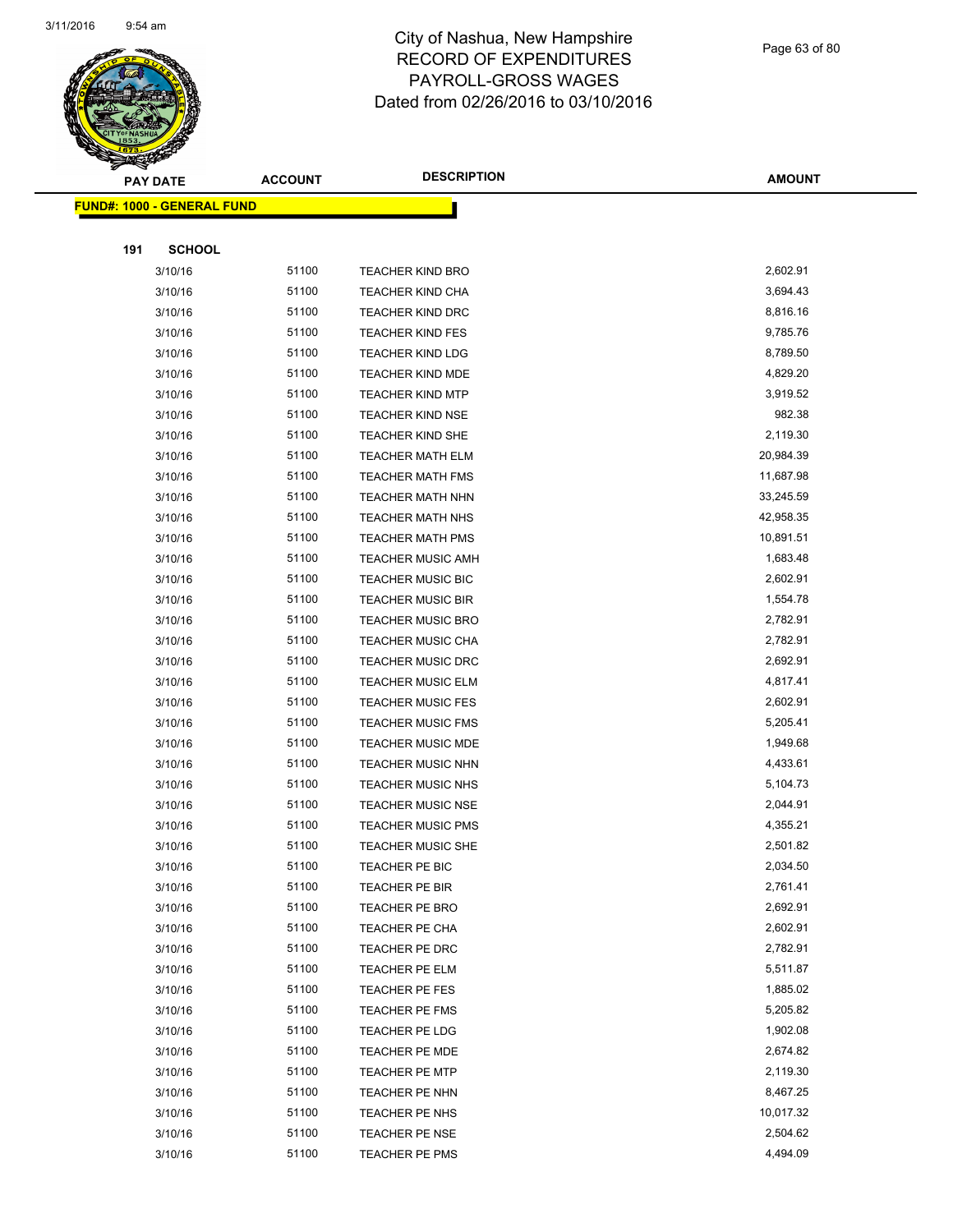

Page 63 of 80

| <b>PAY DATE</b>                   | <b>ACCOUNT</b> | <b>DESCRIPTION</b>       | <b>AMOUNT</b> |
|-----------------------------------|----------------|--------------------------|---------------|
| <b>FUND#: 1000 - GENERAL FUND</b> |                |                          |               |
|                                   |                |                          |               |
| 191<br><b>SCHOOL</b>              |                |                          |               |
| 3/10/16                           | 51100          | <b>TEACHER KIND BRO</b>  | 2,602.91      |
| 3/10/16                           | 51100          | <b>TEACHER KIND CHA</b>  | 3,694.43      |
| 3/10/16                           | 51100          | <b>TEACHER KIND DRC</b>  | 8,816.16      |
| 3/10/16                           | 51100          | <b>TEACHER KIND FES</b>  | 9,785.76      |
| 3/10/16                           | 51100          | <b>TEACHER KIND LDG</b>  | 8,789.50      |
| 3/10/16                           | 51100          | TEACHER KIND MDE         | 4,829.20      |
| 3/10/16                           | 51100          | <b>TEACHER KIND MTP</b>  | 3,919.52      |
| 3/10/16                           | 51100          | <b>TEACHER KIND NSE</b>  | 982.38        |
| 3/10/16                           | 51100          | <b>TEACHER KIND SHE</b>  | 2,119.30      |
| 3/10/16                           | 51100          | <b>TEACHER MATH ELM</b>  | 20,984.39     |
| 3/10/16                           | 51100          | <b>TEACHER MATH FMS</b>  | 11,687.98     |
| 3/10/16                           | 51100          | <b>TEACHER MATH NHN</b>  | 33,245.59     |
| 3/10/16                           | 51100          | <b>TEACHER MATH NHS</b>  | 42,958.35     |
| 3/10/16                           | 51100          | <b>TEACHER MATH PMS</b>  | 10,891.51     |
| 3/10/16                           | 51100          | <b>TEACHER MUSIC AMH</b> | 1,683.48      |
| 3/10/16                           | 51100          | TEACHER MUSIC BIC        | 2,602.91      |
| 3/10/16                           | 51100          | <b>TEACHER MUSIC BIR</b> | 1,554.78      |
| 3/10/16                           | 51100          | <b>TEACHER MUSIC BRO</b> | 2,782.91      |
| 3/10/16                           | 51100          | <b>TEACHER MUSIC CHA</b> | 2,782.91      |
| 3/10/16                           | 51100          | <b>TEACHER MUSIC DRC</b> | 2,692.91      |
| 3/10/16                           | 51100          | <b>TEACHER MUSIC ELM</b> | 4,817.41      |
| 3/10/16                           | 51100          | <b>TEACHER MUSIC FES</b> | 2,602.91      |
| 3/10/16                           | 51100          | <b>TEACHER MUSIC FMS</b> | 5,205.41      |
| 3/10/16                           | 51100          | <b>TEACHER MUSIC MDE</b> | 1,949.68      |
| 3/10/16                           | 51100          | <b>TEACHER MUSIC NHN</b> | 4,433.61      |
| 3/10/16                           | 51100          | TEACHER MUSIC NHS        | 5,104.73      |
| 3/10/16                           | 51100          | <b>TEACHER MUSIC NSE</b> | 2,044.91      |
| 3/10/16                           | 51100          | <b>TEACHER MUSIC PMS</b> | 4,355.21      |
| 3/10/16                           | 51100          | <b>TEACHER MUSIC SHE</b> | 2,501.82      |
| 3/10/16                           | 51100          | TEACHER PE BIC           | 2,034.50      |
| 3/10/16                           | 51100          | TEACHER PE BIR           | 2,761.41      |
| 3/10/16                           | 51100          | <b>TEACHER PE BRO</b>    | 2,692.91      |
| 3/10/16                           | 51100          | TEACHER PE CHA           | 2,602.91      |
| 3/10/16                           | 51100          | TEACHER PE DRC           | 2,782.91      |
| 3/10/16                           | 51100          | TEACHER PE ELM           | 5,511.87      |
| 3/10/16                           | 51100          | TEACHER PE FES           | 1,885.02      |
| 3/10/16                           | 51100          | TEACHER PE FMS           | 5,205.82      |
| 3/10/16                           | 51100          | TEACHER PE LDG           | 1,902.08      |
| 3/10/16                           | 51100          | TEACHER PE MDE           | 2,674.82      |
| 3/10/16                           | 51100          | TEACHER PE MTP           | 2,119.30      |
| 3/10/16                           | 51100          | TEACHER PE NHN           | 8,467.25      |
| 3/10/16                           | 51100          | TEACHER PE NHS           | 10,017.32     |
| 3/10/16                           | 51100          | TEACHER PE NSE           | 2,504.62      |
| 3/10/16                           | 51100          | TEACHER PE PMS           | 4,494.09      |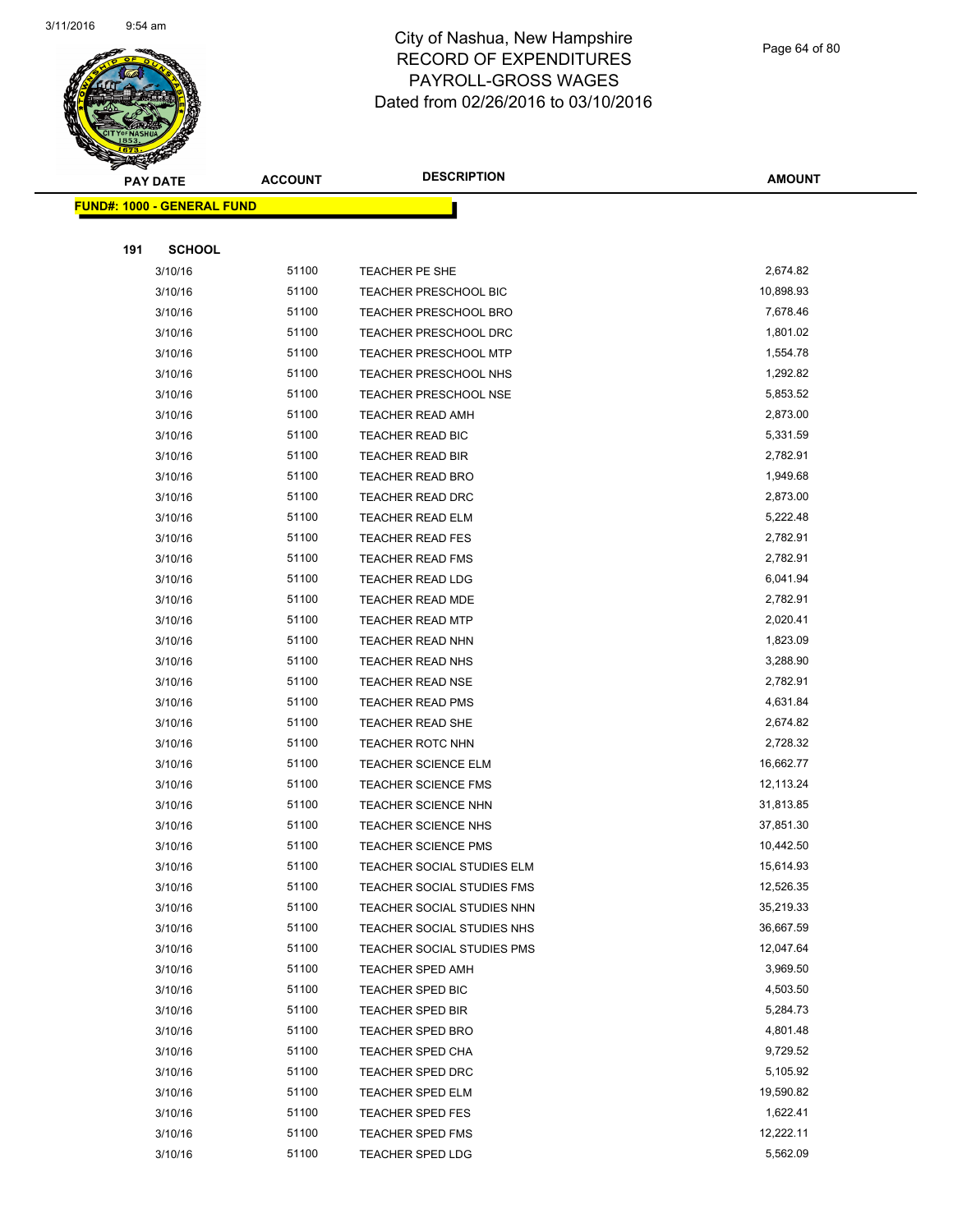

Page 64 of 80

|     | <b>PAY DATE</b>                   | <b>ACCOUNT</b> | <b>DESCRIPTION</b>           | <b>AMOUNT</b> |
|-----|-----------------------------------|----------------|------------------------------|---------------|
|     | <b>FUND#: 1000 - GENERAL FUND</b> |                |                              |               |
|     |                                   |                |                              |               |
| 191 | <b>SCHOOL</b>                     |                |                              |               |
|     | 3/10/16                           | 51100          | TEACHER PE SHE               | 2,674.82      |
|     | 3/10/16                           | 51100          | TEACHER PRESCHOOL BIC        | 10,898.93     |
|     | 3/10/16                           | 51100          | <b>TEACHER PRESCHOOL BRO</b> | 7,678.46      |
|     | 3/10/16                           | 51100          | <b>TEACHER PRESCHOOL DRC</b> | 1,801.02      |
|     | 3/10/16                           | 51100          | TEACHER PRESCHOOL MTP        | 1,554.78      |
|     | 3/10/16                           | 51100          | TEACHER PRESCHOOL NHS        | 1,292.82      |
|     | 3/10/16                           | 51100          | TEACHER PRESCHOOL NSE        | 5,853.52      |
|     | 3/10/16                           | 51100          | <b>TEACHER READ AMH</b>      | 2,873.00      |
|     | 3/10/16                           | 51100          | TEACHER READ BIC             | 5,331.59      |
|     | 3/10/16                           | 51100          | <b>TEACHER READ BIR</b>      | 2,782.91      |
|     | 3/10/16                           | 51100          | <b>TEACHER READ BRO</b>      | 1,949.68      |
|     | 3/10/16                           | 51100          | <b>TEACHER READ DRC</b>      | 2,873.00      |
|     | 3/10/16                           | 51100          | <b>TEACHER READ ELM</b>      | 5,222.48      |
|     | 3/10/16                           | 51100          | <b>TEACHER READ FES</b>      | 2,782.91      |
|     | 3/10/16                           | 51100          | <b>TEACHER READ FMS</b>      | 2,782.91      |
|     | 3/10/16                           | 51100          | <b>TEACHER READ LDG</b>      | 6,041.94      |
|     | 3/10/16                           | 51100          | <b>TEACHER READ MDE</b>      | 2,782.91      |
|     | 3/10/16                           | 51100          | <b>TEACHER READ MTP</b>      | 2,020.41      |
|     | 3/10/16                           | 51100          | <b>TEACHER READ NHN</b>      | 1,823.09      |
|     | 3/10/16                           | 51100          | TEACHER READ NHS             | 3,288.90      |
|     | 3/10/16                           | 51100          | TEACHER READ NSE             | 2,782.91      |
|     | 3/10/16                           | 51100          | <b>TEACHER READ PMS</b>      | 4,631.84      |
|     | 3/10/16                           | 51100          | <b>TEACHER READ SHE</b>      | 2,674.82      |
|     | 3/10/16                           | 51100          | <b>TEACHER ROTC NHN</b>      | 2,728.32      |
|     | 3/10/16                           | 51100          | <b>TEACHER SCIENCE ELM</b>   | 16,662.77     |
|     | 3/10/16                           | 51100          | <b>TEACHER SCIENCE FMS</b>   | 12,113.24     |
|     | 3/10/16                           | 51100          | TEACHER SCIENCE NHN          | 31,813.85     |
|     | 3/10/16                           | 51100          | <b>TEACHER SCIENCE NHS</b>   | 37,851.30     |
|     | 3/10/16                           | 51100          | <b>TEACHER SCIENCE PMS</b>   | 10,442.50     |
|     | 3/10/16                           | 51100          | TEACHER SOCIAL STUDIES ELM   | 15,614.93     |
|     | 3/10/16                           | 51100          | TEACHER SOCIAL STUDIES FMS   | 12,526.35     |
|     | 3/10/16                           | 51100          | TEACHER SOCIAL STUDIES NHN   | 35,219.33     |
|     | 3/10/16                           | 51100          | TEACHER SOCIAL STUDIES NHS   | 36,667.59     |
|     | 3/10/16                           | 51100          | TEACHER SOCIAL STUDIES PMS   | 12,047.64     |
|     | 3/10/16                           | 51100          | <b>TEACHER SPED AMH</b>      | 3,969.50      |
|     | 3/10/16                           | 51100          | TEACHER SPED BIC             | 4,503.50      |
|     | 3/10/16                           | 51100          | <b>TEACHER SPED BIR</b>      | 5,284.73      |
|     | 3/10/16                           | 51100          | <b>TEACHER SPED BRO</b>      | 4,801.48      |
|     | 3/10/16                           | 51100          | <b>TEACHER SPED CHA</b>      | 9,729.52      |
|     | 3/10/16                           | 51100          | <b>TEACHER SPED DRC</b>      | 5,105.92      |
|     | 3/10/16                           | 51100          | TEACHER SPED ELM             | 19,590.82     |
|     | 3/10/16                           | 51100          | <b>TEACHER SPED FES</b>      | 1,622.41      |
|     | 3/10/16                           | 51100          | <b>TEACHER SPED FMS</b>      | 12,222.11     |
|     | 3/10/16                           | 51100          | <b>TEACHER SPED LDG</b>      | 5,562.09      |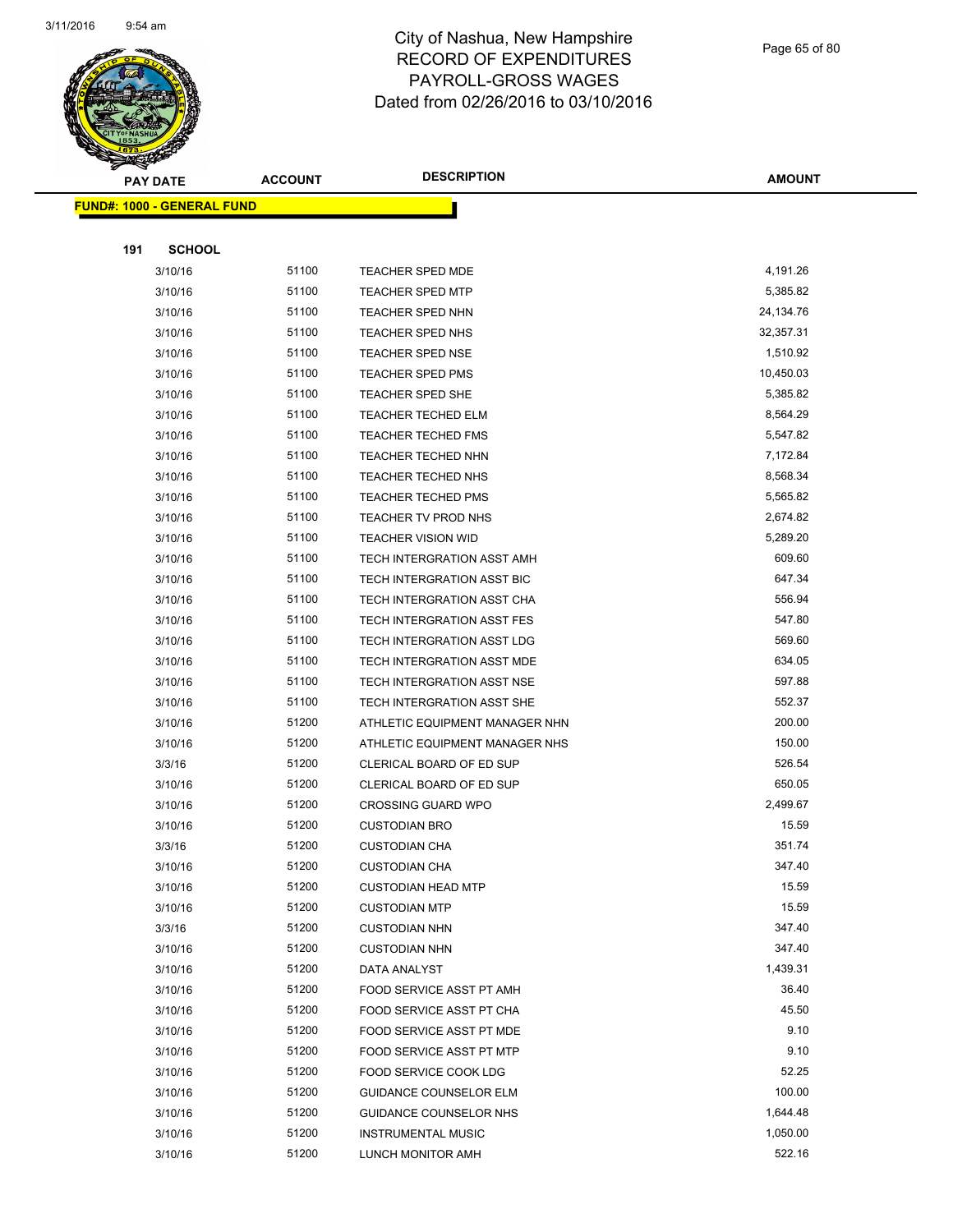

Page 65 of 80

| <b>PAY DATE</b>                   | <b>ACCOUNT</b> | <b>DESCRIPTION</b>             | <b>AMOUNT</b> |
|-----------------------------------|----------------|--------------------------------|---------------|
| <b>FUND#: 1000 - GENERAL FUND</b> |                |                                |               |
|                                   |                |                                |               |
| 191<br><b>SCHOOL</b>              |                |                                |               |
| 3/10/16                           | 51100          | <b>TEACHER SPED MDE</b>        | 4,191.26      |
| 3/10/16                           | 51100          | <b>TEACHER SPED MTP</b>        | 5,385.82      |
| 3/10/16                           | 51100          | <b>TEACHER SPED NHN</b>        | 24,134.76     |
| 3/10/16                           | 51100          | <b>TEACHER SPED NHS</b>        | 32,357.31     |
| 3/10/16                           | 51100          | <b>TEACHER SPED NSE</b>        | 1,510.92      |
| 3/10/16                           | 51100          | <b>TEACHER SPED PMS</b>        | 10,450.03     |
| 3/10/16                           | 51100          | TEACHER SPED SHE               | 5,385.82      |
| 3/10/16                           | 51100          | <b>TEACHER TECHED ELM</b>      | 8,564.29      |
| 3/10/16                           | 51100          | <b>TEACHER TECHED FMS</b>      | 5,547.82      |
| 3/10/16                           | 51100          | <b>TEACHER TECHED NHN</b>      | 7,172.84      |
| 3/10/16                           | 51100          | <b>TEACHER TECHED NHS</b>      | 8,568.34      |
| 3/10/16                           | 51100          | <b>TEACHER TECHED PMS</b>      | 5,565.82      |
| 3/10/16                           | 51100          | TEACHER TV PROD NHS            | 2,674.82      |
| 3/10/16                           | 51100          | <b>TEACHER VISION WID</b>      | 5,289.20      |
| 3/10/16                           | 51100          | TECH INTERGRATION ASST AMH     | 609.60        |
| 3/10/16                           | 51100          | TECH INTERGRATION ASST BIC     | 647.34        |
| 3/10/16                           | 51100          | TECH INTERGRATION ASST CHA     | 556.94        |
| 3/10/16                           | 51100          | TECH INTERGRATION ASST FES     | 547.80        |
| 3/10/16                           | 51100          | TECH INTERGRATION ASST LDG     | 569.60        |
| 3/10/16                           | 51100          | TECH INTERGRATION ASST MDE     | 634.05        |
| 3/10/16                           | 51100          | TECH INTERGRATION ASST NSE     | 597.88        |
| 3/10/16                           | 51100          | TECH INTERGRATION ASST SHE     | 552.37        |
| 3/10/16                           | 51200          | ATHLETIC EQUIPMENT MANAGER NHN | 200.00        |
| 3/10/16                           | 51200          | ATHLETIC EQUIPMENT MANAGER NHS | 150.00        |
| 3/3/16                            | 51200          | CLERICAL BOARD OF ED SUP       | 526.54        |
| 3/10/16                           | 51200          | CLERICAL BOARD OF ED SUP       | 650.05        |
| 3/10/16                           | 51200          | <b>CROSSING GUARD WPO</b>      | 2,499.67      |
| 3/10/16                           | 51200          | <b>CUSTODIAN BRO</b>           | 15.59         |
| 3/3/16                            | 51200          | <b>CUSTODIAN CHA</b>           | 351.74        |
| 3/10/16                           | 51200          | <b>CUSTODIAN CHA</b>           | 347.40        |
| 3/10/16                           | 51200          | <b>CUSTODIAN HEAD MTP</b>      | 15.59         |
| 3/10/16                           | 51200          | <b>CUSTODIAN MTP</b>           | 15.59         |
| 3/3/16                            | 51200          | <b>CUSTODIAN NHN</b>           | 347.40        |
| 3/10/16                           | 51200          | <b>CUSTODIAN NHN</b>           | 347.40        |
| 3/10/16                           | 51200          | DATA ANALYST                   | 1,439.31      |
| 3/10/16                           | 51200          | FOOD SERVICE ASST PT AMH       | 36.40         |
| 3/10/16                           | 51200          | FOOD SERVICE ASST PT CHA       | 45.50         |
| 3/10/16                           | 51200          | FOOD SERVICE ASST PT MDE       | 9.10          |
| 3/10/16                           | 51200          | FOOD SERVICE ASST PT MTP       | 9.10          |
| 3/10/16                           | 51200          | FOOD SERVICE COOK LDG          | 52.25         |
| 3/10/16                           | 51200          | <b>GUIDANCE COUNSELOR ELM</b>  | 100.00        |
| 3/10/16                           | 51200          | GUIDANCE COUNSELOR NHS         | 1,644.48      |
| 3/10/16                           | 51200          | <b>INSTRUMENTAL MUSIC</b>      | 1,050.00      |
| 3/10/16                           | 51200          | LUNCH MONITOR AMH              | 522.16        |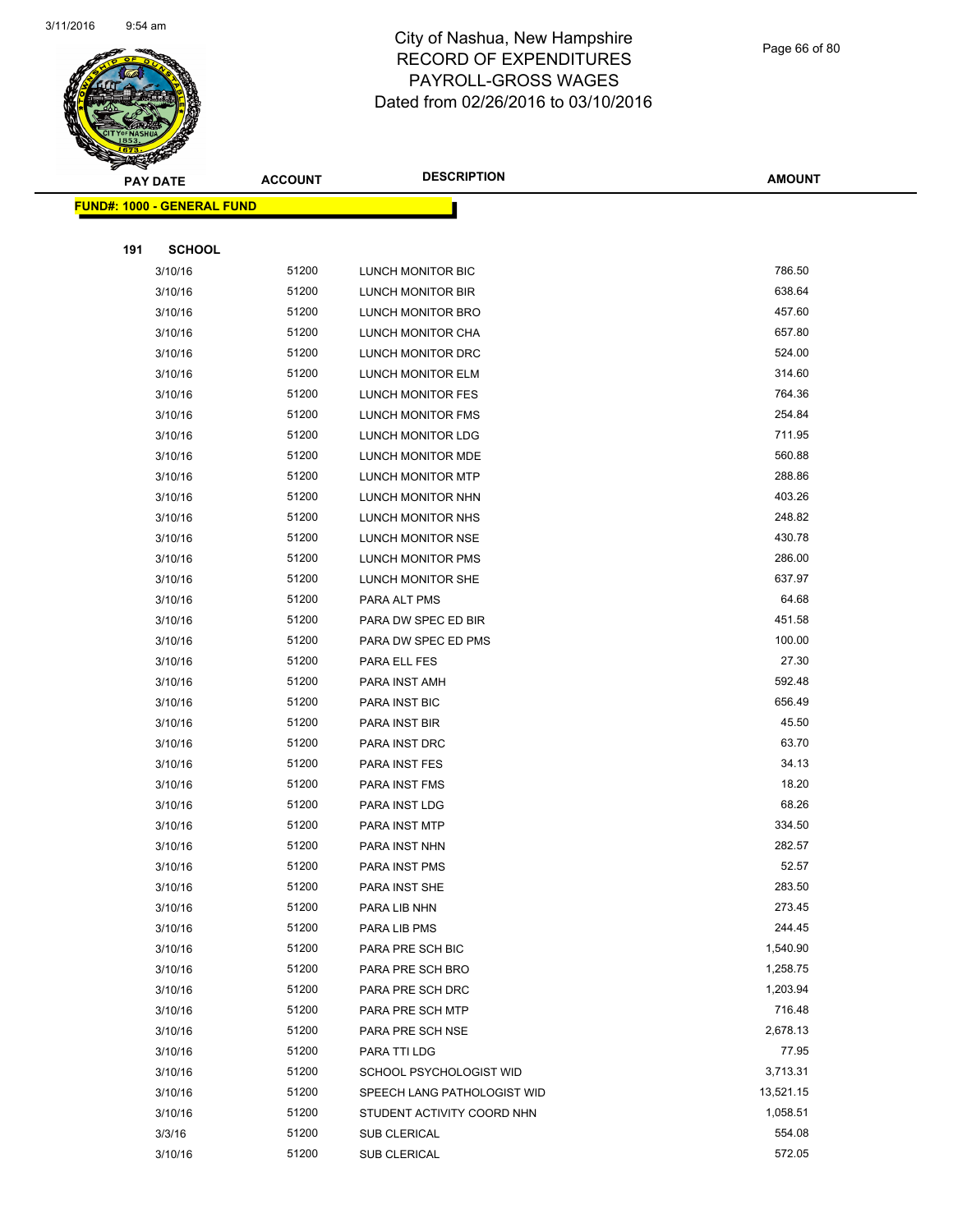

Page 66 of 80

| $\tilde{\phantom{a}}$ | <b>PAY DATE</b>                   | <b>ACCOUNT</b> | <b>DESCRIPTION</b>          | <b>AMOUNT</b> |
|-----------------------|-----------------------------------|----------------|-----------------------------|---------------|
|                       | <b>FUND#: 1000 - GENERAL FUND</b> |                |                             |               |
|                       |                                   |                |                             |               |
| 191                   | <b>SCHOOL</b>                     |                |                             |               |
|                       | 3/10/16                           | 51200          | LUNCH MONITOR BIC           | 786.50        |
|                       | 3/10/16                           | 51200          | LUNCH MONITOR BIR           | 638.64        |
|                       | 3/10/16                           | 51200          | LUNCH MONITOR BRO           | 457.60        |
|                       | 3/10/16                           | 51200          | LUNCH MONITOR CHA           | 657.80        |
|                       | 3/10/16                           | 51200          | LUNCH MONITOR DRC           | 524.00        |
|                       | 3/10/16                           | 51200          | LUNCH MONITOR ELM           | 314.60        |
|                       | 3/10/16                           | 51200          | <b>LUNCH MONITOR FES</b>    | 764.36        |
|                       | 3/10/16                           | 51200          | LUNCH MONITOR FMS           | 254.84        |
|                       | 3/10/16                           | 51200          | LUNCH MONITOR LDG           | 711.95        |
|                       | 3/10/16                           | 51200          | LUNCH MONITOR MDE           | 560.88        |
|                       | 3/10/16                           | 51200          | LUNCH MONITOR MTP           | 288.86        |
|                       | 3/10/16                           | 51200          | LUNCH MONITOR NHN           | 403.26        |
|                       | 3/10/16                           | 51200          | LUNCH MONITOR NHS           | 248.82        |
|                       | 3/10/16                           | 51200          | LUNCH MONITOR NSE           | 430.78        |
|                       | 3/10/16                           | 51200          | LUNCH MONITOR PMS           | 286.00        |
|                       | 3/10/16                           | 51200          | LUNCH MONITOR SHE           | 637.97        |
|                       | 3/10/16                           | 51200          | PARA ALT PMS                | 64.68         |
|                       | 3/10/16                           | 51200          | PARA DW SPEC ED BIR         | 451.58        |
|                       | 3/10/16                           | 51200          | PARA DW SPEC ED PMS         | 100.00        |
|                       | 3/10/16                           | 51200          | PARA ELL FES                | 27.30         |
|                       | 3/10/16                           | 51200          | PARA INST AMH               | 592.48        |
|                       | 3/10/16                           | 51200          | PARA INST BIC               | 656.49        |
|                       | 3/10/16                           | 51200          | PARA INST BIR               | 45.50         |
|                       | 3/10/16                           | 51200          | PARA INST DRC               | 63.70         |
|                       | 3/10/16                           | 51200          | PARA INST FES               | 34.13         |
|                       | 3/10/16                           | 51200          | PARA INST FMS               | 18.20         |
|                       | 3/10/16                           | 51200          | PARA INST LDG               | 68.26         |
|                       | 3/10/16                           | 51200          | PARA INST MTP               | 334.50        |
|                       | 3/10/16                           | 51200          | PARA INST NHN               | 282.57        |
|                       | 3/10/16                           | 51200          | PARA INST PMS               | 52.57         |
|                       | 3/10/16                           | 51200          | PARA INST SHE               | 283.50        |
|                       | 3/10/16                           | 51200          | PARA LIB NHN                | 273.45        |
|                       | 3/10/16                           | 51200          | PARA LIB PMS                | 244.45        |
|                       | 3/10/16                           | 51200          | PARA PRE SCH BIC            | 1,540.90      |
|                       | 3/10/16                           | 51200          | PARA PRE SCH BRO            | 1,258.75      |
|                       | 3/10/16                           | 51200          | PARA PRE SCH DRC            | 1,203.94      |
|                       | 3/10/16                           | 51200          | PARA PRE SCH MTP            | 716.48        |
|                       | 3/10/16                           | 51200          | PARA PRE SCH NSE            | 2,678.13      |
|                       | 3/10/16                           | 51200          | PARA TTI LDG                | 77.95         |
|                       | 3/10/16                           | 51200          | SCHOOL PSYCHOLOGIST WID     | 3,713.31      |
|                       | 3/10/16                           | 51200          | SPEECH LANG PATHOLOGIST WID | 13,521.15     |
|                       | 3/10/16                           | 51200          | STUDENT ACTIVITY COORD NHN  | 1,058.51      |
|                       | 3/3/16                            | 51200          | SUB CLERICAL                | 554.08        |
|                       | 3/10/16                           | 51200          | SUB CLERICAL                | 572.05        |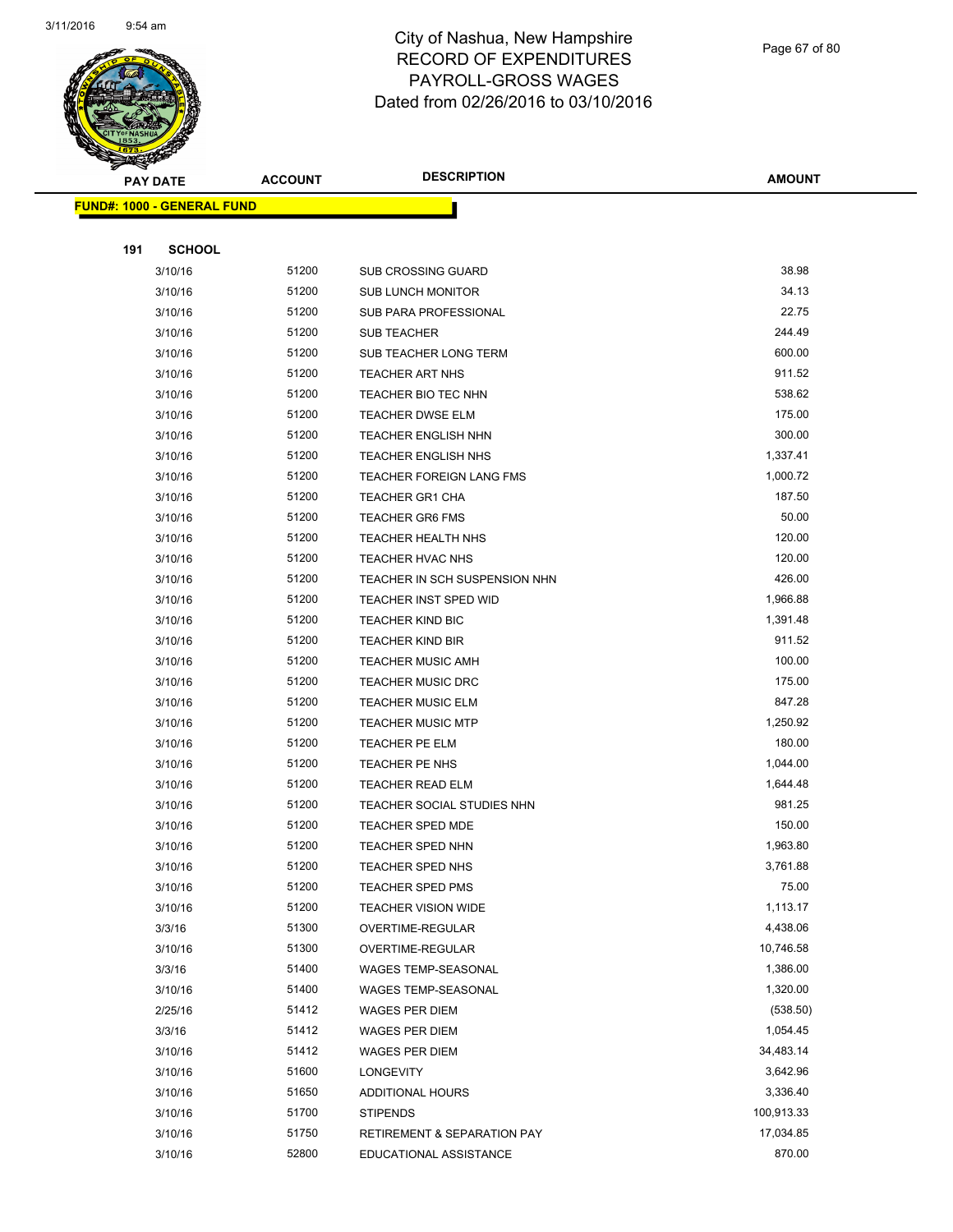

Page 67 of 80

| <b>PAY DATE</b>                   | <b>ACCOUNT</b> | <b>DESCRIPTION</b>                           | <b>AMOUNT</b>         |
|-----------------------------------|----------------|----------------------------------------------|-----------------------|
| <b>FUND#: 1000 - GENERAL FUND</b> |                |                                              |                       |
|                                   |                |                                              |                       |
| 191<br><b>SCHOOL</b>              |                |                                              |                       |
| 3/10/16                           | 51200          | <b>SUB CROSSING GUARD</b>                    | 38.98                 |
| 3/10/16                           | 51200          | <b>SUB LUNCH MONITOR</b>                     | 34.13                 |
| 3/10/16                           | 51200          | SUB PARA PROFESSIONAL                        | 22.75                 |
| 3/10/16                           | 51200          | <b>SUB TEACHER</b>                           | 244.49                |
| 3/10/16                           | 51200          | SUB TEACHER LONG TERM                        | 600.00                |
| 3/10/16                           | 51200          | <b>TEACHER ART NHS</b>                       | 911.52                |
| 3/10/16                           | 51200          | TEACHER BIO TEC NHN                          | 538.62                |
| 3/10/16                           | 51200          | <b>TEACHER DWSE ELM</b>                      | 175.00                |
| 3/10/16                           | 51200          | <b>TEACHER ENGLISH NHN</b>                   | 300.00                |
| 3/10/16                           | 51200          | <b>TEACHER ENGLISH NHS</b>                   | 1,337.41              |
| 3/10/16                           | 51200          | TEACHER FOREIGN LANG FMS                     | 1,000.72              |
| 3/10/16                           | 51200          | <b>TEACHER GR1 CHA</b>                       | 187.50                |
| 3/10/16                           | 51200          | <b>TEACHER GR6 FMS</b>                       | 50.00                 |
| 3/10/16                           | 51200          | <b>TEACHER HEALTH NHS</b>                    | 120.00                |
| 3/10/16                           | 51200          | TEACHER HVAC NHS                             | 120.00                |
| 3/10/16                           | 51200          | TEACHER IN SCH SUSPENSION NHN                | 426.00                |
| 3/10/16                           | 51200          | <b>TEACHER INST SPED WID</b>                 | 1,966.88              |
| 3/10/16                           | 51200          | <b>TEACHER KIND BIC</b>                      | 1,391.48              |
| 3/10/16                           | 51200          | <b>TEACHER KIND BIR</b>                      | 911.52                |
| 3/10/16                           | 51200          | <b>TEACHER MUSIC AMH</b>                     | 100.00                |
| 3/10/16                           | 51200          | <b>TEACHER MUSIC DRC</b>                     | 175.00                |
| 3/10/16                           | 51200          | <b>TEACHER MUSIC ELM</b>                     | 847.28                |
| 3/10/16                           | 51200          | <b>TEACHER MUSIC MTP</b>                     | 1,250.92              |
| 3/10/16                           | 51200          | TEACHER PE ELM                               | 180.00                |
| 3/10/16                           | 51200          | TEACHER PE NHS                               | 1,044.00              |
| 3/10/16                           | 51200          | <b>TEACHER READ ELM</b>                      | 1,644.48              |
| 3/10/16                           | 51200          | TEACHER SOCIAL STUDIES NHN                   | 981.25                |
| 3/10/16                           | 51200          | <b>TEACHER SPED MDE</b>                      | 150.00                |
| 3/10/16                           | 51200          | <b>TEACHER SPED NHN</b>                      | 1,963.80              |
| 3/10/16                           | 51200          | <b>TEACHER SPED NHS</b>                      | 3,761.88              |
| 3/10/16                           | 51200          | TEACHER SPED PMS                             | 75.00                 |
| 3/10/16                           | 51200          | <b>TEACHER VISION WIDE</b>                   | 1,113.17              |
| 3/3/16                            | 51300          | OVERTIME-REGULAR                             | 4,438.06              |
| 3/10/16                           | 51300<br>51400 | OVERTIME-REGULAR                             | 10,746.58<br>1,386.00 |
| 3/3/16                            | 51400          | WAGES TEMP-SEASONAL                          | 1,320.00              |
| 3/10/16<br>2/25/16                | 51412          | WAGES TEMP-SEASONAL<br><b>WAGES PER DIEM</b> | (538.50)              |
| 3/3/16                            | 51412          | <b>WAGES PER DIEM</b>                        | 1,054.45              |
| 3/10/16                           | 51412          | WAGES PER DIEM                               | 34,483.14             |
| 3/10/16                           | 51600          | LONGEVITY                                    | 3,642.96              |
| 3/10/16                           | 51650          | ADDITIONAL HOURS                             | 3,336.40              |
| 3/10/16                           | 51700          | <b>STIPENDS</b>                              | 100,913.33            |
| 3/10/16                           | 51750          | <b>RETIREMENT &amp; SEPARATION PAY</b>       | 17,034.85             |
| 3/10/16                           | 52800          | EDUCATIONAL ASSISTANCE                       | 870.00                |
|                                   |                |                                              |                       |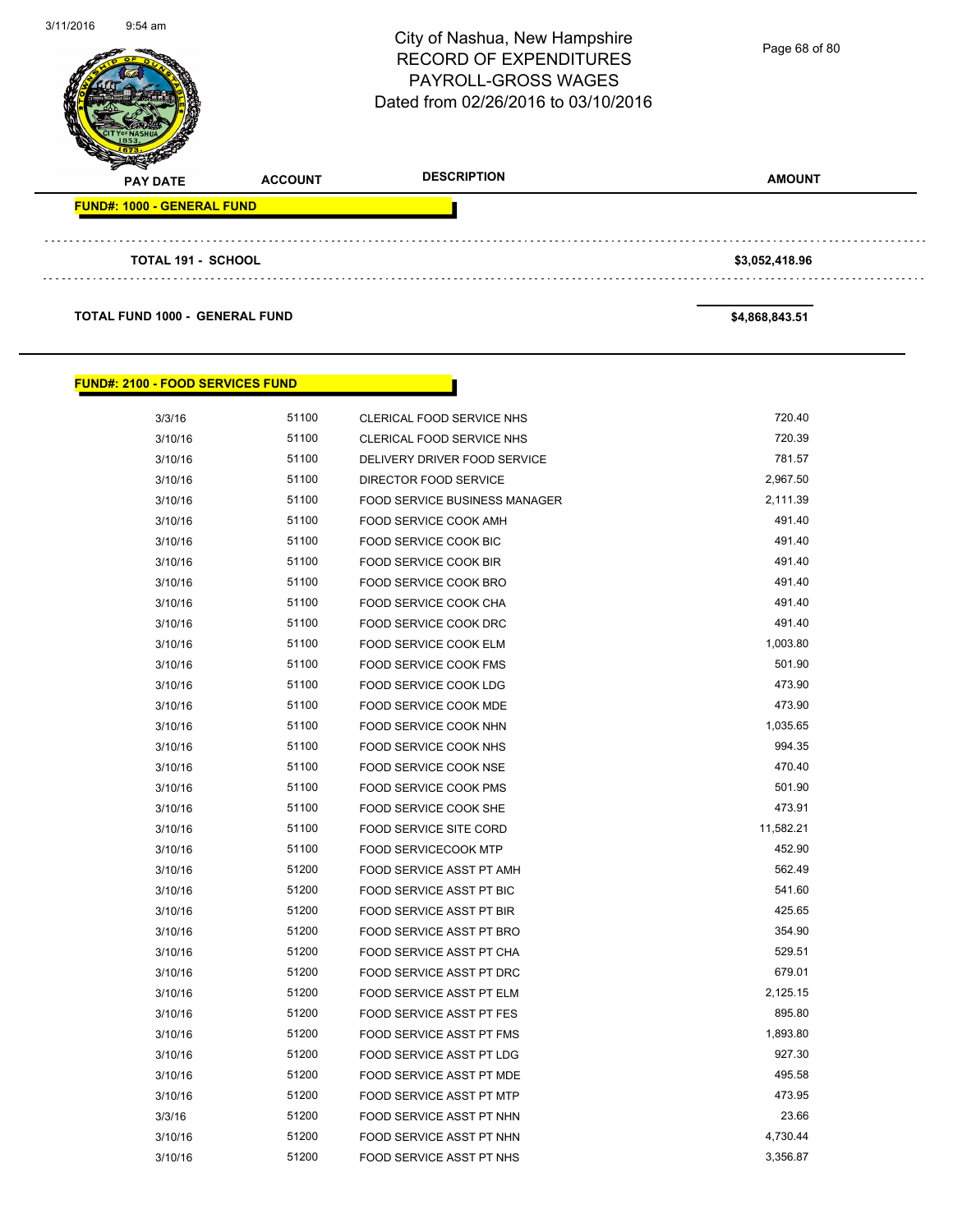| 3/11/2016<br>$9:54$ am |                                       |                | City of Nashua, New Hampshire<br><b>RECORD OF EXPENDITURES</b><br>PAYROLL-GROSS WAGES<br>Dated from 02/26/2016 to 03/10/2016 | Page 68 of 80  |
|------------------------|---------------------------------------|----------------|------------------------------------------------------------------------------------------------------------------------------|----------------|
|                        | <b>PAY DATE</b>                       | <b>ACCOUNT</b> | <b>DESCRIPTION</b>                                                                                                           | <b>AMOUNT</b>  |
|                        | <b>FUND#: 1000 - GENERAL FUND</b>     |                |                                                                                                                              |                |
|                        |                                       |                |                                                                                                                              |                |
|                        | <b>TOTAL 191 - SCHOOL</b>             |                |                                                                                                                              | \$3,052,418.96 |
|                        |                                       |                |                                                                                                                              |                |
|                        | <b>TOTAL FUND 1000 - GENERAL FUND</b> |                |                                                                                                                              | \$4,868,843.51 |

#### **FUND#: 2100 - FOOD SERVICES FUND**

| 3/3/16  | 51100 | <b>CLERICAL FOOD SERVICE NHS</b>     | 720.40    |
|---------|-------|--------------------------------------|-----------|
| 3/10/16 | 51100 | CLERICAL FOOD SERVICE NHS            | 720.39    |
| 3/10/16 | 51100 | DELIVERY DRIVER FOOD SERVICE         | 781.57    |
| 3/10/16 | 51100 | DIRECTOR FOOD SERVICE                | 2,967.50  |
| 3/10/16 | 51100 | <b>FOOD SERVICE BUSINESS MANAGER</b> | 2,111.39  |
| 3/10/16 | 51100 | FOOD SERVICE COOK AMH                | 491.40    |
| 3/10/16 | 51100 | FOOD SERVICE COOK BIC                | 491.40    |
| 3/10/16 | 51100 | FOOD SERVICE COOK BIR                | 491.40    |
| 3/10/16 | 51100 | FOOD SERVICE COOK BRO                | 491.40    |
| 3/10/16 | 51100 | FOOD SERVICE COOK CHA                | 491.40    |
| 3/10/16 | 51100 | FOOD SERVICE COOK DRC                | 491.40    |
| 3/10/16 | 51100 | FOOD SERVICE COOK ELM                | 1,003.80  |
| 3/10/16 | 51100 | FOOD SERVICE COOK FMS                | 501.90    |
| 3/10/16 | 51100 | FOOD SERVICE COOK LDG                | 473.90    |
| 3/10/16 | 51100 | FOOD SERVICE COOK MDE                | 473.90    |
| 3/10/16 | 51100 | FOOD SERVICE COOK NHN                | 1,035.65  |
| 3/10/16 | 51100 | FOOD SERVICE COOK NHS                | 994.35    |
| 3/10/16 | 51100 | FOOD SERVICE COOK NSE                | 470.40    |
| 3/10/16 | 51100 | FOOD SERVICE COOK PMS                | 501.90    |
| 3/10/16 | 51100 | FOOD SERVICE COOK SHE                | 473.91    |
| 3/10/16 | 51100 | <b>FOOD SERVICE SITE CORD</b>        | 11,582.21 |
| 3/10/16 | 51100 | <b>FOOD SERVICECOOK MTP</b>          | 452.90    |
| 3/10/16 | 51200 | FOOD SERVICE ASST PT AMH             | 562.49    |
| 3/10/16 | 51200 | FOOD SERVICE ASST PT BIC             | 541.60    |
| 3/10/16 | 51200 | FOOD SERVICE ASST PT BIR             | 425.65    |
| 3/10/16 | 51200 | FOOD SERVICE ASST PT BRO             | 354.90    |
| 3/10/16 | 51200 | FOOD SERVICE ASST PT CHA             | 529.51    |
| 3/10/16 | 51200 | FOOD SERVICE ASST PT DRC             | 679.01    |
| 3/10/16 | 51200 | FOOD SERVICE ASST PT ELM             | 2,125.15  |
| 3/10/16 | 51200 | <b>FOOD SERVICE ASST PT FES</b>      | 895.80    |
| 3/10/16 | 51200 | FOOD SERVICE ASST PT FMS             | 1,893.80  |
| 3/10/16 | 51200 | FOOD SERVICE ASST PT LDG             | 927.30    |
| 3/10/16 | 51200 | FOOD SERVICE ASST PT MDE             | 495.58    |
| 3/10/16 | 51200 | FOOD SERVICE ASST PT MTP             | 473.95    |
| 3/3/16  | 51200 | FOOD SERVICE ASST PT NHN             | 23.66     |
| 3/10/16 | 51200 | <b>FOOD SERVICE ASST PT NHN</b>      | 4,730.44  |
| 3/10/16 | 51200 | FOOD SERVICE ASST PT NHS             | 3,356.87  |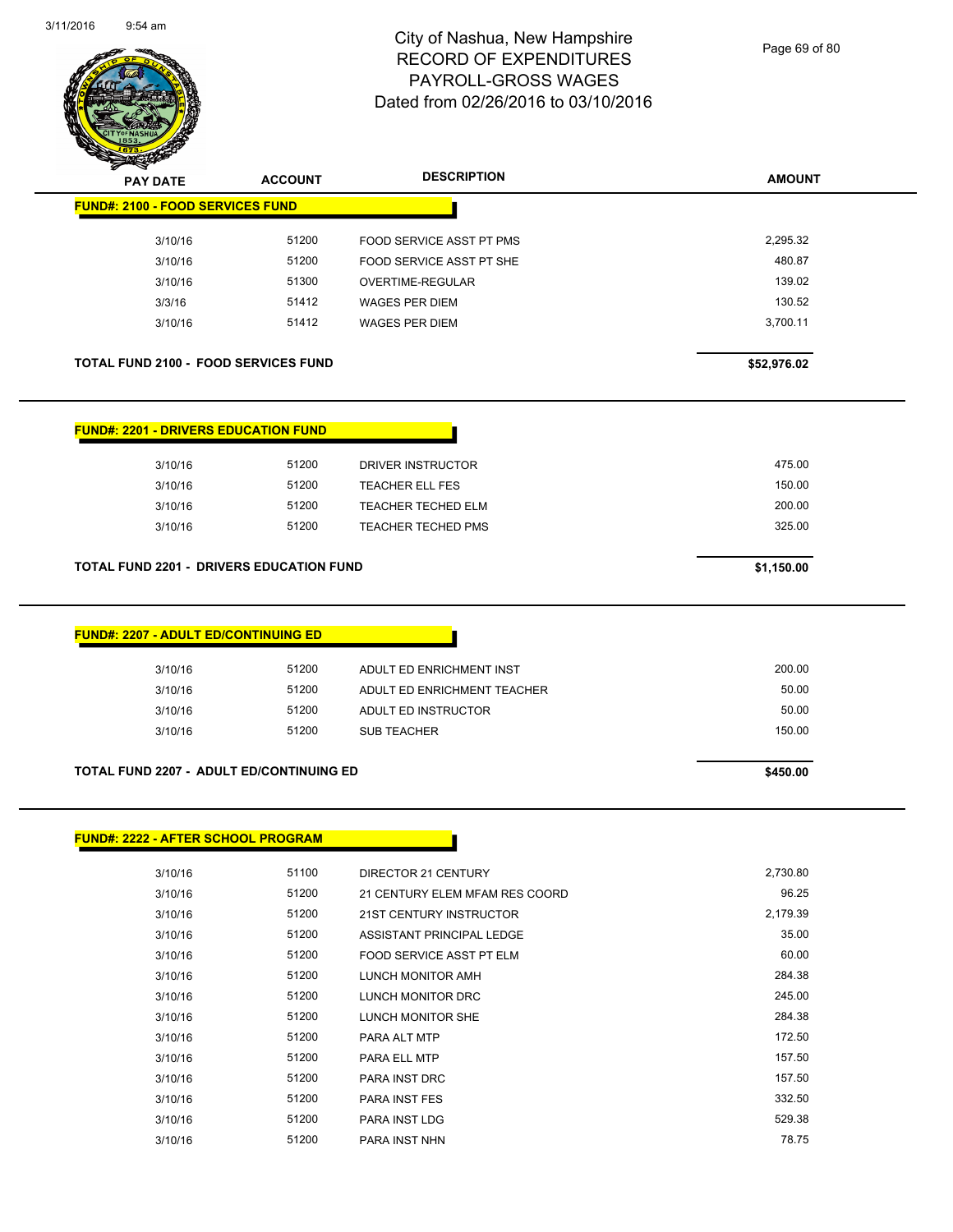

Page 69 of 80

| STER RA                                         |                |                                |               |
|-------------------------------------------------|----------------|--------------------------------|---------------|
| <b>PAY DATE</b>                                 | <b>ACCOUNT</b> | <b>DESCRIPTION</b>             | <b>AMOUNT</b> |
| <b>FUND#: 2100 - FOOD SERVICES FUND</b>         |                |                                |               |
| 3/10/16                                         | 51200          | FOOD SERVICE ASST PT PMS       | 2,295.32      |
| 3/10/16                                         | 51200          | FOOD SERVICE ASST PT SHE       | 480.87        |
| 3/10/16                                         | 51300          | OVERTIME-REGULAR               | 139.02        |
| 3/3/16                                          | 51412          | <b>WAGES PER DIEM</b>          | 130.52        |
| 3/10/16                                         | 51412          | <b>WAGES PER DIEM</b>          | 3,700.11      |
| <b>TOTAL FUND 2100 - FOOD SERVICES FUND</b>     |                |                                | \$52,976.02   |
| <b>FUND#: 2201 - DRIVERS EDUCATION FUND</b>     |                |                                |               |
| 3/10/16                                         | 51200          | DRIVER INSTRUCTOR              | 475.00        |
| 3/10/16                                         | 51200          | <b>TEACHER ELL FES</b>         | 150.00        |
| 3/10/16                                         | 51200          | TEACHER TECHED ELM             | 200.00        |
| 3/10/16                                         | 51200          | <b>TEACHER TECHED PMS</b>      | 325.00        |
| <b>FUND#: 2207 - ADULT ED/CONTINUING ED</b>     |                |                                |               |
| 3/10/16                                         | 51200          | ADULT ED ENRICHMENT INST       | 200.00        |
| 3/10/16                                         | 51200          | ADULT ED ENRICHMENT TEACHER    | 50.00         |
| 3/10/16                                         | 51200          | ADULT ED INSTRUCTOR            | 50.00         |
| 3/10/16                                         | 51200          | <b>SUB TEACHER</b>             | 150.00        |
|                                                 |                |                                |               |
| <b>TOTAL FUND 2207 - ADULT ED/CONTINUING ED</b> |                |                                | \$450.00      |
| <b>FUND#: 2222 - AFTER SCHOOL PROGRAM</b>       |                |                                |               |
|                                                 |                |                                |               |
| 3/10/16                                         | 51100          | DIRECTOR 21 CENTURY            | 2,730.80      |
| 3/10/16                                         | 51200          | 21 CENTURY ELEM MFAM RES COORD | 96.25         |
| 3/10/16                                         | 51200          | 21ST CENTURY INSTRUCTOR        | 2,179.39      |
| 3/10/16                                         | 51200          | ASSISTANT PRINCIPAL LEDGE      | 35.00         |
| 3/10/16                                         | 51200          | FOOD SERVICE ASST PT ELM       | 60.00         |
| 3/10/16                                         | 51200          | LUNCH MONITOR AMH              | 284.38        |
| 3/10/16                                         | 51200          | LUNCH MONITOR DRC              | 245.00        |

3/10/16 51200 LUNCH MONITOR SHE 284.38 3/10/16 51200 PARA ALT MTP 172.50 3/10/16 51200 PARA ELL MTP 157.50 3/10/16 51200 PARA INST DRC 50 157.50 3/10/16 51200 PARA INST FES 332.50 3/10/16 51200 PARA INST LDG 529.38 3/10/16 51200 PARA INST NHN 78.75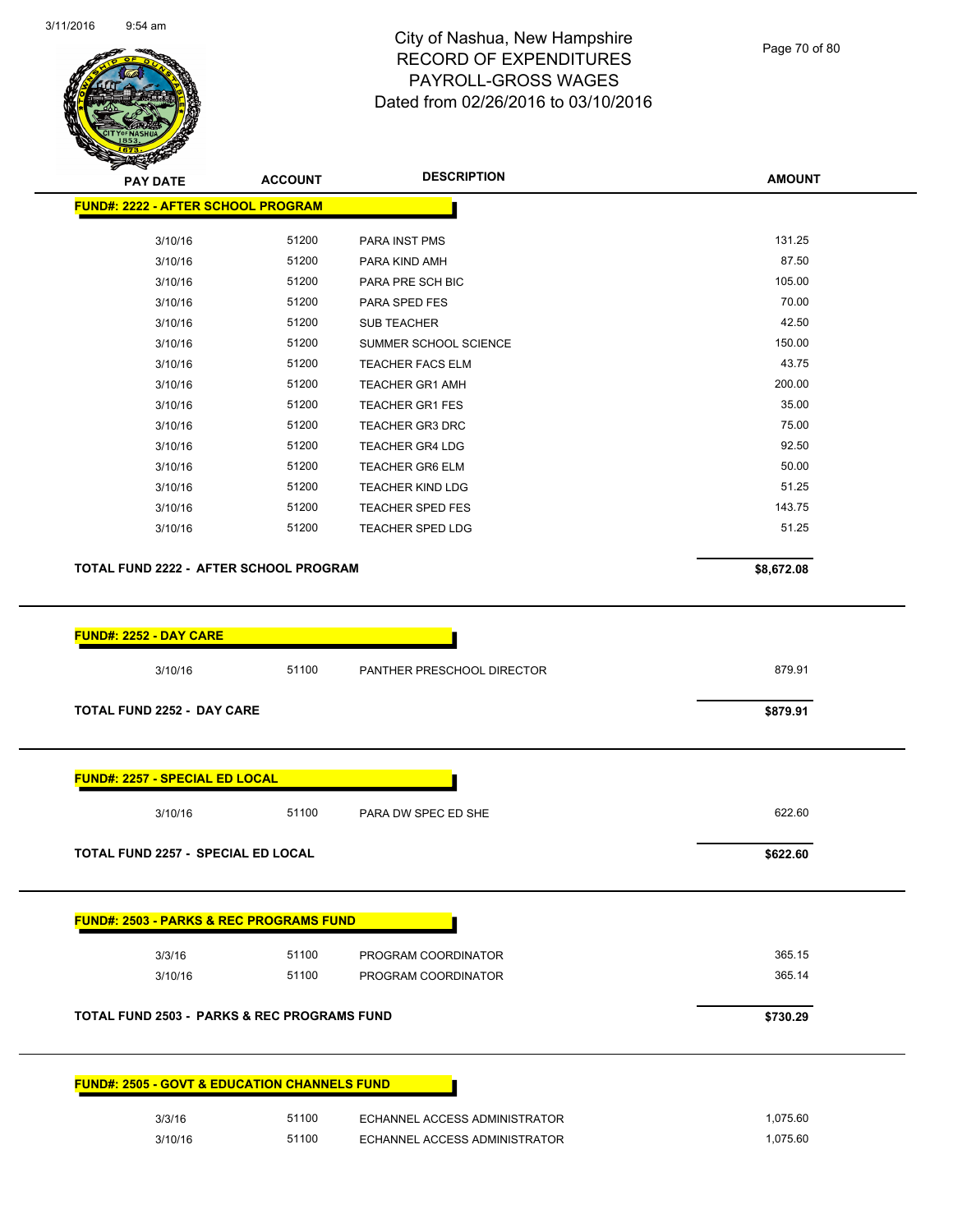

Page 70 of 80

**AMOUNT**

| 3/10/16<br>3/10/16<br>3/10/16                           |       |                               |            |  |
|---------------------------------------------------------|-------|-------------------------------|------------|--|
|                                                         | 51200 | PARA INST PMS                 | 131.25     |  |
|                                                         | 51200 | PARA KIND AMH                 | 87.50      |  |
|                                                         | 51200 | PARA PRE SCH BIC              | 105.00     |  |
| 3/10/16                                                 | 51200 | PARA SPED FES                 | 70.00      |  |
| 3/10/16                                                 | 51200 | <b>SUB TEACHER</b>            | 42.50      |  |
| 3/10/16                                                 | 51200 | SUMMER SCHOOL SCIENCE         | 150.00     |  |
| 3/10/16                                                 | 51200 | <b>TEACHER FACS ELM</b>       | 43.75      |  |
| 3/10/16                                                 | 51200 | <b>TEACHER GR1 AMH</b>        | 200.00     |  |
| 3/10/16                                                 | 51200 | <b>TEACHER GR1 FES</b>        | 35.00      |  |
| 3/10/16                                                 | 51200 | <b>TEACHER GR3 DRC</b>        | 75.00      |  |
|                                                         | 51200 | <b>TEACHER GR4 LDG</b>        | 92.50      |  |
| 3/10/16                                                 |       |                               | 50.00      |  |
| 3/10/16                                                 | 51200 | <b>TEACHER GR6 ELM</b>        | 51.25      |  |
| 3/10/16                                                 | 51200 | <b>TEACHER KIND LDG</b>       |            |  |
| 3/10/16                                                 | 51200 | <b>TEACHER SPED FES</b>       | 143.75     |  |
| 3/10/16                                                 | 51200 | <b>TEACHER SPED LDG</b>       | 51.25      |  |
|                                                         |       |                               |            |  |
| TOTAL FUND 2222 - AFTER SCHOOL PROGRAM                  |       |                               | \$8,672.08 |  |
|                                                         |       |                               |            |  |
| <b>TOTAL FUND 2252 - DAY CARE</b>                       |       |                               | \$879.91   |  |
| <b>FUND#: 2257 - SPECIAL ED LOCAL</b>                   |       |                               |            |  |
| 3/10/16                                                 | 51100 | PARA DW SPEC ED SHE           | 622.60     |  |
| <b>TOTAL FUND 2257 - SPECIAL ED LOCAL</b>               |       |                               | \$622.60   |  |
| <b>FUND#: 2503 - PARKS &amp; REC PROGRAMS FUND</b>      |       |                               |            |  |
|                                                         | 51100 |                               | 365.15     |  |
| 3/3/16                                                  | 51100 | PROGRAM COORDINATOR           | 365.14     |  |
| 3/10/16                                                 |       | PROGRAM COORDINATOR           |            |  |
| <b>TOTAL FUND 2503 - PARKS &amp; REC PROGRAMS FUND</b>  |       |                               | \$730.29   |  |
| <b>FUND#: 2505 - GOVT &amp; EDUCATION CHANNELS FUND</b> |       |                               |            |  |
| 3/3/16                                                  | 51100 | ECHANNEL ACCESS ADMINISTRATOR | 1,075.60   |  |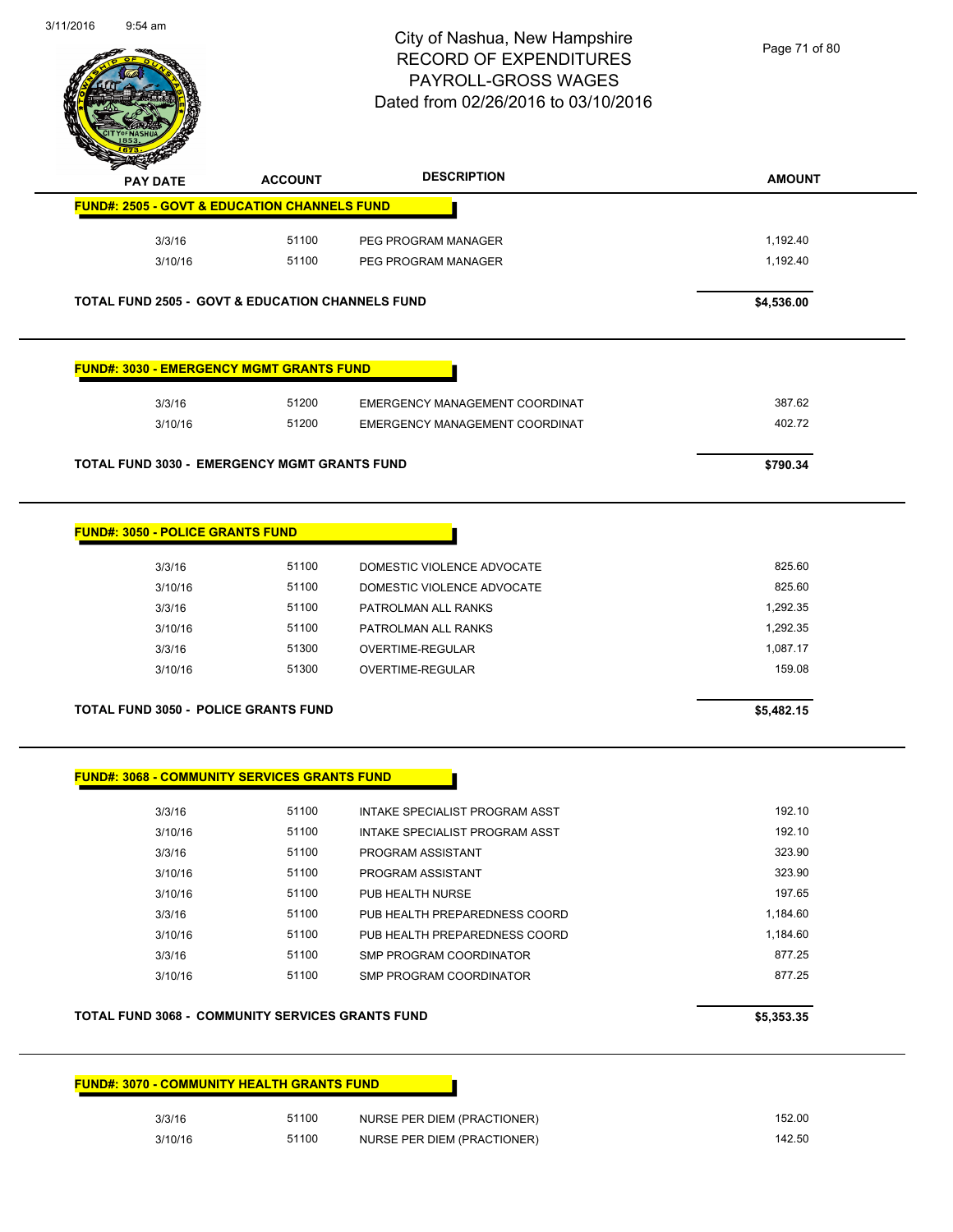$\sim$ 



#### City of Nashua, New Hampshire RECORD OF EXPENDITURES PAYROLL-GROSS WAGES Dated from 02/26/2016 to 03/10/2016

Page 71 of 80

| <b>PAY DATE</b>                                             | <b>ACCOUNT</b> | <b>DESCRIPTION</b>                                         | <b>AMOUNT</b>    |
|-------------------------------------------------------------|----------------|------------------------------------------------------------|------------------|
| <b>FUND#: 2505 - GOVT &amp; EDUCATION CHANNELS FUND</b>     |                |                                                            |                  |
| 3/3/16                                                      | 51100          | PEG PROGRAM MANAGER                                        | 1,192.40         |
| 3/10/16                                                     | 51100          | PEG PROGRAM MANAGER                                        | 1,192.40         |
|                                                             |                |                                                            |                  |
| <b>TOTAL FUND 2505 - GOVT &amp; EDUCATION CHANNELS FUND</b> |                |                                                            | \$4,536.00       |
| <u> FUND#: 3030 - EMERGENCY MGMT GRANTS FUND</u>            |                |                                                            |                  |
| 3/3/16                                                      | 51200          | EMERGENCY MANAGEMENT COORDINAT                             | 387.62           |
| 3/10/16                                                     | 51200          | EMERGENCY MANAGEMENT COORDINAT                             | 402.72           |
|                                                             |                |                                                            |                  |
| <b>TOTAL FUND 3030 - EMERGENCY MGMT GRANTS FUND</b>         |                |                                                            | \$790.34         |
|                                                             |                |                                                            |                  |
| <b>FUND#: 3050 - POLICE GRANTS FUND</b>                     |                |                                                            |                  |
| 3/3/16                                                      | 51100          | DOMESTIC VIOLENCE ADVOCATE                                 | 825.60           |
| 3/10/16                                                     | 51100          | DOMESTIC VIOLENCE ADVOCATE                                 | 825.60           |
| 3/3/16                                                      | 51100          | PATROLMAN ALL RANKS                                        | 1,292.35         |
| 3/10/16                                                     | 51100          | PATROLMAN ALL RANKS                                        | 1,292.35         |
| 3/3/16                                                      | 51300          | OVERTIME-REGULAR                                           | 1,087.17         |
|                                                             |                |                                                            |                  |
| 3/10/16                                                     | 51300          | OVERTIME-REGULAR                                           | 159.08           |
| <b>TOTAL FUND 3050 - POLICE GRANTS FUND</b>                 |                |                                                            | \$5,482.15       |
| <b>FUND#: 3068 - COMMUNITY SERVICES GRANTS FUND</b>         |                |                                                            |                  |
|                                                             |                |                                                            |                  |
| 3/3/16                                                      | 51100<br>51100 | INTAKE SPECIALIST PROGRAM ASST                             | 192.10<br>192.10 |
| 3/10/16                                                     |                | INTAKE SPECIALIST PROGRAM ASST                             |                  |
| 3/3/16                                                      | 51100          | PROGRAM ASSISTANT                                          | 323.90           |
| 3/10/16                                                     | 51100          | PROGRAM ASSISTANT                                          | 323.90           |
| 3/10/16                                                     | 51100          | PUB HEALTH NURSE                                           | 197.65           |
| 3/3/16                                                      | 51100          | PUB HEALTH PREPAREDNESS COORD                              | 1,184.60         |
| 3/10/16                                                     | 51100          | PUB HEALTH PREPAREDNESS COORD                              | 1,184.60         |
| 3/3/16                                                      | 51100          | SMP PROGRAM COORDINATOR                                    | 877.25           |
| 3/10/16                                                     | 51100          | SMP PROGRAM COORDINATOR                                    | 877.25           |
| <b>TOTAL FUND 3068 - COMMUNITY SERVICES GRANTS FUND</b>     |                |                                                            | \$5,353.35       |
|                                                             |                |                                                            |                  |
| <b>FUND#: 3070 - COMMUNITY HEALTH GRANTS FUND</b>           |                |                                                            |                  |
| 3/3/16<br>3/10/16                                           | 51100<br>51100 | NURSE PER DIEM (PRACTIONER)<br>NURSE PER DIEM (PRACTIONER) | 152.00<br>142.50 |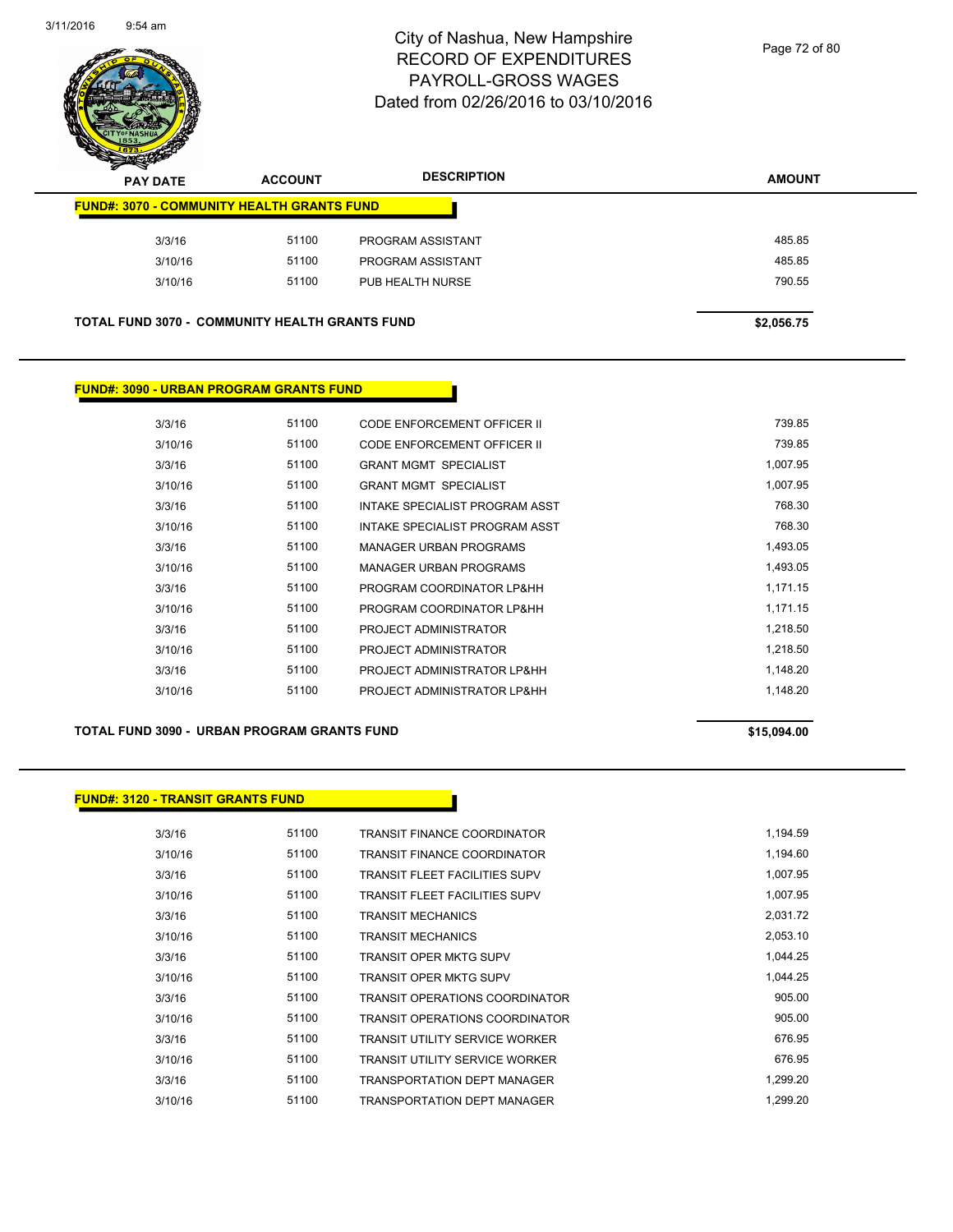

Page 72 of 80

| <b>PAY DATE</b>                                       | <b>ACCOUNT</b> | <b>DESCRIPTION</b> | <b>AMOUNT</b> |
|-------------------------------------------------------|----------------|--------------------|---------------|
| <b>FUND#: 3070 - COMMUNITY HEALTH GRANTS FUND</b>     |                |                    |               |
| 3/3/16                                                | 51100          | PROGRAM ASSISTANT  | 485.85        |
| 3/10/16                                               | 51100          | PROGRAM ASSISTANT  | 485.85        |
| 3/10/16                                               | 51100          | PUB HEALTH NURSE   | 790.55        |
| <b>TOTAL FUND 3070 - COMMUNITY HEALTH GRANTS FUND</b> |                |                    | \$2,056.75    |
|                                                       |                |                    |               |

#### **FUND#: 3090 - URBAN PROGRAM GRANTS FUND**

| 3/3/16  | 51100 | <b>CODE ENFORCEMENT OFFICER II</b> | 739.85   |
|---------|-------|------------------------------------|----------|
| 3/10/16 | 51100 | CODE ENFORCEMENT OFFICER II        | 739.85   |
| 3/3/16  | 51100 | <b>GRANT MGMT SPECIALIST</b>       | 1,007.95 |
| 3/10/16 | 51100 | <b>GRANT MGMT SPECIALIST</b>       | 1,007.95 |
| 3/3/16  | 51100 | INTAKE SPECIALIST PROGRAM ASST     | 768.30   |
| 3/10/16 | 51100 | INTAKE SPECIALIST PROGRAM ASST     | 768.30   |
| 3/3/16  | 51100 | <b>MANAGER URBAN PROGRAMS</b>      | 1,493.05 |
| 3/10/16 | 51100 | <b>MANAGER URBAN PROGRAMS</b>      | 1,493.05 |
| 3/3/16  | 51100 | PROGRAM COORDINATOR LP&HH          | 1,171.15 |
| 3/10/16 | 51100 | PROGRAM COORDINATOR LP&HH          | 1,171.15 |
| 3/3/16  | 51100 | PROJECT ADMINISTRATOR              | 1.218.50 |
| 3/10/16 | 51100 | PROJECT ADMINISTRATOR              | 1,218.50 |
| 3/3/16  | 51100 | PROJECT ADMINISTRATOR LP&HH        | 1.148.20 |
| 3/10/16 | 51100 | PROJECT ADMINISTRATOR LP&HH        | 1.148.20 |

#### **TOTAL FUND 3090 - URBAN PROGRAM GRANTS FUND \$15,094.00**

#### **FUND#: 3120 - TRANSIT GRANTS FUND**

| 3/3/16  | 51100 | TRANSIT FINANCE COORDINATOR           | 1,194.59 |
|---------|-------|---------------------------------------|----------|
| 3/10/16 | 51100 | TRANSIT FINANCE COORDINATOR           | 1,194.60 |
| 3/3/16  | 51100 | TRANSIT FLEET FACILITIES SUPV         | 1,007.95 |
| 3/10/16 | 51100 | TRANSIT FLEET FACILITIES SUPV         | 1.007.95 |
| 3/3/16  | 51100 | <b>TRANSIT MECHANICS</b>              | 2,031.72 |
| 3/10/16 | 51100 | <b>TRANSIT MECHANICS</b>              | 2,053.10 |
| 3/3/16  | 51100 | TRANSIT OPER MKTG SUPV                | 1.044.25 |
| 3/10/16 | 51100 | TRANSIT OPER MKTG SUPV                | 1.044.25 |
| 3/3/16  | 51100 | <b>TRANSIT OPERATIONS COORDINATOR</b> | 905.00   |
| 3/10/16 | 51100 | TRANSIT OPERATIONS COORDINATOR        | 905.00   |
| 3/3/16  | 51100 | TRANSIT UTILITY SERVICE WORKER        | 676.95   |
| 3/10/16 | 51100 | TRANSIT UTILITY SERVICE WORKER        | 676.95   |
| 3/3/16  | 51100 | TRANSPORTATION DEPT MANAGER           | 1.299.20 |
| 3/10/16 | 51100 | TRANSPORTATION DEPT MANAGER           | 1.299.20 |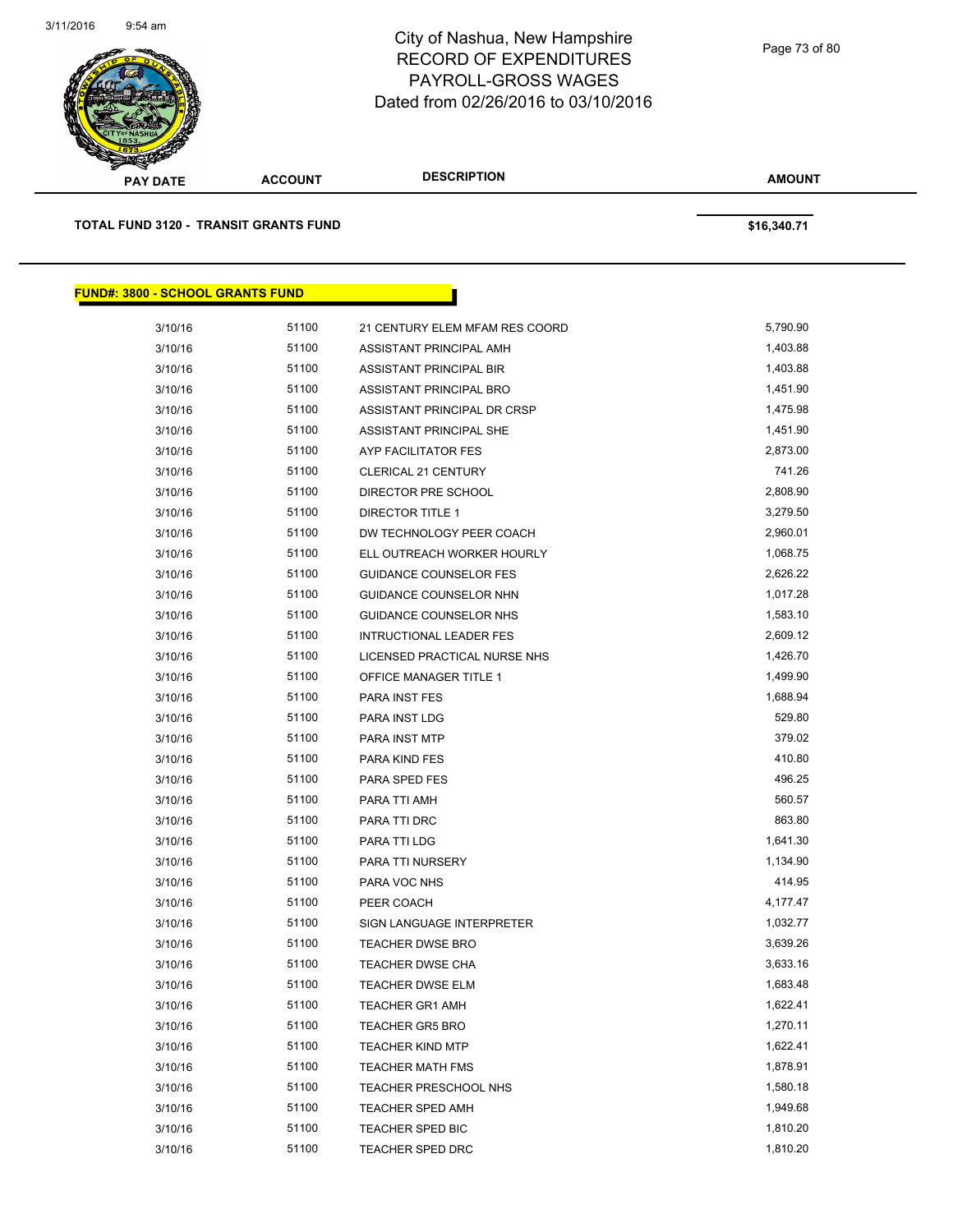

| <b>PAY DATE</b>                              | <b>ACCOUNT</b> | <b>DESCRIPTION</b>             | <b>AMOUNT</b> |  |
|----------------------------------------------|----------------|--------------------------------|---------------|--|
| <b>TOTAL FUND 3120 - TRANSIT GRANTS FUND</b> |                |                                | \$16,340.71   |  |
| <b>FUND#: 3800 - SCHOOL GRANTS FUND</b>      |                |                                |               |  |
| 3/10/16                                      | 51100          | 21 CENTURY ELEM MFAM RES COORD | 5,790.90      |  |
| 3/10/16                                      | 51100          | ASSISTANT PRINCIPAL AMH        | 1,403.88      |  |
| 3/10/16                                      | 51100          | ASSISTANT PRINCIPAL BIR        | 1,403.88      |  |
| 3/10/16                                      | 51100          | ASSISTANT PRINCIPAL BRO        | 1,451.90      |  |
| 3/10/16                                      | 51100          | ASSISTANT PRINCIPAL DR CRSP    | 1,475.98      |  |
| 3/10/16                                      | 51100          | ASSISTANT PRINCIPAL SHE        | 1,451.90      |  |
| 3/10/16                                      | 51100          | AYP FACILITATOR FES            | 2,873.00      |  |
| 3/10/16                                      | 51100          | <b>CLERICAL 21 CENTURY</b>     | 741.26        |  |
| 3/10/16                                      | 51100          | DIRECTOR PRE SCHOOL            | 2,808.90      |  |
| 3/10/16                                      | 51100          | <b>DIRECTOR TITLE 1</b>        | 3,279.50      |  |
| 3/10/16                                      | 51100          | DW TECHNOLOGY PEER COACH       | 2,960.01      |  |
| 3/10/16                                      | 51100          | ELL OUTREACH WORKER HOURLY     | 1,068.75      |  |
| 3/10/16                                      | 51100          | <b>GUIDANCE COUNSELOR FES</b>  | 2,626.22      |  |
| 3/10/16                                      | 51100          | GUIDANCE COUNSELOR NHN         | 1,017.28      |  |
| 3/10/16                                      | 51100          | GUIDANCE COUNSELOR NHS         | 1,583.10      |  |
| 3/10/16                                      | 51100          | <b>INTRUCTIONAL LEADER FES</b> | 2,609.12      |  |
| 3/10/16                                      | 51100          | LICENSED PRACTICAL NURSE NHS   | 1,426.70      |  |
| 3/10/16                                      | 51100          | <b>OFFICE MANAGER TITLE 1</b>  | 1,499.90      |  |
| 3/10/16                                      | 51100          | PARA INST FES                  | 1,688.94      |  |
| 3/10/16                                      | 51100          | PARA INST LDG                  | 529.80        |  |
| 3/10/16                                      | 51100          | PARA INST MTP                  | 379.02        |  |
| 3/10/16                                      | 51100          | <b>PARA KIND FES</b>           | 410.80        |  |
| 3/10/16                                      | 51100          | PARA SPED FES                  | 496.25        |  |
| 3/10/16                                      | 51100          | PARA TTI AMH                   | 560.57        |  |
| 3/10/16                                      | 51100          | PARA TTI DRC                   | 863.80        |  |
| 3/10/16                                      | 51100          | PARA TTI LDG                   | 1,641.30      |  |
| 3/10/16                                      | 51100          | PARA TTI NURSERY               | 1,134.90      |  |
| 3/10/16                                      | 51100          | PARA VOC NHS                   | 414.95        |  |
| 3/10/16                                      | 51100          | PEER COACH                     | 4,177.47      |  |
| 3/10/16                                      | 51100          | SIGN LANGUAGE INTERPRETER      | 1,032.77      |  |
| 3/10/16                                      | 51100          | <b>TEACHER DWSE BRO</b>        | 3,639.26      |  |
| 3/10/16                                      | 51100          | TEACHER DWSE CHA               | 3,633.16      |  |
| 3/10/16                                      | 51100          | <b>TEACHER DWSE ELM</b>        | 1,683.48      |  |
| 3/10/16                                      | 51100          | <b>TEACHER GR1 AMH</b>         | 1,622.41      |  |
| 3/10/16                                      | 51100          | <b>TEACHER GR5 BRO</b>         | 1,270.11      |  |
| 3/10/16                                      | 51100          | <b>TEACHER KIND MTP</b>        | 1,622.41      |  |
| 3/10/16                                      | 51100          | <b>TEACHER MATH FMS</b>        | 1,878.91      |  |
| 3/10/16                                      | 51100          | TEACHER PRESCHOOL NHS          | 1,580.18      |  |
| 3/10/16                                      | 51100          | <b>TEACHER SPED AMH</b>        | 1,949.68      |  |
| 3/10/16                                      | 51100          | TEACHER SPED BIC               | 1,810.20      |  |
| 3/10/16                                      | 51100          | TEACHER SPED DRC               | 1,810.20      |  |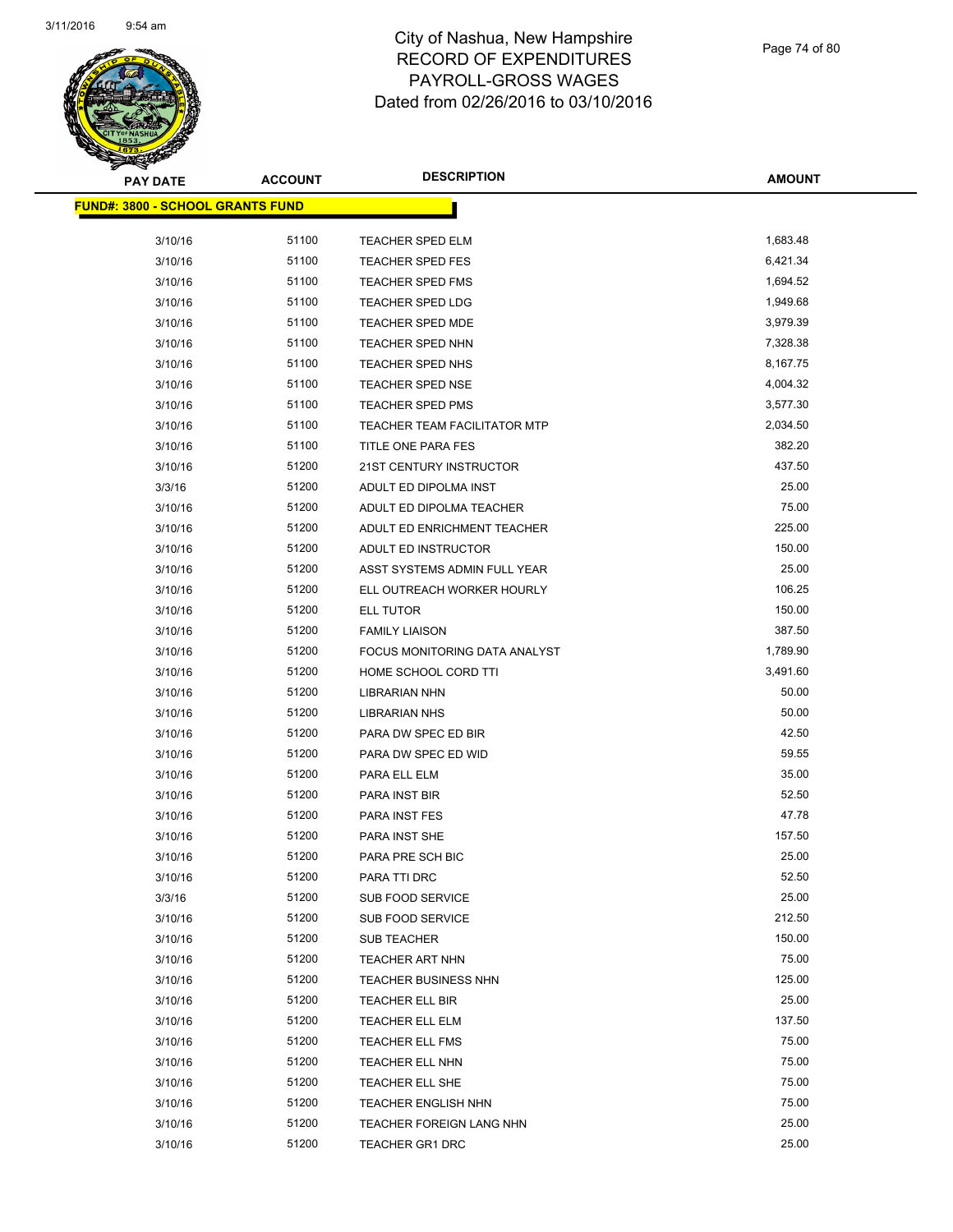

| <b>PAY DATE</b>                         | <b>ACCOUNT</b> | <b>DESCRIPTION</b>                  | <b>AMOUNT</b> |
|-----------------------------------------|----------------|-------------------------------------|---------------|
| <b>FUND#: 3800 - SCHOOL GRANTS FUND</b> |                |                                     |               |
|                                         |                |                                     |               |
| 3/10/16                                 | 51100          | TEACHER SPED ELM                    | 1,683.48      |
| 3/10/16                                 | 51100          | <b>TEACHER SPED FES</b>             | 6,421.34      |
| 3/10/16                                 | 51100          | TEACHER SPED FMS                    | 1,694.52      |
| 3/10/16                                 | 51100          | TEACHER SPED LDG                    | 1,949.68      |
| 3/10/16                                 | 51100          | <b>TEACHER SPED MDE</b>             | 3,979.39      |
| 3/10/16                                 | 51100          | TEACHER SPED NHN                    | 7,328.38      |
| 3/10/16                                 | 51100          | TEACHER SPED NHS                    | 8,167.75      |
| 3/10/16                                 | 51100          | <b>TEACHER SPED NSE</b>             | 4,004.32      |
| 3/10/16                                 | 51100          | TEACHER SPED PMS                    | 3,577.30      |
| 3/10/16                                 | 51100          | <b>TEACHER TEAM FACILITATOR MTP</b> | 2,034.50      |
| 3/10/16                                 | 51100          | TITLE ONE PARA FES                  | 382.20        |
| 3/10/16                                 | 51200          | 21ST CENTURY INSTRUCTOR             | 437.50        |
| 3/3/16                                  | 51200          | ADULT ED DIPOLMA INST               | 25.00         |
| 3/10/16                                 | 51200          | ADULT ED DIPOLMA TEACHER            | 75.00         |
| 3/10/16                                 | 51200          | ADULT ED ENRICHMENT TEACHER         | 225.00        |
| 3/10/16                                 | 51200          | ADULT ED INSTRUCTOR                 | 150.00        |
| 3/10/16                                 | 51200          | ASST SYSTEMS ADMIN FULL YEAR        | 25.00         |
| 3/10/16                                 | 51200          | ELL OUTREACH WORKER HOURLY          | 106.25        |
| 3/10/16                                 | 51200          | ELL TUTOR                           | 150.00        |
| 3/10/16                                 | 51200          | <b>FAMILY LIAISON</b>               | 387.50        |
| 3/10/16                                 | 51200          | FOCUS MONITORING DATA ANALYST       | 1,789.90      |
| 3/10/16                                 | 51200          | HOME SCHOOL CORD TTI                | 3,491.60      |
| 3/10/16                                 | 51200          | <b>LIBRARIAN NHN</b>                | 50.00         |
| 3/10/16                                 | 51200          | <b>LIBRARIAN NHS</b>                | 50.00         |
| 3/10/16                                 | 51200          | PARA DW SPEC ED BIR                 | 42.50         |
| 3/10/16                                 | 51200          | PARA DW SPEC ED WID                 | 59.55         |
| 3/10/16                                 | 51200          | PARA ELL ELM                        | 35.00         |
| 3/10/16                                 | 51200          | PARA INST BIR                       | 52.50         |
| 3/10/16                                 | 51200          | PARA INST FES                       | 47.78         |
| 3/10/16                                 | 51200          | PARA INST SHE                       | 157.50        |
| 3/10/16                                 | 51200          | PARA PRE SCH BIC                    | 25.00         |
| 3/10/16                                 | 51200          | PARA TTI DRC                        | 52.50         |
| 3/3/16                                  | 51200          | <b>SUB FOOD SERVICE</b>             | 25.00         |
| 3/10/16                                 | 51200          | SUB FOOD SERVICE                    | 212.50        |
| 3/10/16                                 | 51200          | <b>SUB TEACHER</b>                  | 150.00        |
| 3/10/16                                 | 51200          | <b>TEACHER ART NHN</b>              | 75.00         |
| 3/10/16                                 | 51200          | <b>TEACHER BUSINESS NHN</b>         | 125.00        |
| 3/10/16                                 | 51200          | TEACHER ELL BIR                     | 25.00         |
| 3/10/16                                 | 51200          | TEACHER ELL ELM                     | 137.50        |
| 3/10/16                                 | 51200          | <b>TEACHER ELL FMS</b>              | 75.00         |
| 3/10/16                                 | 51200          | TEACHER ELL NHN                     | 75.00         |
| 3/10/16                                 | 51200          | TEACHER ELL SHE                     | 75.00         |
| 3/10/16                                 | 51200          | <b>TEACHER ENGLISH NHN</b>          | 75.00         |
| 3/10/16                                 | 51200          | TEACHER FOREIGN LANG NHN            | 25.00         |
| 3/10/16                                 | 51200          | <b>TEACHER GR1 DRC</b>              | 25.00         |
|                                         |                |                                     |               |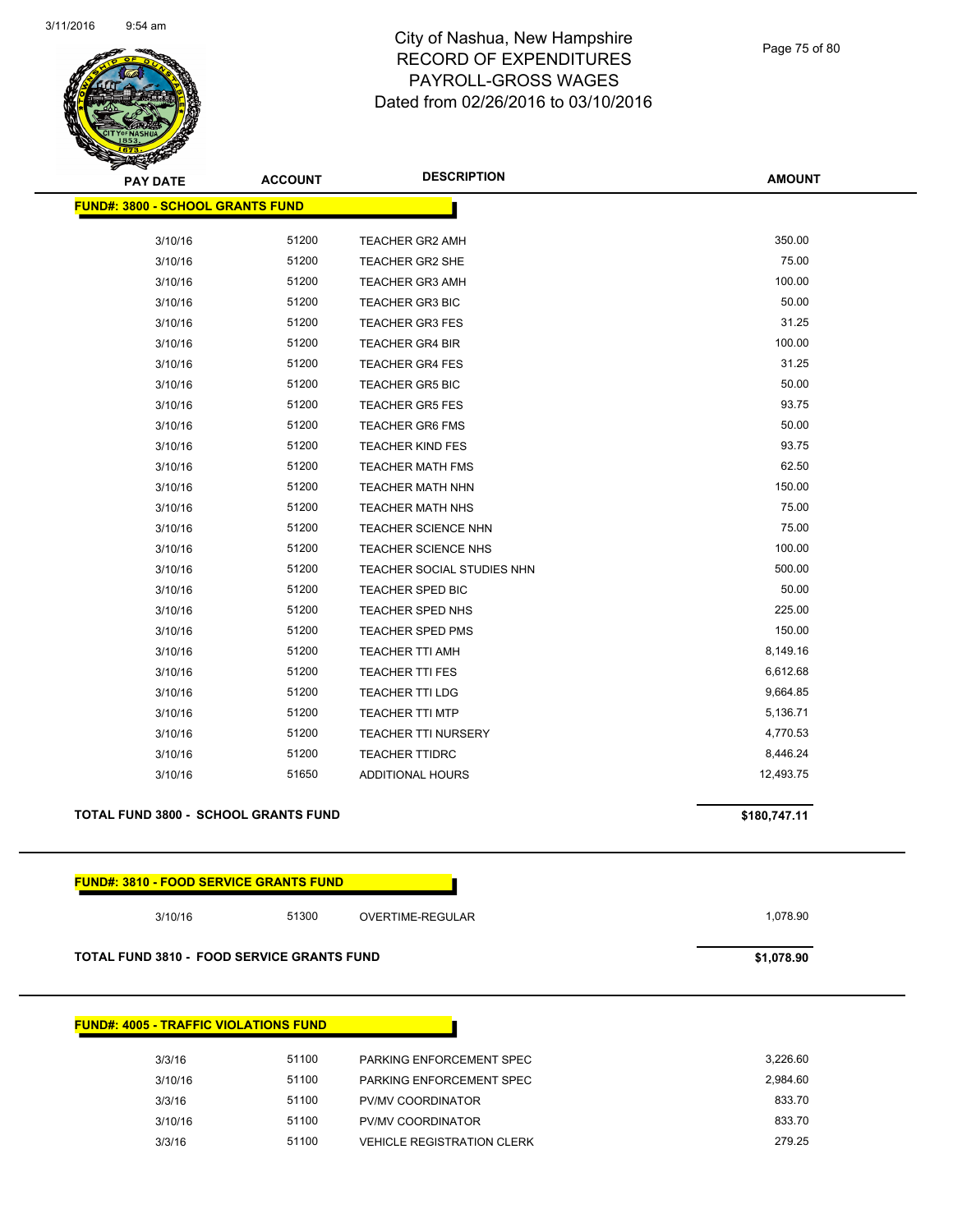

Page 75 of 80

| <b>ACCOUNT</b>                          | <b>DESCRIPTION</b>                                                                              | <b>AMOUNT</b>                                                                                                                                                                                                                                                                                                                                                                        |
|-----------------------------------------|-------------------------------------------------------------------------------------------------|--------------------------------------------------------------------------------------------------------------------------------------------------------------------------------------------------------------------------------------------------------------------------------------------------------------------------------------------------------------------------------------|
| <b>FUND#: 3800 - SCHOOL GRANTS FUND</b> |                                                                                                 |                                                                                                                                                                                                                                                                                                                                                                                      |
|                                         |                                                                                                 | 350.00                                                                                                                                                                                                                                                                                                                                                                               |
|                                         |                                                                                                 | 75.00                                                                                                                                                                                                                                                                                                                                                                                |
|                                         |                                                                                                 | 100.00                                                                                                                                                                                                                                                                                                                                                                               |
|                                         |                                                                                                 |                                                                                                                                                                                                                                                                                                                                                                                      |
|                                         |                                                                                                 | 50.00                                                                                                                                                                                                                                                                                                                                                                                |
|                                         |                                                                                                 | 31.25                                                                                                                                                                                                                                                                                                                                                                                |
|                                         |                                                                                                 | 100.00                                                                                                                                                                                                                                                                                                                                                                               |
|                                         |                                                                                                 | 31.25                                                                                                                                                                                                                                                                                                                                                                                |
|                                         |                                                                                                 | 50.00                                                                                                                                                                                                                                                                                                                                                                                |
|                                         | <b>TEACHER GR5 FES</b>                                                                          | 93.75                                                                                                                                                                                                                                                                                                                                                                                |
|                                         |                                                                                                 | 50.00                                                                                                                                                                                                                                                                                                                                                                                |
|                                         | <b>TEACHER KIND FES</b>                                                                         | 93.75                                                                                                                                                                                                                                                                                                                                                                                |
| 51200                                   | <b>TEACHER MATH FMS</b>                                                                         | 62.50                                                                                                                                                                                                                                                                                                                                                                                |
| 51200                                   | <b>TEACHER MATH NHN</b>                                                                         | 150.00                                                                                                                                                                                                                                                                                                                                                                               |
| 51200                                   | <b>TEACHER MATH NHS</b>                                                                         | 75.00                                                                                                                                                                                                                                                                                                                                                                                |
| 51200                                   | TEACHER SCIENCE NHN                                                                             | 75.00                                                                                                                                                                                                                                                                                                                                                                                |
| 51200                                   | TEACHER SCIENCE NHS                                                                             | 100.00                                                                                                                                                                                                                                                                                                                                                                               |
| 51200                                   | TEACHER SOCIAL STUDIES NHN                                                                      | 500.00                                                                                                                                                                                                                                                                                                                                                                               |
| 51200                                   | <b>TEACHER SPED BIC</b>                                                                         | 50.00                                                                                                                                                                                                                                                                                                                                                                                |
| 51200                                   | TEACHER SPED NHS                                                                                | 225.00                                                                                                                                                                                                                                                                                                                                                                               |
| 51200                                   | <b>TEACHER SPED PMS</b>                                                                         | 150.00                                                                                                                                                                                                                                                                                                                                                                               |
| 51200                                   | <b>TEACHER TTI AMH</b>                                                                          | 8,149.16                                                                                                                                                                                                                                                                                                                                                                             |
| 51200                                   | TEACHER TTI FES                                                                                 | 6,612.68                                                                                                                                                                                                                                                                                                                                                                             |
| 51200                                   | TEACHER TTI LDG                                                                                 | 9,664.85                                                                                                                                                                                                                                                                                                                                                                             |
| 51200                                   | <b>TEACHER TTI MTP</b>                                                                          | 5,136.71                                                                                                                                                                                                                                                                                                                                                                             |
| 51200                                   | TEACHER TTI NURSERY                                                                             | 4,770.53                                                                                                                                                                                                                                                                                                                                                                             |
| 51200                                   | <b>TEACHER TTIDRC</b>                                                                           | 8,446.24                                                                                                                                                                                                                                                                                                                                                                             |
| 51650                                   | ADDITIONAL HOURS                                                                                | 12,493.75                                                                                                                                                                                                                                                                                                                                                                            |
|                                         |                                                                                                 | \$180,747.11                                                                                                                                                                                                                                                                                                                                                                         |
|                                         |                                                                                                 |                                                                                                                                                                                                                                                                                                                                                                                      |
| 51300                                   | OVERTIME-REGULAR                                                                                | 1,078.90                                                                                                                                                                                                                                                                                                                                                                             |
|                                         |                                                                                                 | \$1,078.90                                                                                                                                                                                                                                                                                                                                                                           |
|                                         | 51200<br>51200<br>51200<br>51200<br>51200<br>51200<br>51200<br>51200<br>51200<br>51200<br>51200 | <b>TEACHER GR2 AMH</b><br>TEACHER GR2 SHE<br><b>TEACHER GR3 AMH</b><br><b>TEACHER GR3 BIC</b><br><b>TEACHER GR3 FES</b><br><b>TEACHER GR4 BIR</b><br><b>TEACHER GR4 FES</b><br><b>TEACHER GR5 BIC</b><br><b>TEACHER GR6 FMS</b><br><b>TOTAL FUND 3800 - SCHOOL GRANTS FUND</b><br><b>FUND#: 3810 - FOOD SERVICE GRANTS FUND</b><br><b>TOTAL FUND 3810 - FOOD SERVICE GRANTS FUND</b> |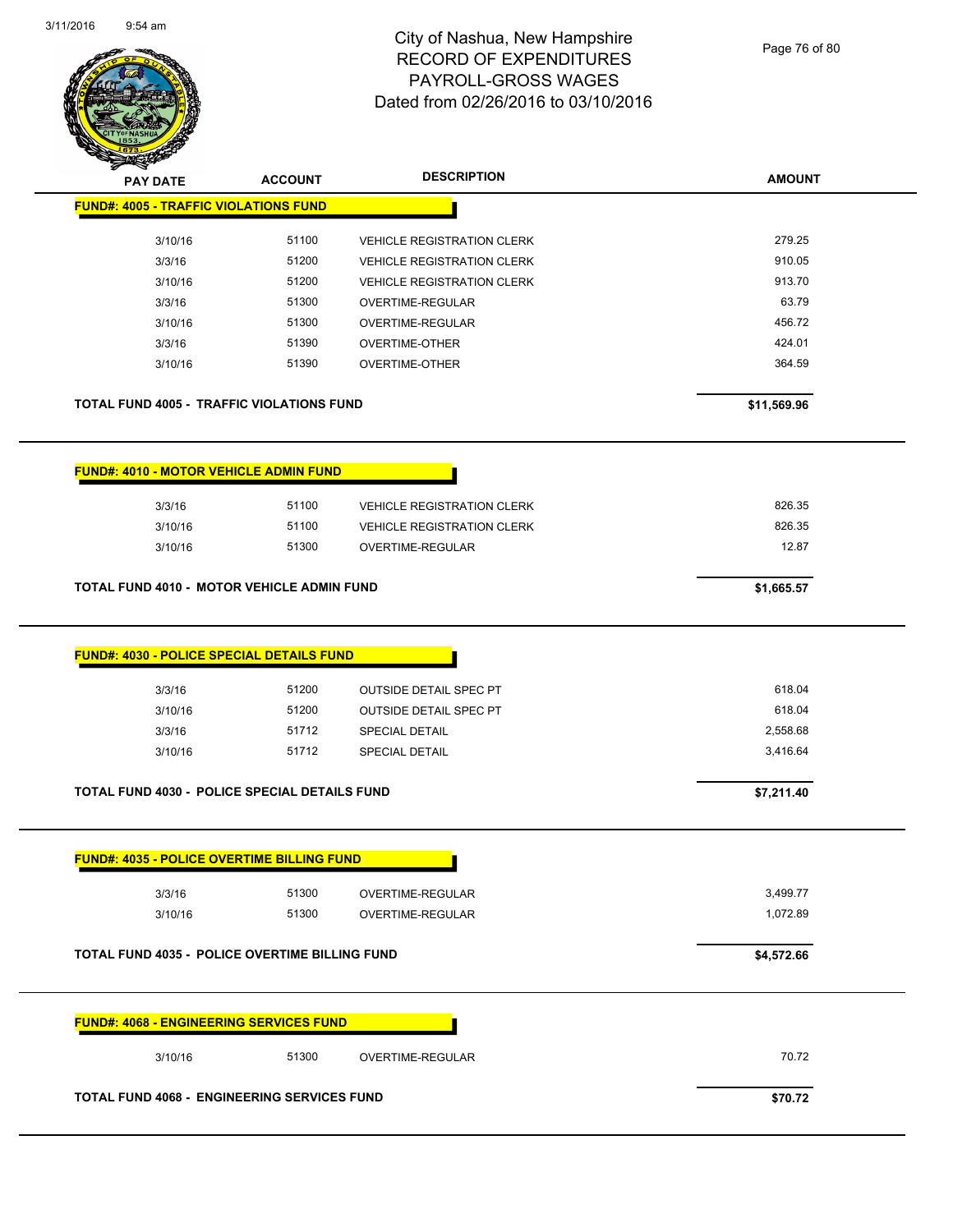$\overline{a}$ 



# City of Nashua, New Hampshire RECORD OF EXPENDITURES PAYROLL-GROSS WAGES Dated from 02/26/2016 to 03/10/2016

Page 76 of 80

| <b>PAY DATE</b>                                                       | <b>ACCOUNT</b> | <b>DESCRIPTION</b>                                             | <b>AMOUNT</b>    |  |
|-----------------------------------------------------------------------|----------------|----------------------------------------------------------------|------------------|--|
| <b>FUND#: 4005 - TRAFFIC VIOLATIONS FUND</b>                          |                |                                                                |                  |  |
| 3/10/16                                                               | 51100          | <b>VEHICLE REGISTRATION CLERK</b>                              | 279.25           |  |
| 3/3/16                                                                | 51200          | <b>VEHICLE REGISTRATION CLERK</b>                              | 910.05           |  |
| 3/10/16                                                               | 51200          | <b>VEHICLE REGISTRATION CLERK</b>                              | 913.70           |  |
| 3/3/16                                                                | 51300          | OVERTIME-REGULAR                                               | 63.79            |  |
| 3/10/16                                                               | 51300          | OVERTIME-REGULAR                                               | 456.72           |  |
| 3/3/16                                                                | 51390          | <b>OVERTIME-OTHER</b>                                          | 424.01           |  |
| 3/10/16                                                               | 51390          | <b>OVERTIME-OTHER</b>                                          | 364.59           |  |
| <b>TOTAL FUND 4005 - TRAFFIC VIOLATIONS FUND</b>                      |                |                                                                | \$11,569.96      |  |
| <b>FUND#: 4010 - MOTOR VEHICLE ADMIN FUND</b>                         |                |                                                                |                  |  |
| 3/3/16                                                                | 51100          | <b>VEHICLE REGISTRATION CLERK</b>                              | 826.35           |  |
| 3/10/16                                                               | 51100          | <b>VEHICLE REGISTRATION CLERK</b>                              | 826.35           |  |
| 3/10/16                                                               | 51300          | OVERTIME-REGULAR                                               | 12.87            |  |
| <b>TOTAL FUND 4010 - MOTOR VEHICLE ADMIN FUND</b>                     |                |                                                                | \$1,665.57       |  |
| <b>FUND#: 4030 - POLICE SPECIAL DETAILS FUND</b><br>3/3/16<br>3/10/16 | 51200<br>51200 | <b>OUTSIDE DETAIL SPEC PT</b><br><b>OUTSIDE DETAIL SPEC PT</b> | 618.04<br>618.04 |  |
|                                                                       | 51712          | <b>SPECIAL DETAIL</b>                                          | 2,558.68         |  |
| 3/3/16<br>3/10/16                                                     | 51712          | <b>SPECIAL DETAIL</b>                                          | 3,416.64         |  |
| <b>TOTAL FUND 4030 - POLICE SPECIAL DETAILS FUND</b>                  |                |                                                                | \$7,211.40       |  |
| <b>FUND#: 4035 - POLICE OVERTIME BILLING FUND</b>                     |                |                                                                |                  |  |
| 3/3/16                                                                | 51300          | <b>OVERTIME-REGULAR</b>                                        | 3,499.77         |  |
| 3/10/16                                                               | 51300          | OVERTIME-REGULAR                                               | 1,072.89         |  |
| <b>TOTAL FUND 4035 - POLICE OVERTIME BILLING FUND</b>                 |                |                                                                | \$4,572.66       |  |
| <b>FUND#: 4068 - ENGINEERING SERVICES FUND</b>                        |                |                                                                |                  |  |
| 3/10/16                                                               | 51300          | OVERTIME-REGULAR                                               | 70.72            |  |
| <b>TOTAL FUND 4068 - ENGINEERING SERVICES FUND</b>                    |                |                                                                | \$70.72          |  |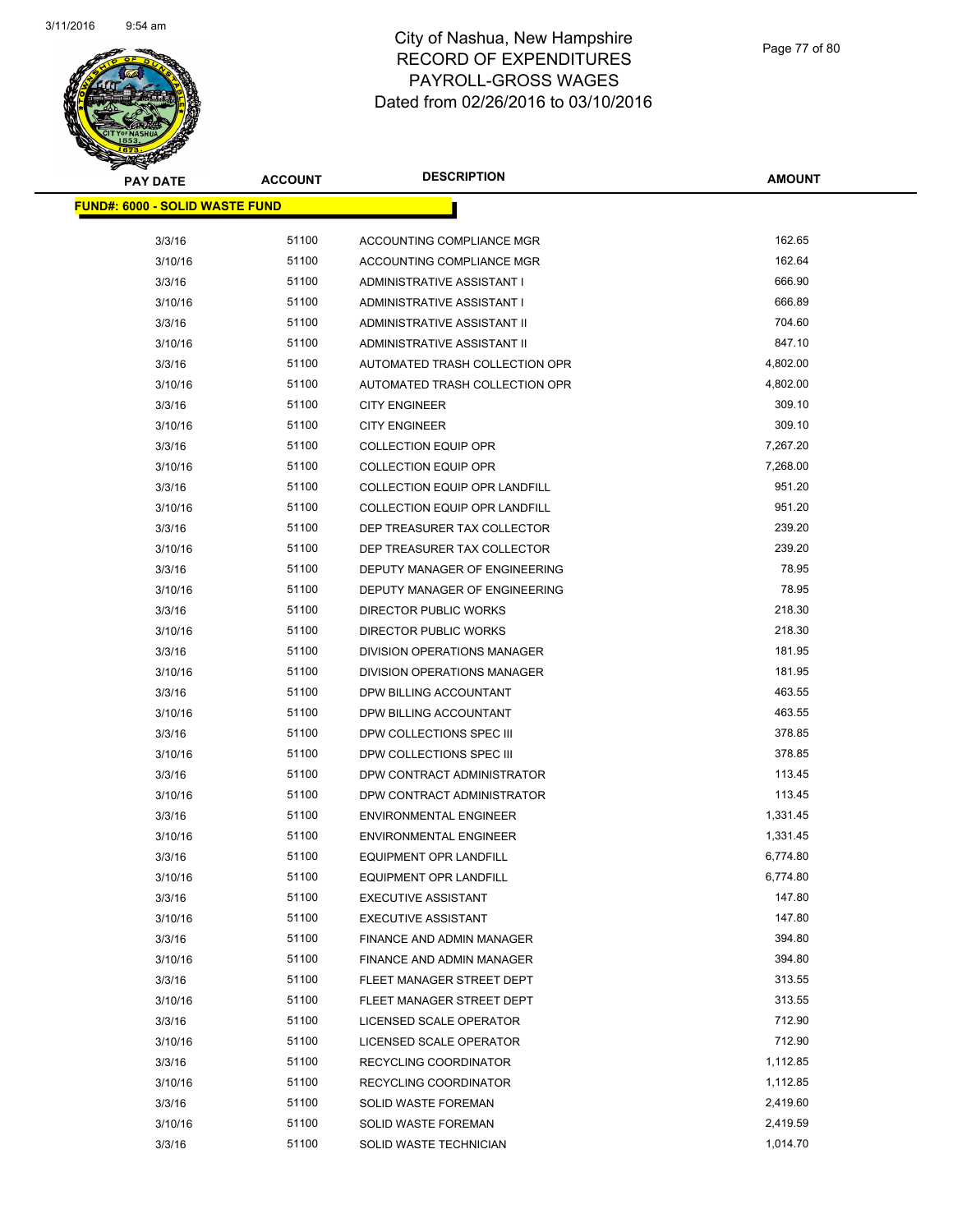

| <b>PAY DATE</b>                        | <b>ACCOUNT</b> | <b>DESCRIPTION</b>                   | <b>AMOUNT</b> |
|----------------------------------------|----------------|--------------------------------------|---------------|
| <u> FUND#: 6000 - SOLID WASTE FUND</u> |                |                                      |               |
| 3/3/16                                 | 51100          | ACCOUNTING COMPLIANCE MGR            | 162.65        |
| 3/10/16                                | 51100          | ACCOUNTING COMPLIANCE MGR            | 162.64        |
| 3/3/16                                 | 51100          | ADMINISTRATIVE ASSISTANT I           | 666.90        |
| 3/10/16                                | 51100          | ADMINISTRATIVE ASSISTANT I           | 666.89        |
| 3/3/16                                 | 51100          | ADMINISTRATIVE ASSISTANT II          | 704.60        |
| 3/10/16                                | 51100          | ADMINISTRATIVE ASSISTANT II          | 847.10        |
| 3/3/16                                 | 51100          | AUTOMATED TRASH COLLECTION OPR       | 4,802.00      |
|                                        | 51100          |                                      | 4,802.00      |
| 3/10/16<br>3/3/16                      | 51100          | AUTOMATED TRASH COLLECTION OPR       | 309.10        |
|                                        | 51100          | <b>CITY ENGINEER</b>                 | 309.10        |
| 3/10/16                                |                | <b>CITY ENGINEER</b>                 |               |
| 3/3/16                                 | 51100          | <b>COLLECTION EQUIP OPR</b>          | 7,267.20      |
| 3/10/16                                | 51100          | <b>COLLECTION EQUIP OPR</b>          | 7,268.00      |
| 3/3/16                                 | 51100          | <b>COLLECTION EQUIP OPR LANDFILL</b> | 951.20        |
| 3/10/16                                | 51100          | <b>COLLECTION EQUIP OPR LANDFILL</b> | 951.20        |
| 3/3/16                                 | 51100          | DEP TREASURER TAX COLLECTOR          | 239.20        |
| 3/10/16                                | 51100          | DEP TREASURER TAX COLLECTOR          | 239.20        |
| 3/3/16                                 | 51100          | DEPUTY MANAGER OF ENGINEERING        | 78.95         |
| 3/10/16                                | 51100          | DEPUTY MANAGER OF ENGINEERING        | 78.95         |
| 3/3/16                                 | 51100          | DIRECTOR PUBLIC WORKS                | 218.30        |
| 3/10/16                                | 51100          | DIRECTOR PUBLIC WORKS                | 218.30        |
| 3/3/16                                 | 51100          | DIVISION OPERATIONS MANAGER          | 181.95        |
| 3/10/16                                | 51100          | DIVISION OPERATIONS MANAGER          | 181.95        |
| 3/3/16                                 | 51100          | DPW BILLING ACCOUNTANT               | 463.55        |
| 3/10/16                                | 51100          | DPW BILLING ACCOUNTANT               | 463.55        |
| 3/3/16                                 | 51100          | DPW COLLECTIONS SPEC III             | 378.85        |
| 3/10/16                                | 51100          | DPW COLLECTIONS SPEC III             | 378.85        |
| 3/3/16                                 | 51100          | DPW CONTRACT ADMINISTRATOR           | 113.45        |
| 3/10/16                                | 51100          | DPW CONTRACT ADMINISTRATOR           | 113.45        |
| 3/3/16                                 | 51100          | <b>ENVIRONMENTAL ENGINEER</b>        | 1,331.45      |
| 3/10/16                                | 51100          | <b>ENVIRONMENTAL ENGINEER</b>        | 1,331.45      |
| 3/3/16                                 | 51100          | <b>EQUIPMENT OPR LANDFILL</b>        | 6,774.80      |
| 3/10/16                                | 51100          | <b>EQUIPMENT OPR LANDFILL</b>        | 6,774.80      |
| 3/3/16                                 | 51100          | <b>EXECUTIVE ASSISTANT</b>           | 147.80        |
| 3/10/16                                | 51100          | <b>EXECUTIVE ASSISTANT</b>           | 147.80        |
| 3/3/16                                 | 51100          | FINANCE AND ADMIN MANAGER            | 394.80        |
| 3/10/16                                | 51100          | FINANCE AND ADMIN MANAGER            | 394.80        |
| 3/3/16                                 | 51100          | FLEET MANAGER STREET DEPT            | 313.55        |
| 3/10/16                                | 51100          | FLEET MANAGER STREET DEPT            | 313.55        |
| 3/3/16                                 | 51100          | LICENSED SCALE OPERATOR              | 712.90        |
| 3/10/16                                | 51100          | LICENSED SCALE OPERATOR              | 712.90        |
| 3/3/16                                 | 51100          | RECYCLING COORDINATOR                | 1,112.85      |
| 3/10/16                                | 51100          | RECYCLING COORDINATOR                | 1,112.85      |
| 3/3/16                                 | 51100          | SOLID WASTE FOREMAN                  | 2,419.60      |
| 3/10/16                                | 51100          | SOLID WASTE FOREMAN                  | 2,419.59      |
| 3/3/16                                 | 51100          | SOLID WASTE TECHNICIAN               | 1,014.70      |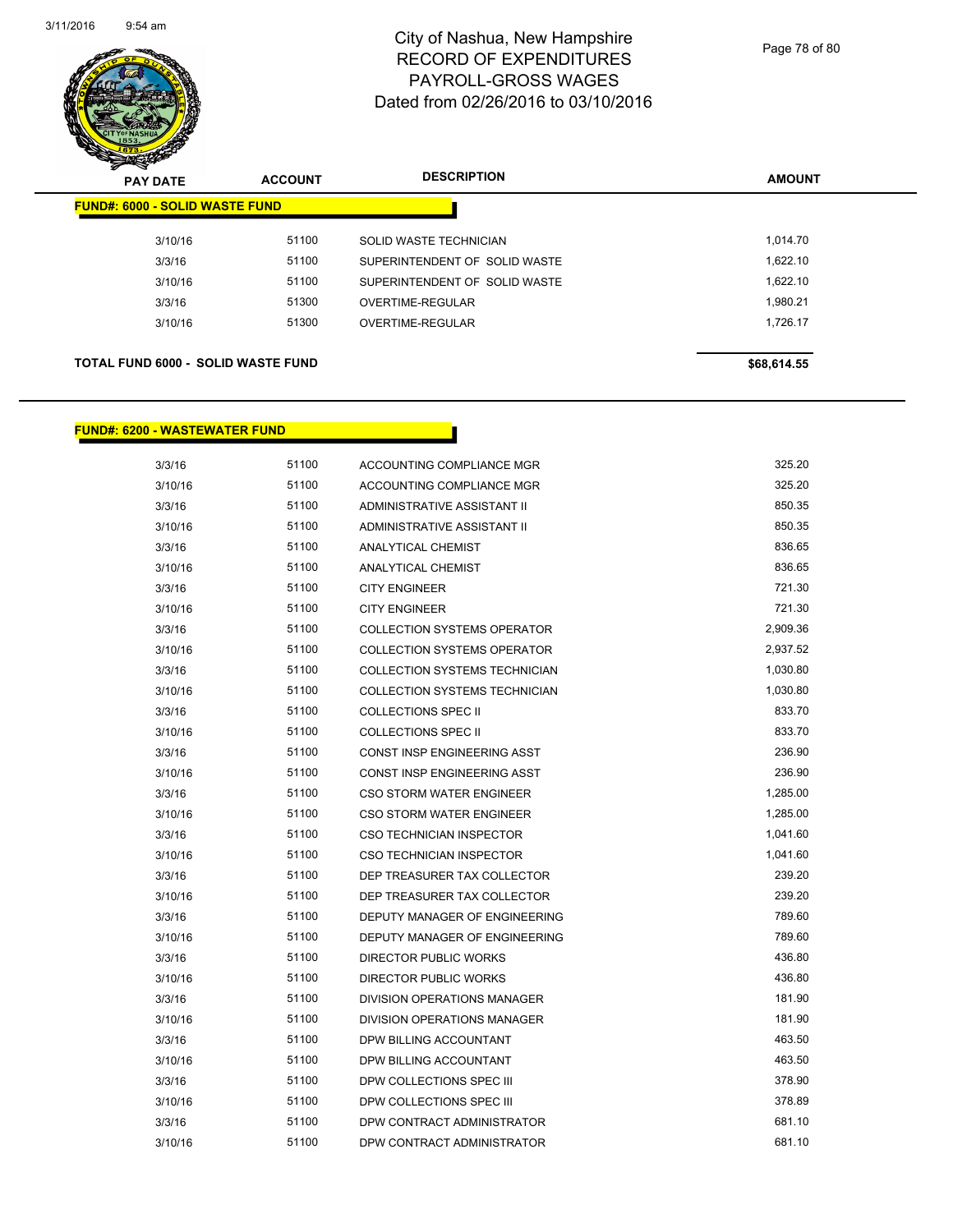

Page 78 of 80

| <b>PAY DATE</b>                           | <b>ACCOUNT</b> | <b>DESCRIPTION</b>            | <b>AMOUNT</b> |
|-------------------------------------------|----------------|-------------------------------|---------------|
| <b>FUND#: 6000 - SOLID WASTE FUND</b>     |                |                               |               |
| 3/10/16                                   | 51100          | SOLID WASTE TECHNICIAN        | 1,014.70      |
| 3/3/16                                    | 51100          | SUPERINTENDENT OF SOLID WASTE | 1,622.10      |
| 3/10/16                                   | 51100          | SUPERINTENDENT OF SOLID WASTE | 1.622.10      |
| 3/3/16                                    | 51300          | OVERTIME-REGULAR              | 1.980.21      |
| 3/10/16                                   | 51300          | OVERTIME-REGULAR              | 1,726.17      |
|                                           |                |                               |               |
| <b>TOTAL FUND 6000 - SOLID WASTE FUND</b> |                |                               | \$68,614.55   |

#### **FUND#: 6200 - WASTEWATER FUND**

| 3/3/16  | 51100 | <b>ACCOUNTING COMPLIANCE MGR</b>     | 325.20   |
|---------|-------|--------------------------------------|----------|
| 3/10/16 | 51100 | <b>ACCOUNTING COMPLIANCE MGR</b>     | 325.20   |
| 3/3/16  | 51100 | <b>ADMINISTRATIVE ASSISTANT II</b>   | 850.35   |
| 3/10/16 | 51100 | ADMINISTRATIVE ASSISTANT II          | 850.35   |
| 3/3/16  | 51100 | ANALYTICAL CHEMIST                   | 836.65   |
| 3/10/16 | 51100 | <b>ANALYTICAL CHEMIST</b>            | 836.65   |
| 3/3/16  | 51100 | <b>CITY ENGINEER</b>                 | 721.30   |
| 3/10/16 | 51100 | <b>CITY ENGINEER</b>                 | 721.30   |
| 3/3/16  | 51100 | <b>COLLECTION SYSTEMS OPERATOR</b>   | 2,909.36 |
| 3/10/16 | 51100 | <b>COLLECTION SYSTEMS OPERATOR</b>   | 2,937.52 |
| 3/3/16  | 51100 | COLLECTION SYSTEMS TECHNICIAN        | 1,030.80 |
| 3/10/16 | 51100 | <b>COLLECTION SYSTEMS TECHNICIAN</b> | 1,030.80 |
| 3/3/16  | 51100 | <b>COLLECTIONS SPEC II</b>           | 833.70   |
| 3/10/16 | 51100 | <b>COLLECTIONS SPEC II</b>           | 833.70   |
| 3/3/16  | 51100 | <b>CONST INSP ENGINEERING ASST</b>   | 236.90   |
| 3/10/16 | 51100 | CONST INSP ENGINEERING ASST          | 236.90   |
| 3/3/16  | 51100 | CSO STORM WATER ENGINEER             | 1,285.00 |
| 3/10/16 | 51100 | CSO STORM WATER ENGINEER             | 1,285.00 |
| 3/3/16  | 51100 | <b>CSO TECHNICIAN INSPECTOR</b>      | 1,041.60 |
| 3/10/16 | 51100 | <b>CSO TECHNICIAN INSPECTOR</b>      | 1,041.60 |
| 3/3/16  | 51100 | DEP TREASURER TAX COLLECTOR          | 239.20   |
| 3/10/16 | 51100 | DEP TREASURER TAX COLLECTOR          | 239.20   |
| 3/3/16  | 51100 | DEPUTY MANAGER OF ENGINEERING        | 789.60   |
| 3/10/16 | 51100 | DEPUTY MANAGER OF ENGINEERING        | 789.60   |
| 3/3/16  | 51100 | <b>DIRECTOR PUBLIC WORKS</b>         | 436.80   |
| 3/10/16 | 51100 | <b>DIRECTOR PUBLIC WORKS</b>         | 436.80   |
| 3/3/16  | 51100 | <b>DIVISION OPERATIONS MANAGER</b>   | 181.90   |
| 3/10/16 | 51100 | DIVISION OPERATIONS MANAGER          | 181.90   |
| 3/3/16  | 51100 | DPW BILLING ACCOUNTANT               | 463.50   |
| 3/10/16 | 51100 | DPW BILLING ACCOUNTANT               | 463.50   |
| 3/3/16  | 51100 | DPW COLLECTIONS SPEC III             | 378.90   |
| 3/10/16 | 51100 | DPW COLLECTIONS SPEC III             | 378.89   |
| 3/3/16  | 51100 | DPW CONTRACT ADMINISTRATOR           | 681.10   |
| 3/10/16 | 51100 | DPW CONTRACT ADMINISTRATOR           | 681.10   |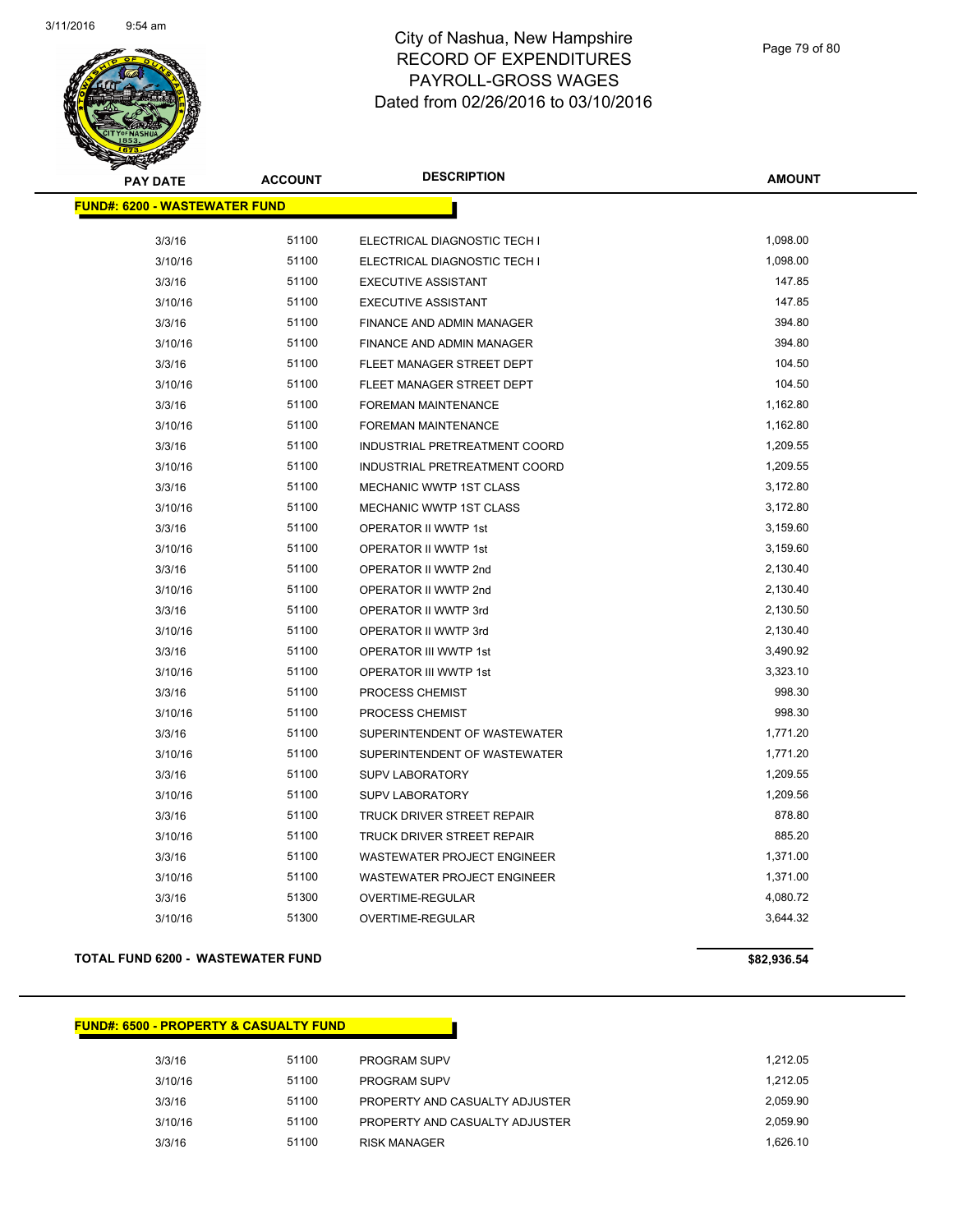

| <b>PAY DATE</b>                       | <b>ACCOUNT</b> | <b>DESCRIPTION</b>                 | <b>AMOUNT</b> |
|---------------------------------------|----------------|------------------------------------|---------------|
| <u> FUND#: 6200 - WASTEWATER FUND</u> |                |                                    |               |
| 3/3/16                                | 51100          | ELECTRICAL DIAGNOSTIC TECH I       | 1,098.00      |
| 3/10/16                               | 51100          | ELECTRICAL DIAGNOSTIC TECH I       | 1,098.00      |
| 3/3/16                                | 51100          | <b>EXECUTIVE ASSISTANT</b>         | 147.85        |
| 3/10/16                               | 51100          | <b>EXECUTIVE ASSISTANT</b>         | 147.85        |
| 3/3/16                                | 51100          | <b>FINANCE AND ADMIN MANAGER</b>   | 394.80        |
| 3/10/16                               | 51100          | FINANCE AND ADMIN MANAGER          | 394.80        |
| 3/3/16                                | 51100          | FLEET MANAGER STREET DEPT          | 104.50        |
| 3/10/16                               | 51100          | FLEET MANAGER STREET DEPT          | 104.50        |
| 3/3/16                                | 51100          | FOREMAN MAINTENANCE                | 1,162.80      |
| 3/10/16                               | 51100          | <b>FOREMAN MAINTENANCE</b>         | 1,162.80      |
| 3/3/16                                | 51100          | INDUSTRIAL PRETREATMENT COORD      | 1,209.55      |
| 3/10/16                               | 51100          | INDUSTRIAL PRETREATMENT COORD      | 1,209.55      |
| 3/3/16                                | 51100          | MECHANIC WWTP 1ST CLASS            | 3,172.80      |
| 3/10/16                               | 51100          | MECHANIC WWTP 1ST CLASS            | 3,172.80      |
| 3/3/16                                | 51100          | OPERATOR II WWTP 1st               | 3,159.60      |
| 3/10/16                               | 51100          | OPERATOR II WWTP 1st               | 3,159.60      |
| 3/3/16                                | 51100          | OPERATOR II WWTP 2nd               | 2,130.40      |
| 3/10/16                               | 51100          | OPERATOR II WWTP 2nd               | 2,130.40      |
| 3/3/16                                | 51100          | OPERATOR II WWTP 3rd               | 2,130.50      |
| 3/10/16                               | 51100          | OPERATOR II WWTP 3rd               | 2,130.40      |
| 3/3/16                                | 51100          | OPERATOR III WWTP 1st              | 3,490.92      |
| 3/10/16                               | 51100          | OPERATOR III WWTP 1st              | 3,323.10      |
| 3/3/16                                | 51100          | PROCESS CHEMIST                    | 998.30        |
| 3/10/16                               | 51100          | PROCESS CHEMIST                    | 998.30        |
| 3/3/16                                | 51100          | SUPERINTENDENT OF WASTEWATER       | 1,771.20      |
| 3/10/16                               | 51100          | SUPERINTENDENT OF WASTEWATER       | 1,771.20      |
| 3/3/16                                | 51100          | <b>SUPV LABORATORY</b>             | 1,209.55      |
| 3/10/16                               | 51100          | <b>SUPV LABORATORY</b>             | 1,209.56      |
| 3/3/16                                | 51100          | TRUCK DRIVER STREET REPAIR         | 878.80        |
| 3/10/16                               | 51100          | TRUCK DRIVER STREET REPAIR         | 885.20        |
| 3/3/16                                | 51100          | <b>WASTEWATER PROJECT ENGINEER</b> | 1,371.00      |
| 3/10/16                               | 51100          | WASTEWATER PROJECT ENGINEER        | 1,371.00      |
| 3/3/16                                | 51300          | <b>OVERTIME-REGULAR</b>            | 4,080.72      |
| 3/10/16                               | 51300          | <b>OVERTIME-REGULAR</b>            | 3,644.32      |

#### **TOTAL FUND 6200 - WASTEWATER FUND \$82,936.54**

#### **FUND#: 6500 - PROPERTY & CASUALTY FUND**

| 3/3/16  | 51100 | <b>PROGRAM SUPV</b>            | 1.212.05 |
|---------|-------|--------------------------------|----------|
| 3/10/16 | 51100 | <b>PROGRAM SUPV</b>            | 1.212.05 |
| 3/3/16  | 51100 | PROPERTY AND CASUALTY ADJUSTER | 2.059.90 |
| 3/10/16 | 51100 | PROPERTY AND CASUALTY ADJUSTER | 2.059.90 |
| 3/3/16  | 51100 | <b>RISK MANAGER</b>            | 1.626.10 |